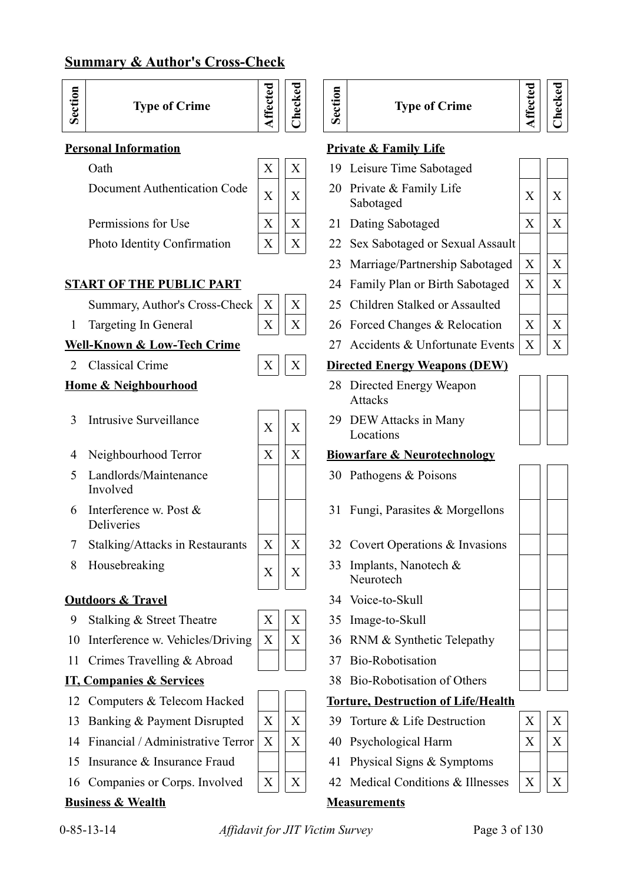# **Summary & Author's Cross-Check**



# **Type of Crime**



| $\sim$ 0.00                                                      | $1.22$ $1.22$ |  |
|------------------------------------------------------------------|---------------|--|
| Document Authentication Code $\begin{bmatrix} x \end{bmatrix}$ X |               |  |

Permissions for Use  $X \mid X \mid 21$  Dating Sabotaged  $X \mid X$ 



# **START OF THE PUBLIC PART** 24 Family Plan or Birth Sabotaged  $X \mid X$

- 
- 
- 

- <sup>3</sup> Intrusive Surveillance <sup>X</sup> <sup>X</sup>
- 
- 5 Landlords/Maintenance Involved
- 6 Interference w. Post & Deliveries
- 7 Stalking/Attacks in Restaurants  $X \mid X \mid 32$  Covert Operations & Invasions
- 8 Housebreaking  $\begin{array}{c|c} \begin{array}{c|c} \times \end{array} & \begin{array}{c} \times \end{array} \end{array}$

# **Outdoors & Travel** 34 Voice-to-Skull

- 9 Stalking & Street Theatre  $X \mid X \mid 35$  Image-to-Skull
- 10 Interference w. Vehicles/Driving  $X \mid X$  36 RNM & Synthetic Telepathy
- 11 Crimes Travelling & Abroad  $\parallel$  | 37 Bio-Robotisation

- 
- 13 Banking & Payment Disrupted  $\|X\|X\|$  39 Torture & Life Destruction
- 14 Financial / Administrative Terror  $\|X\| \leq X$  40 Psychological Harm
- 15 Insurance & Insurance Fraud  $\parallel$  | 41 Physical Signs & Symptoms
- 16 Companies or Corps. Involved  $X \mid X \mid 42$  Medical Conditions & Illnesses

# **Business & Wealth Measurements**

|             | s or Corp |
|-------------|-----------|
| <u>alth</u> |           |



**Sectio n**

# **Type of Crime**

**Affe cte dChecked**

# **Personal Information Private & Family Life**

- Oath  $X \mid X \mid 19$  Leisure Time Sabotaged
	- 20 Private & Family Life Sabotaged  $X \mid X$
	-
- Photo Identity Confirmation  $X \mid X \mid X$  22 Sex Sabotaged or Sexual Assault
	- 23 Marriage/Partnership Sabotaged  $|X|$  X
	-
- Summary, Author's Cross-Check  $X \mid X \mid 25$  Children Stalked or Assaulted
- 1 Targeting In General  $X \mid X \mid X$  26 Forced Changes & Relocation  $X \mid X$
- **Well-Known & Low-Tech Crime** 27 Accidents & Unfortunate Events  $\begin{bmatrix} X \end{bmatrix} \begin{bmatrix} X \end{bmatrix}$

# 2 Classical Crime  $X \mid X \mid W$  Directed Energy Weapons (DEW)

- **Home & Neighbourhood** 28 Directed Energy Weapon Attacks
	- 29 DEW Attacks in Many Locations

# 4 Neighbourhood Terror  $X \mid X \mid X$  Biowarfare & Neurotechnology

- 30 Pathogens & Poisons
- 31 Fungi, Parasites & Morgellons
- 
- 33 Implants, Nanotech & Neurotech
- 
- 
- 
- 
- **IT, Companies & Services** 38 Bio-Robotisation of Others

## 12 Computers & Telecom Hacked **The Torture, Destruction of Life/Health**

- 
- 
- 
- 



| X | X |
|---|---|
| X | X |
|   |   |
| X |   |



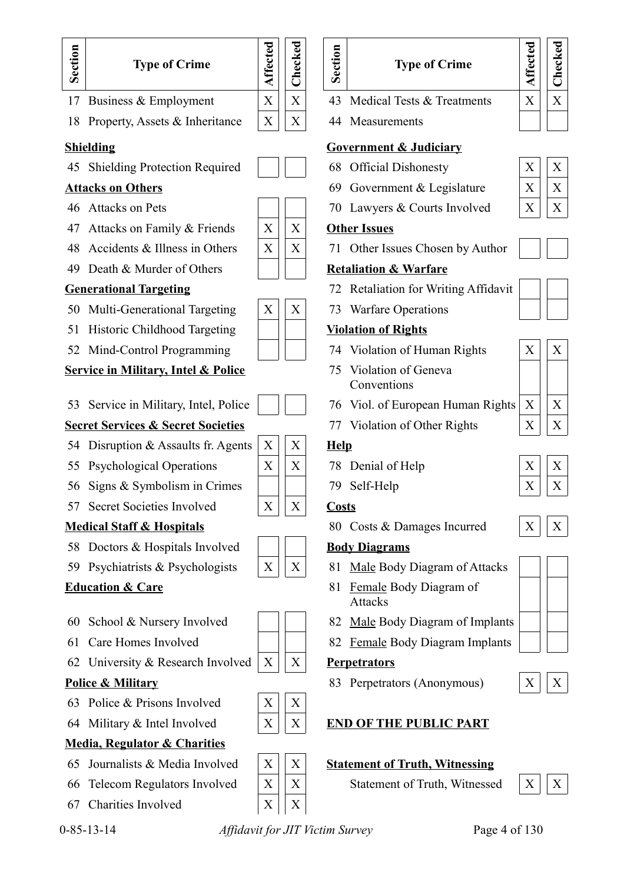

- 
- 
- 62 University & Research Involved  $X \mid X$  **Perpetrators**

- 63 Police & Prisons Involved  $|X|$  X
	-

# **Media, Regulator & Charities**

- 65 Journalists & Media Involved  $X \mid X$  **Statement of Truth, Witnessing**
- 66 Telecom Regulators Involved  $\|X\|X\|$  Statement of Truth, Witnessed  $\|X\|X\|$
- 67 Charities Involved  $X \mid X$

# **Type of Crime**

- 
- 

- 
- 
- 

- 
- 

- 
- Conventions
- 
- 
- 
- 
- 

- 
- Attacks
- 
- 61 Care Homes Involved | | 82 Female Body Diagram Implants

**Police & Military** 83 Perpetrators (Anonymous)  $\begin{array}{c|c|c|c|c} X & X & X \end{array}$ 

# 64 Military & Intel Involved  $X \mid X \mid \mathbf{X}$  **END OF THE PUBLIC PART**



# 0-85-13-14 *Affidavit for JIT Victim Survey* Page 4 of 130





| X | X |
|---|---|
|   |   |
|   |   |
| X | X |
| X | X |











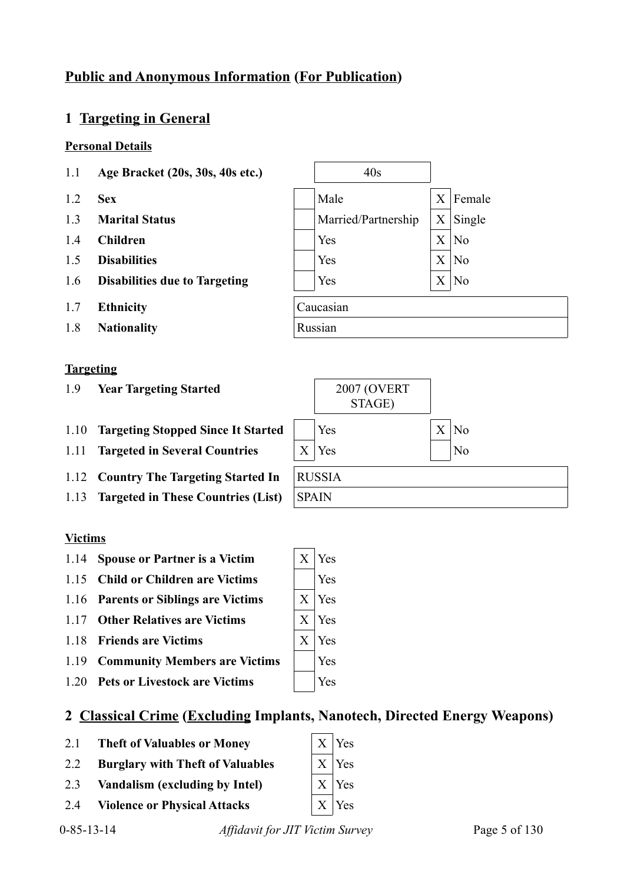# **Public and Anonymous Information (For Publication)**

# **1 Targeting in General**

## **Personal Details**

- 1.1 **Age Bracket (20s, 30s, 40s etc.)** 40s
- 1.2 **Sex** Male X Female
- 1.3 **Marital Status** Maried/Partnership X Single
- 1.4 **Children** | | | Yes | X | No
- 1.5 **Disabilities**  $|X|$  No
- 1.6 **Disabilities due to Targeting**  $|X|$  Yes  $|X|$  No
- 1.7 **Ethnicity** Caucasian
- 1.8 **Nationality** Russian

## **Targeting**

- 1.9 **Year Targeting Started** 2007 (OVERT
- 1.10 **Targeting Stopped Since It Started** | Yes X | X | No
- 1.11 **Targeted in Several Countries** X Yes No
- 1.12 **Country The Targeting Started In** RUSSIA
- 1.13 **Targeted in These Countries (List)** SPAIN

# **Victims**

- 1.14 **Spouse or Partner is a Victim** X Yes
- 1.15 **Child or Children are Victims** Yes
- 1.16 **Parents or Siblings are Victims** X Yes
- 1.17 **Other Relatives are Victims**  $\begin{array}{c} \begin{array}{c} \begin{array}{c} \times \\ \hline \end{array} \end{array}$  X Yes
- 1.18 **Friends are Victims**  $\begin{array}{c|c}\n\hline\nX & X\n\end{array}$
- 1.19 **Community Members are Victims** Tess
- 1.20 **Pets or Livestock are Victims** | Yes

# **2 Classical Crime (Excluding Implants, Nanotech, Directed Energy Weapons)**

- 2.1 **Theft of Valuables or Money**  $\begin{array}{c|c} \hline \end{array} X \begin{array}{c} \hline \end{array} Y$ es
- 2.2 **Burglary with Theft of Valuables**  $\begin{array}{c|c} \begin{array}{c} \begin{array}{c} \begin{array}{c} \end{array} \end{array} X \end{array}$
- 2.3 **Vandalism (excluding by Intel)** X Yes
- 2.4 **Violence or Physical Attacks** X | X | Yes

0-85-13-14 *Affidavit for JIT Victim Survey* Page 5 of 130



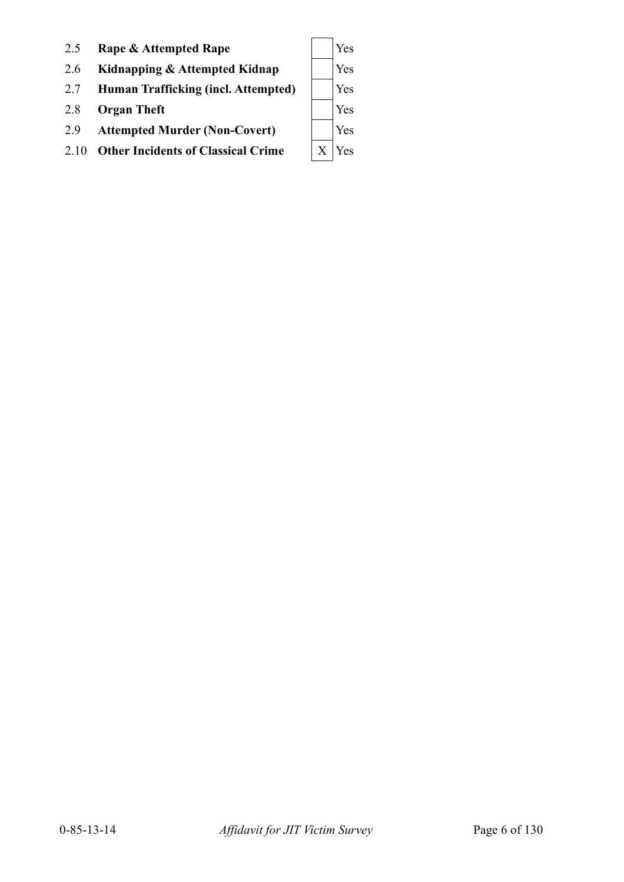| 2.5  | Rape & Attempted Rape                     | Yes |
|------|-------------------------------------------|-----|
| 2.6  | Kidnapping & Attempted Kidnap             | Yes |
| 2.7  | Human Trafficking (incl. Attempted)       | Yes |
| 2.8  | <b>Organ Theft</b>                        | Yes |
| 2.9  | <b>Attempted Murder (Non-Covert)</b>      | Yes |
| 2.10 | <b>Other Incidents of Classical Crime</b> | Yes |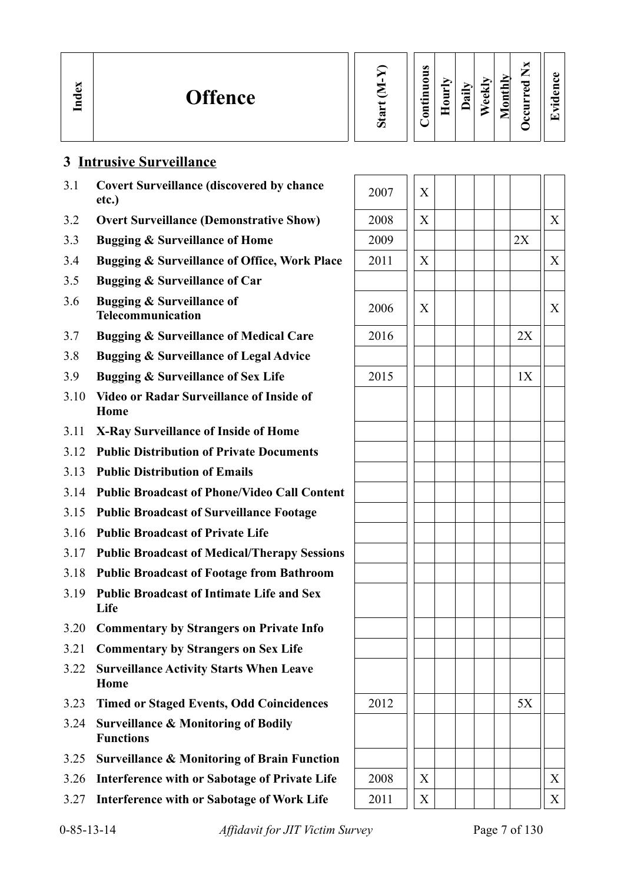| Index | <b>Offence</b> | w<br>Ο | $\omega$<br>∍<br>0<br>5<br>⊟<br>$\cdot$ $-$<br>9<br>◓ | Ĕ<br>∊ | $\cdot$ $-$<br>ದ | м<br>نه<br>ه | ▭<br>0 | ы<br>—<br>_<br>ᇰ<br>ω<br>≻<br>$\blacksquare$<br>-<br>ఆ | . . |
|-------|----------------|--------|-------------------------------------------------------|--------|------------------|--------------|--------|--------------------------------------------------------|-----|
|-------|----------------|--------|-------------------------------------------------------|--------|------------------|--------------|--------|--------------------------------------------------------|-----|

# **3 Intrusive Surveillance**

- 3.1 **Covert Surveillance (discovered by chance**  $\left| \begin{array}{c} 2007 \\ 2007 \end{array} \right| X$
- 3.2 **Overt Surveillance (Demonstrative Show)**
- 3.3 **Bugging & Surveillance of Home**
- 3.4 **Bugging & Surveillance of Office, Work Place**
- 3.5 **Bugging & Surveillance of Car**
- 3.6 **Bugging & Surveillance of Telecommunication**
- 3.7 **Bugging & Surveillance of Medical Care**
- 3.8 **Bugging & Surveillance of Legal Advice**
- 3.9 **Bugging & Surveillance of Sex Life**
- 3.10 **Video or Radar Surveillance of Inside of Home**
- 3.11 **X-Ray Surveillance of Inside of Home**
- 3.12 **Public Distribution of Private Documents**
- 3.13 **Public Distribution of Emails**
- 3.14 **Public Broadcast of Phone/Video Call Content**
- 3.15 **Public Broadcast of Surveillance Footage**
- 3.16 **Public Broadcast of Private Life**
- 3.17 **Public Broadcast of Medical/Therapy Sessions**
- 3.18 **Public Broadcast of Footage from Bathroom**
- 3.19 **Public Broadcast of Intimate Life and Sex Life**
- 3.20 **Commentary by Strangers on Private Info**
- 3.21 **Commentary by Strangers on Sex Life**
- 3.22 **Surveillance Activity Starts When Leave Home**
- 3.23 Timed or Staged Events, Odd Coincidences
- 3.24 **Surveillance & Monitoring of Bodily Functions**
- 3.25 **Surveillance & Monitoring of Brain Function**
- 3.26 **Interference with or Sabotage of Private Life**
- 3.27 **Interference with or Sabotage of Work Life**

| 2007 | $\overline{\text{X}}$     |    |                           |
|------|---------------------------|----|---------------------------|
| 2008 | $\mathbf X$               |    | $\boldsymbol{\mathrm{X}}$ |
| 2009 |                           | 2X |                           |
| 2011 | $\mathbf X$               |    | $\overline{X}$            |
|      |                           |    |                           |
| 2006 | $\boldsymbol{\mathrm{X}}$ |    | $\mathbf X$               |
| 2016 |                           | 2X |                           |
|      |                           |    |                           |
| 2015 |                           | 1X |                           |
|      |                           |    |                           |
|      |                           |    |                           |
|      |                           |    |                           |
|      |                           |    |                           |
|      |                           |    |                           |
|      |                           |    |                           |
|      |                           |    |                           |
|      |                           |    |                           |
|      |                           |    |                           |
|      |                           |    |                           |
|      |                           |    |                           |
|      |                           |    |                           |
|      |                           |    |                           |
|      |                           |    |                           |
| 2012 |                           | 5X |                           |
|      |                           |    |                           |
|      |                           |    |                           |
| 2008 | $\mathbf X$               |    | $\mathbf X$               |
| 2011 | $\mathbf X$               |    | X                         |
|      |                           |    |                           |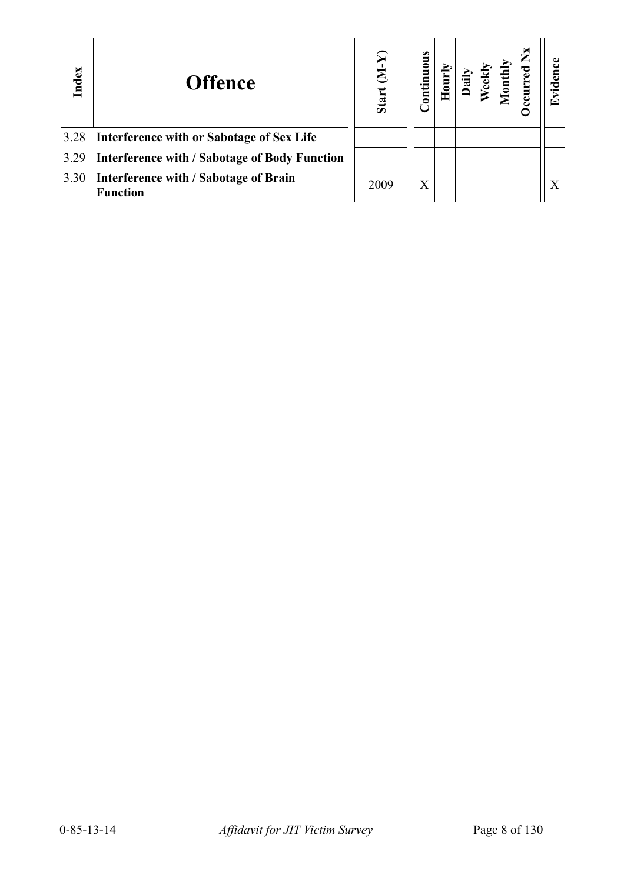| Index | <b>Offence</b>                                                | $\mathfrak{D}$<br>E<br>Start | uous<br>onti |  |  | $\mathbf{X}$<br>È | ರ<br>⊡ |
|-------|---------------------------------------------------------------|------------------------------|--------------|--|--|-------------------|--------|
|       | 3.28 Interference with or Sabotage of Sex Life                |                              |              |  |  |                   |        |
|       | 3.29 Interference with / Sabotage of Body Function            |                              |              |  |  |                   |        |
|       | 3.30 Interference with / Sabotage of Brain<br><b>Function</b> | 2009                         | $\rm X$      |  |  |                   |        |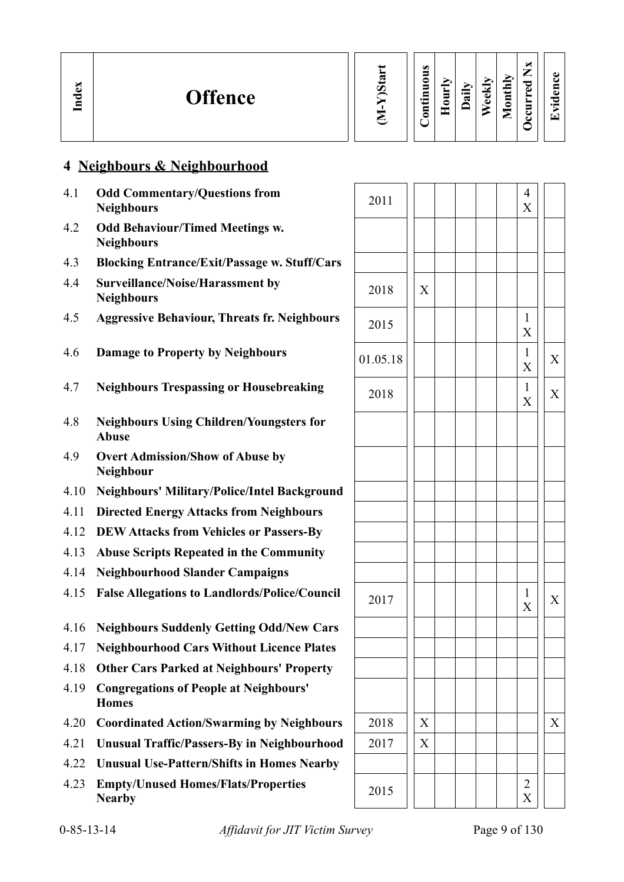| Index<br><b>Offence</b> |  | м<br>$\omega$<br>∽<br>5<br>O.<br>thly<br>_<br>0<br>P<br>5<br>≂<br>ω<br>$\ddot{a}$<br>È<br>-<br>5<br>ಠ<br>$\overline{\mathbf{5}}$<br>$\cdot$ $-$<br>D<br>≏<br>- 1<br>$\bullet$<br>3<br>-<br>౿<br>'+<br>౿<br>_ |
|-------------------------|--|--------------------------------------------------------------------------------------------------------------------------------------------------------------------------------------------------------------|
|-------------------------|--|--------------------------------------------------------------------------------------------------------------------------------------------------------------------------------------------------------------|

# **4 Neighbours & Neighbourhood**

| 4.1  | <b>Odd Commentary/Questions from</b><br><b>Neighbours</b>       | 2011     |   | $\overline{4}$<br>X |   |
|------|-----------------------------------------------------------------|----------|---|---------------------|---|
| 4.2  | <b>Odd Behaviour/Timed Meetings w.</b><br><b>Neighbours</b>     |          |   |                     |   |
| 4.3  | <b>Blocking Entrance/Exit/Passage w. Stuff/Cars</b>             |          |   |                     |   |
| 4.4  | <b>Surveillance/Noise/Harassment by</b><br><b>Neighbours</b>    | 2018     | X |                     |   |
| 4.5  | <b>Aggressive Behaviour, Threats fr. Neighbours</b>             | 2015     |   | $\mathbf{1}$<br>X   |   |
| 4.6  | <b>Damage to Property by Neighbours</b>                         | 01.05.18 |   | $\mathbf{1}$<br>X   | X |
| 4.7  | <b>Neighbours Trespassing or Housebreaking</b>                  | 2018     |   | $\mathbf{1}$<br>X   | X |
| 4.8  | <b>Neighbours Using Children/Youngsters for</b><br><b>Abuse</b> |          |   |                     |   |
| 4.9  | <b>Overt Admission/Show of Abuse by</b><br>Neighbour            |          |   |                     |   |
| 4.10 | <b>Neighbours' Military/Police/Intel Background</b>             |          |   |                     |   |
| 4.11 | <b>Directed Energy Attacks from Neighbours</b>                  |          |   |                     |   |
| 4.12 | <b>DEW Attacks from Vehicles or Passers-By</b>                  |          |   |                     |   |
| 4.13 | <b>Abuse Scripts Repeated in the Community</b>                  |          |   |                     |   |
| 4.14 | <b>Neighbourhood Slander Campaigns</b>                          |          |   |                     |   |
| 4.15 | <b>False Allegations to Landlords/Police/Council</b>            | 2017     |   | $\mathbf{1}$<br>X   | X |
| 4.16 | <b>Neighbours Suddenly Getting Odd/New Cars</b>                 |          |   |                     |   |
| 4.17 | <b>Neighbourhood Cars Without Licence Plates</b>                |          |   |                     |   |
| 4.18 | <b>Other Cars Parked at Neighbours' Property</b>                |          |   |                     |   |
| 4.19 | <b>Congregations of People at Neighbours'</b><br><b>Homes</b>   |          |   |                     |   |
| 4.20 | <b>Coordinated Action/Swarming by Neighbours</b>                | 2018     | X |                     | X |
| 4.21 | <b>Unusual Traffic/Passers-By in Neighbourhood</b>              | 2017     | X |                     |   |
| 4.22 | <b>Unusual Use-Pattern/Shifts in Homes Nearby</b>               |          |   |                     |   |
| 4.23 | <b>Empty/Unused Homes/Flats/Properties</b><br><b>Nearby</b>     | 2015     |   | $\overline{c}$<br>X |   |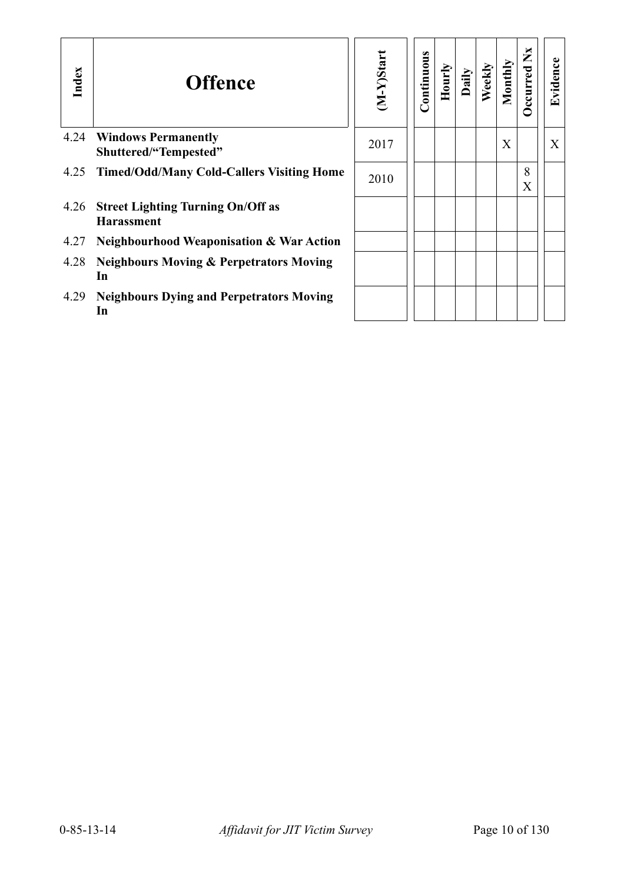| Index | <b>Offence</b>                                                | M-Y)Start | Continuous | Hourly | $\lim_{a \in \mathbb{N}}$ | Weekly | Monthly | $\mathbf{X}$<br><b>Decurred</b> | Evidence |
|-------|---------------------------------------------------------------|-----------|------------|--------|---------------------------|--------|---------|---------------------------------|----------|
| 4.24  | <b>Windows Permanently</b><br>Shuttered/"Tempested"           | 2017      |            |        |                           |        | X       |                                 | X        |
| 4.25  | <b>Timed/Odd/Many Cold-Callers Visiting Home</b>              | 2010      |            |        |                           |        |         | 8<br>X                          |          |
| 4.26  | <b>Street Lighting Turning On/Off as</b><br><b>Harassment</b> |           |            |        |                           |        |         |                                 |          |
| 4.27  | <b>Neighbourhood Weaponisation &amp; War Action</b>           |           |            |        |                           |        |         |                                 |          |
| 4.28  | <b>Neighbours Moving &amp; Perpetrators Moving</b><br>In      |           |            |        |                           |        |         |                                 |          |
| 4.29  | <b>Neighbours Dying and Perpetrators Moving</b><br>In         |           |            |        |                           |        |         |                                 |          |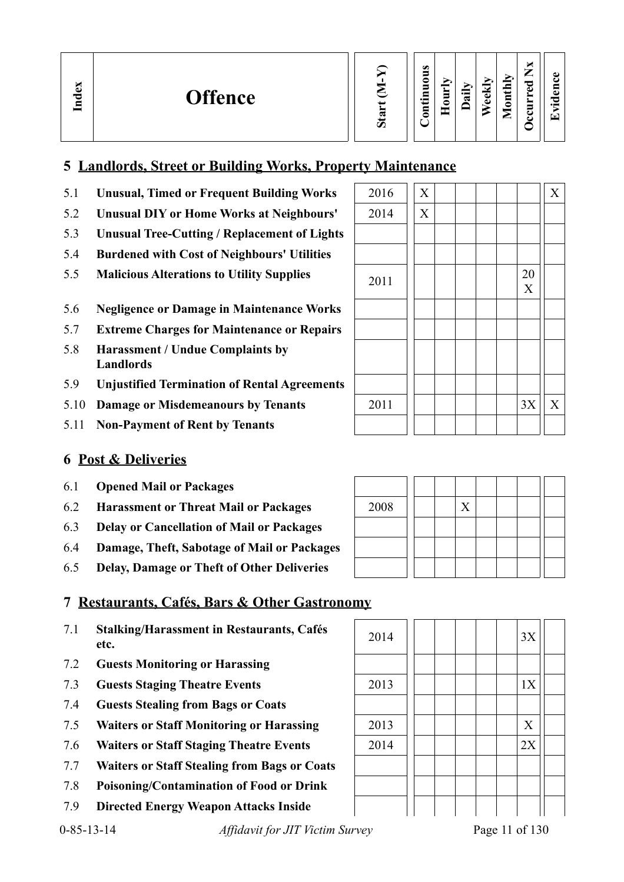# **5 Landlords, Street or Building Works, Property Maintenance**

- 5.1 **Unusual, Timed or Frequent Building Works**  $\begin{bmatrix} 2016 \end{bmatrix} \begin{bmatrix} X \end{bmatrix} \begin{bmatrix} X \end{bmatrix} \begin{bmatrix} X \end{bmatrix}$
- 5.2 **Unusual DIY or Home Works at Neighbours'** 2014 X
- 5.3 **Unusual Tree-Cutting / Replacement of Lights**
- 5.4 **Burdened with Cost of Neighbours' Utilities**
- 5.5 **Malicious Alterations to Utility Supplies** 2011 20
- 5.6 **Negligence or Damage in Maintenance Works**
- 5.7 **Extreme Charges for Maintenance or Repairs**
- 5.8 **Harassment / Undue Complaints by Landlords**
- 5.9 **Unjustified Termination of Rental Agreements**
- 5.10 **Damage or Misdemeanours by Tenants** 2011 | | | | | 3X || X
- 5.11 **Non-Payment of Rent by Tenants**

# **6 Post & Deliveries**

- 6.1 **Opened Mail or Packages**
- 6.2 **Harassment or Threat Mail or Packages**
- 6.3 **Delay or Cancellation of Mail or Packages**
- 6.4 **Damage, Theft, Sabotage of Mail or Packages**
- 6.5 **Delay, Damage or Theft of Other Deliveries**

# **7 Restaurants, Cafés, Bars & Other Gastronomy**

- 7.1 **Stalking/Harassment in Restaurants, Cafés** 2014 | | | | | 3X
- 7.2 **Guests Monitoring or Harassing**
- 7.3 **Guests Staging Theatre Events** 2013 1X
- 7.4 **Guests Stealing from Bags or Coats**
- 7.5 **Waiters or Staff Monitoring or Harassing** 2013 X
- 7.6 **Waiters or Staff Staging Theatre Events** 2014 | | | | 2X
- 7.7 **Waiters or Staff Stealing from Bags or Coats**
- 7.8 **Poisoning/Contamination of Food or Drink**
- 7.9 **Directed Energy Weapon Attacks Inside**



| 2008 |  | X |  |  |  |
|------|--|---|--|--|--|
|      |  |   |  |  |  |
|      |  |   |  |  |  |
|      |  |   |  |  |  |

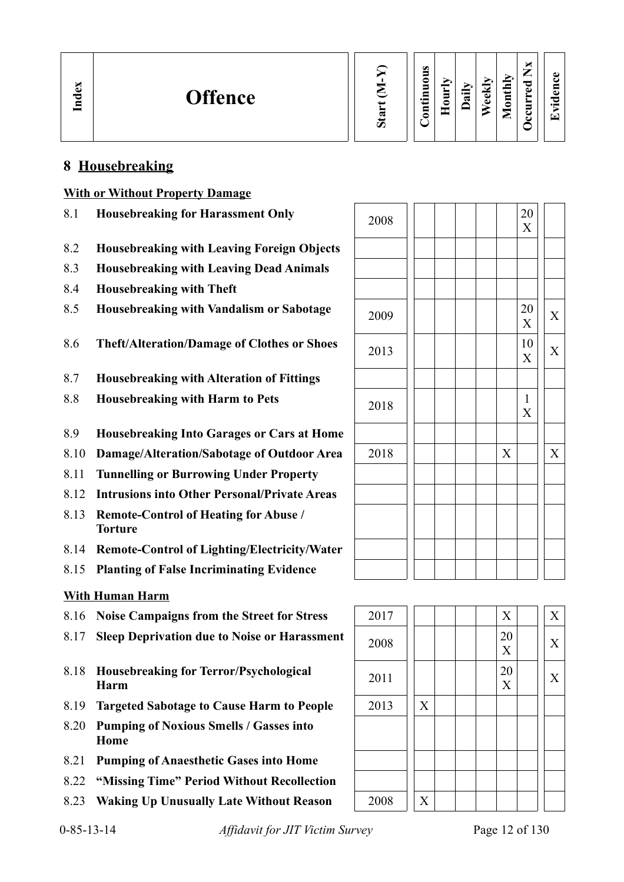# **8 Housebreaking**

## **With or Without Property Damage**

- 8.1 **Housebreaking for Harassment Only**
- 8.2 **Housebreaking with Leaving Foreign Objects**
- 8.3 **Housebreaking with Leaving Dead Animals**
- 8.4 **Housebreaking with Theft**
- 8.5 **Housebreaking with Vandalism or Sabotage**
- 8.6 Theft/Alteration/Damage of Clothes or Shoes
- 8.7 **Housebreaking with Alteration of Fittings**
- 8.8 **Housebreaking with Harm to Pets**
- 8.9 **Housebreaking Into Garages or Cars at Home**
- 8.10 **Damage/Alteration/Sabotage of Outdoor Area**
- 8.11 **Tunnelling or Burrowing Under Property**
- 8.12 **Intrusions into Other Personal/Private Areas**
- 8.13 **Remote-Control of Heating for Abuse / Torture**
- 8.14 **Remote-Control of Lighting/Electricity/Water**
- 8.15 **Planting of False Incriminating Evidence**

# **With Human Harm**

- 8.16 **Noise Campaigns from the Street for Stress** 2017 X X
- 8.17 **Sleep Deprivation due to Noise or Harassment** 2008 2008 2008
- **EXECUTE:** Housebreaking for Terror/Psychological **Parameter is a set of**  $\begin{bmatrix} 2011 \ 2011 \end{bmatrix}$  **|**  $\begin{bmatrix} 20 \ 2 \end{bmatrix}$
- 8.19 **Targeted Sabotage to Cause Harm to People** 2013 X
- 8.20 **Pumping of Noxious Smells / Gasses into Home**
- 8.21 **Pumping of Anaesthetic Gases into Home**
- 8.22 **"Missing Time" Period Without Recollection**
- 8.23 Waking Up Unusually Late Without Reason | 2008 | X

| 2008 |  |  |             | $\frac{20}{X}$       |                           |
|------|--|--|-------------|----------------------|---------------------------|
|      |  |  |             |                      |                           |
|      |  |  |             |                      |                           |
|      |  |  |             |                      |                           |
| 2009 |  |  |             | 20<br>$\overline{X}$ | $\boldsymbol{\mathrm{X}}$ |
| 2013 |  |  |             | 10<br>X              | $\boldsymbol{\mathrm{X}}$ |
|      |  |  |             |                      |                           |
| 2018 |  |  |             | $\frac{1}{X}$        |                           |
|      |  |  |             |                      |                           |
| 2018 |  |  | $\mathbf X$ |                      | $\overline{X}$            |
|      |  |  |             |                      |                           |
|      |  |  |             |                      |                           |
|      |  |  |             |                      |                           |
|      |  |  |             |                      |                           |
|      |  |  |             |                      |                           |

**Evid ence**

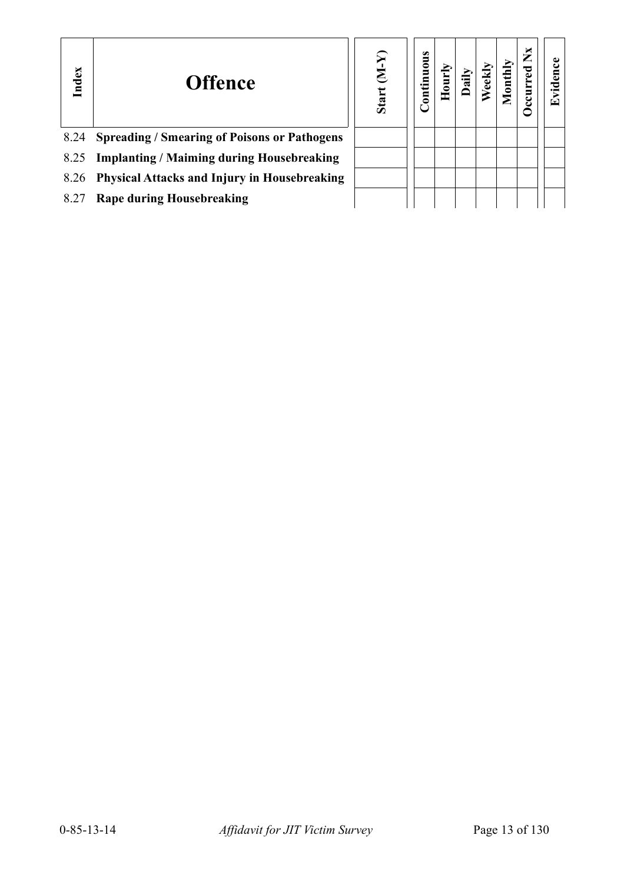| Index | <b>Offence</b>                                      | ନ୍ଦ<br>E<br><b>Start</b> | <b>Continuous</b> |  |  | ×<br>⇁ | ⋤ |
|-------|-----------------------------------------------------|--------------------------|-------------------|--|--|--------|---|
| 8.24  | <b>Spreading / Smearing of Poisons or Pathogens</b> |                          |                   |  |  |        |   |
| 8.25  | <b>Implanting / Maiming during Housebreaking</b>    |                          |                   |  |  |        |   |
| 8.26  | <b>Physical Attacks and Injury in Housebreaking</b> |                          |                   |  |  |        |   |
| 8.27  | <b>Rape during Housebreaking</b>                    |                          |                   |  |  |        |   |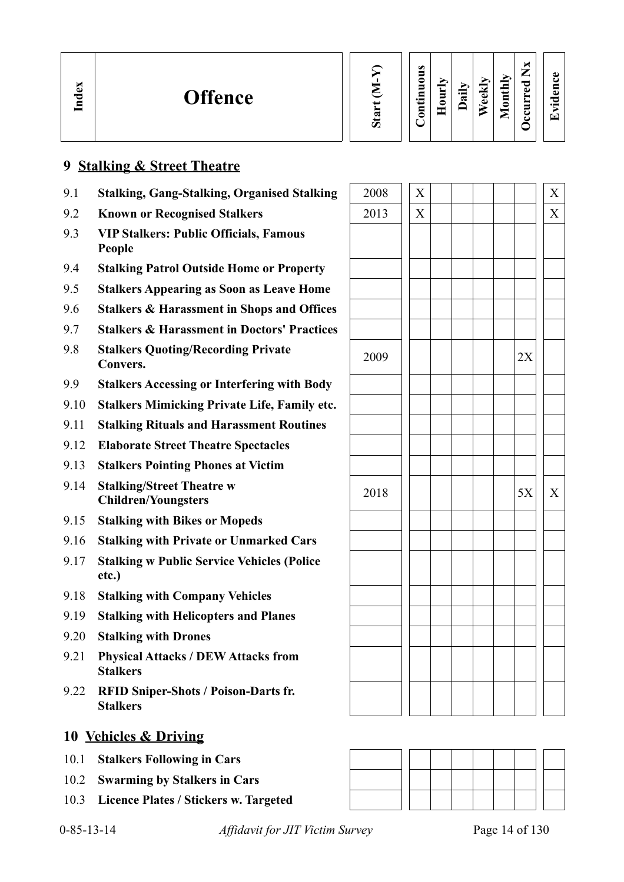| $\mathbf{e}$<br><b>Offence</b><br>Ind |  | $\omega$<br>-<br>$\cdot$ $-$ | Ē | $\cdot$ $-$<br>ದ | ≂<br>ω<br>ه | $\overline{\phantom{a}}$<br>◓<br>_ | —<br>_<br>о<br>$\bullet$<br>−<br>▬<br>5<br>౿ | $\bullet$ .<br>$\overline{\phantom{0}}$ |  |
|---------------------------------------|--|------------------------------|---|------------------|-------------|------------------------------------|----------------------------------------------|-----------------------------------------|--|
|---------------------------------------|--|------------------------------|---|------------------|-------------|------------------------------------|----------------------------------------------|-----------------------------------------|--|

## **9 Stalking & Street Theatre**

- 9.1 **Stalking, Gang-Stalking, Organised Stalking**
- **9.2 Known or Recognised Stalkers**
- 9.3 **VIP Stalkers: Public Officials, Famous People**
- 9.4 **Stalking Patrol Outside Home or Property**
- 9.5 **Stalkers Appearing as Soon as Leave Home**
- 9.6 **Stalkers & Harassment in Shops and Offices**
- 9.7 **Stalkers & Harassment in Doctors' Practices**
- 9.8 **Stalkers Quoting/Recording Private Convers.** <sup>2009</sup> 2X
- 9.9 **Stalkers Accessing or Interfering with Body**
- 9.10 **Stalkers Mimicking Private Life, Family etc.**
- 9.11 **Stalking Rituals and Harassment Routines**
- 9.12 **Elaborate Street Theatre Spectacles**
- 9.13 **Stalkers Pointing Phones at Victim**
- 9.14 **Stalking/Street Theatre w Children/Youngsters**
- 9.15 **Stalking with Bikes or Mopeds**
- 9.16 **Stalking with Private or Unmarked Cars**
- 9.17 **Stalking w Public Service Vehicles (Police etc.)**
- 9.18 **Stalking with Company Vehicles**
- 9.19 **Stalking with Helicopters and Planes**
- 9.20 **Stalking with Drones**
- 9.21 **Physical Attacks / DEW Attacks from Stalkers**
- 9.22 **RFID Sniper-Shots / Poison-Darts fr. Stalkers**

## **10 Vehicles & Driving**

- 10.1 **Stalkers Following in Cars**
- 10.2 **Swarming by Stalkers in Cars**
- 10.3 **Licence Plates / Stickers w. Targeted**

| 2008 | $\mathbf{X}$            |  |  |    | $\mathbf{X}$          |
|------|-------------------------|--|--|----|-----------------------|
| 2013 | $\mathbf{\overline{X}}$ |  |  |    | $\overline{\text{X}}$ |
|      |                         |  |  |    |                       |
|      |                         |  |  |    |                       |
|      |                         |  |  |    |                       |
|      |                         |  |  |    |                       |
|      |                         |  |  |    |                       |
|      |                         |  |  |    |                       |
|      |                         |  |  |    |                       |
| 2009 |                         |  |  | 2X |                       |
|      |                         |  |  |    |                       |
|      |                         |  |  |    |                       |
|      |                         |  |  |    |                       |
|      |                         |  |  |    |                       |
|      |                         |  |  |    |                       |
|      |                         |  |  |    |                       |
| 2018 |                         |  |  | 5X | $\mathbf X$           |
|      |                         |  |  |    |                       |
|      |                         |  |  |    |                       |
|      |                         |  |  |    |                       |
|      |                         |  |  |    |                       |
|      |                         |  |  |    |                       |
|      |                         |  |  |    |                       |
|      |                         |  |  |    |                       |
|      |                         |  |  |    |                       |
|      |                         |  |  |    |                       |
|      |                         |  |  |    |                       |
|      |                         |  |  |    |                       |
|      |                         |  |  |    |                       |



0-85-13-14 *Affidavit for JIT Victim Survey* Page 14 of 130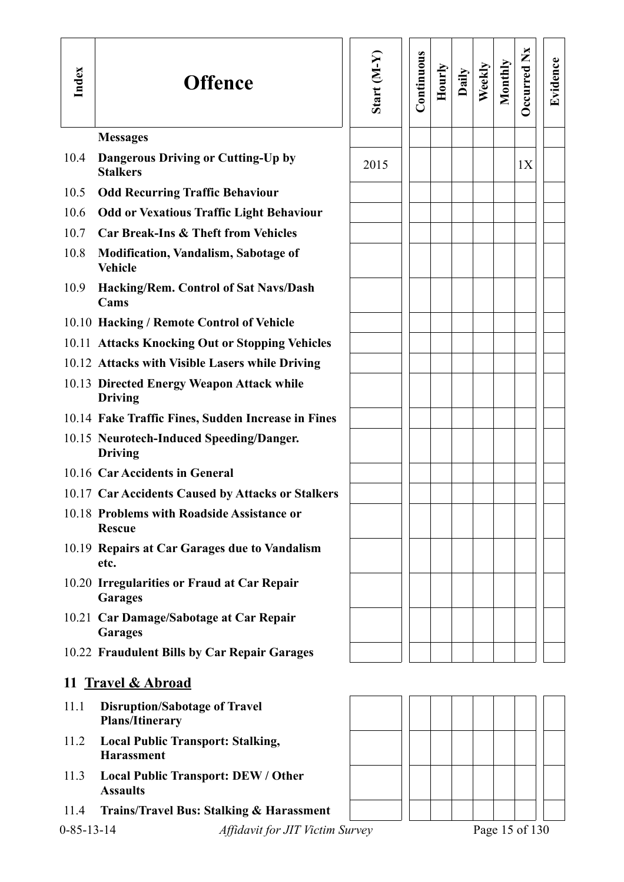| Index              | <b>Offence</b>                                                 | Start $(M-Y)$ | Continuous | Hourly | Daily | Weekly | Monthly | <b>Decurred Nx</b> | Evidence |
|--------------------|----------------------------------------------------------------|---------------|------------|--------|-------|--------|---------|--------------------|----------|
|                    | <b>Messages</b>                                                |               |            |        |       |        |         |                    |          |
| 10.4               | Dangerous Driving or Cutting-Up by<br><b>Stalkers</b>          | 2015          |            |        |       |        |         | 1X                 |          |
| 10.5               | <b>Odd Recurring Traffic Behaviour</b>                         |               |            |        |       |        |         |                    |          |
| 10.6               | <b>Odd or Vexatious Traffic Light Behaviour</b>                |               |            |        |       |        |         |                    |          |
| 10.7               | <b>Car Break-Ins &amp; Theft from Vehicles</b>                 |               |            |        |       |        |         |                    |          |
| 10.8               | <b>Modification, Vandalism, Sabotage of</b><br><b>Vehicle</b>  |               |            |        |       |        |         |                    |          |
| 10.9               | Hacking/Rem. Control of Sat Navs/Dash<br>Cams                  |               |            |        |       |        |         |                    |          |
|                    | 10.10 Hacking / Remote Control of Vehicle                      |               |            |        |       |        |         |                    |          |
|                    | 10.11 Attacks Knocking Out or Stopping Vehicles                |               |            |        |       |        |         |                    |          |
|                    | 10.12 Attacks with Visible Lasers while Driving                |               |            |        |       |        |         |                    |          |
|                    | 10.13 Directed Energy Weapon Attack while<br><b>Driving</b>    |               |            |        |       |        |         |                    |          |
|                    | 10.14 Fake Traffic Fines, Sudden Increase in Fines             |               |            |        |       |        |         |                    |          |
|                    | 10.15 Neurotech-Induced Speeding/Danger.<br><b>Driving</b>     |               |            |        |       |        |         |                    |          |
|                    | 10.16 Car Accidents in General                                 |               |            |        |       |        |         |                    |          |
|                    | 10.17 Car Accidents Caused by Attacks or Stalkers              |               |            |        |       |        |         |                    |          |
|                    | 10.18 Problems with Roadside Assistance or<br><b>Rescue</b>    |               |            |        |       |        |         |                    |          |
|                    | 10.19 Repairs at Car Garages due to Vandalism<br>etc.          |               |            |        |       |        |         |                    |          |
|                    | 10.20 Irregularities or Fraud at Car Repair<br><b>Garages</b>  |               |            |        |       |        |         |                    |          |
|                    | 10.21 Car Damage/Sabotage at Car Repair<br><b>Garages</b>      |               |            |        |       |        |         |                    |          |
|                    | 10.22 Fraudulent Bills by Car Repair Garages                   |               |            |        |       |        |         |                    |          |
|                    | 11 Travel & Abroad                                             |               |            |        |       |        |         |                    |          |
| 11.1               | <b>Disruption/Sabotage of Travel</b><br><b>Plans/Itinerary</b> |               |            |        |       |        |         |                    |          |
| 11.2               | <b>Local Public Transport: Stalking,</b><br><b>Harassment</b>  |               |            |        |       |        |         |                    |          |
| 11.3               | <b>Local Public Transport: DEW / Other</b><br><b>Assaults</b>  |               |            |        |       |        |         |                    |          |
| 11.4               | <b>Trains/Travel Bus: Stalking &amp; Harassment</b>            |               |            |        |       |        |         |                    |          |
| $0 - 85 - 13 - 14$ | Affidavit for JIT Victim Survey                                |               |            |        |       |        |         | Page 15 of 130     |          |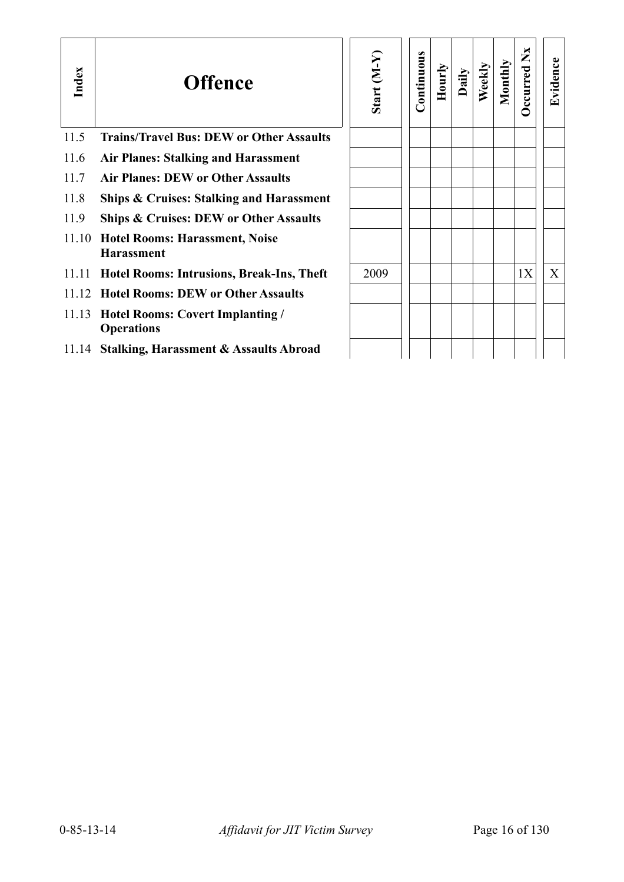| Index | <b>Offence</b>                                               | Start (M-Y) | ontinuous | Hourly | Daily | Weekly | Monthly | $\mathbf{X}$<br>ccurred | Evidence |
|-------|--------------------------------------------------------------|-------------|-----------|--------|-------|--------|---------|-------------------------|----------|
| 11.5  | <b>Trains/Travel Bus: DEW or Other Assaults</b>              |             |           |        |       |        |         |                         |          |
| 11.6  | <b>Air Planes: Stalking and Harassment</b>                   |             |           |        |       |        |         |                         |          |
| 11.7  | <b>Air Planes: DEW or Other Assaults</b>                     |             |           |        |       |        |         |                         |          |
| 11.8  | <b>Ships &amp; Cruises: Stalking and Harassment</b>          |             |           |        |       |        |         |                         |          |
| 11.9  | <b>Ships &amp; Cruises: DEW or Other Assaults</b>            |             |           |        |       |        |         |                         |          |
| 11.10 | <b>Hotel Rooms: Harassment, Noise</b><br><b>Harassment</b>   |             |           |        |       |        |         |                         |          |
| 11.11 | <b>Hotel Rooms: Intrusions, Break-Ins, Theft</b>             | 2009        |           |        |       |        |         | 1X                      | X        |
|       | 11.12 Hotel Rooms: DEW or Other Assaults                     |             |           |        |       |        |         |                         |          |
| 11.13 | <b>Hotel Rooms: Covert Implanting /</b><br><b>Operations</b> |             |           |        |       |        |         |                         |          |
|       | 11.14 Stalking, Harassment & Assaults Abroad                 |             |           |        |       |        |         |                         |          |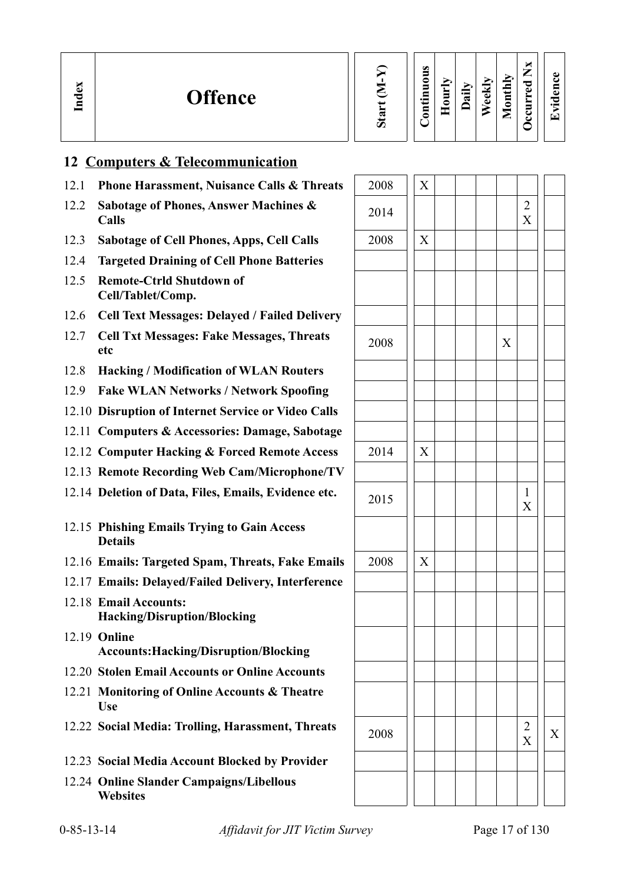| Start (M-Y) | Continuous | Hourly | Daily | Weekly | Monthly | <b>Occurred Nx</b> | Evidence |
|-------------|------------|--------|-------|--------|---------|--------------------|----------|
|-------------|------------|--------|-------|--------|---------|--------------------|----------|

# **12 Computers & Telecommunication**

**In dex**

- 12.1 **Phone Harassment, Nuisance Calls & Threats**
- 12.2 **Sabotage of Phones, Answer Machines & Calls** <sup>2014</sup> <sup>2</sup>
- 12.3 Sabotage of Cell Phones, Apps, Cell Calls
- 12.4 **Targeted Draining of Cell Phone Batteries**
- 12.5 **Remote-Ctrld Shutdown of Cell/Tablet/Comp.**
- 12.6 **Cell Text Messages: Delayed / Failed Delivery**
- 12.7 **Cell Txt Messages: Fake Messages, Threats etc** <sup>2008</sup> <sup>X</sup>
- 12.8 **Hacking / Modification of WLAN Routers**
- 12.9 **Fake WLAN Networks / Network Spoofing**
- 12.10 **Disruption of Internet Service or Video Calls**
- 12.11 **Computers & Accessories: Damage, Sabotage**
- 12.12 Computer Hacking & Forced Remote Access
- 12.13 **Remote Recording Web Cam/Microphone/TV**
- 12.14 Deletion of Data, Files, Emails, Evidence etc.
- 12.15 **Phishing Emails Trying to Gain Access Details**
- 12.16 **Emails: Targeted Spam, Threats, Fake Emails**
- 12.17 **Emails: Delayed/Failed Delivery, Interference**
- 12.18 **Email Accounts: Hacking/Disruption/Blocking**
- 12.19 **Online Accounts:Hacking/Disruption/Blocking**
- 12.20 **Stolen Email Accounts or Online Accounts**
- 12.21 **Monitoring of Online Accounts & Theatre Use**
- 12.22 Social Media: Trolling, Harassment, Threats
- 12.23 **Social Media Account Blocked by Provider**
- 12.24 **Online Slander Campaigns/Libellous Websites**

| 2008 | $\overline{\text{X}}$     |  |             |               |   |
|------|---------------------------|--|-------------|---------------|---|
| 2014 |                           |  |             | $\frac{2}{X}$ |   |
| 2008 | $\mathbf X$               |  |             |               |   |
|      |                           |  |             |               |   |
|      |                           |  |             |               |   |
|      |                           |  |             |               |   |
| 2008 |                           |  | $\mathbf X$ |               |   |
|      |                           |  |             |               |   |
|      |                           |  |             |               |   |
|      |                           |  |             |               |   |
| 2014 | $\boldsymbol{\mathrm{X}}$ |  |             |               |   |
|      |                           |  |             |               |   |
| 2015 |                           |  |             | $\frac{1}{X}$ |   |
|      |                           |  |             |               |   |
| 2008 | $\overline{X}$            |  |             |               |   |
|      |                           |  |             |               |   |
|      |                           |  |             |               |   |
|      |                           |  |             |               |   |
|      |                           |  |             |               |   |
|      |                           |  |             |               |   |
| 2008 |                           |  |             | $\frac{2}{X}$ | X |
|      |                           |  |             |               |   |
|      |                           |  |             |               |   |
|      |                           |  |             |               |   |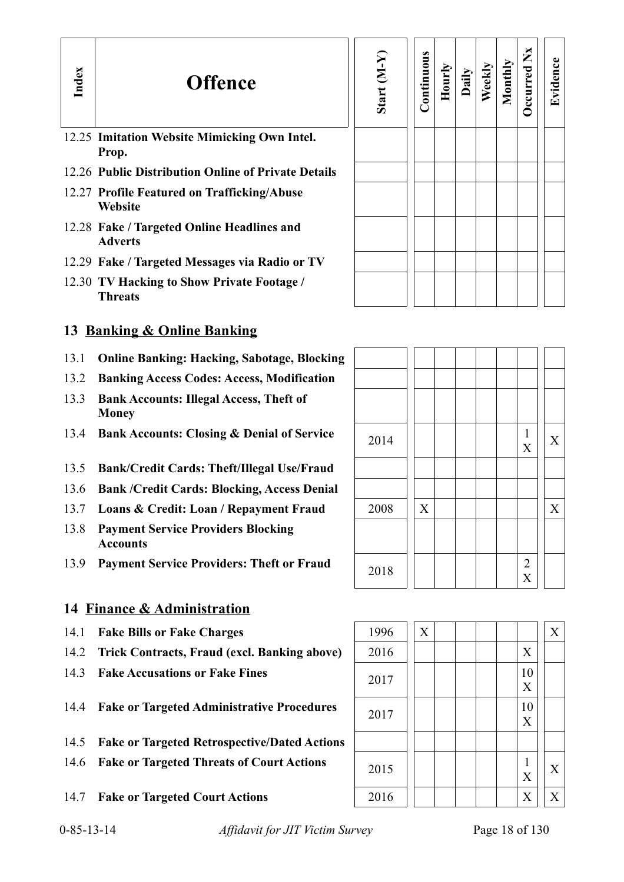# **Offence**

12.25 **Imitation Website Mimicking Own Intel. Prop.**

**In dex**

- 12.26 **Public Distribution Online of Private Details**
- 12.27 **Profile Featured on Trafficking/Abuse Website**
- 12.28 **Fake / Targeted Online Headlines and Adverts**
- 12.29 **Fake / Targeted Messages via Radio or TV**
- 12.30 **TV Hacking to Show Private Footage / Threats**

# **13 Banking & Online Banking**

- 13.1 **Online Banking: Hacking, Sabotage, Blocking**
- 13.2 **Banking Access Codes: Access, Modification**
- 13.3 **Bank Accounts: Illegal Access, Theft of Money**
- 13.4 **Bank Accounts: Closing & Denial of Service**
- 13.5 **Bank/Credit Cards: Theft/Illegal Use/Fraud**
- 13.6 **Bank /Credit Cards: Blocking, Access Denial**
- 13.7 Loans & Credit: Loan / Repayment Fraud
- 13.8 **Payment Service Providers Blocking Accounts**
- 13.9 **Payment Service Providers: Theft or Fraud**

# **14 Finance & Administration**

- 
- 14.2 **Trick Contracts, Fraud (excl. Banking above)** 2016  $\vert \vert \vert$
- 
- 14.4 **Fake or Targeted Administrative Procedures**  $\begin{array}{|c|c|c|c|c|c|} \hline 2017 & 1 & 10 & 10 \\ \hline \end{array}$
- 14.5 **Fake or Targeted Retrospective/Dated Actions**
- 14.6 **Fake or Targeted Threats of Court Actions** 2015 1 1 1
- 

| Start (M-Y) | Continuous | Hourly | Daily | Weekly | Monthly | Occurred Nx | Evidence |
|-------------|------------|--------|-------|--------|---------|-------------|----------|
|             |            |        |       |        |         |             |          |
|             |            |        |       |        |         |             |          |
|             |            |        |       |        |         |             |          |
|             |            |        |       |        |         |             |          |

| 2014 |             |  |  | $\mathbf{1}$<br>$\boldsymbol{\mathrm{X}}$ | $\mathbf X$               |
|------|-------------|--|--|-------------------------------------------|---------------------------|
|      |             |  |  |                                           |                           |
|      |             |  |  |                                           |                           |
| 2008 | $\mathbf X$ |  |  |                                           | $\boldsymbol{\mathrm{X}}$ |
|      |             |  |  |                                           |                           |
| 2018 |             |  |  | $\frac{2}{X}$                             |                           |

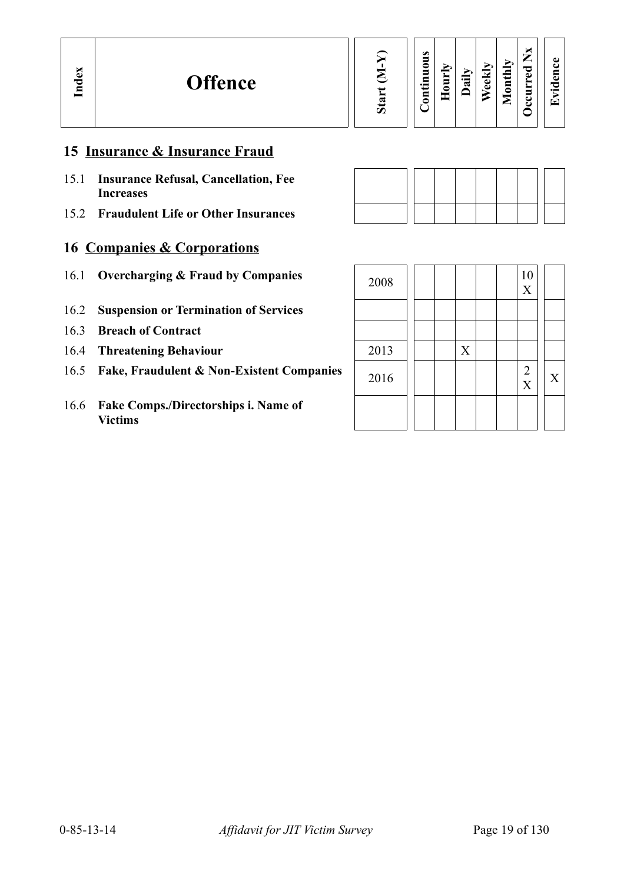| <b>Decurred Nx</b><br>Start (M-Y)<br>Continuous<br>Evidence<br>Monthly<br>Weekly<br>Hourly<br>Daily |
|-----------------------------------------------------------------------------------------------------|
|-----------------------------------------------------------------------------------------------------|

# **15 Insurance & Insurance Fraud**

- 15.1 **Insurance Refusal, Cancellation, Fee Increases**
- 15.2 **Fraudulent Life or Other Insurances**

# **16 Companies & Corporations**

- 16.1 **Overcharging & Fraud by Companies**
- 16.2 **Suspension or Termination of Services**
- 16.3 **Breach of Contract**
- **16.4 Threatening Behaviour**
- 16.5 Fake, Fraudulent & Non-Existent Companies
- 16.6 **Fake Comps./Directorships i. Name of Victims**

| 2008 |  |             |  | 10<br>$\mathbf X$      |             |
|------|--|-------------|--|------------------------|-------------|
|      |  |             |  |                        |             |
|      |  |             |  |                        |             |
| 2013 |  | $\mathbf X$ |  |                        |             |
| 2016 |  |             |  | $\frac{2}{\mathbf{X}}$ | $\mathbf X$ |
|      |  |             |  |                        |             |
|      |  |             |  |                        |             |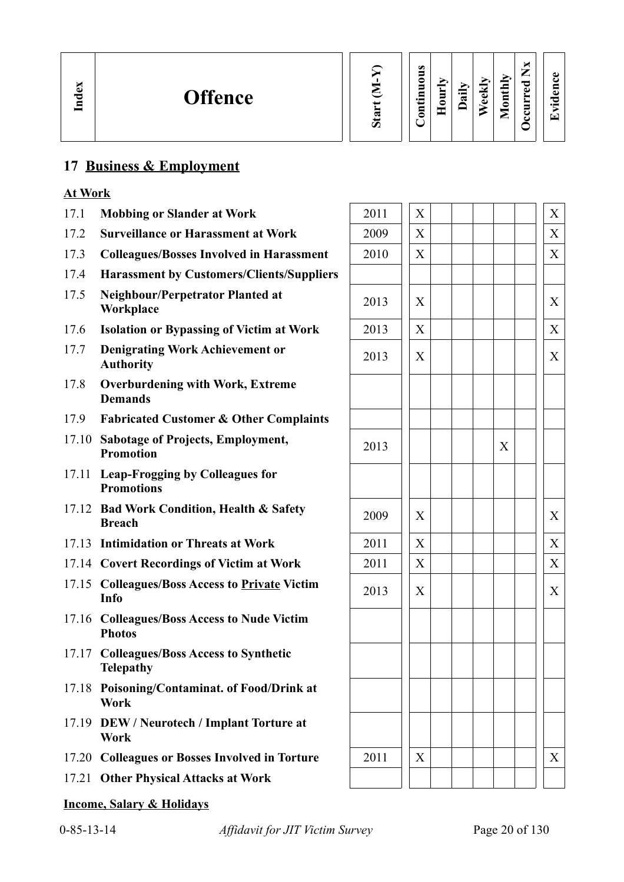# **17 Business & Employment**

## **At Work**

- 17.1 **Mobbing or Slander at Work** 2011 X X
- 17.2 **Surveillance or Harassment at Work**
- 17.3 Colleagues/Bosses Involved in Harassment
- 17.4 **Harassment by Customers/Clients/Suppliers**
- 17.5 **Neighbour/Perpetrator Planted at**
- 17.6 **Isolation or Bypassing of Victim at Work**
- 17.7 **Denigrating Work Achievement or**
- 17.8 **Overburdening with Work, Extreme Demands**
- 17.9 **Fabricated Customer & Other Complaints**
- 17.10 **Sabotage of Projects, Employment,** 2013 | X <br> **Promotion**
- 17.11 **Leap-Frogging by Colleagues for Promotions**
- 17.12 **Bad Work Condition, Health & Safety**  Breach **Breach** 2009  $\begin{bmatrix} X \\ \end{bmatrix}$   $\begin{bmatrix} X \\ \end{bmatrix}$   $\begin{bmatrix} X \\ \end{bmatrix}$
- 17.13 **Intimidation or Threats at Work**
- 17.14 Covert Recordings of Victim at Work
- 17.15 Colleagues/Boss Access to <u>Private</u> Victim 2013  $\left| \begin{array}{c} | \ X | \end{array} \right| \left| \begin{array}{c} | \ X | \end{array} \right| \left| \begin{array}{c} | \ X | \end{array} \right| \left| \begin{array}{c} | \ X | \end{array} \right|$
- 17.16 **Colleagues/Boss Access to Nude Victim Photos**
- 17.17 **Colleagues/Boss Access to Synthetic Telepathy**
- 17.18 **Poisoning/Contaminat. of Food/Drink at Work**
- 17.19 **DEW / Neurotech / Implant Torture at Work**
- 17.20 Colleagues or Bosses Involved in Torture
- 17.21 **Other Physical Attacks at Work**

### **Income, Salary & Holidays**

| Mobbing or Slander at Work                                      | 2011 | X |   | X |
|-----------------------------------------------------------------|------|---|---|---|
| <b>Surveillance or Harassment at Work</b>                       | 2009 | X |   | X |
| <b>Colleagues/Bosses Involved in Harassment</b>                 | 2010 | X |   | X |
| <b>Harassment by Customers/Clients/Suppliers</b>                |      |   |   |   |
| Neighbour/Perpetrator Planted at<br>Workplace                   | 2013 | X |   | X |
| <b>Isolation or Bypassing of Victim at Work</b>                 | 2013 | X |   | X |
| <b>Denigrating Work Achievement or</b><br><b>Authority</b>      | 2013 | X |   | X |
| <b>Overburdening with Work, Extreme</b><br><b>Demands</b>       |      |   |   |   |
| <b>Fabricated Customer &amp; Other Complaints</b>               |      |   |   |   |
| <b>Sabotage of Projects, Employment,</b><br><b>Promotion</b>    | 2013 |   | X |   |
| <b>Leap-Frogging by Colleagues for</b><br><b>Promotions</b>     |      |   |   |   |
| <b>Bad Work Condition, Health &amp; Safety</b><br><b>Breach</b> | 2009 | X |   | X |
| <b>Intimidation or Threats at Work</b>                          | 2011 | X |   | X |
| <b>Covert Recordings of Victim at Work</b>                      | 2011 | X |   | X |
| <b>Colleagues/Boss Access to Private Victim</b><br>Info         | 2013 | X |   | X |
| <b>Colleagues/Boss Access to Nude Victim</b><br><b>Photos</b>   |      |   |   |   |
| <b>Colleagues/Boss Access to Synthetic</b><br><b>Telepathy</b>  |      |   |   |   |
| Poisoning/Contaminat. of Food/Drink at<br>Work                  |      |   |   |   |
| <b>DEW / Neurotech / Implant Torture at</b><br>Work             |      |   |   |   |
| <b>Colleagues or Bosses Involved in Torture</b>                 | 2011 | X |   | X |
| <b>Other Physical Attacks at Work</b>                           |      |   |   |   |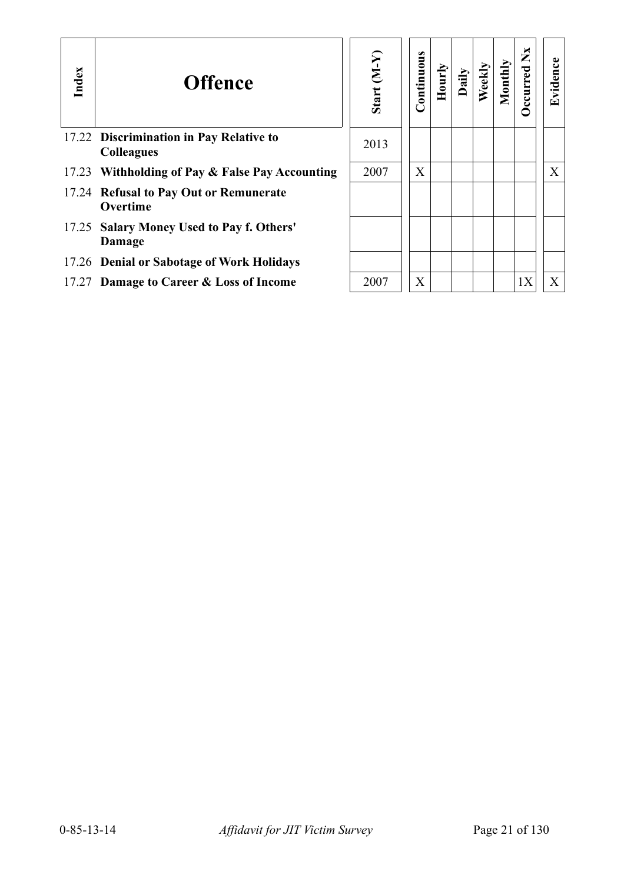| Index | <b>Offence</b>                                               | Start $(M-Y)$ | ontinuous | Hourly | Daily | Weekly | Monthly | ž<br>ccurred | Evidence |
|-------|--------------------------------------------------------------|---------------|-----------|--------|-------|--------|---------|--------------|----------|
|       | 17.22 Discrimination in Pay Relative to<br><b>Colleagues</b> | 2013          |           |        |       |        |         |              |          |
| 17.23 | Withholding of Pay & False Pay Accounting                    | 2007          | X         |        |       |        |         |              | X        |
|       | 17.24 Refusal to Pay Out or Remunerate<br>Overtime           |               |           |        |       |        |         |              |          |
| 17.25 | <b>Salary Money Used to Pay f. Others'</b><br>Damage         |               |           |        |       |        |         |              |          |
|       | 17.26 Denial or Sabotage of Work Holidays                    |               |           |        |       |        |         |              |          |
|       | 17.27 Damage to Career & Loss of Income                      | 2007          | X         |        |       |        |         | 1X           | X        |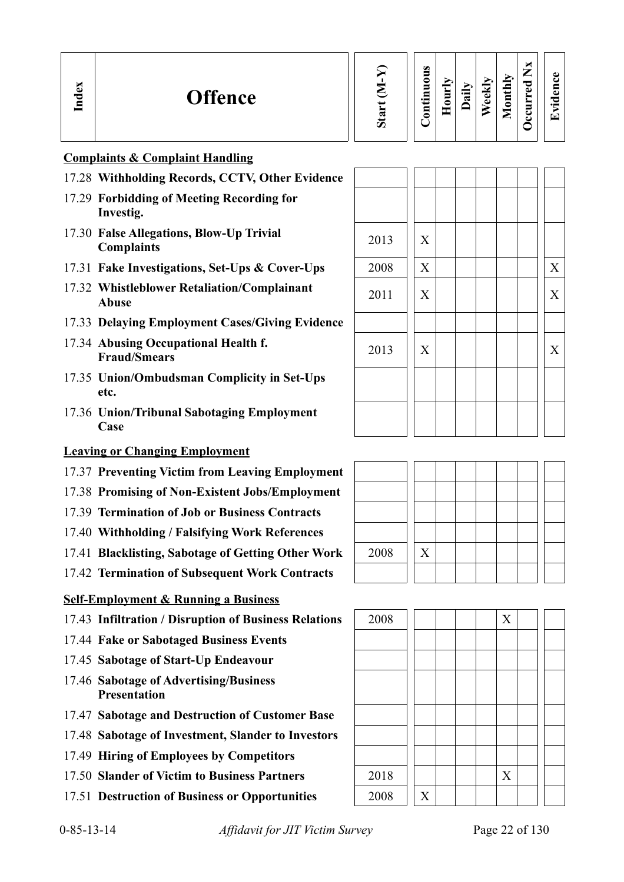| $\mathbf{S}$<br><b>Offence</b><br>ತ<br>Ē | ∾ | м<br>$\omega$<br>–<br>ω<br>_<br>ĹЦ<br>c<br>ెం<br>Ξ<br>≂<br>$\omega$<br>≖<br>∸<br>員<br>$\cdot$ $\cdot$<br>α.<br>Е<br>ω<br>$\overline{\mathbf{g}}$<br>$\vec{a}$<br>°<br>$\cdot$ $-$<br>$\Phi$<br>►<br>c<br>$\overline{\phantom{0}}$<br>▬<br>Ξ<br>드<br>٥<br>↩<br>ΓT<br>►<br>◡ |
|------------------------------------------|---|----------------------------------------------------------------------------------------------------------------------------------------------------------------------------------------------------------------------------------------------------------------------------|
|------------------------------------------|---|----------------------------------------------------------------------------------------------------------------------------------------------------------------------------------------------------------------------------------------------------------------------------|

## **Complaints & Complaint Handling**

- 17.28 **Withholding Records, CCTV, Other Evidence**
- 17.29 **Forbidding of Meeting Recording for Investig.**
- 17.30 **False Allegations, Blow-Up Trivial** 2013 X
- 17.31 Fake Investigations, Set-Ups & Cover-Ups
- 17.32 **Whistleblower Retaliation/Complainant Abuse** <sup>2011</sup> <sup>X</sup> <sup>X</sup>
- 17.33 **Delaying Employment Cases/Giving Evidence**
- 17.34 **Abusing Occupational Health f.**
- 17.35 **Union/Ombudsman Complicity in Set-Ups etc.**
- 17.36 **Union/Tribunal Sabotaging Employment Case**

## **Leaving or Changing Employment**

- 17.37 **Preventing Victim from Leaving Employment**
- 17.38 **Promising of Non-Existent Jobs/Employment**
- 17.39 **Termination of Job or Business Contracts**
- 17.40 **Withholding / Falsifying Work References**
- 17.41 **Blacklisting, Sabotage of Getting Other Work** | 2008 | | X
- 17.42 **Termination of Subsequent Work Contracts**

## **Self-Employment & Running a Business**

- 17.43 **Infiltration / Disruption of Business Relations** 2008 X
- 17.44 **Fake or Sabotaged Business Events**
- 17.45 **Sabotage of Start-Up Endeavour**
- 17.46 **Sabotage of Advertising/Business Presentation**
- 17.47 **Sabotage and Destruction of Customer Base**
- 17.48 **Sabotage of Investment, Slander to Investors**
- 17.49 **Hiring of Employees by Competitors**
- 17.50 **Slander of Victim to Business Partners** 2018  $\vert$  | | | | X
- 17.51 **Destruction of Business or Opportunities** 2008 | X

| <b>Withholding Records, CCTV, Other Evidence</b>               |      |   |   |
|----------------------------------------------------------------|------|---|---|
| <b>Forbidding of Meeting Recording for</b><br>Investig.        |      |   |   |
| <b>False Allegations, Blow-Up Trivial</b><br><b>Complaints</b> | 2013 | X |   |
| Fake Investigations, Set-Ups & Cover-Ups                       | 2008 | X | X |
| <b>Whistleblower Retaliation/Complainant</b><br>Abuse          | 2011 | X | X |
| <b>Delaying Employment Cases/Giving Evidence</b>               |      |   |   |
| <b>Abusing Occupational Health f.</b><br><b>Fraud/Smears</b>   | 2013 | X | X |
| <b>Union/Ombudsman Complicity in Set-Ups</b><br>etc.           |      |   |   |
| <b>Union/Tribunal Sabotaging Employment</b><br>Case            |      |   |   |
| <u>ig or Changing Employment</u>                               |      |   |   |



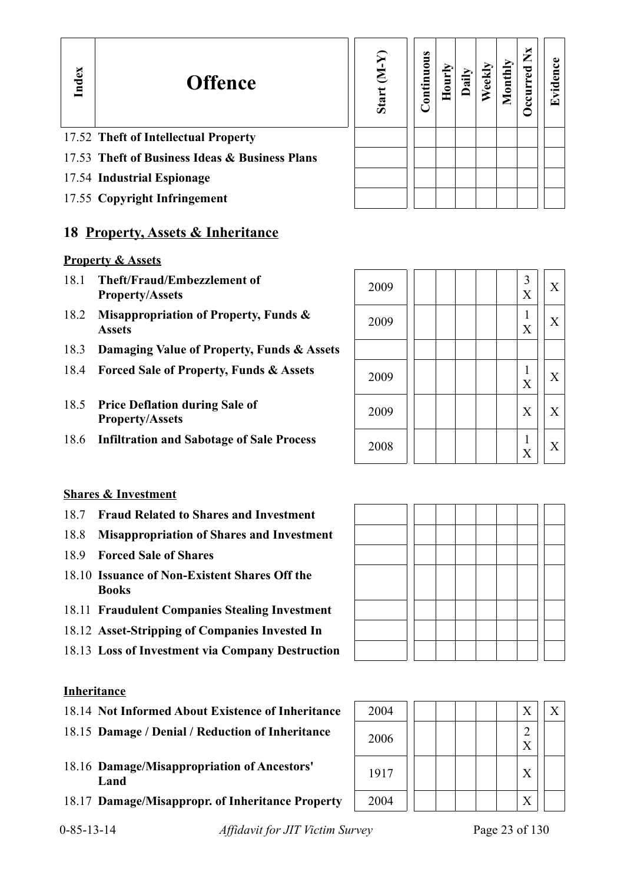| ×            |  |
|--------------|--|
| ì<br>۱.<br>۳ |  |
|              |  |
|              |  |
|              |  |

# **Offence**

# 17.52 **Theft of Intellectual Property**

- 17.53 **Theft of Business Ideas & Business Plans**
- 17.54 **Industrial Espionage**
- 17.55 **Copyright Infringement**

# **18 Property, Assets & Inheritance**

### **Property & Assets**

- 18.1 **Theft/Fraud/Embezzlement of Property/Assets** <sup>2009</sup> <sup>3</sup>
- 18.2 **Misappropriation of Property, Funds & Assets** <sup>2009</sup> <sup>1</sup>
- 18.3 **Damaging Value of Property, Funds & Assets**
- 18.4 **Forced Sale of Property, Funds & Assets**
- 18.5 **Price Deflation during Sale of Property/Assets**
- 18.6 **Infiltration and Sabotage of Sale Process**

| Start (M-Y) | Continuous | Hourly | Daily | Weekly | Monthly | Occurred Nx | Evidence |
|-------------|------------|--------|-------|--------|---------|-------------|----------|
|             |            |        |       |        |         |             |          |
|             |            |        |       |        |         |             |          |
|             |            |        |       |        |         |             |          |

| 2009 |  |  | 3<br>X            | X |  |
|------|--|--|-------------------|---|--|
| 2009 |  |  | X                 | X |  |
|      |  |  |                   |   |  |
| 2009 |  |  | $\mathbf{1}$<br>X | X |  |
| 2009 |  |  | X                 | X |  |
| 2008 |  |  | X                 | X |  |

### **Shares & Investment**

- 18.7 **Fraud Related to Shares and Investment**
- 18.8 **Misappropriation of Shares and Investment**
- 18.9 **Forced Sale of Shares**
- 18.10 **Issuance of Non-Existent Shares Off the Books**
- 18.11 **Fraudulent Companies Stealing Investment**
- 18.12 **Asset-Stripping of Companies Invested In**
- 18.13 **Loss of Investment via Company Destruction**

### **Inheritance**

- 18.14 Not Informed About Existence of Inheritance
- 18.15 Damage / Denial / Reduction of Inheritance
- 18.16 **Damage/Misappropriation of Ancestors' Land** <sup>1917</sup> <sup>X</sup>
- 18.17 Damage/Misappropr. of Inheritance Property

| 2004 |  |  | X             | X |
|------|--|--|---------------|---|
| 2006 |  |  | $\frac{2}{X}$ |   |
| 1917 |  |  | X             |   |
| 2004 |  |  | X             |   |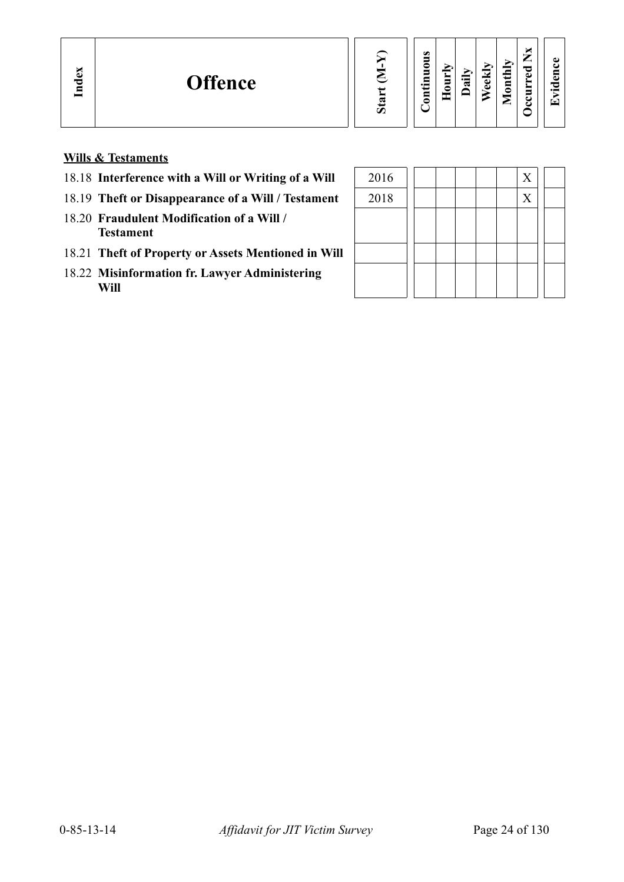**Evid ence**

**Wills & Testaments**

- 18.18 Interference with a Will or Writing of a Will
- 18.19 Theft or Disappearance of a Will / Testament
- 18.20 **Fraudulent Modification of a Will / Testament**
- 18.21 **Theft of Property or Assets Mentioned in Will**
- 18.22 **Misinformation fr. Lawyer Administering Will**

| 2016 |  |  |  | X |  |
|------|--|--|--|---|--|
| 2018 |  |  |  | X |  |
|      |  |  |  |   |  |
|      |  |  |  |   |  |
|      |  |  |  |   |  |
|      |  |  |  |   |  |
|      |  |  |  |   |  |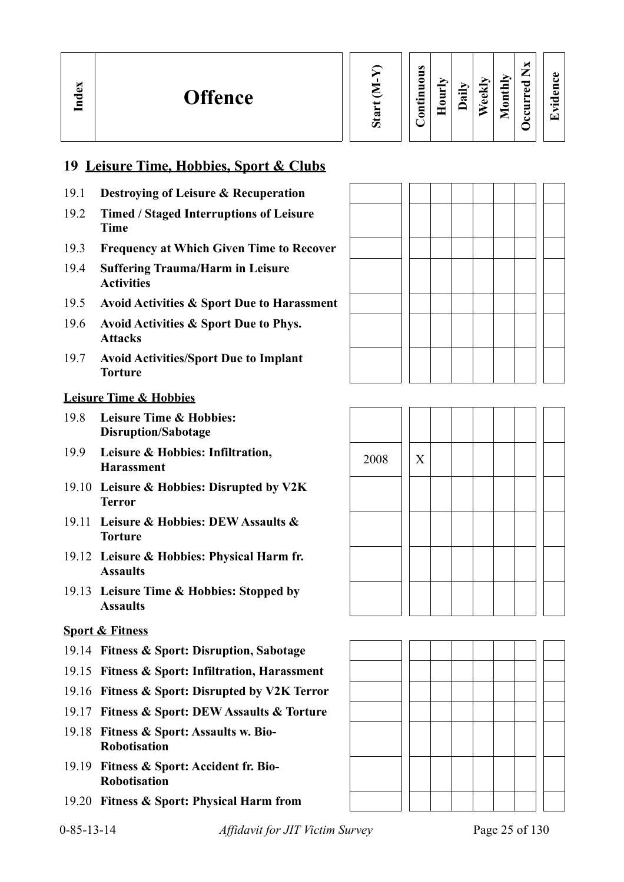| G.<br>ぁ |
|---------|

### **Contin uous Hourly D We ekly aily Monthly OccurredNxEvid ence**

# **19 Leisure Time, Hobbies, Sport & Clubs**

- 19.1 **Destroying of Leisure & Recuperation**
- 19.2 **Timed / Staged Interruptions of Leisure Time**
- 19.3 **Frequency at Which Given Time to Recover**
- 19.4 **Suffering Trauma/Harm in Leisure Activities**
- 19.5 **Avoid Activities & Sport Due to Harassment**
- 19.6 **Avoid Activities & Sport Due to Phys. Attacks**
- 19.7 **Avoid Activities/Sport Due to Implant Torture**

### **Leisure Time & Hobbies**

**In dex**

- 19.8 **Leisure Time & Hobbies: Disruption/Sabotage**
- 19.9 Leisure & Hobbies: Infiltration, 2008 X<br> **Harassment**
- 19.10 **Leisure & Hobbies: Disrupted by V2K Terror**
- 19.11 **Leisure & Hobbies: DEW Assaults & Torture**
- 19.12 **Leisure & Hobbies: Physical Harm fr. Assaults**
- 19.13 **Leisure Time & Hobbies: Stopped by Assaults**

## **Sport & Fitness**

- 19.14 **Fitness & Sport: Disruption, Sabotage**
- 19.15 **Fitness & Sport: Infiltration, Harassment**
- 19.16 **Fitness & Sport: Disrupted by V2K Terror**
- 19.17 **Fitness & Sport: DEW Assaults & Torture**
- 19.18 **Fitness & Sport: Assaults w. Bio-Robotisation**
- 19.19 **Fitness & Sport: Accident fr. Bio-Robotisation**
- 19.20 **Fitness & Sport: Physical Harm from**



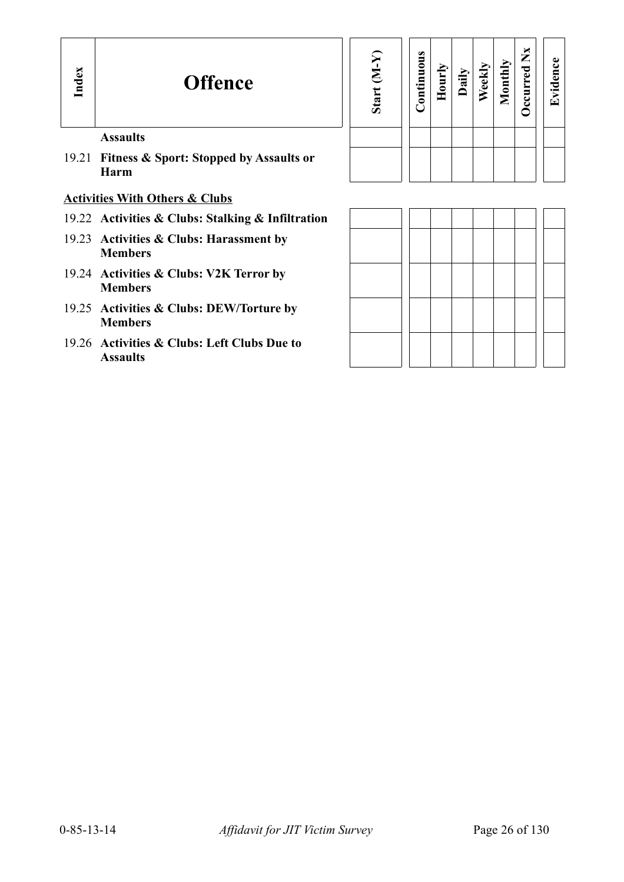| Start (M-Y) | Continuous | Hourly | Daily | Weekly | Monthly | Occurred Nx | Evidence |
|-------------|------------|--------|-------|--------|---------|-------------|----------|
|             |            |        |       |        |         |             |          |
|             |            |        |       |        |         |             |          |

## **Assaults**

19.21 **Fitness & Sport: Stopped by Assaults or Harm**

## **Activities With Others & Clubs**

- 19.22 **Activities & Clubs: Stalking & Infiltration**
- 19.23 **Activities & Clubs: Harassment by Members**
- 19.24 **Activities & Clubs: V2K Terror by Members**
- 19.25 **Activities & Clubs: DEW/Torture by Members**
- 19.26 **Activities & Clubs: Left Clubs Due to Assaults**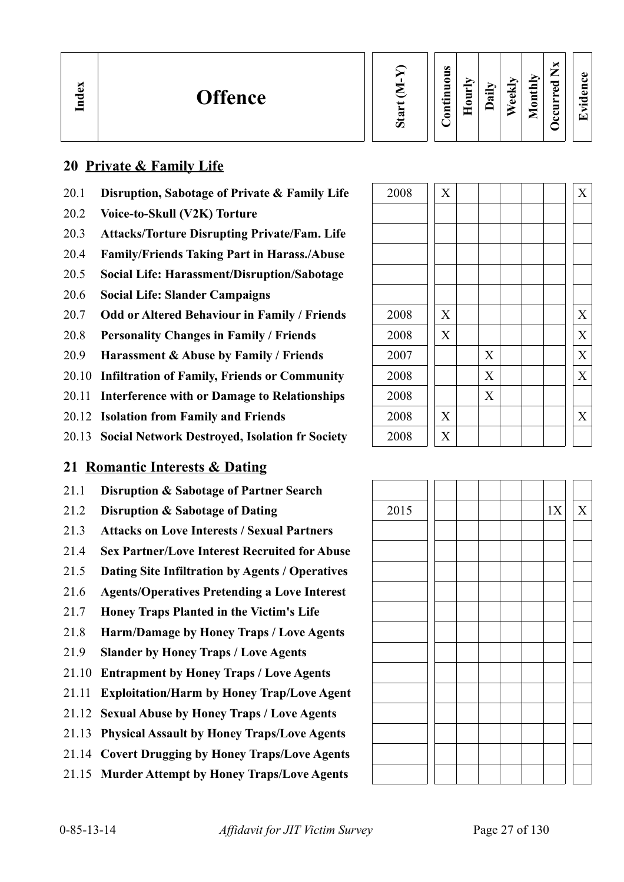**We ekly**

**Monthly Occurred**

**Nx**

# **20 Private & Family Life**

- 20.1 **Disruption, Sabotage of Private & Family Life**
- 20.2 **Voice-to-Skull (V2K) Torture**
- 20.3 **Attacks/Torture Disrupting Private/Fam. Life**
- 20.4 **Family/Friends Taking Part in Harass./Abuse**
- 20.5 **Social Life: Harassment/Disruption/Sabotage**
- 20.6 **Social Life: Slander Campaigns**
- 20.7 Odd or Altered Behaviour in Family / Friends
- 20.8 **Personality Changes in Family / Friends**
- 20.9 **Harassment & Abuse by Family / Friends**
- 20.10 **Infiltration of Family, Friends or Community**
- 20.11 **Interference with or Damage to Relationships**
- 20.12 **Isolation from Family and Friends**
- 20.13 **Social Network Destroyed, Isolation fr Society**

# **21 Romantic Interests & Dating**

- 21.1 **Disruption & Sabotage of Partner Search**
- 
- 21.3 **Attacks on Love Interests / Sexual Partners**
- 21.4 **Sex Partner/Love Interest Recruited for Abuse**
- 21.5 **Dating Site Infiltration by Agents / Operatives**
- 21.6 **Agents/Operatives Pretending a Love Interest**
- 21.7 **Honey Traps Planted in the Victim's Life**
- 21.8 **Harm/Damage by Honey Traps / Love Agents**
- 21.9 **Slander by Honey Traps / Love Agents**
- 21.10 **Entrapment by Honey Traps / Love Agents**
- 21.11 **Exploitation/Harm by Honey Trap/Love Agent**
- 21.12 **Sexual Abuse by Honey Traps / Love Agents**
- 21.13 **Physical Assault by Honey Traps/Love Agents**
- 21.14 **Covert Drugging by Honey Traps/Love Agents**
- 21.15 **Murder Attempt by Honey Traps/Love Agents**

| 2008 | $\boldsymbol{\mathrm{X}}$ |                           |  | $\mathbf X$               |
|------|---------------------------|---------------------------|--|---------------------------|
|      |                           |                           |  |                           |
|      |                           |                           |  |                           |
|      |                           |                           |  |                           |
|      |                           |                           |  |                           |
|      |                           |                           |  |                           |
| 2008 | $\mathbf X$               |                           |  | $\mathbf X$               |
| 2008 | $\mathbf X$               |                           |  | $\overline{X}$            |
| 2007 |                           | X                         |  | X                         |
| 2008 |                           | $\boldsymbol{\mathrm{X}}$ |  | $\boldsymbol{\mathrm{X}}$ |
| 2008 |                           | $\boldsymbol{X}$          |  |                           |
| 2008 | $\boldsymbol{\mathrm{X}}$ |                           |  | $\boldsymbol{\mathrm{X}}$ |
| 2008 | X                         |                           |  |                           |

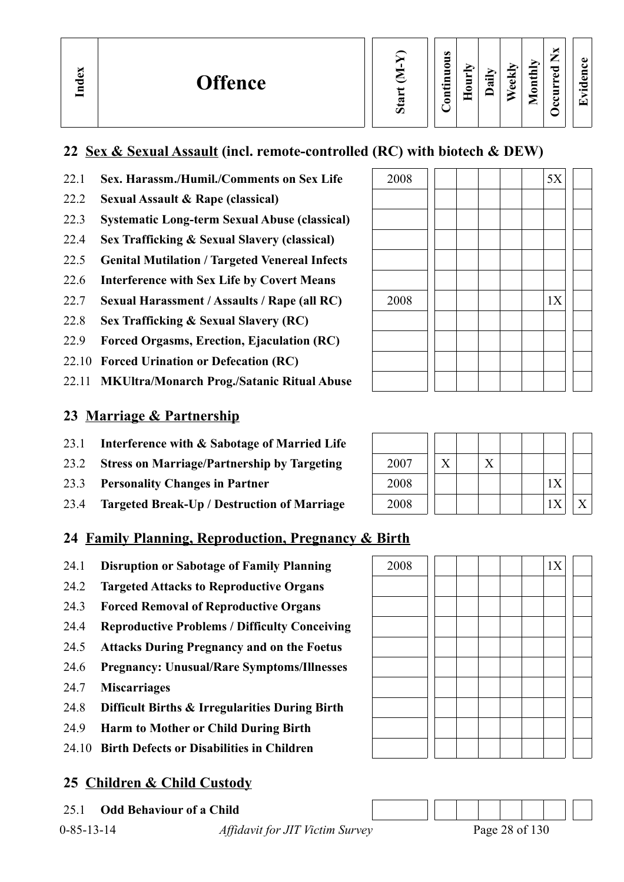**We ekly**

**Monthly Occurred**

**Nx**

**Evid ence**

# **22 Sex & Sexual Assault (incl. remote-controlled (RC) with biotech & DEW)**

# 22.1 **Sex. Harassm./Humil./Comments on Sex Life**

- 22.2 **Sexual Assault & Rape (classical)**
- 22.3 **Systematic Long-term Sexual Abuse (classical)**
- 22.4 **Sex Trafficking & Sexual Slavery (classical)**
- 22.5 **Genital Mutilation / Targeted Venereal Infects**
- 22.6 **Interference with Sex Life by Covert Means**
- 22.7 **Sexual Harassment / Assaults / Rape (all RC)**
- 22.8 **Sex Trafficking & Sexual Slavery (RC)**
- 22.9 **Forced Orgasms, Erection, Ejaculation (RC)**
- 22.10 **Forced Urination or Defecation (RC)**
- 22.11 **MKUltra/Monarch Prog./Satanic Ritual Abuse**

# **23 Marriage & Partnership**

- 23.1 **Interference with & Sabotage of Married Life**
- 23.2 **Stress on Marriage/Partnership by Targeting**
- 23.3 **Personality Changes in Partner**
- 23.4 **Targeted Break-Up / Destruction of Marriage**

# **24 Family Planning, Reproduction, Pregnancy & Birth**

- 24.1 **Disruption or Sabotage of Family Planning** 2008 1X
- 24.2 **Targeted Attacks to Reproductive Organs**
- 24.3 **Forced Removal of Reproductive Organs**
- 24.4 **Reproductive Problems / Difficulty Conceiving**
- 24.5 **Attacks During Pregnancy and on the Foetus**
- 24.6 **Pregnancy: Unusual/Rare Symptoms/Illnesses**
- 24.7 **Miscarriages**
- 24.8 **Difficult Births & Irregularities During Birth**
- 24.9 **Harm to Mother or Child During Birth**
- 24.10 **Birth Defects or Disabilities in Children**

# **25 Children & Child Custody**

25.1 **Odd Behaviour of a Child**

| 2008 |  |  |  | 5X |  |
|------|--|--|--|----|--|
|      |  |  |  |    |  |
|      |  |  |  |    |  |
|      |  |  |  |    |  |
|      |  |  |  |    |  |
|      |  |  |  |    |  |
| 2008 |  |  |  | 1X |  |
|      |  |  |  |    |  |
|      |  |  |  |    |  |
|      |  |  |  |    |  |
|      |  |  |  |    |  |

| 2007 |  |  |    |  |
|------|--|--|----|--|
| 2008 |  |  | 1X |  |
| 2008 |  |  |    |  |



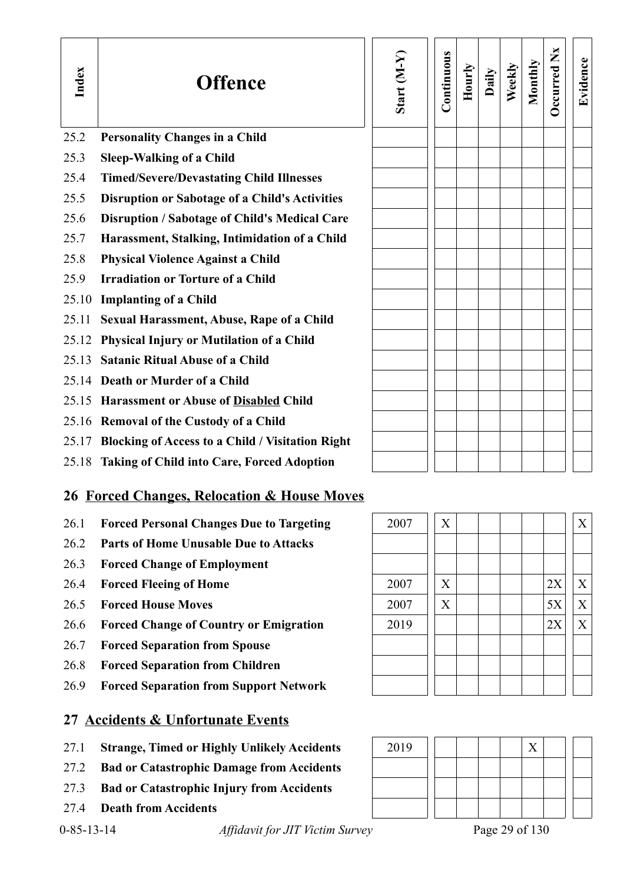| Index | <b>Offence</b>                                         | Start $(M-Y)$ | Continuous | Hourly | Daily | Weekly | Monthly | Occurred Nx | Evidence                  |
|-------|--------------------------------------------------------|---------------|------------|--------|-------|--------|---------|-------------|---------------------------|
| 25.2  | <b>Personality Changes in a Child</b>                  |               |            |        |       |        |         |             |                           |
| 25.3  | <b>Sleep-Walking of a Child</b>                        |               |            |        |       |        |         |             |                           |
| 25.4  | <b>Timed/Severe/Devastating Child Illnesses</b>        |               |            |        |       |        |         |             |                           |
| 25.5  | <b>Disruption or Sabotage of a Child's Activities</b>  |               |            |        |       |        |         |             |                           |
| 25.6  | Disruption / Sabotage of Child's Medical Care          |               |            |        |       |        |         |             |                           |
| 25.7  | Harassment, Stalking, Intimidation of a Child          |               |            |        |       |        |         |             |                           |
| 25.8  | <b>Physical Violence Against a Child</b>               |               |            |        |       |        |         |             |                           |
| 25.9  | <b>Irradiation or Torture of a Child</b>               |               |            |        |       |        |         |             |                           |
| 25.10 | <b>Implanting of a Child</b>                           |               |            |        |       |        |         |             |                           |
| 25.11 | <b>Sexual Harassment, Abuse, Rape of a Child</b>       |               |            |        |       |        |         |             |                           |
|       | 25.12 Physical Injury or Mutilation of a Child         |               |            |        |       |        |         |             |                           |
| 25.13 | <b>Satanic Ritual Abuse of a Child</b>                 |               |            |        |       |        |         |             |                           |
|       | 25.14 Death or Murder of a Child                       |               |            |        |       |        |         |             |                           |
|       | 25.15 Harassment or Abuse of Disabled Child            |               |            |        |       |        |         |             |                           |
|       | 25.16 Removal of the Custody of a Child                |               |            |        |       |        |         |             |                           |
|       | 25.17 Blocking of Access to a Child / Visitation Right |               |            |        |       |        |         |             |                           |
|       | 25.18 Taking of Child into Care, Forced Adoption       |               |            |        |       |        |         |             |                           |
|       | <b>26 Forced Changes, Relocation &amp; House Moves</b> |               |            |        |       |        |         |             |                           |
| 26.1  | <b>Forced Personal Changes Due to Targeting</b>        | 2007          | X          |        |       |        |         |             | X                         |
| 26.2  | <b>Parts of Home Unusable Due to Attacks</b>           |               |            |        |       |        |         |             |                           |
| 26.3  | <b>Forced Change of Employment</b>                     |               |            |        |       |        |         |             |                           |
| 26.4  | <b>Forced Fleeing of Home</b>                          | 2007          | X          |        |       |        |         | 2X          | X                         |
| 26.5  | <b>Forced House Moves</b>                              | 2007          | X          |        |       |        |         | 5X          | $\boldsymbol{\mathrm{X}}$ |
| 26.6  | <b>Forced Change of Country or Emigration</b>          | 2019          |            |        |       |        |         | 2X          | X                         |
| 26.7  | <b>Forced Separation from Spouse</b>                   |               |            |        |       |        |         |             |                           |
| 26.8  | <b>Forced Separation from Children</b>                 |               |            |        |       |        |         |             |                           |
| 26.9  | <b>Forced Separation from Support Network</b>          |               |            |        |       |        |         |             |                           |
|       | 27 Accidents & Unfortunate Events                      |               |            |        |       |        |         |             |                           |
|       |                                                        |               |            |        |       |        |         |             |                           |



- 27.2 **Bad or Catastrophic Damage from Accidents**
- 27.3 **Bad or Catastrophic Injury from Accidents**
- 27.4 **Death from Accidents**

0-85-13-14 *Affidavit for JIT Victim Survey* Page 29 of 130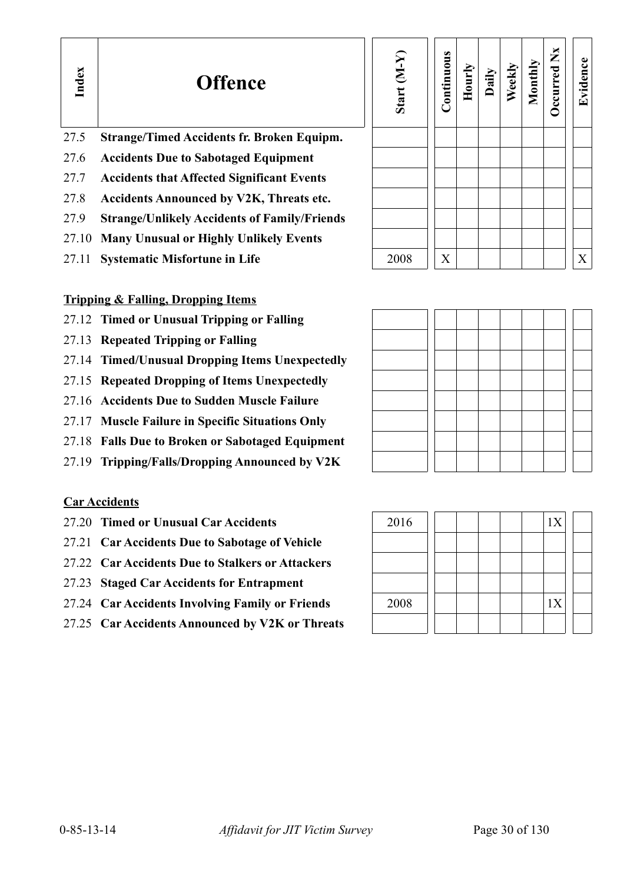| 27.5 Strange/Timed Accidents fr. Broken Equipm. |  |  |
|-------------------------------------------------|--|--|
|                                                 |  |  |

- 27.6 **Accidents Due to Sabotaged Equipment**
- 27.7 **Accidents that Affected Significant Events**
- 27.8 **Accidents Announced by V2K, Threats etc.**
- 27.9 **Strange/Unlikely Accidents of Family/Friends**
- 27.10 **Many Unusual or Highly Unlikely Events**
- 27.11 **Systematic Misfortune in Life** 2008  $X$   $X$

| Start (M-Y) | Continuous | Hourly | Daily | Weekly | Monthly | Occurred Nx | Evidence |
|-------------|------------|--------|-------|--------|---------|-------------|----------|
|             |            |        |       |        |         |             |          |
|             |            |        |       |        |         |             |          |
|             |            |        |       |        |         |             |          |
|             |            |        |       |        |         |             |          |
|             |            |        |       |        |         |             |          |
|             |            |        |       |        |         |             |          |
| 2008        |            |        |       |        |         |             | v        |

# **Tripping & Falling, Dropping Items**

- 27.12 **Timed or Unusual Tripping or Falling**
- 27.13 **Repeated Tripping or Falling**
- 27.14 **Timed/Unusual Dropping Items Unexpectedly**
- 27.15 **Repeated Dropping of Items Unexpectedly**
- 27.16 **Accidents Due to Sudden Muscle Failure**
- 27.17 **Muscle Failure in Specific Situations Only**
- 27.18 **Falls Due to Broken or Sabotaged Equipment**
- 27.19 **Tripping/Falls/Dropping Announced by V2K**

# **Car Accidents**

**In dex**

- 27.20 **Timed or Unusual Car Accidents**
- 27.21 **Car Accidents Due to Sabotage of Vehicle**
- 27.22 **Car Accidents Due to Stalkers or Attackers**
- 27.23 **Staged Car Accidents for Entrapment**
- 27.24 Car Accidents Involving Family or Friends
- 27.25 **Car Accidents Announced by V2K or Threats**

| 2016 |  |  | 1X |  |
|------|--|--|----|--|
|      |  |  |    |  |
|      |  |  |    |  |
|      |  |  |    |  |
| 2008 |  |  | 1X |  |
|      |  |  |    |  |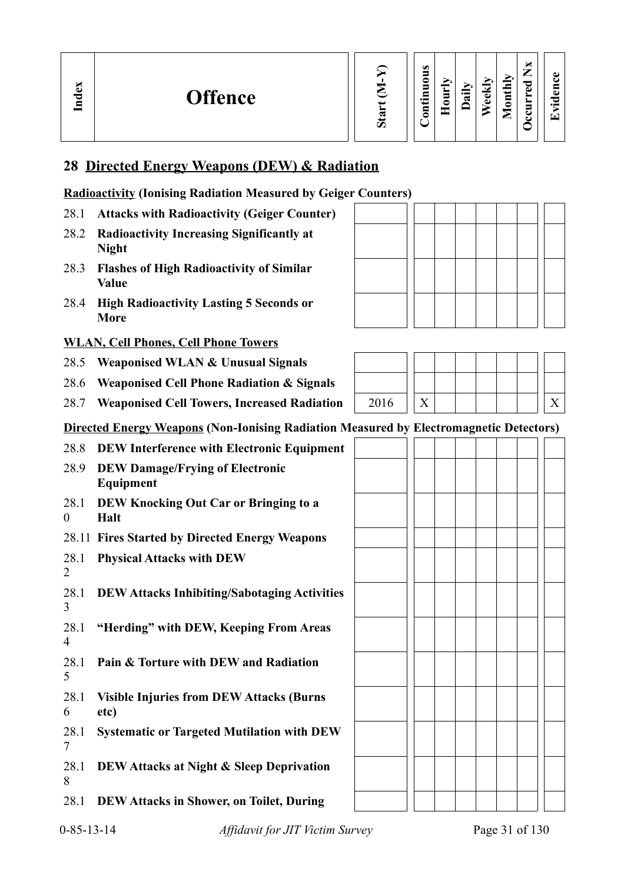# **28 Directed Energy Weapons (DEW) & Radiation**

## **Radioactivity (Ionising Radiation Measured by Geiger Counters)**

- 28.1 **Attacks with Radioactivity (Geiger Counter)**
- 28.2 **Radioactivity Increasing Significantly at Night**
- 28.3 **Flashes of High Radioactivity of Similar Value**
- 28.4 **High Radioactivity Lasting 5 Seconds or More**

## **WLAN, Cell Phones, Cell Phone Towers**

- 28.5 **Weaponised WLAN & Unusual Signals**
- 28.6 **Weaponised Cell Phone Radiation & Signals**
- 28.7 Weaponised Cell Towers, Increased Radiation
- **Directed Energy Weapons (Non-Ionising Radiation Measured by Electromagnetic Detectors)**
- 28.8 **DEW Interference with Electronic Equipment**
- 28.9 **DEW Damage/Frying of Electronic Equipment**
- 28.1  $\Omega$ **DEW Knocking Out Car or Bringing to a Halt**
- 28.11 **Fires Started by Directed Energy Weapons**
- 28.1 **Physical Attacks with DEW**
- 28.1 3 **DEW Attacks Inhibiting/Sabotaging Activities**
- 28.1 4 **"Herding" with DEW, Keeping From Areas**
- 28.1 5 **Pain & Torture with DEW and Radiation**
- 28.1 6 **Visible Injuries from DEW Attacks (Burns etc)**
- 28.1 7 **Systematic or Targeted Mutilation with DEW**
- 28.1 8 **DEW Attacks at Night & Sleep Deprivation**
- 28.1 **DEW Attacks in Shower, on Toilet, During**



| 2016 |  |  |  |  |  |
|------|--|--|--|--|--|



2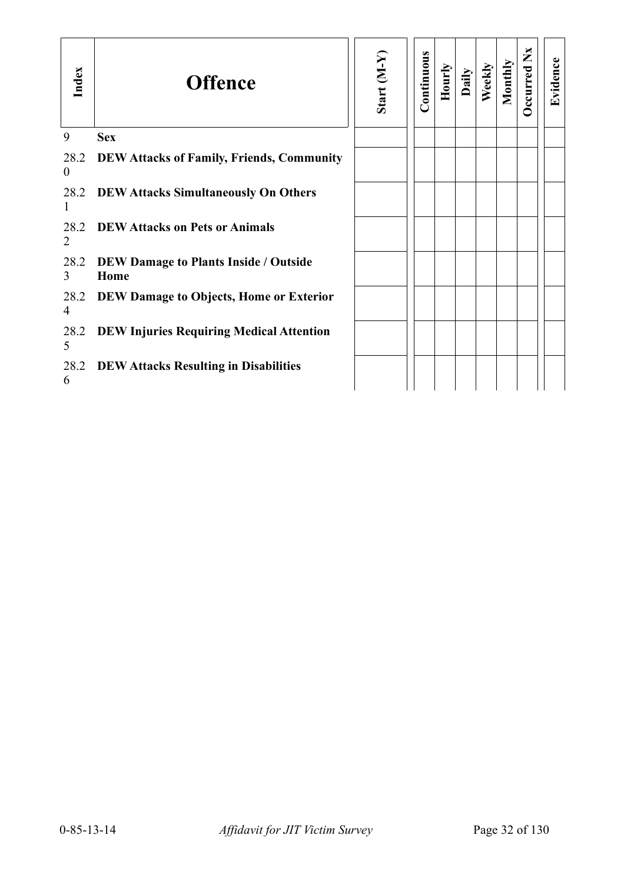| Index                  | <b>Offence</b>                                       | Start (M-Y) | Continuous | Hourly | Daily | Weekly | Monthly | Occurred Nx | Evidence |
|------------------------|------------------------------------------------------|-------------|------------|--------|-------|--------|---------|-------------|----------|
| 9                      | <b>Sex</b>                                           |             |            |        |       |        |         |             |          |
| 28.2<br>$\overline{0}$ | <b>DEW Attacks of Family, Friends, Community</b>     |             |            |        |       |        |         |             |          |
| 28.2<br>1              | <b>DEW Attacks Simultaneously On Others</b>          |             |            |        |       |        |         |             |          |
| 28.2<br>$\overline{2}$ | <b>DEW Attacks on Pets or Animals</b>                |             |            |        |       |        |         |             |          |
| 28.2<br>3              | <b>DEW Damage to Plants Inside / Outside</b><br>Home |             |            |        |       |        |         |             |          |
| 28.2<br>4              | DEW Damage to Objects, Home or Exterior              |             |            |        |       |        |         |             |          |
| 28.2<br>5              | <b>DEW Injuries Requiring Medical Attention</b>      |             |            |        |       |        |         |             |          |
| 28.2<br>6              | <b>DEW Attacks Resulting in Disabilities</b>         |             |            |        |       |        |         |             |          |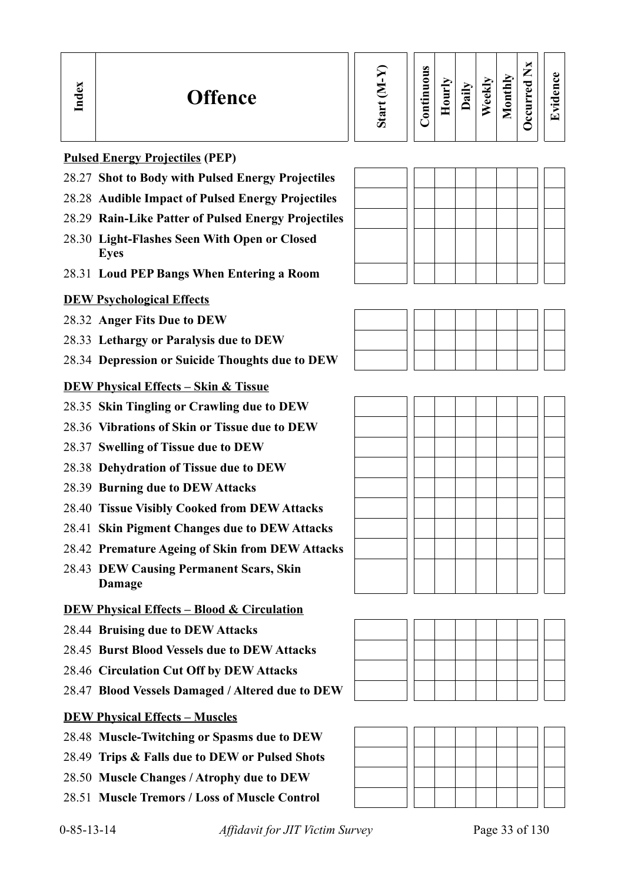| $\sin$ |
|--------|
|        |

### **Contin uous Hourly D We ekly aily Monthly OccurredNxEvid ence**

# **Pulsed Energy Projectiles (PEP)**

**In dex**

- 28.27 **Shot to Body with Pulsed Energy Projectiles**
- 28.28 **Audible Impact of Pulsed Energy Projectiles**
- 28.29 **Rain-Like Patter of Pulsed Energy Projectiles**
- 28.30 **Light-Flashes Seen With Open or Closed Eyes**
- 28.31 **Loud PEP Bangs When Entering a Room**

# **DEW Psychological Effects**

- 28.32 **Anger Fits Due to DEW**
- 28.33 **Lethargy or Paralysis due to DEW**
- 28.34 **Depression or Suicide Thoughts due to DEW**

# **DEW Physical Effects – Skin & Tissue**

- 28.35 **Skin Tingling or Crawling due to DEW**
- 28.36 **Vibrations of Skin or Tissue due to DEW**
- 28.37 **Swelling of Tissue due to DEW**
- 28.38 **Dehydration of Tissue due to DEW**
- 28.39 **Burning due to DEW Attacks**
- 28.40 **Tissue Visibly Cooked from DEW Attacks**
- 28.41 **Skin Pigment Changes due to DEW Attacks**
- 28.42 **Premature Ageing of Skin from DEW Attacks**
- 28.43 **DEW Causing Permanent Scars, Skin Damage**

# **DEW Physical Effects – Blood & Circulation**

- 28.44 **Bruising due to DEW Attacks**
- 28.45 **Burst Blood Vessels due to DEW Attacks**
- 28.46 **Circulation Cut Off by DEW Attacks**
- 28.47 **Blood Vessels Damaged / Altered due to DEW**



- 28.48 **Muscle-Twitching or Spasms due to DEW**
- 28.49 **Trips & Falls due to DEW or Pulsed Shots**
- 28.50 **Muscle Changes / Atrophy due to DEW**
- 28.51 **Muscle Tremors / Loss of Muscle Control**







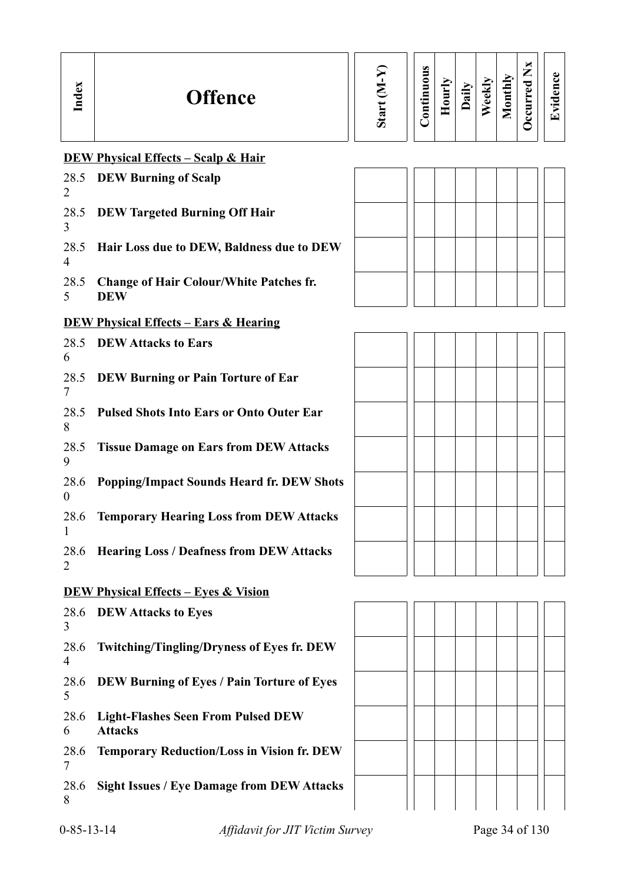| Index | <b>Offence</b> | ↸ | $\bullet$<br>−<br>-<br>0<br>▬<br>⊟<br>5<br>◓ | s<br>≏ | $\cdot$ $\cdot$<br>ಷ | €<br>ω<br>ت | Ыy<br>⊌<br>5<br>-<br>► | ×<br>—<br>_<br>ರ<br>$\omega$<br>►<br>►<br>▬<br>$\overline{\phantom{a}}$<br>↩ | ω<br>Ξ<br>a.<br>"⊂<br>$\cdot$ $\,$<br>r₩ |  |
|-------|----------------|---|----------------------------------------------|--------|----------------------|-------------|------------------------|------------------------------------------------------------------------------|------------------------------------------|--|
|-------|----------------|---|----------------------------------------------|--------|----------------------|-------------|------------------------|------------------------------------------------------------------------------|------------------------------------------|--|

# **DEW Physical Effects – Scalp & Hair**

| 28.5<br>2        | <b>DEW Burning of Scalp</b>                                 |
|------------------|-------------------------------------------------------------|
| 3                | 28.5 DEW Targeted Burning Off Hair                          |
| $\overline{4}$   | 28.5 Hair Loss due to DEW, Baldness due to DEW              |
| 5                | 28.5 Change of Hair Colour/White Patches fr.<br><b>DEW</b>  |
|                  | <b>DEW Physical Effects – Ears &amp; Hearing</b>            |
| 28.5<br>6        | <b>DEW Attacks to Ears</b>                                  |
| 28.5<br>7        | <b>DEW Burning or Pain Torture of Ear</b>                   |
| 8                | 28.5 Pulsed Shots Into Ears or Onto Outer Ear               |
| 9                | 28.5 Tissue Damage on Ears from DEW Attacks                 |
| 28.6<br>$\theta$ | <b>Popping/Impact Sounds Heard fr. DEW Shots</b>            |
| 28.6<br>1        | <b>Temporary Hearing Loss from DEW Attacks</b>              |
| 28.6<br>2        | <b>Hearing Loss / Deafness from DEW Attacks</b>             |
|                  | <b>DEW Physical Effects – Eyes &amp; Vision</b>             |
| 28.6<br>3        | <b>DEW Attacks to Eyes</b>                                  |
| 28.6<br>4        | <b>Twitching/Tingling/Dryness of Eyes fr. DEW</b>           |
| 28.6<br>5        | DEW Burning of Eyes / Pain Torture of Eyes                  |
| 28.6<br>6        | <b>Light-Flashes Seen From Pulsed DEW</b><br><b>Attacks</b> |
| 28.6<br>7        | <b>Temporary Reduction/Loss in Vision fr. DEW</b>           |
| 28.6<br>8        | <b>Sight Issues / Eye Damage from DEW Attacks</b>           |



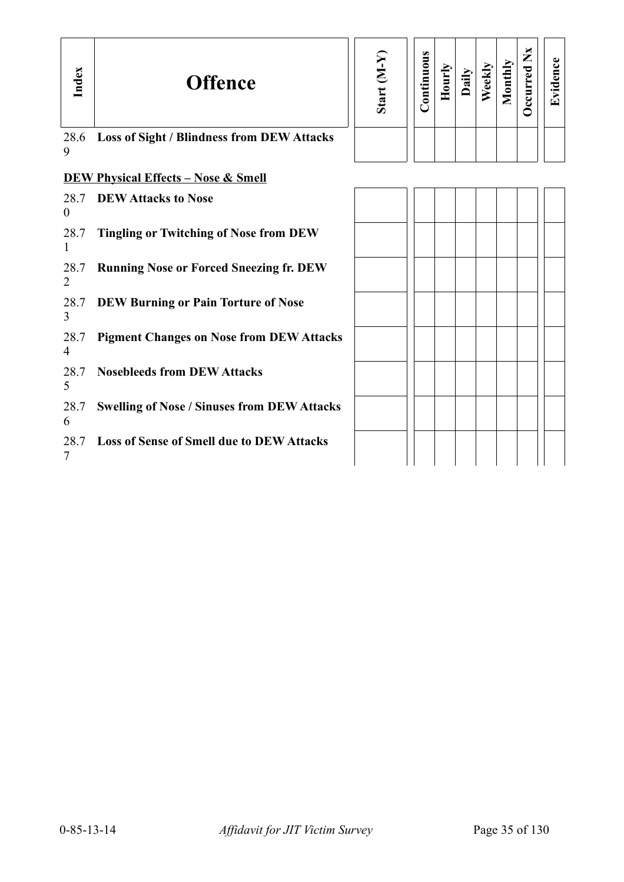| Index                  | <b>Offence</b>                                     | Start (M-Y) | Continuous | Hourly | Daily | Weekly | Monthly | Occurred Nx | Evidence |
|------------------------|----------------------------------------------------|-------------|------------|--------|-------|--------|---------|-------------|----------|
| 28.6<br>9              | <b>Loss of Sight / Blindness from DEW Attacks</b>  |             |            |        |       |        |         |             |          |
|                        | <b>DEW Physical Effects - Nose &amp; Smell</b>     |             |            |        |       |        |         |             |          |
| 28.7<br>$\overline{0}$ | <b>DEW Attacks to Nose</b>                         |             |            |        |       |        |         |             |          |
| 28.7<br>$\mathbf{1}$   | <b>Tingling or Twitching of Nose from DEW</b>      |             |            |        |       |        |         |             |          |
| 28.7<br>2              | <b>Running Nose or Forced Sneezing fr. DEW</b>     |             |            |        |       |        |         |             |          |
| 28.7<br>3              | <b>DEW Burning or Pain Torture of Nose</b>         |             |            |        |       |        |         |             |          |
| 28.7<br>4              | <b>Pigment Changes on Nose from DEW Attacks</b>    |             |            |        |       |        |         |             |          |
| 28.7<br>5              | <b>Nosebleeds from DEW Attacks</b>                 |             |            |        |       |        |         |             |          |
| 28.7<br>6              | <b>Swelling of Nose / Sinuses from DEW Attacks</b> |             |            |        |       |        |         |             |          |
| 28.7<br>7              | <b>Loss of Sense of Smell due to DEW Attacks</b>   |             |            |        |       |        |         |             |          |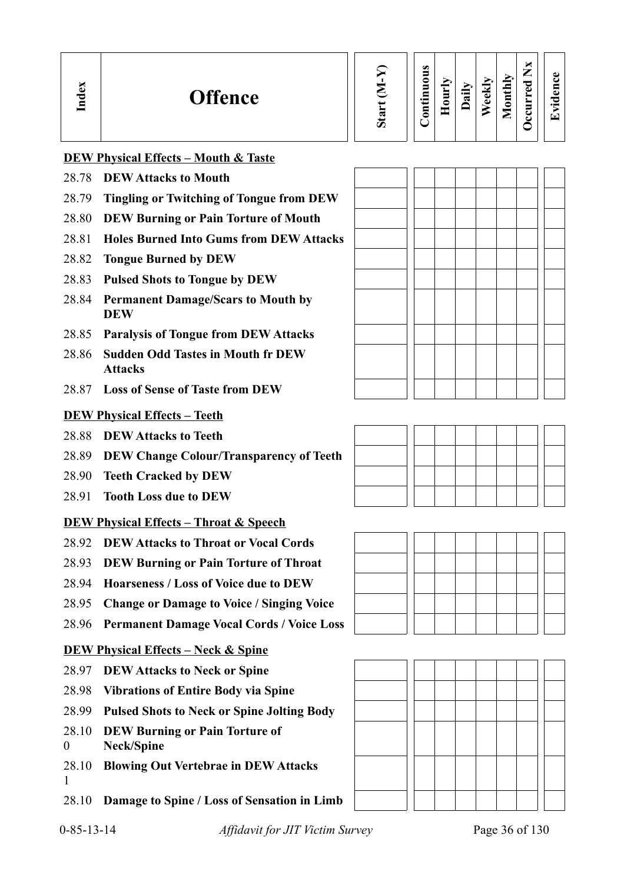| Index | <b>Offence</b>                                  | Start | <b>Continuous</b> | Hourly | Dail | <b>Weekl</b> | Monthly | $\mathbf{X}$<br>Occurred | Evidence |
|-------|-------------------------------------------------|-------|-------------------|--------|------|--------------|---------|--------------------------|----------|
|       | <b>DEW Physical Effects - Mouth &amp; Taste</b> |       |                   |        |      |              |         |                          |          |
| 28.78 | <b>DEW Attacks to Mouth</b>                     |       |                   |        |      |              |         |                          |          |
| 28.79 | <b>Tingling or Twitching of Tongue from DEW</b> |       |                   |        |      |              |         |                          |          |
| 28.80 | <b>DEW Burning or Pain Torture of Mouth</b>     |       |                   |        |      |              |         |                          |          |
| 28.81 | <b>Holes Burned Into Gums from DEW Attacks</b>  |       |                   |        |      |              |         |                          |          |

- 28.82 **Tongue Burned by DEW**
- 28.83 **Pulsed Shots to Tongue by DEW**
- 28.84 **Permanent Damage/Scars to Mouth by DEW**
- 28.85 **Paralysis of Tongue from DEW Attacks**
- 28.86 **Sudden Odd Tastes in Mouth fr DEW Attacks**
- 28.87 **Loss of Sense of Taste from DEW**

### **DEW Physical Effects – Teeth**

- 28.88 **DEW Attacks to Teeth**
- 28.89 **DEW Change Colour/Transparency of Teeth**
- 28.90 **Teeth Cracked by DEW**
- 28.91 **Tooth Loss due to DEW**

# **DEW Physical Effects – Throat & Speech**

- 28.92 **DEW Attacks to Throat or Vocal Cords**
- 28.93 **DEW Burning or Pain Torture of Throat**
- 28.94 **Hoarseness / Loss of Voice due to DEW**
- 28.95 **Change or Damage to Voice / Singing Voice**
- 28.96 **Permanent Damage Vocal Cords / Voice Loss**

## **DEW Physical Effects – Neck & Spine**

- 28.97 **DEW Attacks to Neck or Spine**
- 28.98 **Vibrations of Entire Body via Spine**
- 28.99 **Pulsed Shots to Neck or Spine Jolting Body**
- 28.10 **DEW Burning or Pain Torture of**
- 0 **Neck/Spine**
- 28.10 **Blowing Out Vertebrae in DEW Attacks** 1
- 28.10 **Damage to Spine / Loss of Sensation in Limb**





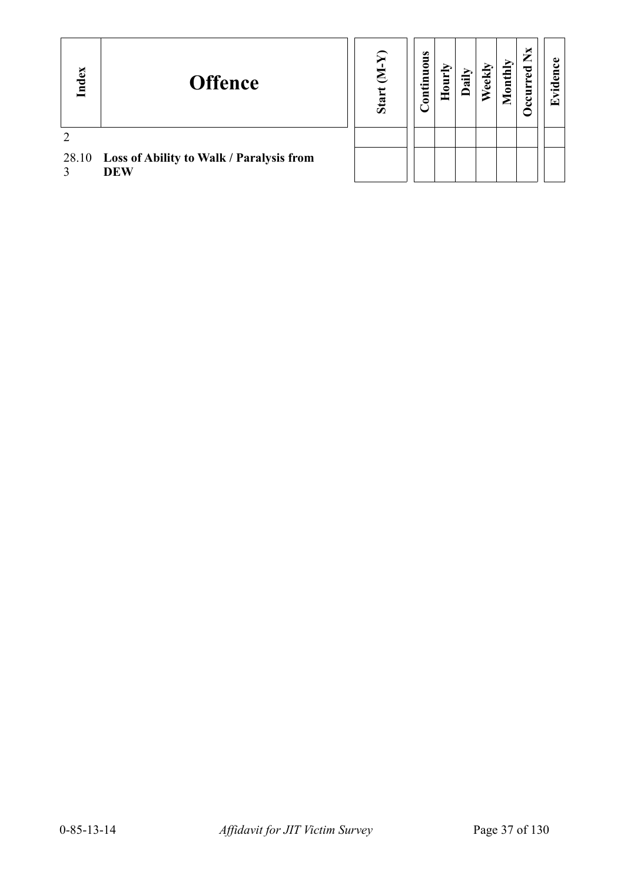| Index | <b>Offence</b>                                         | Stai | ontinuous | 5 | न्नु | ekl | onthly | ×<br>⇁<br>C | œ |
|-------|--------------------------------------------------------|------|-----------|---|------|-----|--------|-------------|---|
|       |                                                        |      |           |   |      |     |        |             |   |
| 28.10 | Loss of Ability to Walk / Paralysis from<br><b>DEW</b> |      |           |   |      |     |        |             |   |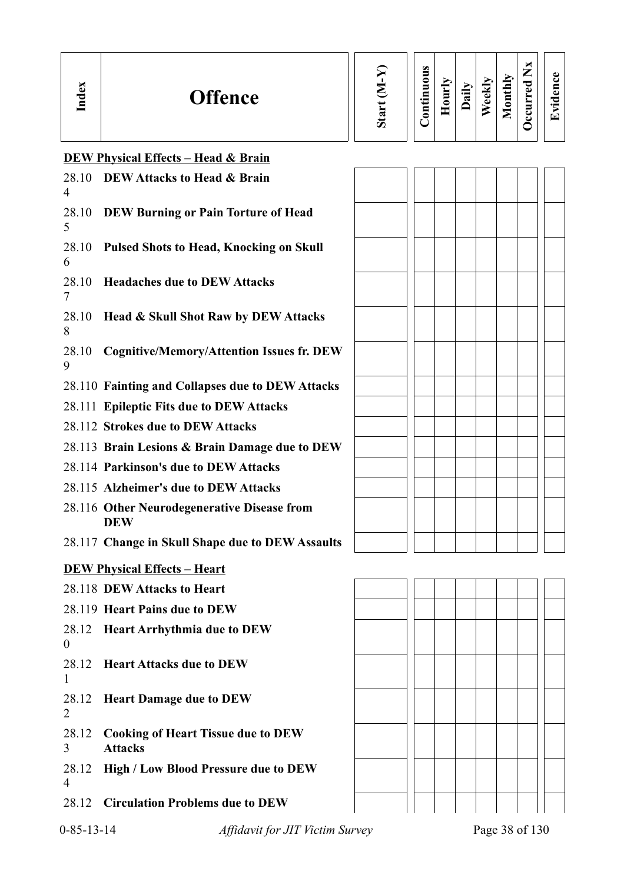| ി<br><b>Offence</b><br>ರ<br>ē | ದ<br>ω | $\bullet$<br>5<br>0<br>Ξ<br>르.<br>L<br>Ē | Ĕ<br>≏ | $\hat{=}$<br>≂<br>۰ | ↴<br>-<br>$\omega$<br>ه | ➣<br>으<br>. <i>.</i><br>₽<br>∊<br>_<br>_ | ы<br>◚<br>-<br>ెం<br>ക<br>_<br>ల | $\cdot$ $-$<br>′ ┯ |
|-------------------------------|--------|------------------------------------------|--------|---------------------|-------------------------|------------------------------------------|----------------------------------|--------------------|
|-------------------------------|--------|------------------------------------------|--------|---------------------|-------------------------|------------------------------------------|----------------------------------|--------------------|

# **DEW Physical Effects – Head & Brain**

| 28.10<br>4              | DEW Attacks to Head & Brain                                 |  |  |                |  |
|-------------------------|-------------------------------------------------------------|--|--|----------------|--|
| 28.10<br>5              | DEW Burning or Pain Torture of Head                         |  |  |                |  |
| 28.10<br>6              | <b>Pulsed Shots to Head, Knocking on Skull</b>              |  |  |                |  |
| 28.10<br>7              | <b>Headaches due to DEW Attacks</b>                         |  |  |                |  |
| 28.10<br>8              | Head & Skull Shot Raw by DEW Attacks                        |  |  |                |  |
| 28.10<br>9              | <b>Cognitive/Memory/Attention Issues fr. DEW</b>            |  |  |                |  |
|                         | 28.110 Fainting and Collapses due to DEW Attacks            |  |  |                |  |
|                         | 28.111 Epileptic Fits due to DEW Attacks                    |  |  |                |  |
|                         | 28.112 Strokes due to DEW Attacks                           |  |  |                |  |
|                         | 28.113 Brain Lesions & Brain Damage due to DEW              |  |  |                |  |
|                         | 28.114 Parkinson's due to DEW Attacks                       |  |  |                |  |
|                         | 28.115 Alzheimer's due to DEW Attacks                       |  |  |                |  |
|                         | 28.116 Other Neurodegenerative Disease from<br><b>DEW</b>   |  |  |                |  |
|                         | 28.117 Change in Skull Shape due to DEW Assaults            |  |  |                |  |
|                         | <b>DEW Physical Effects - Heart</b>                         |  |  |                |  |
|                         | 28.118 DEW Attacks to Heart                                 |  |  |                |  |
|                         | 28.119 Heart Pains due to DEW                               |  |  |                |  |
| $\boldsymbol{0}$        | 28.12 Heart Arrhythmia due to DEW                           |  |  |                |  |
| 28.12<br>$\mathbf{1}$   | <b>Heart Attacks due to DEW</b>                             |  |  |                |  |
| 28.12<br>$\overline{2}$ | <b>Heart Damage due to DEW</b>                              |  |  |                |  |
| 28.12<br>3              | <b>Cooking of Heart Tissue due to DEW</b><br><b>Attacks</b> |  |  |                |  |
| 28.12<br>4              | <b>High / Low Blood Pressure due to DEW</b>                 |  |  |                |  |
| 28.12                   | <b>Circulation Problems due to DEW</b>                      |  |  |                |  |
| $0 - 85 - 13 - 14$      | Affidavit for JIT Victim Survey                             |  |  | Page 38 of 130 |  |

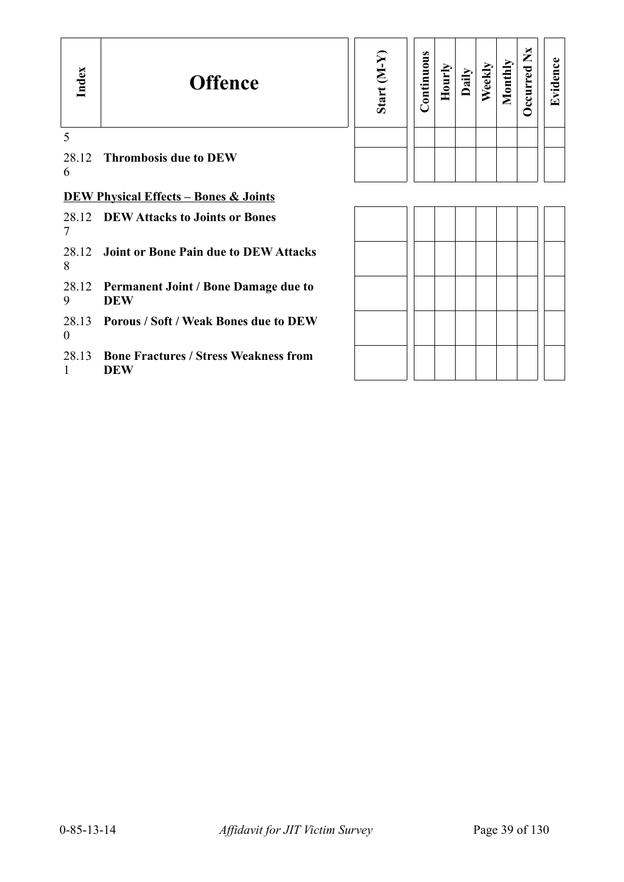| Index                 | <b>Offence</b>                                             | Start (M-Y | Continuous | Hourly | Daily | Weekly | Monthly | Occurred Nx | Evidence |
|-----------------------|------------------------------------------------------------|------------|------------|--------|-------|--------|---------|-------------|----------|
| 5<br>6                | 28.12 Thrombosis due to DEW                                |            |            |        |       |        |         |             |          |
|                       | <b>DEW Physical Effects - Bones &amp; Joints</b>           |            |            |        |       |        |         |             |          |
| 7                     | 28.12 DEW Attacks to Joints or Bones                       |            |            |        |       |        |         |             |          |
| 28.12<br>8            | <b>Joint or Bone Pain due to DEW Attacks</b>               |            |            |        |       |        |         |             |          |
| 9                     | 28.12 Permanent Joint / Bone Damage due to<br><b>DEW</b>   |            |            |        |       |        |         |             |          |
| $\boldsymbol{0}$      | 28.13 Porous / Soft / Weak Bones due to DEW                |            |            |        |       |        |         |             |          |
| 28.13<br>$\mathbf{1}$ | <b>Bone Fractures / Stress Weakness from</b><br><b>DEW</b> |            |            |        |       |        |         |             |          |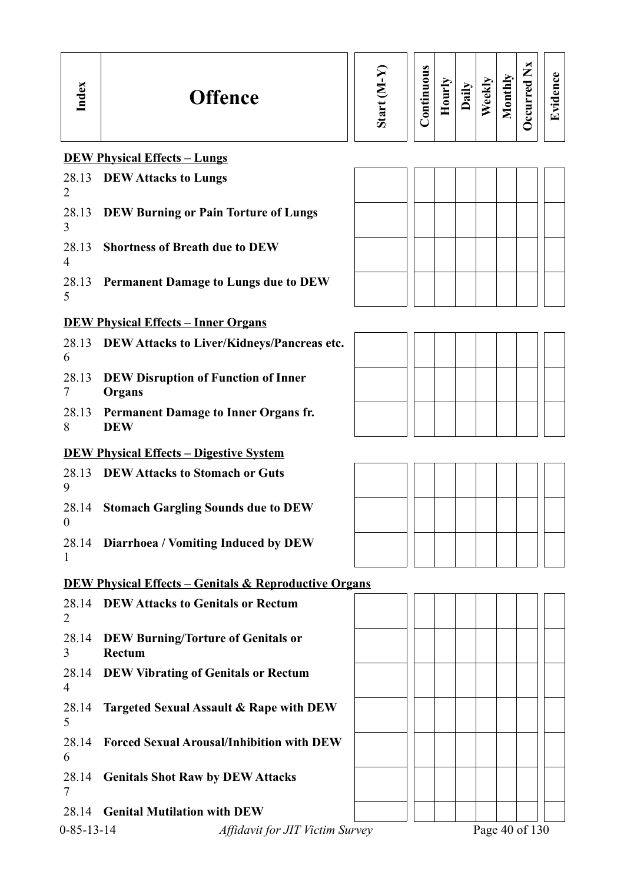| Index                   | <b>Offence</b>                                                   | Start (M-Y) | Continuous | Hourly | Daily | Weekly | Monthly | <b>Decurred Nx</b> | Evidence |
|-------------------------|------------------------------------------------------------------|-------------|------------|--------|-------|--------|---------|--------------------|----------|
|                         | <b>DEW Physical Effects - Lungs</b>                              |             |            |        |       |        |         |                    |          |
| 28.13<br>$\overline{2}$ | <b>DEW Attacks to Lungs</b>                                      |             |            |        |       |        |         |                    |          |
| 28.13<br>3              | <b>DEW Burning or Pain Torture of Lungs</b>                      |             |            |        |       |        |         |                    |          |
| 28.13<br>$\overline{4}$ | <b>Shortness of Breath due to DEW</b>                            |             |            |        |       |        |         |                    |          |
| 28.13<br>5              | <b>Permanent Damage to Lungs due to DEW</b>                      |             |            |        |       |        |         |                    |          |
|                         | <b>DEW Physical Effects - Inner Organs</b>                       |             |            |        |       |        |         |                    |          |
| 28.13<br>6              | DEW Attacks to Liver/Kidneys/Pancreas etc.                       |             |            |        |       |        |         |                    |          |
| 28.13<br>7              | <b>DEW Disruption of Function of Inner</b><br>Organs             |             |            |        |       |        |         |                    |          |
| 28.13<br>8              | <b>Permanent Damage to Inner Organs fr.</b><br><b>DEW</b>        |             |            |        |       |        |         |                    |          |
|                         | <b>DEW Physical Effects - Digestive System</b>                   |             |            |        |       |        |         |                    |          |
| 9                       | 28.13 DEW Attacks to Stomach or Guts                             |             |            |        |       |        |         |                    |          |
| 0                       | 28.14 Stomach Gargling Sounds due to DEW                         |             |            |        |       |        |         |                    |          |
| 28.14<br>1              | Diarrhoea / Vomiting Induced by DEW                              |             |            |        |       |        |         |                    |          |
|                         | <b>DEW Physical Effects - Genitals &amp; Reproductive Organs</b> |             |            |        |       |        |         |                    |          |
| 28.14<br>2              | <b>DEW Attacks to Genitals or Rectum</b>                         |             |            |        |       |        |         |                    |          |
| 28.14<br>$\overline{3}$ | <b>DEW Burning/Torture of Genitals or</b><br><b>Rectum</b>       |             |            |        |       |        |         |                    |          |
| 28.14<br>4              | <b>DEW Vibrating of Genitals or Rectum</b>                       |             |            |        |       |        |         |                    |          |
| 28.14<br>5              | Targeted Sexual Assault & Rape with DEW                          |             |            |        |       |        |         |                    |          |
| 28.14<br>6              | <b>Forced Sexual Arousal/Inhibition with DEW</b>                 |             |            |        |       |        |         |                    |          |
| 28.14<br>7              | <b>Genitals Shot Raw by DEW Attacks</b>                          |             |            |        |       |        |         |                    |          |
| 28.14                   | <b>Genital Mutilation with DEW</b>                               |             |            |        |       |        |         |                    |          |
| $0 - 85 - 13 - 14$      | Affidavit for JIT Victim Survey                                  |             |            |        |       |        |         | Page 40 of 130     |          |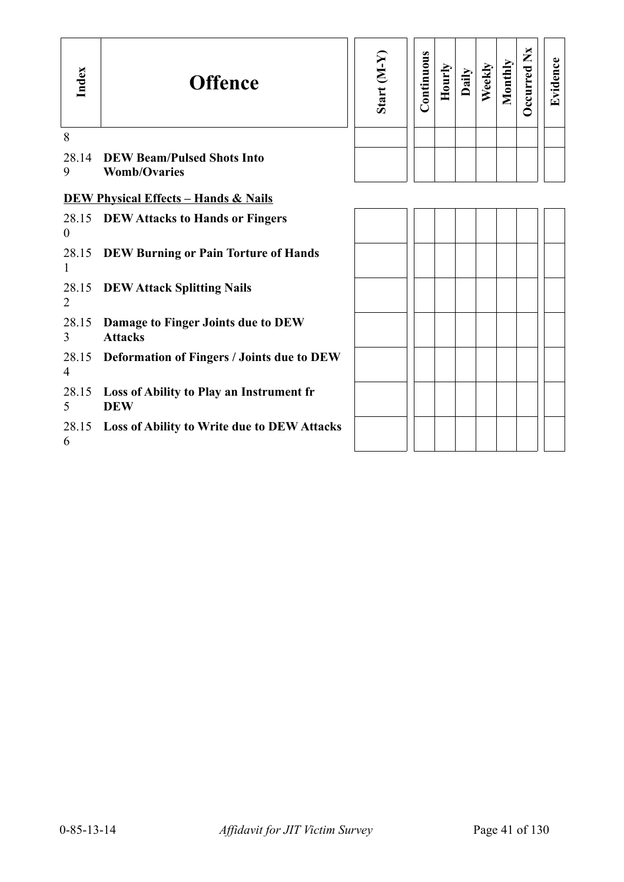| Index          | <b>Offence</b>                                           | Start (M-Y) | Continuous | Hourly | Daily | Weekly | Monthly | Occurred Nx | Evidence |
|----------------|----------------------------------------------------------|-------------|------------|--------|-------|--------|---------|-------------|----------|
| 8              |                                                          |             |            |        |       |        |         |             |          |
| 28.14<br>9     | <b>DEW Beam/Pulsed Shots Into</b><br><b>Womb/Ovaries</b> |             |            |        |       |        |         |             |          |
|                | <b>DEW Physical Effects - Hands &amp; Nails</b>          |             |            |        |       |        |         |             |          |
| $\theta$       | 28.15 DEW Attacks to Hands or Fingers                    |             |            |        |       |        |         |             |          |
| 1              | 28.15 DEW Burning or Pain Torture of Hands               |             |            |        |       |        |         |             |          |
| $\overline{2}$ | 28.15 DEW Attack Splitting Nails                         |             |            |        |       |        |         |             |          |
| 28.15<br>3     | Damage to Finger Joints due to DEW<br><b>Attacks</b>     |             |            |        |       |        |         |             |          |
| $\overline{4}$ | 28.15 Deformation of Fingers / Joints due to DEW         |             |            |        |       |        |         |             |          |
| 28.15<br>5     | Loss of Ability to Play an Instrument fr<br><b>DEW</b>   |             |            |        |       |        |         |             |          |
| 6              | 28.15 Loss of Ability to Write due to DEW Attacks        |             |            |        |       |        |         |             |          |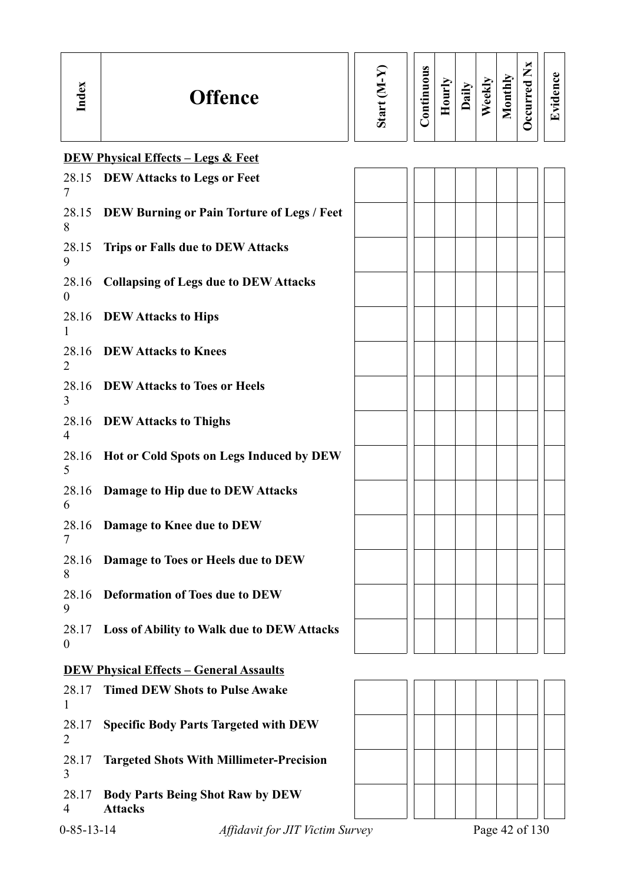| Lex<br>$\Gamma$ | <b>Offence</b>                                | ದ<br>Ö | $\omega$<br>5<br>◓<br>5<br>⊟<br>$\cdot$ $\,$<br>5 | È<br>è<br>Ξ | ail | ₫<br>E | thly<br>Ē | ×<br>—<br>P<br>O) | c۱<br>$\bullet$<br>⊡ |
|-----------------|-----------------------------------------------|--------|---------------------------------------------------|-------------|-----|--------|-----------|-------------------|----------------------|
|                 | <b>DEW Physical Effects – Legs &amp; Feet</b> |        |                                                   |             |     |        |           |                   |                      |

| 7                       | 28.15 DEW Attacks to Legs or Feet                 |  |  |  |  |
|-------------------------|---------------------------------------------------|--|--|--|--|
| 28.15<br>8              | <b>DEW Burning or Pain Torture of Legs / Feet</b> |  |  |  |  |
| 28.15<br>9              | <b>Trips or Falls due to DEW Attacks</b>          |  |  |  |  |
| 28.16<br>$\theta$       | <b>Collapsing of Legs due to DEW Attacks</b>      |  |  |  |  |
|                         | 28.16 DEW Attacks to Hips                         |  |  |  |  |
| 2                       | 28.16 DEW Attacks to Knees                        |  |  |  |  |
| 28.16<br>3              | <b>DEW Attacks to Toes or Heels</b>               |  |  |  |  |
| 28.16<br>$\overline{4}$ | <b>DEW Attacks to Thighs</b>                      |  |  |  |  |
| 28.16<br>5              | Hot or Cold Spots on Legs Induced by DEW          |  |  |  |  |
| 28.16<br>6              | Damage to Hip due to DEW Attacks                  |  |  |  |  |
| 28.16<br>7              | Damage to Knee due to DEW                         |  |  |  |  |
| 28.16<br>8              | Damage to Toes or Heels due to DEW                |  |  |  |  |
| 28.16<br>9              | <b>Deformation of Toes due to DEW</b>             |  |  |  |  |
| $\boldsymbol{0}$        | 28.17 Loss of Ability to Walk due to DEW Attacks  |  |  |  |  |
|                         | <b>DEW Physical Effects - General Assaults</b>    |  |  |  |  |
| 28.17<br>1              | <b>Timed DEW Shots to Pulse Awake</b>             |  |  |  |  |
| 28.17<br>2              | <b>Specific Body Parts Targeted with DEW</b>      |  |  |  |  |
| 28.17<br>3              | <b>Targeted Shots With Millimeter-Precision</b>   |  |  |  |  |

28.17 4 **Body Parts Being Shot Raw by DEW Attacks**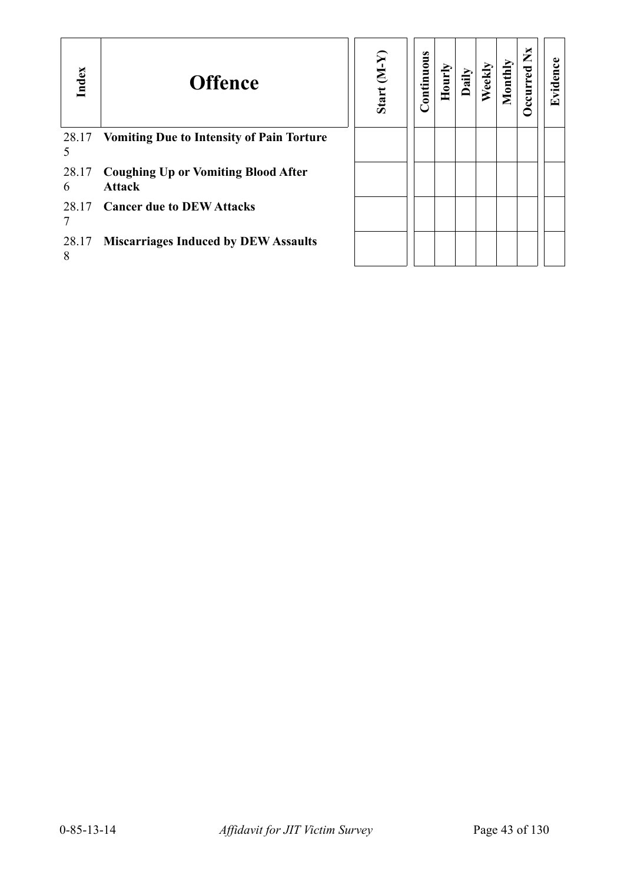| Index      | <b>Offence</b>                                              | $(Y-W)$<br>Start | Continuous | Hourly | Daily | $e$ ekl | onthly | ×<br>Ž | $\mathbf{g}$<br><u>ਰੁੱ</u><br>$\mathbf{r}$ |
|------------|-------------------------------------------------------------|------------------|------------|--------|-------|---------|--------|--------|--------------------------------------------|
| 28.17      | <b>Vomiting Due to Intensity of Pain Torture</b>            |                  |            |        |       |         |        |        |                                            |
| 28.17<br>6 | <b>Coughing Up or Vomiting Blood After</b><br><b>Attack</b> |                  |            |        |       |         |        |        |                                            |
| 28.17      | <b>Cancer due to DEW Attacks</b>                            |                  |            |        |       |         |        |        |                                            |
| 28.17<br>8 | <b>Miscarriages Induced by DEW Assaults</b>                 |                  |            |        |       |         |        |        |                                            |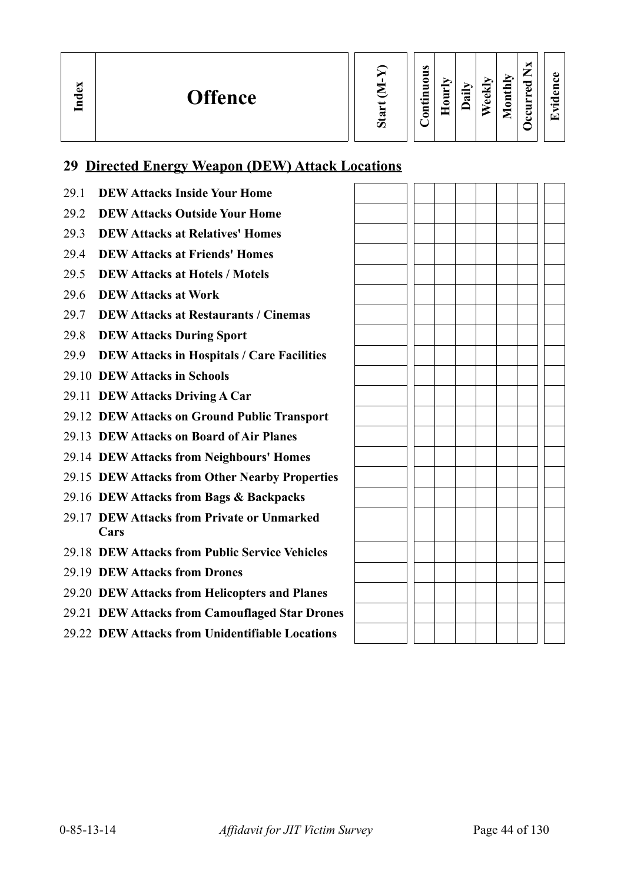**In dex**

**Hourly Daily**

| $_{\text{onthl}}$<br>Weekl<br>Σ | Ξ<br>ccurred |  |
|---------------------------------|--------------|--|
|---------------------------------|--------------|--|

**Evid ence**

# **29 Directed Energy Weapon (DEW) Attack Locations**

29.1 **DEW Attacks Inside Your Home** 29.2 **DEW Attacks Outside Your Home** 29.3 **DEW Attacks at Relatives' Homes** 29.4 **DEW Attacks at Friends' Homes** 29.5 **DEW Attacks at Hotels / Motels** 29.6 **DEW Attacks at Work** 29.7 **DEW Attacks at Restaurants / Cinemas** 29.8 **DEW Attacks During Sport** 29.9 **DEW Attacks in Hospitals / Care Facilities** 29.10 **DEW Attacks in Schools** 29.11 **DEW Attacks Driving A Car** 29.12 **DEW Attacks on Ground Public Transport** 29.13 **DEW Attacks on Board of Air Planes** 29.14 **DEW Attacks from Neighbours' Homes** 29.15 **DEW Attacks from Other Nearby Properties** 29.16 **DEW Attacks from Bags & Backpacks** 29.17 **DEW Attacks from Private or Unmarked Cars** 29.18 **DEW Attacks from Public Service Vehicles** 29.19 **DEW Attacks from Drones** 29.20 **DEW Attacks from Helicopters and Planes** 29.21 **DEW Attacks from Camouflaged Star Drones** 29.22 **DEW Attacks from Unidentifiable Locations**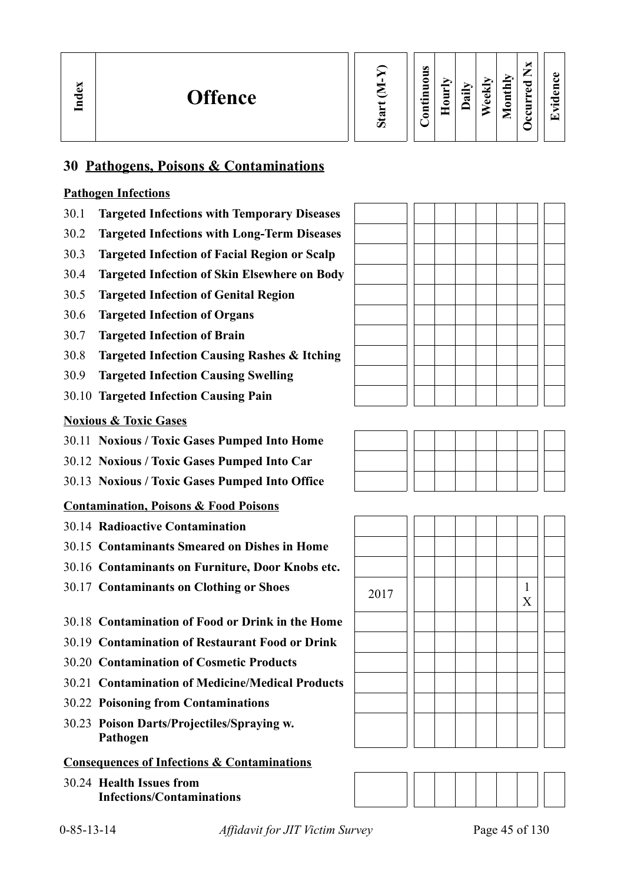

#### **Contin uous Hourly D We ekly aily Monthly OccurredNxEvid ence**

# **30 Pathogens, Poisons & Contaminations**

#### **Pathogen Infections**

- 30.1 **Targeted Infections with Temporary Diseases**
- 30.2 **Targeted Infections with Long-Term Diseases**
- 30.3 **Targeted Infection of Facial Region or Scalp**
- 30.4 **Targeted Infection of Skin Elsewhere on Body**
- 30.5 **Targeted Infection of Genital Region**
- 30.6 **Targeted Infection of Organs**
- 30.7 **Targeted Infection of Brain**
- 30.8 **Targeted Infection Causing Rashes & Itching**
- 30.9 **Targeted Infection Causing Swelling**
- 30.10 **Targeted Infection Causing Pain**

#### **Noxious & Toxic Gases**

- 30.11 **Noxious / Toxic Gases Pumped Into Home**
- 30.12 **Noxious / Toxic Gases Pumped Into Car**
- 30.13 **Noxious / Toxic Gases Pumped Into Office**

# **Contamination, Poisons & Food Poisons**

- 30.14 **Radioactive Contamination**
- 30.15 **Contaminants Smeared on Dishes in Home**
- 30.16 **Contaminants on Furniture, Door Knobs etc.**
- 30.17 **Contaminants on Clothing or Shoes** 2017 | | | | | | | 1
- 30.18 **Contamination of Food or Drink in the Home**
- 30.19 **Contamination of Restaurant Food or Drink**
- 30.20 **Contamination of Cosmetic Products**
- 30.21 **Contamination of Medicine/Medical Products**
- 30.22 **Poisoning from Contaminations**
- 30.23 **Poison Darts/Projectiles/Spraying w. Pathogen**

# **Consequences of Infections & Contaminations**

30.24 **Health Issues from Infections/Contaminations**







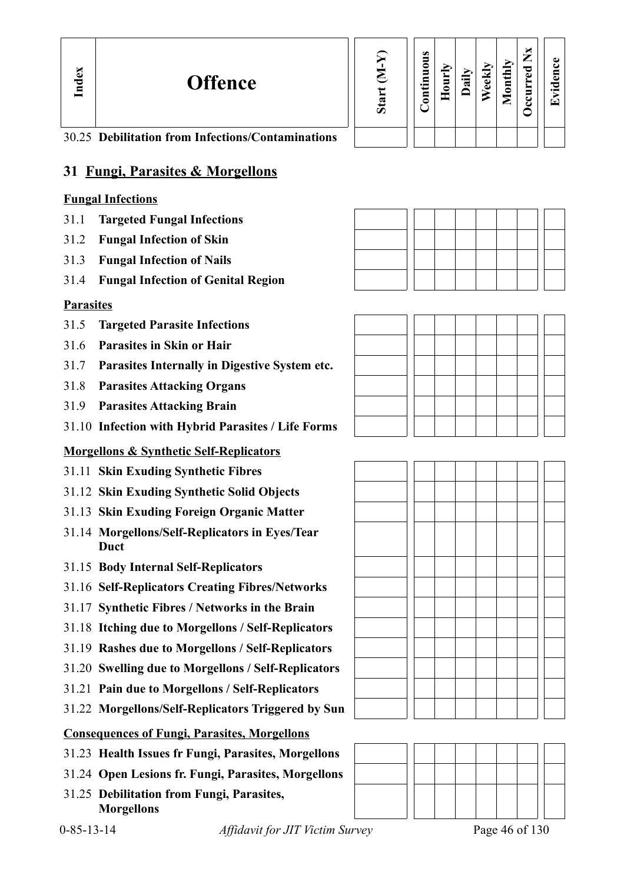**Offence**

| Start (M-Y) | Continuous | Hourly | Daily | Weekly | Monthly | Occurred Nx |
|-------------|------------|--------|-------|--------|---------|-------------|
|             |            |        |       |        |         |             |

**Evid ence**

30.25 **Debilitation from Infections/Contaminations**

# **31 Fungi, Parasites & Morgellons**

#### **Fungal Infections**

- 31.1 **Targeted Fungal Infections**
- 31.2 **Fungal Infection of Skin**
- 31.3 **Fungal Infection of Nails**
- 31.4 **Fungal Infection of Genital Region**

# **Parasites**

- 31.5 **Targeted Parasite Infections**
- 31.6 **Parasites in Skin or Hair**
- 31.7 **Parasites Internally in Digestive System etc.**
- 31.8 **Parasites Attacking Organs**
- 31.9 **Parasites Attacking Brain**
- 31.10 **Infection with Hybrid Parasites / Life Forms**

# **Morgellons & Synthetic Self-Replicators**

- 31.11 **Skin Exuding Synthetic Fibres**
- 31.12 **Skin Exuding Synthetic Solid Objects**
- 31.13 **Skin Exuding Foreign Organic Matter**
- 31.14 **Morgellons/Self-Replicators in Eyes/Tear Duct**
- 31.15 **Body Internal Self-Replicators**
- 31.16 **Self-Replicators Creating Fibres/Networks**
- 31.17 **Synthetic Fibres / Networks in the Brain**
- 31.18 **Itching due to Morgellons / Self-Replicators**
- 31.19 **Rashes due to Morgellons / Self-Replicators**
- 31.20 **Swelling due to Morgellons / Self-Replicators**
- 31.21 **Pain due to Morgellons / Self-Replicators**
- 31.22 **Morgellons/Self-Replicators Triggered by Sun**

#### **Consequences of Fungi, Parasites, Morgellons**

- 31.23 **Health Issues fr Fungi, Parasites, Morgellons**
- 31.24 **Open Lesions fr. Fungi, Parasites, Morgellons**
- 31.25 **Debilitation from Fungi, Parasites, Morgellons**





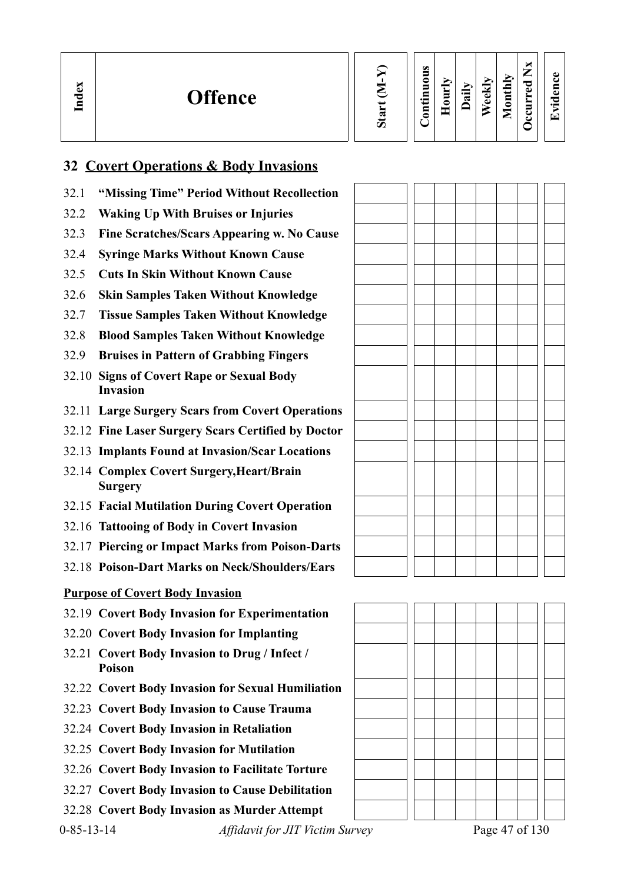| lex<br><b>Offence</b><br>≂<br>든 |  | Ø<br>⊂<br>5<br>⊏<br>$\bullet$<br>⊟<br>0 | ➢<br>È<br>c | ≂ | ≂<br>$\bullet$<br>$\Phi$ | Ыy<br>پ<br>5<br>_ | ×<br>–<br>_<br>ಾ<br>ω<br>_<br>5<br>ల<br>ت | $\bullet$ $\blacksquare$<br>$\mathbf \tau$ |
|---------------------------------|--|-----------------------------------------|-------------|---|--------------------------|-------------------|-------------------------------------------|--------------------------------------------|
|---------------------------------|--|-----------------------------------------|-------------|---|--------------------------|-------------------|-------------------------------------------|--------------------------------------------|

# **32 Covert Operations & Body Invasions**

- 32.1 **"Missing Time" Period Without Recollection**
- 32.2 **Waking Up With Bruises or Injuries**
- 32.3 **Fine Scratches/Scars Appearing w. No Cause**
- 32.4 **Syringe Marks Without Known Cause**
- 32.5 **Cuts In Skin Without Known Cause**
- 32.6 **Skin Samples Taken Without Knowledge**
- 32.7 **Tissue Samples Taken Without Knowledge**
- 32.8 **Blood Samples Taken Without Knowledge**
- 32.9 **Bruises in Pattern of Grabbing Fingers**
- 32.10 **Signs of Covert Rape or Sexual Body Invasion**
- 32.11 **Large Surgery Scars from Covert Operations**
- 32.12 **Fine Laser Surgery Scars Certified by Doctor**
- 32.13 **Implants Found at Invasion/Scar Locations**
- 32.14 **Complex Covert Surgery,Heart/Brain Surgery**
- 32.15 **Facial Mutilation During Covert Operation**
- 32.16 **Tattooing of Body in Covert Invasion**
- 32.17 **Piercing or Impact Marks from Poison-Darts**
- 32.18 **Poison-Dart Marks on Neck/Shoulders/Ears**

#### **Purpose of Covert Body Invasion**

- 32.19 **Covert Body Invasion for Experimentation**
- 32.20 **Covert Body Invasion for Implanting**
- 32.21 **Covert Body Invasion to Drug / Infect / Poison**
- 32.22 **Covert Body Invasion for Sexual Humiliation**
- 32.23 **Covert Body Invasion to Cause Trauma**
- 32.24 **Covert Body Invasion in Retaliation**
- 32.25 **Covert Body Invasion for Mutilation**
- 32.26 **Covert Body Invasion to Facilitate Torture**
- 32.27 **Covert Body Invasion to Cause Debilitation**
- 32.28 **Covert Body Invasion as Murder Attempt**

0-85-13-14 *Affidavit for JIT Victim Survey* Page 47 of 130



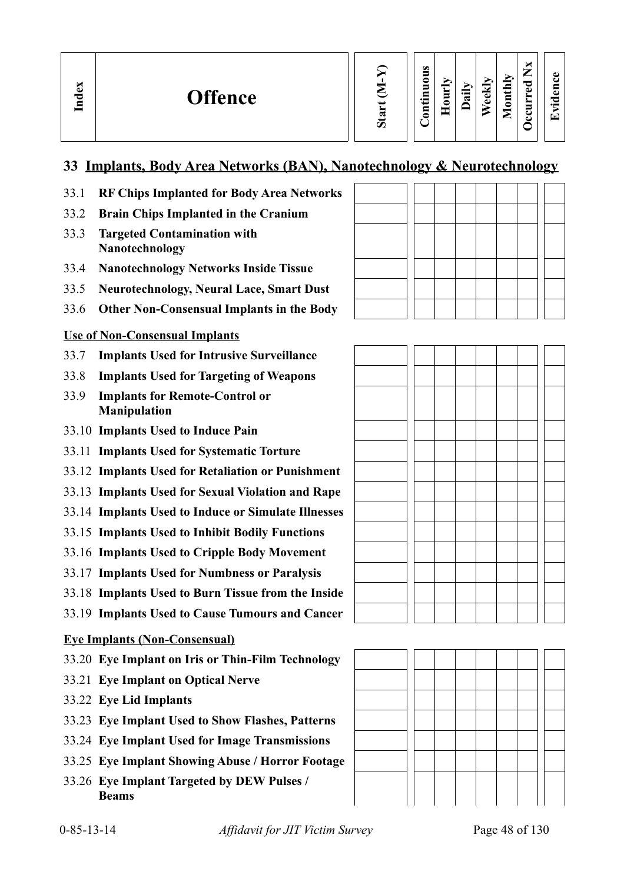| Start (M-Y | Continuous<br>Hourly | Daily |
|------------|----------------------|-------|
|------------|----------------------|-------|

| ccurred | vidence<br>$\mathbf{r}$ |
|---------|-------------------------|
|         |                         |

**We ekly**

**Monthly**

# **33 Implants, Body Area Networks (BAN), Nanotechnology & Neurotechnology**

- 33.1 **RF Chips Implanted for Body Area Networks**
- 33.2 **Brain Chips Implanted in the Cranium**
- 33.3 **Targeted Contamination with Nanotechnology**

**In dex**

- 33.4 **Nanotechnology Networks Inside Tissue**
- 33.5 **Neurotechnology, Neural Lace, Smart Dust**
- 33.6 **Other Non-Consensual Implants in the Body**

#### **Use of Non-Consensual Implants**

- 33.7 **Implants Used for Intrusive Surveillance**
- 33.8 **Implants Used for Targeting of Weapons**
- 33.9 **Implants for Remote-Control or Manipulation**
- 33.10 **Implants Used to Induce Pain**
- 33.11 **Implants Used for Systematic Torture**
- 33.12 **Implants Used for Retaliation or Punishment**
- 33.13 **Implants Used for Sexual Violation and Rape**
- 33.14 **Implants Used to Induce or Simulate Illnesses**
- 33.15 **Implants Used to Inhibit Bodily Functions**
- 33.16 **Implants Used to Cripple Body Movement**
- 33.17 **Implants Used for Numbness or Paralysis**
- 33.18 **Implants Used to Burn Tissue from the Inside**
- 33.19 **Implants Used to Cause Tumours and Cancer**

#### **Eye Implants (Non-Consensual)**

- 33.20 **Eye Implant on Iris or Thin-Film Technology**
- 33.21 **Eye Implant on Optical Nerve**
- 33.22 **Eye Lid Implants**
- 33.23 **Eye Implant Used to Show Flashes, Patterns**
- 33.24 **Eye Implant Used for Image Transmissions**
- 33.25 **Eye Implant Showing Abuse / Horror Footage**
- 33.26 **Eye Implant Targeted by DEW Pulses / Beams**

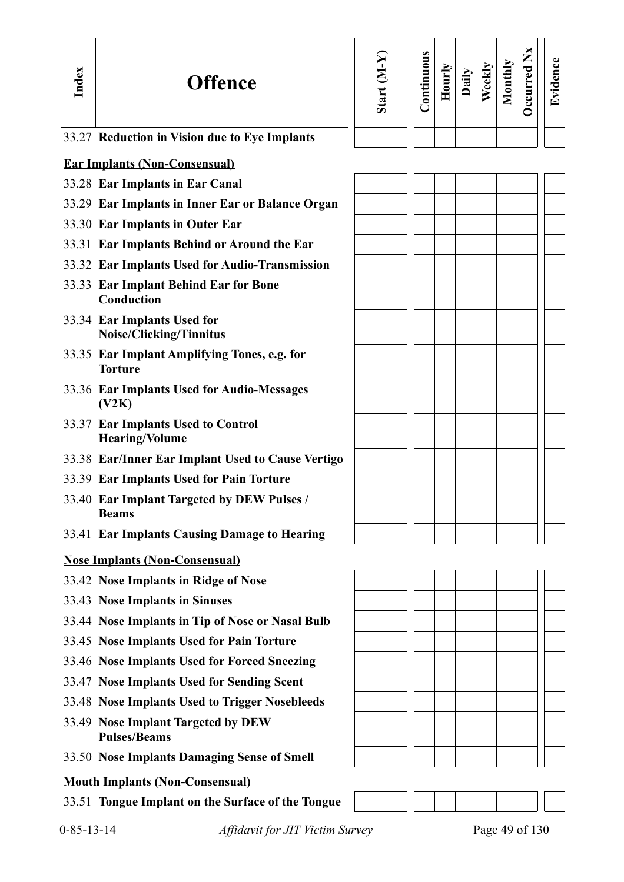| Index | <b>Offence</b>                                                 | Start (M-Y | Continuous | Hourly | Daily | Weekly | Monthly | Occurred Nx | Evidence |
|-------|----------------------------------------------------------------|------------|------------|--------|-------|--------|---------|-------------|----------|
|       | 33.27 Reduction in Vision due to Eye Implants                  |            |            |        |       |        |         |             |          |
|       | <b>Ear Implants (Non-Consensual)</b>                           |            |            |        |       |        |         |             |          |
|       | 33.28 Ear Implants in Ear Canal                                |            |            |        |       |        |         |             |          |
|       | 33.29 Ear Implants in Inner Ear or Balance Organ               |            |            |        |       |        |         |             |          |
|       | 33.30 Ear Implants in Outer Ear                                |            |            |        |       |        |         |             |          |
|       | 33.31 Ear Implants Behind or Around the Ear                    |            |            |        |       |        |         |             |          |
|       | 33.32 Ear Implants Used for Audio-Transmission                 |            |            |        |       |        |         |             |          |
|       | 33.33 Ear Implant Behind Ear for Bone<br>Conduction            |            |            |        |       |        |         |             |          |
|       | 33.34 Ear Implants Used for<br>Noise/Clicking/Tinnitus         |            |            |        |       |        |         |             |          |
|       | 33.35 Ear Implant Amplifying Tones, e.g. for<br><b>Torture</b> |            |            |        |       |        |         |             |          |
|       | 33.36 Ear Implants Used for Audio-Messages<br>(V2K)            |            |            |        |       |        |         |             |          |
|       | 33.37 Ear Implants Used to Control<br><b>Hearing/Volume</b>    |            |            |        |       |        |         |             |          |
|       | 33.38 Ear/Inner Ear Implant Used to Cause Vertigo              |            |            |        |       |        |         |             |          |
|       | 33.39 Ear Implants Used for Pain Torture                       |            |            |        |       |        |         |             |          |
|       | 33.40 Ear Implant Targeted by DEW Pulses /<br><b>Beams</b>     |            |            |        |       |        |         |             |          |
|       | 33.41 Ear Implants Causing Damage to Hearing                   |            |            |        |       |        |         |             |          |
|       | <b>Nose Implants (Non-Consensual)</b>                          |            |            |        |       |        |         |             |          |
|       | 33.42 Nose Implants in Ridge of Nose                           |            |            |        |       |        |         |             |          |
|       | 33.43 Nose Implants in Sinuses                                 |            |            |        |       |        |         |             |          |
|       | 33.44 Nose Implants in Tip of Nose or Nasal Bulb               |            |            |        |       |        |         |             |          |
|       | 33.45 Nose Implants Used for Pain Torture                      |            |            |        |       |        |         |             |          |
|       | 33.46 Nose Implants Used for Forced Sneezing                   |            |            |        |       |        |         |             |          |
|       | 33.47 Nose Implants Used for Sending Scent                     |            |            |        |       |        |         |             |          |
|       | 33.48 Nose Implants Used to Trigger Nosebleeds                 |            |            |        |       |        |         |             |          |
|       | 33.49 Nose Implant Targeted by DEW<br><b>Pulses/Beams</b>      |            |            |        |       |        |         |             |          |
|       | 33.50 Nose Implants Damaging Sense of Smell                    |            |            |        |       |        |         |             |          |
|       | <b>Mouth Implants (Non-Consensual)</b>                         |            |            |        |       |        |         |             |          |
|       | 33.51 Tongue Implant on the Surface of the Tongue              |            |            |        |       |        |         |             |          |

0-85-13-14 *Affidavit for JIT Victim Survey* Page 49 of 130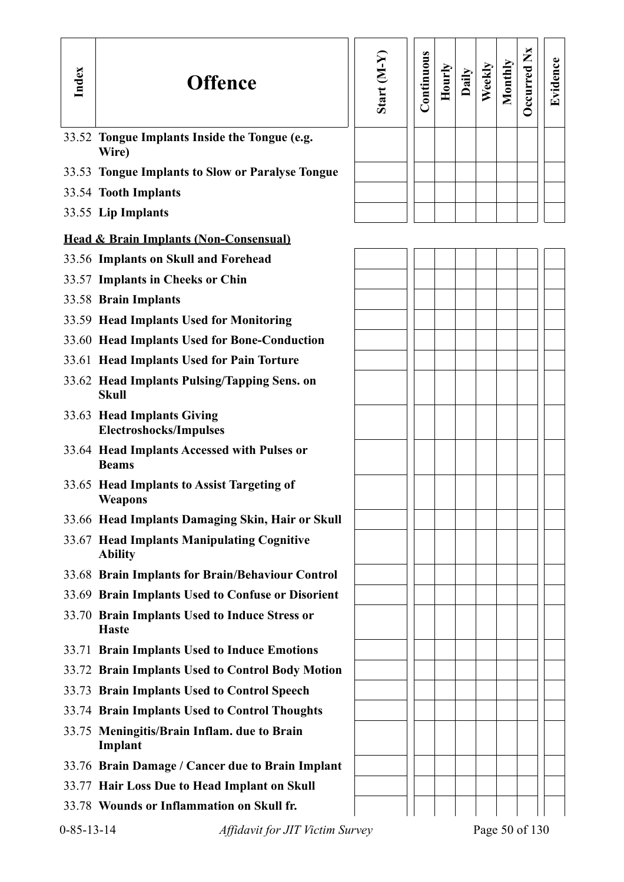| Index | <b>Offence</b>                                                | Start (M-Y) | Continuous | Hourly | Daily | Weekly | Monthly | Occurred Nx | Evidence |
|-------|---------------------------------------------------------------|-------------|------------|--------|-------|--------|---------|-------------|----------|
|       | 33.52 Tongue Implants Inside the Tongue (e.g.<br>Wire)        |             |            |        |       |        |         |             |          |
|       | 33.53 Tongue Implants to Slow or Paralyse Tongue              |             |            |        |       |        |         |             |          |
|       | 33.54 Tooth Implants                                          |             |            |        |       |        |         |             |          |
|       | 33.55 Lip Implants                                            |             |            |        |       |        |         |             |          |
|       | <b>Head &amp; Brain Implants (Non-Consensual)</b>             |             |            |        |       |        |         |             |          |
|       | 33.56 Implants on Skull and Forehead                          |             |            |        |       |        |         |             |          |
|       | 33.57 Implants in Cheeks or Chin                              |             |            |        |       |        |         |             |          |
|       | 33.58 Brain Implants                                          |             |            |        |       |        |         |             |          |
|       | 33.59 Head Implants Used for Monitoring                       |             |            |        |       |        |         |             |          |
|       | 33.60 Head Implants Used for Bone-Conduction                  |             |            |        |       |        |         |             |          |
|       | 33.61 Head Implants Used for Pain Torture                     |             |            |        |       |        |         |             |          |
|       | 33.62 Head Implants Pulsing/Tapping Sens. on<br><b>Skull</b>  |             |            |        |       |        |         |             |          |
|       | 33.63 Head Implants Giving<br><b>Electroshocks/Impulses</b>   |             |            |        |       |        |         |             |          |
|       | 33.64 Head Implants Accessed with Pulses or<br><b>Beams</b>   |             |            |        |       |        |         |             |          |
|       | 33.65 Head Implants to Assist Targeting of<br>Weapons         |             |            |        |       |        |         |             |          |
|       | 33.66 Head Implants Damaging Skin, Hair or Skull              |             |            |        |       |        |         |             |          |
|       | 33.67 Head Implants Manipulating Cognitive<br><b>Ability</b>  |             |            |        |       |        |         |             |          |
|       | 33.68 Brain Implants for Brain/Behaviour Control              |             |            |        |       |        |         |             |          |
|       | 33.69 Brain Implants Used to Confuse or Disorient             |             |            |        |       |        |         |             |          |
|       | 33.70 Brain Implants Used to Induce Stress or<br><b>Haste</b> |             |            |        |       |        |         |             |          |
|       | 33.71 Brain Implants Used to Induce Emotions                  |             |            |        |       |        |         |             |          |
|       | 33.72 Brain Implants Used to Control Body Motion              |             |            |        |       |        |         |             |          |
|       | 33.73 Brain Implants Used to Control Speech                   |             |            |        |       |        |         |             |          |
|       | 33.74 Brain Implants Used to Control Thoughts                 |             |            |        |       |        |         |             |          |
|       | 33.75 Meningitis/Brain Inflam. due to Brain<br>Implant        |             |            |        |       |        |         |             |          |
|       | 33.76 Brain Damage / Cancer due to Brain Implant              |             |            |        |       |        |         |             |          |
|       | 33.77 Hair Loss Due to Head Implant on Skull                  |             |            |        |       |        |         |             |          |
|       | 33.78 Wounds or Inflammation on Skull fr.                     |             |            |        |       |        |         |             |          |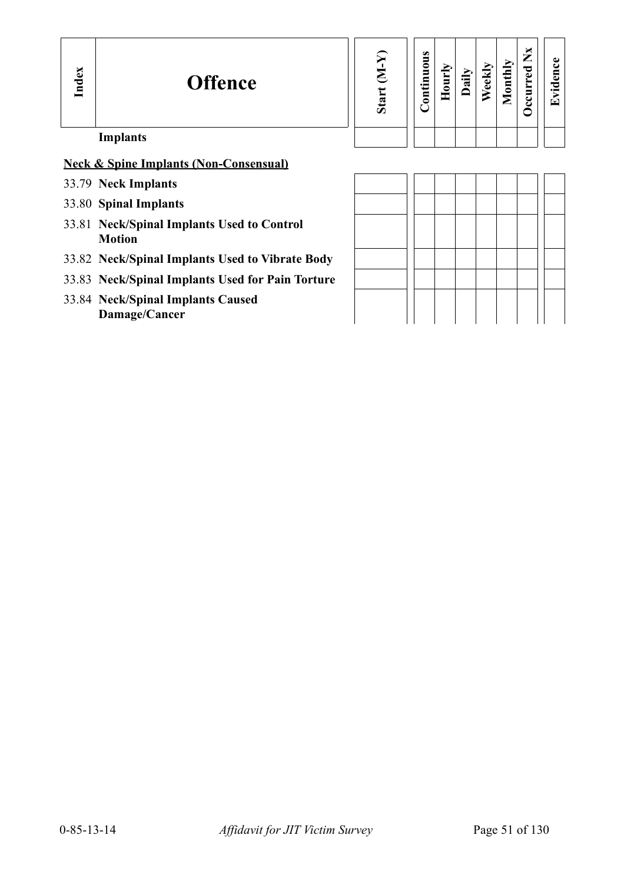| Index | <b>Offence</b>                                              | Start (M-Y) | Continuous | Hourly | Daily | Weekly | Monthly | $\mathbf{X}$<br><b>Decurred</b> | vidence<br>ല |
|-------|-------------------------------------------------------------|-------------|------------|--------|-------|--------|---------|---------------------------------|--------------|
|       | <b>Implants</b>                                             |             |            |        |       |        |         |                                 |              |
|       | <b>Neck &amp; Spine Implants (Non-Consensual)</b>           |             |            |        |       |        |         |                                 |              |
|       | 33.79 Neck Implants                                         |             |            |        |       |        |         |                                 |              |
|       | 33.80 Spinal Implants                                       |             |            |        |       |        |         |                                 |              |
|       | 33.81 Neck/Spinal Implants Used to Control<br><b>Motion</b> |             |            |        |       |        |         |                                 |              |
|       | 33.82 Neck/Spinal Implants Used to Vibrate Body             |             |            |        |       |        |         |                                 |              |
|       | 33.83 Neck/Spinal Implants Used for Pain Torture            |             |            |        |       |        |         |                                 |              |

33.84 **Neck/Spinal Implants Caused Damage/Cancer**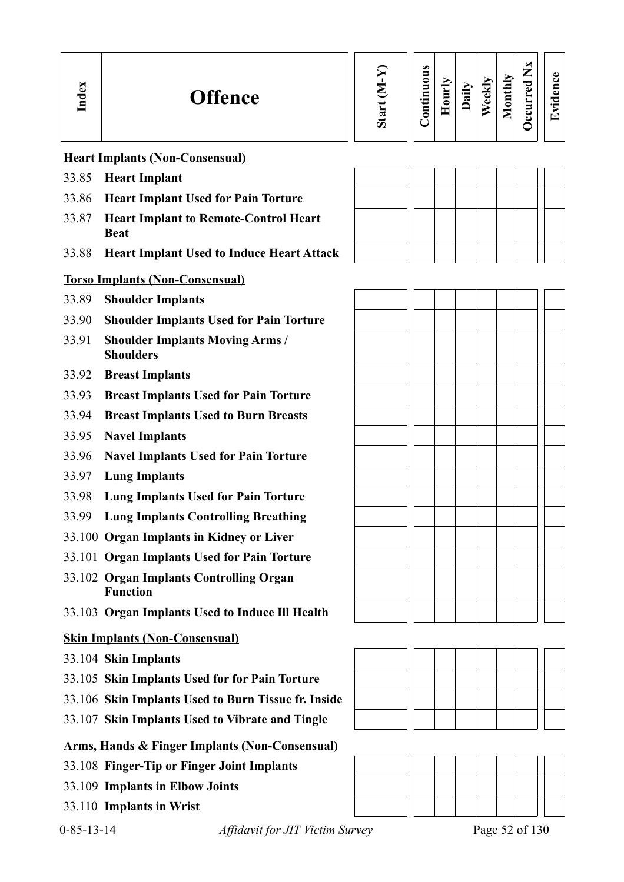| S<br><b>Offence</b><br>≂ | " | ο<br>5<br>0<br>5<br>⊟<br>$\cdot$ $-$<br>5 | Ĕ<br>═ | ह्न | $\overline{\phantom{a}}$<br>نه<br>Φ | thly<br>5<br>-<br>_ | ы<br>∽<br>⇁<br>_<br>ెం<br>ω<br>౿<br>ల | O)<br>О.<br>$\bullet$<br>⇁ |
|--------------------------|---|-------------------------------------------|--------|-----|-------------------------------------|---------------------|---------------------------------------|----------------------------|
|--------------------------|---|-------------------------------------------|--------|-----|-------------------------------------|---------------------|---------------------------------------|----------------------------|

#### **Heart Implants (Non-Consensual)**

- 33.85 **Heart Implant**
- 33.86 **Heart Implant Used for Pain Torture**
- 33.87 **Heart Implant to Remote-Control Heart Beat**
- 33.88 **Heart Implant Used to Induce Heart Attack**

#### **Torso Implants (Non-Consensual)**

- 33.89 **Shoulder Implants**
- 33.90 **Shoulder Implants Used for Pain Torture**
- 33.91 **Shoulder Implants Moving Arms / Shoulders**
- 33.92 **Breast Implants**
- 33.93 **Breast Implants Used for Pain Torture**
- 33.94 **Breast Implants Used to Burn Breasts**
- 33.95 **Navel Implants**
- 33.96 **Navel Implants Used for Pain Torture**
- 33.97 **Lung Implants**
- 33.98 **Lung Implants Used for Pain Torture**
- 33.99 **Lung Implants Controlling Breathing**
- 33.100 **Organ Implants in Kidney or Liver**
- 33.101 **Organ Implants Used for Pain Torture**
- 33.102 **Organ Implants Controlling Organ Function**
- 33.103 **Organ Implants Used to Induce Ill Health**

#### **Skin Implants (Non-Consensual)**

- 33.104 **Skin Implants**
- 33.105 **Skin Implants Used for for Pain Torture**
- 33.106 **Skin Implants Used to Burn Tissue fr. Inside**
- 33.107 **Skin Implants Used to Vibrate and Tingle**

#### **Arms, Hands & Finger Implants (Non-Consensual)**

- 33.108 **Finger-Tip or Finger Joint Implants**
- 33.109 **Implants in Elbow Joints**
- 33.110 **Implants in Wrist**







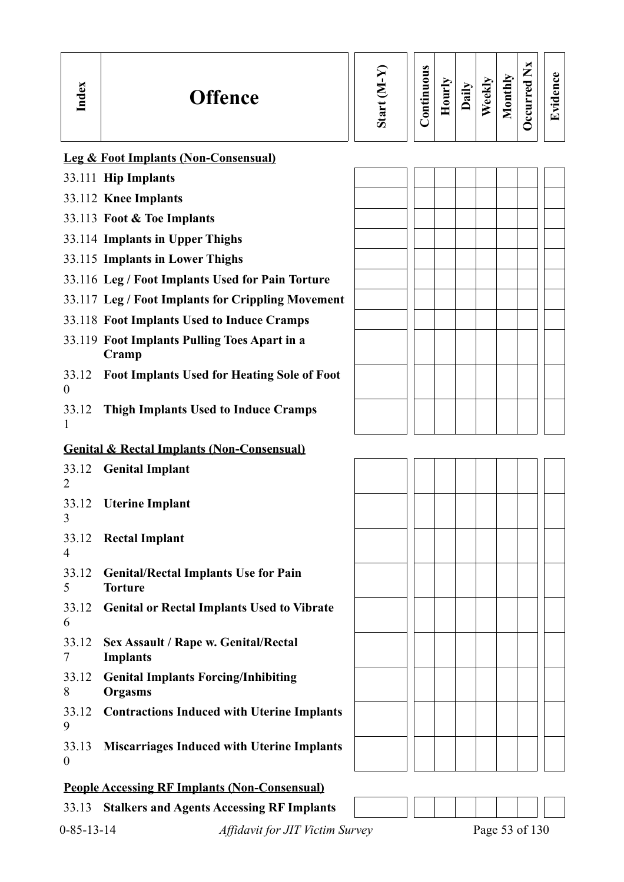| Index                     | <b>Offence</b>                                                | Start (M-Y) | Continuous | Hourly | Daily | Weekly | Monthly | Occurred Nx | Evidence |
|---------------------------|---------------------------------------------------------------|-------------|------------|--------|-------|--------|---------|-------------|----------|
|                           | <b>Leg &amp; Foot Implants (Non-Consensual)</b>               |             |            |        |       |        |         |             |          |
|                           | 33.111 Hip Implants                                           |             |            |        |       |        |         |             |          |
|                           | 33.112 Knee Implants                                          |             |            |        |       |        |         |             |          |
|                           | 33.113 Foot & Toe Implants                                    |             |            |        |       |        |         |             |          |
|                           | 33.114 Implants in Upper Thighs                               |             |            |        |       |        |         |             |          |
|                           | 33.115 Implants in Lower Thighs                               |             |            |        |       |        |         |             |          |
|                           | 33.116 Leg / Foot Implants Used for Pain Torture              |             |            |        |       |        |         |             |          |
|                           | 33.117 Leg / Foot Implants for Crippling Movement             |             |            |        |       |        |         |             |          |
|                           | 33.118 Foot Implants Used to Induce Cramps                    |             |            |        |       |        |         |             |          |
|                           | 33.119 Foot Implants Pulling Toes Apart in a<br>Cramp         |             |            |        |       |        |         |             |          |
| 33.12<br>$\overline{0}$   | <b>Foot Implants Used for Heating Sole of Foot</b>            |             |            |        |       |        |         |             |          |
| 33.12<br>1                | <b>Thigh Implants Used to Induce Cramps</b>                   |             |            |        |       |        |         |             |          |
|                           | <b>Genital &amp; Rectal Implants (Non-Consensual)</b>         |             |            |        |       |        |         |             |          |
| 33.12<br>2                | <b>Genital Implant</b>                                        |             |            |        |       |        |         |             |          |
| 33.12<br>3                | <b>Uterine Implant</b>                                        |             |            |        |       |        |         |             |          |
| 33.12<br>$\overline{4}$   | <b>Rectal Implant</b>                                         |             |            |        |       |        |         |             |          |
| 33.12<br>5                | <b>Genital/Rectal Implants Use for Pain</b><br><b>Torture</b> |             |            |        |       |        |         |             |          |
| 33.12<br>6                | <b>Genital or Rectal Implants Used to Vibrate</b>             |             |            |        |       |        |         |             |          |
| 33.12<br>7                | Sex Assault / Rape w. Genital/Rectal<br><b>Implants</b>       |             |            |        |       |        |         |             |          |
| 33.12<br>8                | <b>Genital Implants Forcing/Inhibiting</b><br><b>Orgasms</b>  |             |            |        |       |        |         |             |          |
| 33.12<br>9                | <b>Contractions Induced with Uterine Implants</b>             |             |            |        |       |        |         |             |          |
| 33.13<br>$\boldsymbol{0}$ | <b>Miscarriages Induced with Uterine Implants</b>             |             |            |        |       |        |         |             |          |
|                           | <b>People Accessing RF Implants (Non-Consensual)</b>          |             |            |        |       |        |         |             |          |
| 33.13                     | <b>Stalkers and Agents Accessing RF Implants</b>              |             |            |        |       |        |         |             |          |

0-85-13-14 *Affidavit for JIT Victim Survey* Page 53 of 130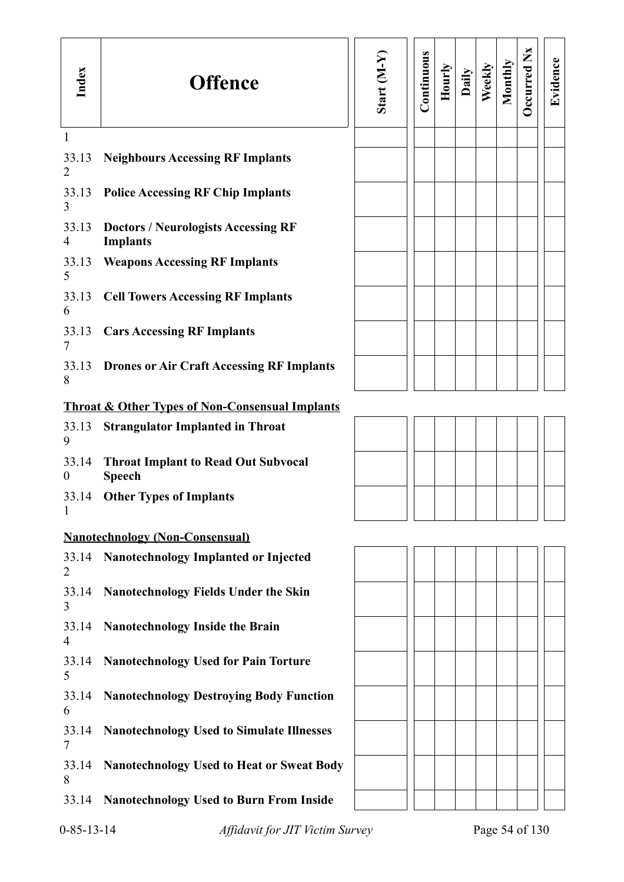| Index                     | <b>Offence</b>                                                | Start $(M-Y)$ | Continuous | Hourly | Daily | Weekly | Monthly | Occurred Nx    | Evidence |
|---------------------------|---------------------------------------------------------------|---------------|------------|--------|-------|--------|---------|----------------|----------|
| 1<br>33.13<br>2           | <b>Neighbours Accessing RF Implants</b>                       |               |            |        |       |        |         |                |          |
| 33.13<br>3                | <b>Police Accessing RF Chip Implants</b>                      |               |            |        |       |        |         |                |          |
| 33.13<br>4                | <b>Doctors / Neurologists Accessing RF</b><br><b>Implants</b> |               |            |        |       |        |         |                |          |
| 33.13<br>5                | <b>Weapons Accessing RF Implants</b>                          |               |            |        |       |        |         |                |          |
| 33.13<br>6                | <b>Cell Towers Accessing RF Implants</b>                      |               |            |        |       |        |         |                |          |
| 33.13<br>7                | <b>Cars Accessing RF Implants</b>                             |               |            |        |       |        |         |                |          |
| 33.13<br>8                | <b>Drones or Air Craft Accessing RF Implants</b>              |               |            |        |       |        |         |                |          |
|                           | <b>Throat &amp; Other Types of Non-Consensual Implants</b>    |               |            |        |       |        |         |                |          |
| 33.13<br>9                | <b>Strangulator Implanted in Throat</b>                       |               |            |        |       |        |         |                |          |
| 33.14<br>$\boldsymbol{0}$ | <b>Throat Implant to Read Out Subvocal</b><br><b>Speech</b>   |               |            |        |       |        |         |                |          |
| 33.14                     | <b>Other Types of Implants</b>                                |               |            |        |       |        |         |                |          |
|                           | <b>Nanotechnology (Non-Consensual)</b>                        |               |            |        |       |        |         |                |          |
| 33.14<br>2                | Nanotechnology Implanted or Injected                          |               |            |        |       |        |         |                |          |
| 33.14<br>3                | <b>Nanotechnology Fields Under the Skin</b>                   |               |            |        |       |        |         |                |          |
| 33.14<br>4                | <b>Nanotechnology Inside the Brain</b>                        |               |            |        |       |        |         |                |          |
| 33.14<br>5                | <b>Nanotechnology Used for Pain Torture</b>                   |               |            |        |       |        |         |                |          |
| 33.14<br>6                | <b>Nanotechnology Destroying Body Function</b>                |               |            |        |       |        |         |                |          |
| 33.14<br>7                | <b>Nanotechnology Used to Simulate Illnesses</b>              |               |            |        |       |        |         |                |          |
| 33.14<br>8                | <b>Nanotechnology Used to Heat or Sweat Body</b>              |               |            |        |       |        |         |                |          |
| 33.14                     | <b>Nanotechnology Used to Burn From Inside</b>                |               |            |        |       |        |         |                |          |
| $0 - 85 - 13 - 14$        | Affidavit for JIT Victim Survey                               |               |            |        |       |        |         | Page 54 of 130 |          |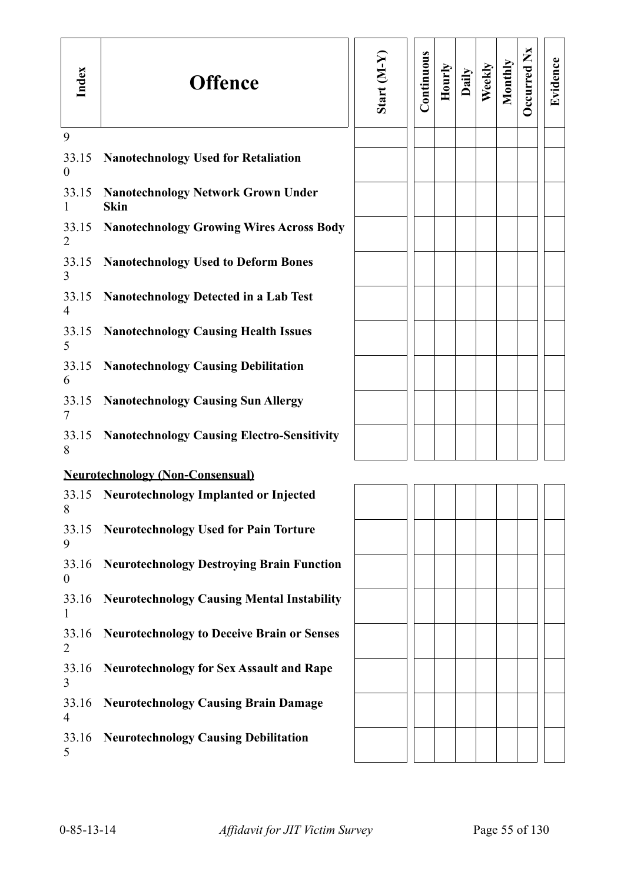| Index                     | <b>Offence</b>                                           | Start (M-Y) | Continuous | Hourly | Daily | Weekly | Monthly | Occurred Nx | Evidence |
|---------------------------|----------------------------------------------------------|-------------|------------|--------|-------|--------|---------|-------------|----------|
| 9                         |                                                          |             |            |        |       |        |         |             |          |
| 33.15<br>$\boldsymbol{0}$ | <b>Nanotechnology Used for Retaliation</b>               |             |            |        |       |        |         |             |          |
| 33.15                     | <b>Nanotechnology Network Grown Under</b><br><b>Skin</b> |             |            |        |       |        |         |             |          |
| 33.15<br>2                | <b>Nanotechnology Growing Wires Across Body</b>          |             |            |        |       |        |         |             |          |
| 33.15<br>3                | <b>Nanotechnology Used to Deform Bones</b>               |             |            |        |       |        |         |             |          |
| 33.15<br>4                | <b>Nanotechnology Detected in a Lab Test</b>             |             |            |        |       |        |         |             |          |
| 33.15<br>5                | <b>Nanotechnology Causing Health Issues</b>              |             |            |        |       |        |         |             |          |
| 33.15<br>6                | <b>Nanotechnology Causing Debilitation</b>               |             |            |        |       |        |         |             |          |
| 33.15<br>7                | <b>Nanotechnology Causing Sun Allergy</b>                |             |            |        |       |        |         |             |          |
| 33.15<br>8                | <b>Nanotechnology Causing Electro-Sensitivity</b>        |             |            |        |       |        |         |             |          |
|                           | <b>Neurotechnology (Non-Consensual)</b>                  |             |            |        |       |        |         |             |          |
| 8                         | 33.15 Neurotechnology Implanted or Injected              |             |            |        |       |        |         |             |          |
| 33.15<br>9                | <b>Neurotechnology Used for Pain Torture</b>             |             |            |        |       |        |         |             |          |
| 33.16<br>$\boldsymbol{0}$ | <b>Neurotechnology Destroying Brain Function</b>         |             |            |        |       |        |         |             |          |
| 33.16                     | <b>Neurotechnology Causing Mental Instability</b>        |             |            |        |       |        |         |             |          |
| 33.16<br>2                | <b>Neurotechnology to Deceive Brain or Senses</b>        |             |            |        |       |        |         |             |          |
| 33.16<br>3                | <b>Neurotechnology for Sex Assault and Rape</b>          |             |            |        |       |        |         |             |          |
| 33.16<br>4                | <b>Neurotechnology Causing Brain Damage</b>              |             |            |        |       |        |         |             |          |
| 33.16<br>5                | <b>Neurotechnology Causing Debilitation</b>              |             |            |        |       |        |         |             |          |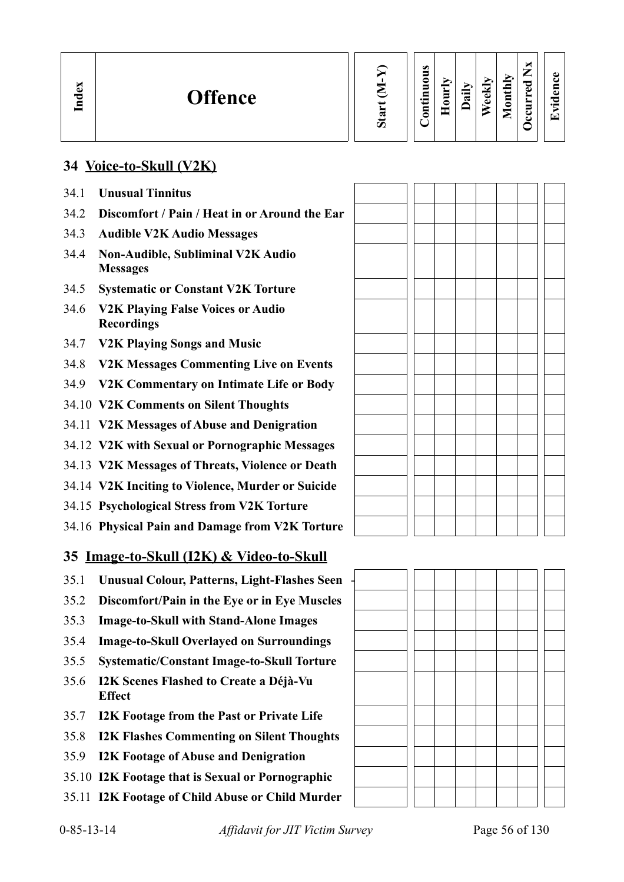| Sta |
|-----|
|     |

#### **Contin uous Hourly D We ekly aily Monthly OccurredNxEvid ence**

# **34 Voice-to-Skull (V2K)**

34.1 **Unusual Tinnitus**

**In dex**

- 34.2 **Discomfort / Pain / Heat in or Around the Ear**
- 34.3 **Audible V2K Audio Messages**
- 34.4 **Non-Audible, Subliminal V2K Audio Messages**
- 34.5 **Systematic or Constant V2K Torture**
- 34.6 **V2K Playing False Voices or Audio Recordings**
- 34.7 **V2K Playing Songs and Music**
- 34.8 **V2K Messages Commenting Live on Events**
- 34.9 **V2K Commentary on Intimate Life or Body**
- 34.10 **V2K Comments on Silent Thoughts**
- 34.11 **V2K Messages of Abuse and Denigration**
- 34.12 **V2K with Sexual or Pornographic Messages**
- 34.13 **V2K Messages of Threats, Violence or Death**
- 34.14 **V2K Inciting to Violence, Murder or Suicide**
- 34.15 **Psychological Stress from V2K Torture**
- 34.16 **Physical Pain and Damage from V2K Torture**

# **35 Image-to-Skull (I2K) & Video-to-Skull**

- 35.1 **Unusual Colour, Patterns, Light-Flashes Seen** -
- 35.2 **Discomfort/Pain in the Eye or in Eye Muscles**
- 35.3 **Image-to-Skull with Stand-Alone Images**
- 35.4 **Image-to-Skull Overlayed on Surroundings**
- 35.5 **Systematic/Constant Image-to-Skull Torture**
- 35.6 **I2K Scenes Flashed to Create a Déjà-Vu Effect**
- 35.7 **I2K Footage from the Past or Private Life**
- 35.8 **I2K Flashes Commenting on Silent Thoughts**
- 35.9 **I2K Footage of Abuse and Denigration**
- 35.10 **I2K Footage that is Sexual or Pornographic**
- 35.11 **I2K Footage of Child Abuse or Child Murder**

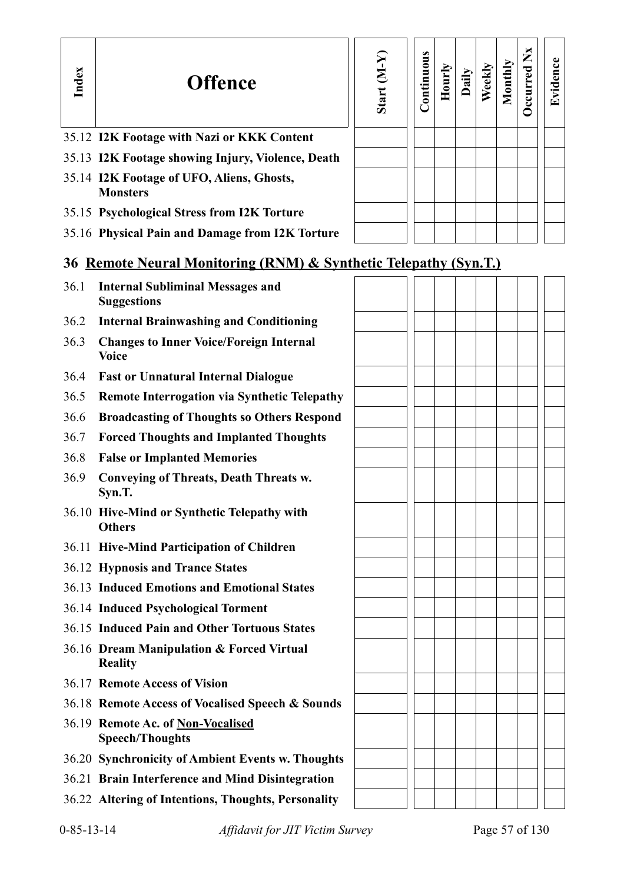| Index | <b>Offence</b>                                                   | Start (M-Y) | Continuous | Hourly | Daily | Weekly | Monthly | Occurred Nx | Evidence |
|-------|------------------------------------------------------------------|-------------|------------|--------|-------|--------|---------|-------------|----------|
|       | 35.12 I2K Footage with Nazi or KKK Content                       |             |            |        |       |        |         |             |          |
|       | 35.13 I2K Footage showing Injury, Violence, Death                |             |            |        |       |        |         |             |          |
|       | 35.14 I2K Footage of UFO, Aliens, Ghosts,<br><b>Monsters</b>     |             |            |        |       |        |         |             |          |
|       | 35.15 Psychological Stress from I2K Torture                      |             |            |        |       |        |         |             |          |
|       | 35.16 Physical Pain and Damage from I2K Torture                  |             |            |        |       |        |         |             |          |
|       | 36 Remote Neural Monitoring (RNM) & Synthetic Telepathy (Syn.T.) |             |            |        |       |        |         |             |          |
| 36.1  | <b>Internal Subliminal Messages and</b><br><b>Suggestions</b>    |             |            |        |       |        |         |             |          |
| 36.2  | <b>Internal Brainwashing and Conditioning</b>                    |             |            |        |       |        |         |             |          |
| 36.3  | <b>Changes to Inner Voice/Foreign Internal</b><br><b>Voice</b>   |             |            |        |       |        |         |             |          |
| 36.4  | <b>Fast or Unnatural Internal Dialogue</b>                       |             |            |        |       |        |         |             |          |
| 36.5  | <b>Remote Interrogation via Synthetic Telepathy</b>              |             |            |        |       |        |         |             |          |
| 36.6  | <b>Broadcasting of Thoughts so Others Respond</b>                |             |            |        |       |        |         |             |          |
| 36.7  | <b>Forced Thoughts and Implanted Thoughts</b>                    |             |            |        |       |        |         |             |          |
| 36.8  | <b>False or Implanted Memories</b>                               |             |            |        |       |        |         |             |          |
| 36.9  | <b>Conveying of Threats, Death Threats w.</b><br>Syn.T.          |             |            |        |       |        |         |             |          |
|       | 36.10 Hive-Mind or Synthetic Telepathy with<br><b>Others</b>     |             |            |        |       |        |         |             |          |
|       | 36.11 Hive-Mind Participation of Children                        |             |            |        |       |        |         |             |          |
|       | 36.12 Hypnosis and Trance States                                 |             |            |        |       |        |         |             |          |
|       | 36.13 Induced Emotions and Emotional States                      |             |            |        |       |        |         |             |          |
|       | 36.14 Induced Psychological Torment                              |             |            |        |       |        |         |             |          |
|       | 36.15 Induced Pain and Other Tortuous States                     |             |            |        |       |        |         |             |          |
|       | 36.16 Dream Manipulation & Forced Virtual<br><b>Reality</b>      |             |            |        |       |        |         |             |          |
|       | 36.17 Remote Access of Vision                                    |             |            |        |       |        |         |             |          |
|       | 36.18 Remote Access of Vocalised Speech & Sounds                 |             |            |        |       |        |         |             |          |
|       | 36.19 Remote Ac. of Non-Vocalised<br><b>Speech/Thoughts</b>      |             |            |        |       |        |         |             |          |
|       | 36.20 Synchronicity of Ambient Events w. Thoughts                |             |            |        |       |        |         |             |          |
|       | 36.21 Brain Interference and Mind Disintegration                 |             |            |        |       |        |         |             |          |
|       | 36.22 Altering of Intentions, Thoughts, Personality              |             |            |        |       |        |         |             |          |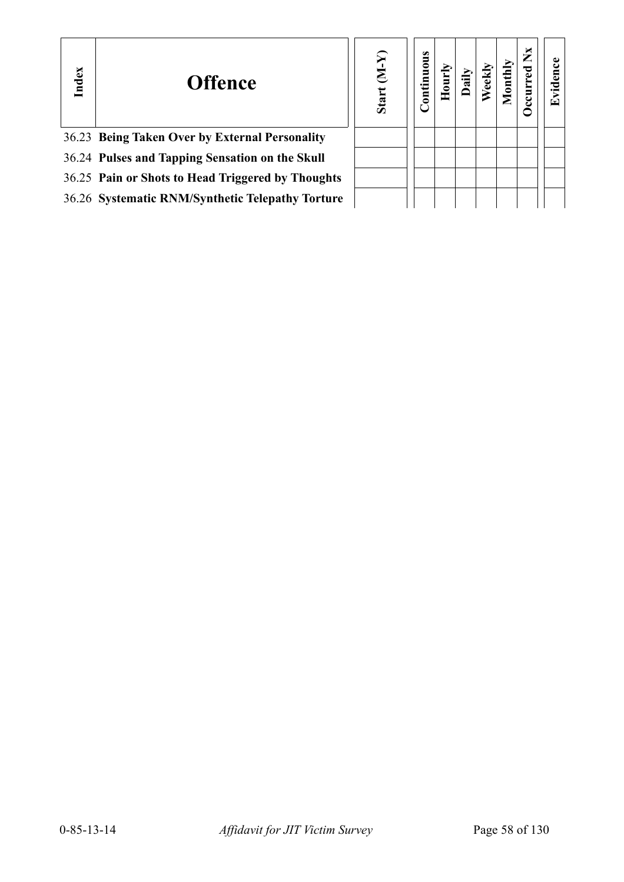| Index | <b>Offence</b>                                    | ନ୍ମ<br>$\mathsf{S}$<br>Start | tinuous<br>$\overline{\mathsf{e}}$ |  |  | × | ⋤ |
|-------|---------------------------------------------------|------------------------------|------------------------------------|--|--|---|---|
|       | 36.23 Being Taken Over by External Personality    |                              |                                    |  |  |   |   |
|       | 36.24 Pulses and Tapping Sensation on the Skull   |                              |                                    |  |  |   |   |
|       | 36.25 Pain or Shots to Head Triggered by Thoughts |                              |                                    |  |  |   |   |
|       | 36.26 Systematic RNM/Synthetic Telepathy Torture  |                              |                                    |  |  |   |   |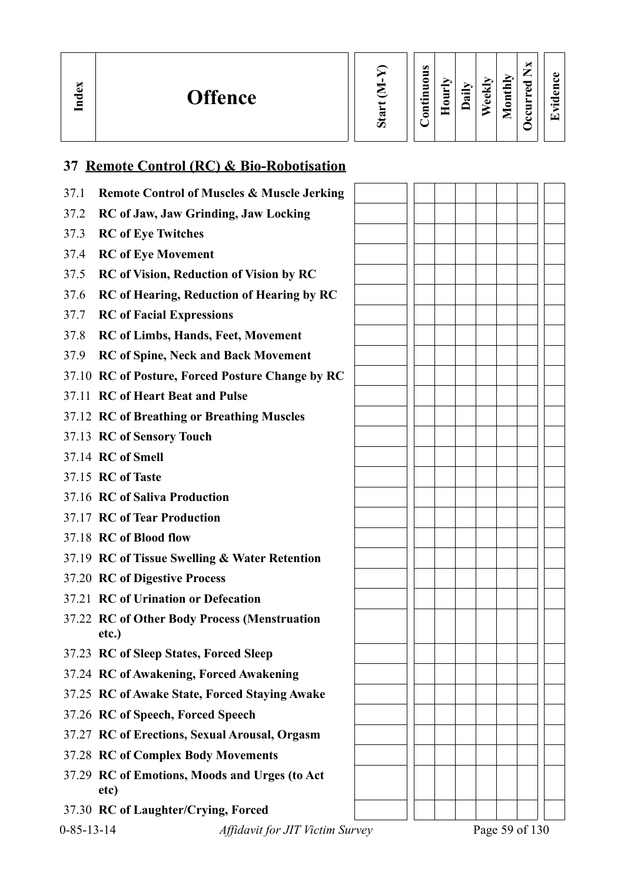| ×<br>نە<br>− | <b>Offence</b> |  | $\bullet$<br>$\equiv$<br>0<br>-<br>-<br>5<br>⊟<br>∍ | Ē<br>٥ | ≔<br>ನ | ನ<br>-<br>نه<br>۵ | ➢<br>−<br>◘<br>پ<br>⊟<br>0<br>- | ∼<br>–<br>_<br>ెం<br>đ۵<br>ఆ | $\bullet$ $\blacksquare$ |
|--------------|----------------|--|-----------------------------------------------------|--------|--------|-------------------|---------------------------------|------------------------------|--------------------------|
|--------------|----------------|--|-----------------------------------------------------|--------|--------|-------------------|---------------------------------|------------------------------|--------------------------|

# **37 Remote Control (RC) & Bio-Robotisation**

| 37.1               | <b>Remote Control of Muscles &amp; Muscle Jerking</b> |  |  |  |                |  |
|--------------------|-------------------------------------------------------|--|--|--|----------------|--|
| 37.2               | <b>RC</b> of Jaw, Jaw Grinding, Jaw Locking           |  |  |  |                |  |
| 37.3               | <b>RC</b> of Eye Twitches                             |  |  |  |                |  |
| 37.4               | <b>RC</b> of Eye Movement                             |  |  |  |                |  |
| 37.5               | <b>RC</b> of Vision, Reduction of Vision by RC        |  |  |  |                |  |
| 37.6               | <b>RC</b> of Hearing, Reduction of Hearing by RC      |  |  |  |                |  |
| 37.7               | <b>RC</b> of Facial Expressions                       |  |  |  |                |  |
| 37.8               | <b>RC</b> of Limbs, Hands, Feet, Movement             |  |  |  |                |  |
| 37.9               | <b>RC</b> of Spine, Neck and Back Movement            |  |  |  |                |  |
|                    | 37.10 RC of Posture, Forced Posture Change by RC      |  |  |  |                |  |
|                    | 37.11 RC of Heart Beat and Pulse                      |  |  |  |                |  |
|                    | 37.12 RC of Breathing or Breathing Muscles            |  |  |  |                |  |
|                    | 37.13 RC of Sensory Touch                             |  |  |  |                |  |
|                    | 37.14 RC of Smell                                     |  |  |  |                |  |
|                    | 37.15 RC of Taste                                     |  |  |  |                |  |
|                    | 37.16 RC of Saliva Production                         |  |  |  |                |  |
|                    | 37.17 RC of Tear Production                           |  |  |  |                |  |
|                    | 37.18 RC of Blood flow                                |  |  |  |                |  |
|                    | 37.19 RC of Tissue Swelling & Water Retention         |  |  |  |                |  |
|                    | 37.20 RC of Digestive Process                         |  |  |  |                |  |
|                    | 37.21 RC of Urination or Defecation                   |  |  |  |                |  |
|                    | 37.22 RC of Other Body Process (Menstruation          |  |  |  |                |  |
|                    | etc.)                                                 |  |  |  |                |  |
|                    | 37.23 RC of Sleep States, Forced Sleep                |  |  |  |                |  |
|                    | 37.24 RC of Awakening, Forced Awakening               |  |  |  |                |  |
|                    | 37.25 RC of Awake State, Forced Staying Awake         |  |  |  |                |  |
|                    | 37.26 RC of Speech, Forced Speech                     |  |  |  |                |  |
|                    | 37.27 RC of Erections, Sexual Arousal, Orgasm         |  |  |  |                |  |
|                    | 37.28 RC of Complex Body Movements                    |  |  |  |                |  |
|                    | 37.29 RC of Emotions, Moods and Urges (to Act<br>etc) |  |  |  |                |  |
|                    | 37.30 RC of Laughter/Crying, Forced                   |  |  |  |                |  |
| $0 - 85 - 13 - 14$ | <b>Affidavit for JIT Victim Survey</b>                |  |  |  | Page 59 of 130 |  |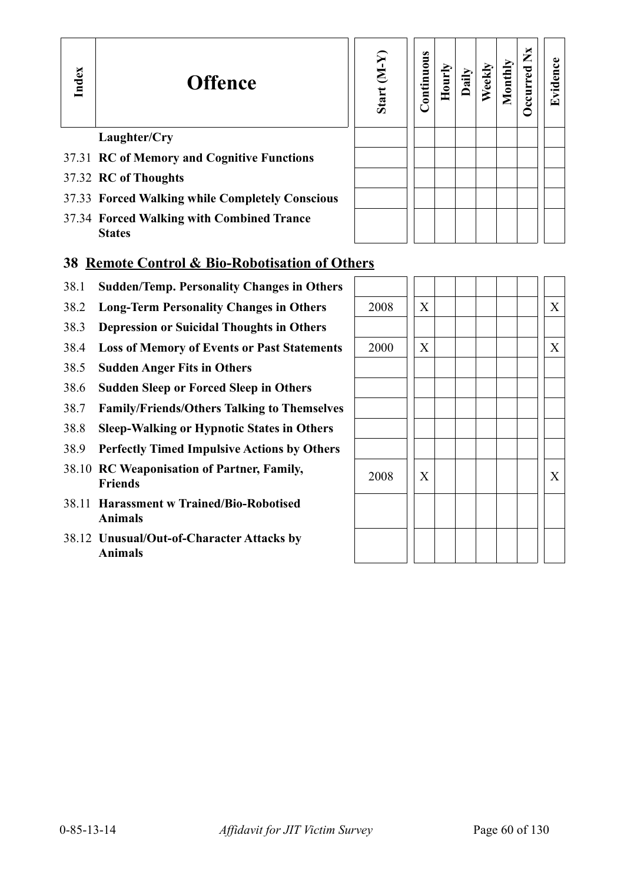# **Offence**

# **Sta rt (M-Y) Contin uous Hourly D We ekly aily Monthly OccurredNxEvid ence**

# **Laughter/Cry** 37.31 **RC of Memory and Cognitive Functions**

- 37.32 **RC of Thoughts**
- 37.33 **Forced Walking while Completely Conscious**
- 37.34 **Forced Walking with Combined Trance States**

#### **38 Remote Control & Bio-Robotisation of Others**

- 38.1 **Sudden/Temp. Personality Changes in Others**
- 38.2 Long-Term Personality Changes in Others
- 38.3 **Depression or Suicidal Thoughts in Others**
- 38.4 Loss of Memory of Events or Past Statements
- 38.5 **Sudden Anger Fits in Others**
- 38.6 **Sudden Sleep or Forced Sleep in Others**
- 38.7 **Family/Friends/Others Talking to Themselves**
- 38.8 **Sleep-Walking or Hypnotic States in Others**
- 38.9 **Perfectly Timed Impulsive Actions by Others**
- 38.10 **RC Weaponisation of Partner, Family,**  $2008$   $\begin{vmatrix} x & 1 \ x & 1 \end{vmatrix}$   $\begin{vmatrix} x & 1 \ x & 1 \end{vmatrix}$
- 38.11 **Harassment w Trained/Bio-Robotised Animals**
- 38.12 **Unusual/Out-of-Character Attacks by Animals**

| 2008 | $\mathbf X$    |  |  |  | $\mathbf X$ |
|------|----------------|--|--|--|-------------|
|      |                |  |  |  |             |
| 2000 | $\mathbf X$    |  |  |  | $\mathbf X$ |
|      |                |  |  |  |             |
|      |                |  |  |  |             |
|      |                |  |  |  |             |
|      |                |  |  |  |             |
|      |                |  |  |  |             |
| 2008 | $\overline{X}$ |  |  |  | $\mathbf X$ |
|      |                |  |  |  |             |
|      |                |  |  |  |             |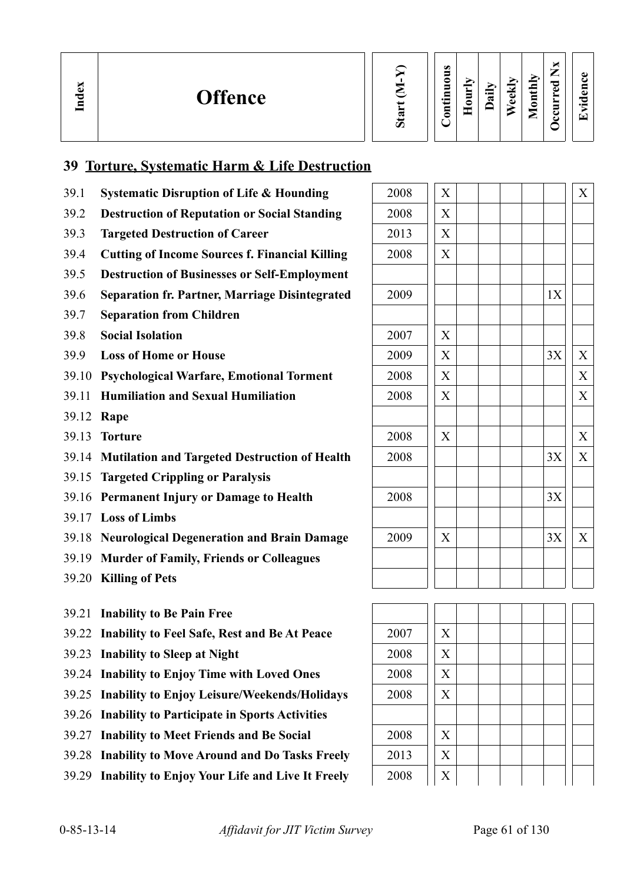| ×<br>്ലാ<br>$\mathbf{F}$ | <b>Offence</b> | Ο | $\omega$<br>-<br>-<br>∍<br>5<br>⊆<br>$\cdot$ $-$<br>⊆<br>0 | ≒<br>–<br>◓<br>_ | $\cdot$ $\,$<br>≂ | 호<br>٥<br>$\ddot{\bullet}$ | Ыy<br>ت<br>3<br>-<br>_ | м<br>∽<br>╼<br>ాం<br>$\omega$<br>॒<br>ల<br>◡ | ω<br>г.<br>Ξ<br>ω<br>ਟ<br>$\cdot$ $\,$<br>$\mathbf{r}$ |  |
|--------------------------|----------------|---|------------------------------------------------------------|------------------|-------------------|----------------------------|------------------------|----------------------------------------------|--------------------------------------------------------|--|
|--------------------------|----------------|---|------------------------------------------------------------|------------------|-------------------|----------------------------|------------------------|----------------------------------------------|--------------------------------------------------------|--|

# **39 Torture, Systematic Harm & Life Destruction**

- 39.1 **Systematic Disruption of Life & Hounding**
- 39.2 **Destruction of Reputation or Social Standing** 2008 X
- 39.3 **Targeted Destruction of Career**
- 39.4 **Cutting of Income Sources f. Financial Killing**
- 39.5 **Destruction of Businesses or Self-Employment**
- 39.6 **Separation fr. Partner, Marriage Disintegrated**
- 39.7 **Separation from Children**
- 39.8 **Social Isolation**
- 39.9 **Loss of Home or House**
- 39.10 **Psychological Warfare, Emotional Torment**
- **39.11 Humiliation and Sexual Humiliation**
- 39.12 **Rape**
- **39.13 Torture**
- 39.14 **Mutilation and Targeted Destruction of Health**
- 39.15 **Targeted Crippling or Paralysis**
- 39.16 **Permanent Injury or Damage to Health**
- 39.17 **Loss of Limbs**
- 39.18 **Neurological Degeneration and Brain Damage**
- 39.19 **Murder of Family, Friends or Colleagues**
- 39.20 **Killing of Pets**
- 39.21 **Inability to Be Pain Free**
- 39.22 Inability to Feel Safe, Rest and Be At Peace
- 39.23 **Inability to Sleep at Night**
- 39.24 Inability to Enjoy Time with Loved Ones
- 39.25 Inability to Enjoy Leisure/Weekends/Holidays
- 39.26 **Inability to Participate in Sports Activities**
- 39.27 Inability to Meet Friends and Be Social
- 39.28 **Inability to Move Around and Do Tasks Freely** 2013 | X
- 39.29 **Inability to Enjoy Your Life and Live It Freely** 2008  $\begin{bmatrix} x \end{bmatrix}$

| 2008 | X                         |    | $\overline{X}$ |
|------|---------------------------|----|----------------|
| 2008 | X                         |    |                |
| 2013 | X                         |    |                |
| 2008 | X                         |    |                |
|      |                           |    |                |
| 2009 |                           | 1X |                |
|      |                           |    |                |
| 2007 | $\mathbf X$               |    |                |
| 2009 | X                         | 3X | X              |
| 2008 | $\boldsymbol{\mathrm{X}}$ |    | X              |
| 2008 | X                         |    | X              |
|      |                           |    |                |
| 2008 | X                         |    | X              |
| 2008 |                           | 3X | $\overline{X}$ |
|      |                           |    |                |
| 2008 |                           | 3X |                |
|      |                           |    |                |
| 2009 | $\boldsymbol{\mathrm{X}}$ | 3X | X              |
|      |                           |    |                |
|      |                           |    |                |
|      |                           |    |                |
| 2007 | X                         |    |                |
|      |                           |    |                |
| 2008 | X                         |    |                |
| 2008 | $\overline{X}$            |    |                |
| 2008 | $\overline{X}$            |    |                |
|      |                           |    |                |
| 2008 | $\overline{X}$            |    |                |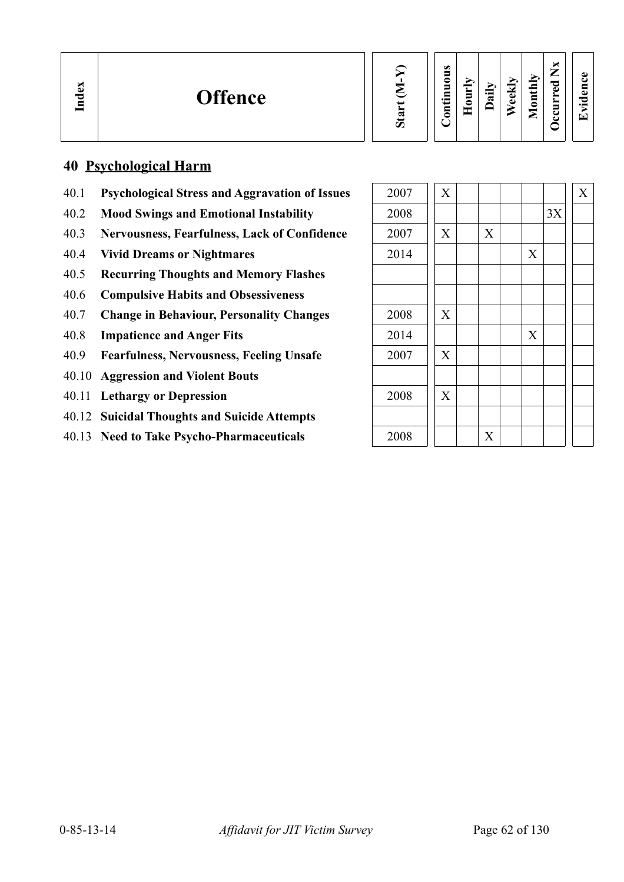#### **40 Psychological Harm**

- 40.1 **Psychological Stress and Aggravation of Issues**
- 40.2 Mood Swings and Emotional Instability
- 40.3 Nervousness, Fearfulness, Lack of Confidence
- 40.4 **Vivid Dreams or Nightmares**
- 40.5 **Recurring Thoughts and Memory Flashes**
- 40.6 **Compulsive Habits and Obsessiveness**
- 40.7 Change in Behaviour, Personality Changes
- 40.8 **Impatience and Anger Fits**
- 40.9 **Fearfulness, Nervousness, Feeling Unsafe**
- 40.10 **Aggression and Violent Bouts**
- 40.11 **Lethargy or Depression**
- 40.12 **Suicidal Thoughts and Suicide Attempts**
- 40.13 Need to Take Psycho-Pharmaceuticals

| 2007 | $\mathbf X$               |   |   |    | $\boldsymbol{\mathrm{X}}$ |
|------|---------------------------|---|---|----|---------------------------|
| 2008 |                           |   |   | 3X |                           |
| 2007 | $\mathbf X$               | X |   |    |                           |
| 2014 |                           |   | X |    |                           |
|      |                           |   |   |    |                           |
|      |                           |   |   |    |                           |
| 2008 | $\boldsymbol{\mathrm{X}}$ |   |   |    |                           |
| 2014 |                           |   | X |    |                           |
| 2007 | $\mathbf X$               |   |   |    |                           |
|      |                           |   |   |    |                           |
| 2008 | $\boldsymbol{\mathrm{X}}$ |   |   |    |                           |
|      |                           |   |   |    |                           |
| 2008 |                           | X |   |    |                           |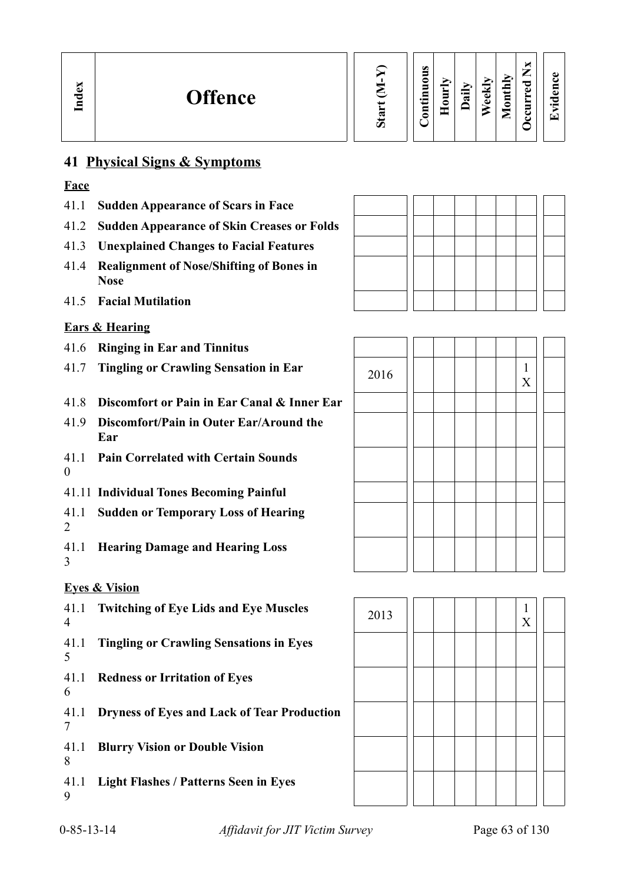# **41 Physical Signs & Symptoms**

#### **Face**

- 41.1 **Sudden Appearance of Scars in Face**
- 41.2 **Sudden Appearance of Skin Creases or Folds**
- 41.3 **Unexplained Changes to Facial Features**
- 41.4 **Realignment of Nose/Shifting of Bones in Nose**
- 41.5 **Facial Mutilation**

# **Ears & Hearing**

- 41.6 **Ringing in Ear and Tinnitus**
- 41.7 **Tingling or Crawling Sensation in Ear**
- 41.8 **Discomfort or Pain in Ear Canal & Inner Ear**
- 41.9 **Discomfort/Pain in Outer Ear/Around the Ear**
- 41.1 **Pain Correlated with Certain Sounds** 0
- 41.11 **Individual Tones Becoming Painful**
- 41.1  $\mathcal{L}$ **Sudden or Temporary Loss of Hearing**
- 41.1 **Hearing Damage and Hearing Loss** 3

# **Eyes & Vision**

41.1 Twitching of Eye Lids and Eye Muscles **2013** 2013 2013 4 41.1 5 **Tingling or Crawling Sensations in Eyes** 41.1 6 **Redness or Irritation of Eyes** 41.1 **Dryness of Eyes and Lack of Tear Production** 7 41.1 8 **Blurry Vision or Double Vision** 41.1 **Light Flashes / Patterns Seen in Eyes** 9



| 2016 |  |  |  | $\frac{1}{\mathbf{X}}$ |  |
|------|--|--|--|------------------------|--|
|      |  |  |  |                        |  |
|      |  |  |  |                        |  |
|      |  |  |  |                        |  |
|      |  |  |  |                        |  |
|      |  |  |  |                        |  |
|      |  |  |  |                        |  |

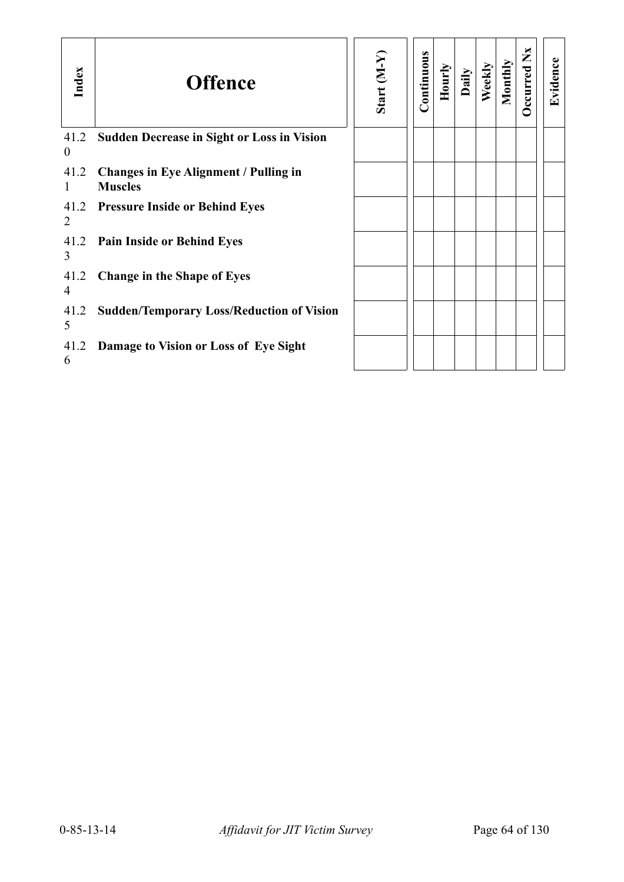| Index                  | <b>Offence</b>                                                 | Start (M-Y) | Continuous | Hourly | Daily | Weekly | Monthly | ×<br>Ž<br><b>D</b> ccurred | Evidence |
|------------------------|----------------------------------------------------------------|-------------|------------|--------|-------|--------|---------|----------------------------|----------|
| 41.2<br>$\overline{0}$ | <b>Sudden Decrease in Sight or Loss in Vision</b>              |             |            |        |       |        |         |                            |          |
| 41.2                   | <b>Changes in Eye Alignment / Pulling in</b><br><b>Muscles</b> |             |            |        |       |        |         |                            |          |
| 41.2<br>2              | <b>Pressure Inside or Behind Eyes</b>                          |             |            |        |       |        |         |                            |          |
| 41.2<br>3              | <b>Pain Inside or Behind Eyes</b>                              |             |            |        |       |        |         |                            |          |
| 41.2<br>4              | <b>Change in the Shape of Eyes</b>                             |             |            |        |       |        |         |                            |          |
| 41.2<br>5              | <b>Sudden/Temporary Loss/Reduction of Vision</b>               |             |            |        |       |        |         |                            |          |
| 41.2<br>6              | Damage to Vision or Loss of Eye Sight                          |             |            |        |       |        |         |                            |          |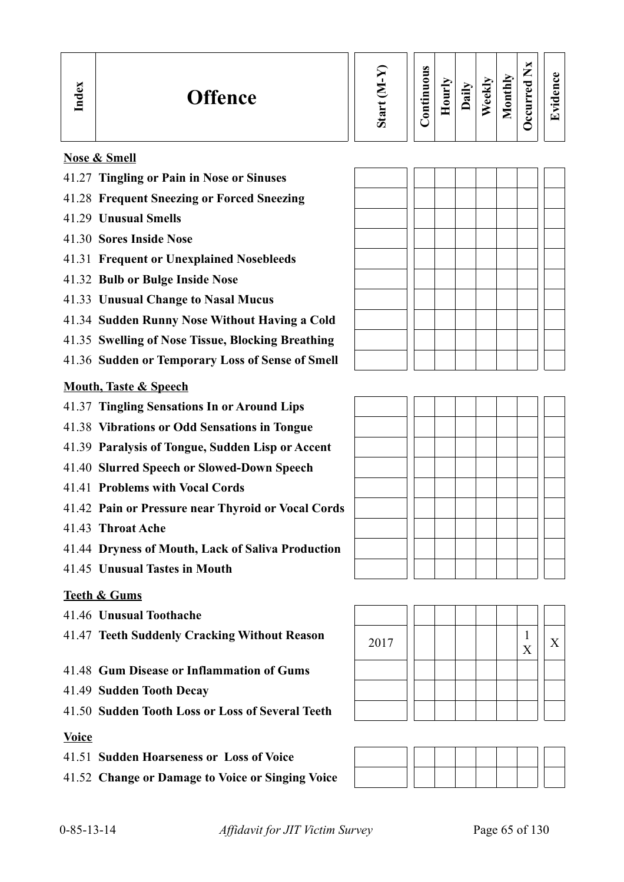| <b>ex</b><br><b>Offence</b><br>▭ | Ø | Ø<br>◓<br>▬<br>⊆<br>$\cdot$ $-$<br>⊖<br>−<br>≏ | 旨<br>$\bullet$<br>- 86 | $\cdot$ $-$<br>ಡ | ≂<br>d.<br>Φ | $\blacksquare$<br>⊆<br>∍ | ⊆ |
|----------------------------------|---|------------------------------------------------|------------------------|------------------|--------------|--------------------------|---|
|----------------------------------|---|------------------------------------------------|------------------------|------------------|--------------|--------------------------|---|

#### **Nose & Smell**

- 41.27 **Tingling or Pain in Nose or Sinuses**
- 41.28 **Frequent Sneezing or Forced Sneezing**
- 41.29 **Unusual Smells**
- 41.30 **Sores Inside Nose**
- 41.31 **Frequent or Unexplained Nosebleeds**
- 41.32 **Bulb or Bulge Inside Nose**
- 41.33 **Unusual Change to Nasal Mucus**
- 41.34 **Sudden Runny Nose Without Having a Cold**
- 41.35 **Swelling of Nose Tissue, Blocking Breathing**
- 41.36 **Sudden or Temporary Loss of Sense of Smell**

#### **Mouth, Taste & Speech**

- 41.37 **Tingling Sensations In or Around Lips**
- 41.38 **Vibrations or Odd Sensations in Tongue**
- 41.39 **Paralysis of Tongue, Sudden Lisp or Accent**
- 41.40 **Slurred Speech or Slowed-Down Speech**
- 41.41 **Problems with Vocal Cords**
- 41.42 **Pain or Pressure near Thyroid or Vocal Cords**
- 41.43 **Throat Ache**
- 41.44 **Dryness of Mouth, Lack of Saliva Production**
- 41.45 **Unusual Tastes in Mouth**

#### **Teeth & Gums**

- 41.46 **Unusual Toothache**
- 41.47 **Teeth Suddenly Cracking Without Reason** <sup>2017</sup> <sup>1</sup>
- 41.48 **Gum Disease or Inflammation of Gums**
- 41.49 **Sudden Tooth Decay**
- 41.50 **Sudden Tooth Loss or Loss of Several Teeth**

#### **Voice**

41.51 **Sudden Hoarseness or Loss of Voice**

41.52 **Change or Damage to Voice or Singing Voice**



**Evid ence**





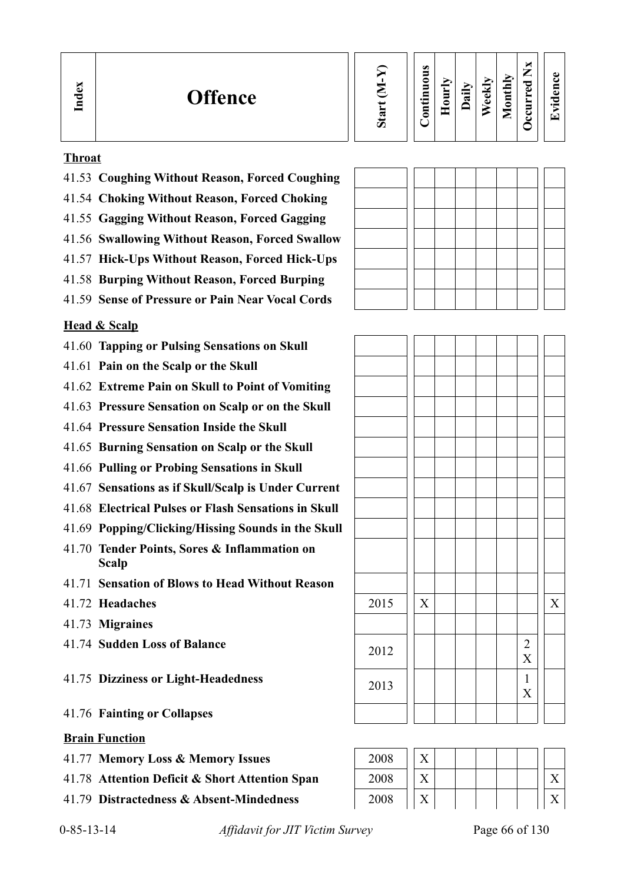| $\mathbf{g}$<br><b>Offence</b><br>ഋ<br>⊟ | ದ<br>Ο | $\bullet$<br>$\blacksquare$<br>◓<br>5<br>9<br>$\cdot$ $-$<br>⊟<br>≏ | Ì<br>c | $\ddot{a}$ | ⊻<br>$\overline{\bullet}$<br>Ō | $\tilde{\mathbf{z}}$<br>≔<br>پ<br>⋚<br>◓<br>_ | ×<br>⇁<br>►<br>ರ<br>D<br>►<br>►<br>5<br>౿<br>ບ | 61<br>$\bullet$ and<br>⇁ |  |
|------------------------------------------|--------|---------------------------------------------------------------------|--------|------------|--------------------------------|-----------------------------------------------|------------------------------------------------|--------------------------|--|
|------------------------------------------|--------|---------------------------------------------------------------------|--------|------------|--------------------------------|-----------------------------------------------|------------------------------------------------|--------------------------|--|

#### **Throat**

- 41.53 **Coughing Without Reason, Forced Coughing**
- 41.54 **Choking Without Reason, Forced Choking**
- 41.55 **Gagging Without Reason, Forced Gagging**
- 41.56 **Swallowing Without Reason, Forced Swallow**
- 41.57 **Hick-Ups Without Reason, Forced Hick-Ups**
- 41.58 **Burping Without Reason, Forced Burping**
- 41.59 **Sense of Pressure or Pain Near Vocal Cords**

#### **Head & Scalp**

- 41.60 **Tapping or Pulsing Sensations on Skull**
- 41.61 **Pain on the Scalp or the Skull**
- 41.62 **Extreme Pain on Skull to Point of Vomiting**
- 41.63 **Pressure Sensation on Scalp or on the Skull**
- 41.64 **Pressure Sensation Inside the Skull**
- 41.65 **Burning Sensation on Scalp or the Skull**
- 41.66 **Pulling or Probing Sensations in Skull**
- 41.67 **Sensations as if Skull/Scalp is Under Current**
- 41.68 **Electrical Pulses or Flash Sensations in Skull**
- 41.69 **Popping/Clicking/Hissing Sounds in the Skull**
- 41.70 **Tender Points, Sores & Inflammation on Scalp**
- 41.71 **Sensation of Blows to Head Without Reason**
- 41.72 **Headaches**
- 41.73 **Migraines**
- 41.74 **Sudden Loss of Balance**

#### 41.75 **Dizziness or Light-Headedness**

41.76 **Fainting or Collapses**

#### **Brain Function**

- 41.77 **Memory Loss & Memory Issues**
- 41.78 Attention Deficit & Short Attention Span
- 41.79 **Distractedness & Absent-Mindedness**

ıг

 $\overline{1}$ 

| 2015 | $\overline{X}$ |  |  |                        | $\mathbf X$ |
|------|----------------|--|--|------------------------|-------------|
|      |                |  |  |                        |             |
| 2012 |                |  |  | $\frac{2}{X}$          |             |
| 2013 |                |  |  | $\frac{1}{\mathbf{X}}$ |             |
|      |                |  |  |                        |             |

| 2008 |  |
|------|--|
| 2008 |  |
| 2008 |  |

0-85-13-14 *Affidavit for JIT Victim Survey* Page 66 of 130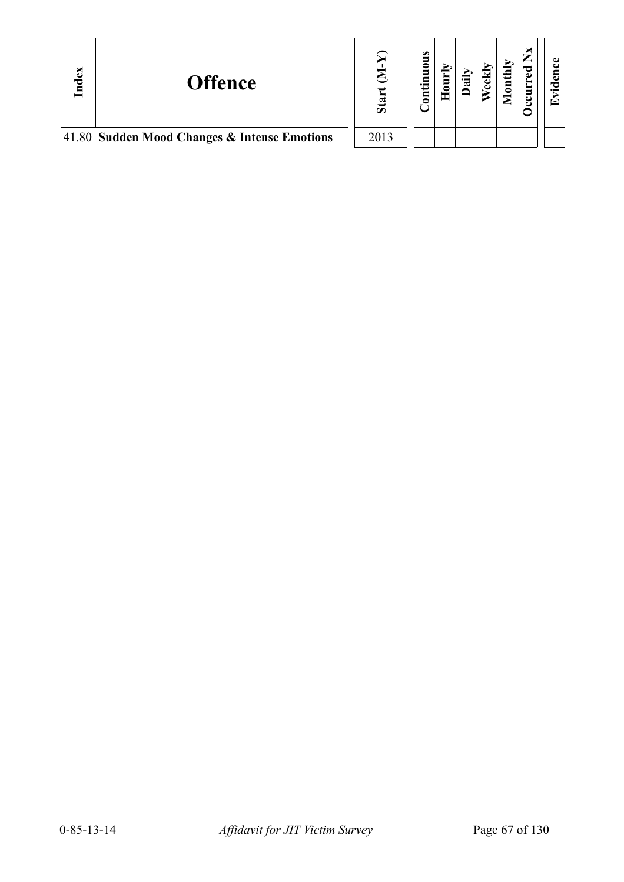| Index | <b>Offence</b>                               |      | $\omega$<br>ខ<br>⊆<br>5 | $\overline{a}$ | еk | onthly | ×<br>≂ | ω<br>$\overline{\phantom{a}}$<br>$\bullet$ $\blacksquare$<br>œ |
|-------|----------------------------------------------|------|-------------------------|----------------|----|--------|--------|----------------------------------------------------------------|
|       | 41.80 Sudden Mood Changes & Intense Emotions | 2013 |                         |                |    |        |        |                                                                |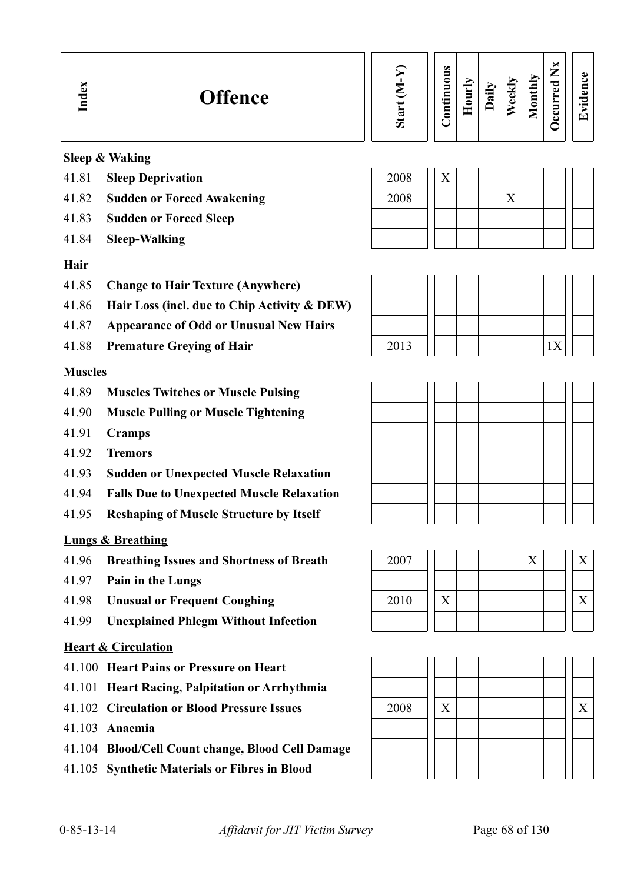#### **Sleep & Waking**

- 41.81 **Sleep Deprivation** 2008 | X
- 41.82 **Sudden or Forced Awakening** 2008 | X
- 41.83 **Sudden or Forced Sleep**
- 41.84 **Sleep-Walking**

# **Hair**

- 41.85 **Change to Hair Texture (Anywhere)**
- 41.86 **Hair Loss (incl. due to Chip Activity & DEW)**
- 41.87 **Appearance of Odd or Unusual New Hairs**
- 

#### **Muscles**

- 41.89 **Muscles Twitches or Muscle Pulsing**
- 41.90 **Muscle Pulling or Muscle Tightening**
- 41.91 **Cramps**
- 41.92 **Tremors**
- 41.93 **Sudden or Unexpected Muscle Relaxation**
- 41.94 **Falls Due to Unexpected Muscle Relaxation**
- 41.95 **Reshaping of Muscle Structure by Itself**

# **Lungs & Breathing**

- 41.96 **Breathing Issues and Shortness of Breath** 2007 X X
- 41.97 **Pain in the Lungs**
- 
- 41.99 **Unexplained Phlegm Without Infection**

#### **Heart & Circulation**

- 41.100 **Heart Pains or Pressure on Heart**
- 41.101 **Heart Racing, Palpitation or Arrhythmia**
- 41.102 **Circulation or Blood Pressure Issues** 2008 X X
- 41.103 **Anaemia**
- 41.104 **Blood/Cell Count change, Blood Cell Damage**
- 41.105 **Synthetic Materials or Fibres in Blood**









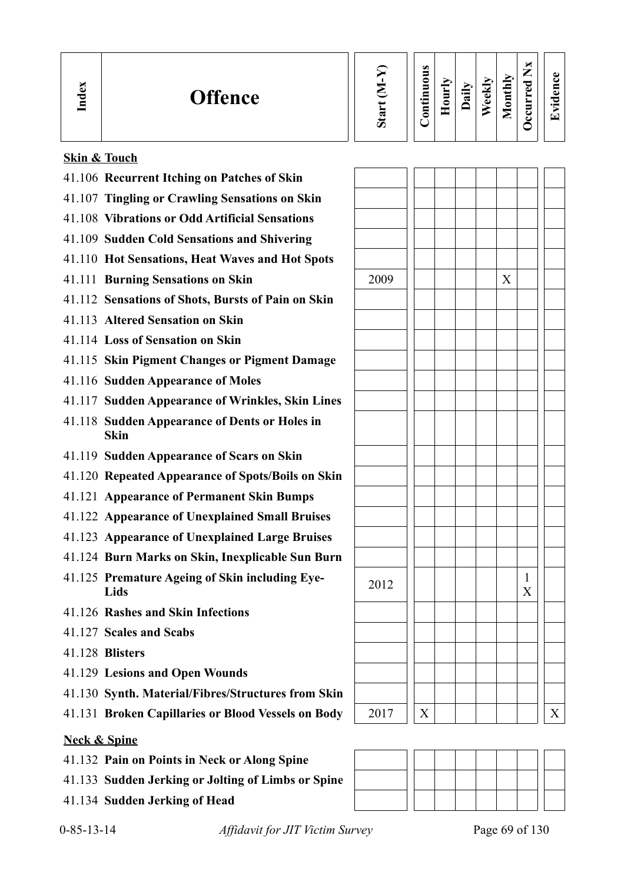| പ<br><b>Offence</b><br>ு | ದ<br>Ω | $\bullet$<br>5<br>≏<br>5<br>⊟<br>≔<br>5 | Ē<br>⊂<br>╾<br>۰ | ↘<br>⊵<br>⊶<br>≂ | $\overline{a}$<br>نه<br>ω | ∽<br>s<br>_ | -<br>_<br>ヮ<br>O) | O)<br>. . |
|--------------------------|--------|-----------------------------------------|------------------|------------------|---------------------------|-------------|-------------------|-----------|
|--------------------------|--------|-----------------------------------------|------------------|------------------|---------------------------|-------------|-------------------|-----------|

# **Skin & Touch**

| 41.106 Recurrent Itching on Patches of Skin                  |      |   |   |        |
|--------------------------------------------------------------|------|---|---|--------|
| 41.107 Tingling or Crawling Sensations on Skin               |      |   |   |        |
| 41.108 Vibrations or Odd Artificial Sensations               |      |   |   |        |
| 41.109 Sudden Cold Sensations and Shivering                  |      |   |   |        |
| 41.110 Hot Sensations, Heat Waves and Hot Spots              |      |   |   |        |
| 41.111 Burning Sensations on Skin                            | 2009 |   | X |        |
| 41.112 Sensations of Shots, Bursts of Pain on Skin           |      |   |   |        |
| 41.113 Altered Sensation on Skin                             |      |   |   |        |
| 41.114 Loss of Sensation on Skin                             |      |   |   |        |
| 41.115 Skin Pigment Changes or Pigment Damage                |      |   |   |        |
| 41.116 Sudden Appearance of Moles                            |      |   |   |        |
| 41.117 Sudden Appearance of Wrinkles, Skin Lines             |      |   |   |        |
| 41.118 Sudden Appearance of Dents or Holes in<br><b>Skin</b> |      |   |   |        |
| 41.119 Sudden Appearance of Scars on Skin                    |      |   |   |        |
| 41.120 Repeated Appearance of Spots/Boils on Skin            |      |   |   |        |
| 41.121 Appearance of Permanent Skin Bumps                    |      |   |   |        |
| 41.122 Appearance of Unexplained Small Bruises               |      |   |   |        |
| 41.123 Appearance of Unexplained Large Bruises               |      |   |   |        |
| 41.124 Burn Marks on Skin, Inexplicable Sun Burn             |      |   |   |        |
| 41.125 Premature Ageing of Skin including Eye-<br>Lids       | 2012 |   |   | 1<br>X |
| 41.126 Rashes and Skin Infections                            |      |   |   |        |
| 41.127 Scales and Scabs                                      |      |   |   |        |
| 41.128 Blisters                                              |      |   |   |        |
| 41.129 Lesions and Open Wounds                               |      |   |   |        |
| 41.130 Synth. Material/Fibres/Structures from Skin           |      |   |   |        |
| 41.131 Broken Capillaries or Blood Vessels on Body           | 2017 | X |   | X      |

**Neck & Spine**

41.132 **Pain on Points in Neck or Along Spine**

41.134 **Sudden Jerking of Head**

41.133 **Sudden Jerking or Jolting of Limbs or Spine**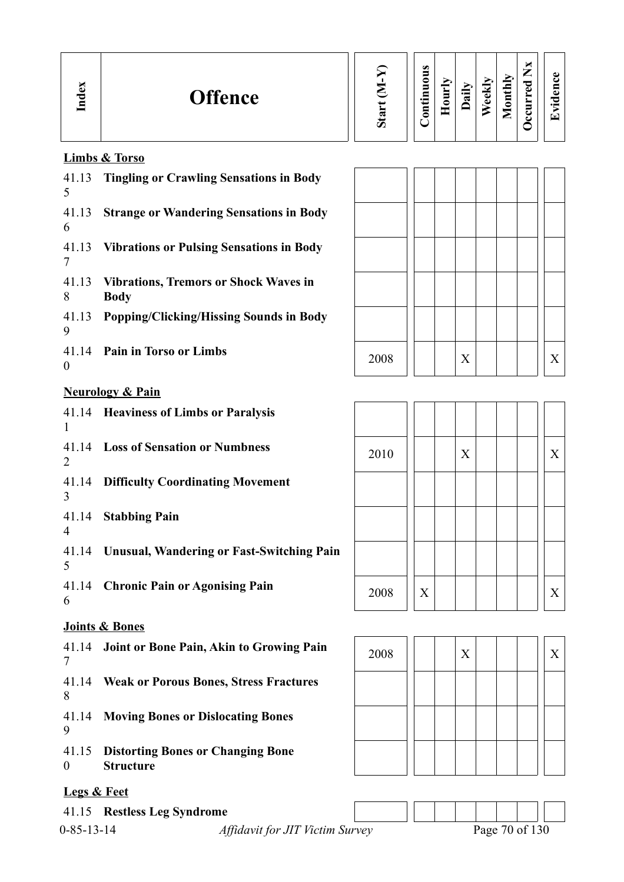| Ð<br><b>Offence</b><br>70<br>、 | " | $\omega$<br>5<br>0<br>5<br>⊆<br>$\overline{\phantom{0}}$<br>- 3<br>5 | Ĕ<br>═ | aily | ∼<br>ekly<br>D | thly<br>$\bar{\mathbf{s}}$<br>▀<br>_ | м<br>$\sim$<br>—<br>_<br>ెం<br>ω<br>−<br>ت<br>ల | O.<br>$\bullet$<br>ſ٣ |
|--------------------------------|---|----------------------------------------------------------------------|--------|------|----------------|--------------------------------------|-------------------------------------------------|-----------------------|
|--------------------------------|---|----------------------------------------------------------------------|--------|------|----------------|--------------------------------------|-------------------------------------------------|-----------------------|

# **Limbs & Torso**

| 41.13<br>5       | <b>Tingling or Crawling Sensations in Body</b>              |      |   |   |   |
|------------------|-------------------------------------------------------------|------|---|---|---|
| 41.13<br>6       | <b>Strange or Wandering Sensations in Body</b>              |      |   |   |   |
| 41.13<br>7       | <b>Vibrations or Pulsing Sensations in Body</b>             |      |   |   |   |
| 41.13<br>8       | <b>Vibrations, Tremors or Shock Waves in</b><br><b>Body</b> |      |   |   |   |
| 41.13<br>9       | <b>Popping/Clicking/Hissing Sounds in Body</b>              |      |   |   |   |
| $\boldsymbol{0}$ | 41.14 Pain in Torso or Limbs                                | 2008 |   | X | X |
|                  | <b>Neurology &amp; Pain</b>                                 |      |   |   |   |
| $\mathbf{1}$     | 41.14 Heaviness of Limbs or Paralysis                       |      |   |   |   |
| $\overline{2}$   | 41.14 Loss of Sensation or Numbness                         | 2010 |   | X | X |
| 41.14<br>3       | <b>Difficulty Coordinating Movement</b>                     |      |   |   |   |
| $\overline{4}$   | 41.14 Stabbing Pain                                         |      |   |   |   |
| 5                | 41.14 Unusual, Wandering or Fast-Switching Pain             |      |   |   |   |
| 6                | 41.14 Chronic Pain or Agonising Pain                        | 2008 | X |   | X |
|                  | Joints & Bones                                              |      |   |   |   |
| 41.14<br>7       | Joint or Bone Pain, Akin to Growing Pain                    | 2008 |   | X | X |
| 41.14<br>8       | <b>Weak or Porous Bones, Stress Fractures</b>               |      |   |   |   |
| 41.14<br>9       | <b>Moving Bones or Dislocating Bones</b>                    |      |   |   |   |

41.15 **Distorting Bones or Changing Bone**  0 **Structure**

# **Legs & Feet**

41.15 **Restless Leg Syndrome**

0-85-13-14 *Affidavit for JIT Victim Survey* Pag

| Page 70 of 130 |  |  |
|----------------|--|--|

| 2008 |                | $\mathbf X$ |  | $\mathbf X$    |
|------|----------------|-------------|--|----------------|
|      |                |             |  |                |
|      |                |             |  |                |
| 2010 |                | $\mathbf X$ |  | $\mathbf X$    |
|      |                |             |  |                |
|      |                |             |  |                |
|      |                |             |  |                |
| 2008 | $\overline{X}$ |             |  | $\overline{X}$ |

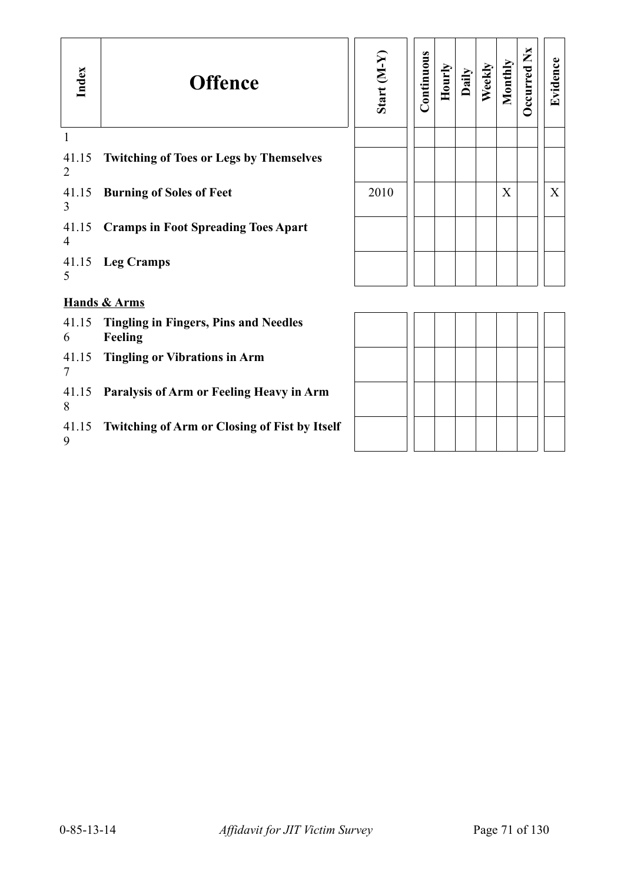| Index      | <b>Offence</b>                                          | Start (M-Y) | Continuous | Hourly | Daily | Weekly | Monthly | Occurred Nx | Evidence |
|------------|---------------------------------------------------------|-------------|------------|--------|-------|--------|---------|-------------|----------|
| 1<br>41.15 | <b>Twitching of Toes or Legs by Themselves</b>          |             |            |        |       |        |         |             |          |
| 2          |                                                         |             |            |        |       |        |         |             |          |
| 41.15<br>3 | <b>Burning of Soles of Feet</b>                         | 2010        |            |        |       |        | X       |             | X        |
| 41.15<br>4 | <b>Cramps in Foot Spreading Toes Apart</b>              |             |            |        |       |        |         |             |          |
| 41.15<br>5 | <b>Leg Cramps</b>                                       |             |            |        |       |        |         |             |          |
|            | <b>Hands &amp; Arms</b>                                 |             |            |        |       |        |         |             |          |
| 41.15<br>6 | <b>Tingling in Fingers, Pins and Needles</b><br>Feeling |             |            |        |       |        |         |             |          |
| 41.15<br>7 | <b>Tingling or Vibrations in Arm</b>                    |             |            |        |       |        |         |             |          |
| 41.15<br>8 | Paralysis of Arm or Feeling Heavy in Arm                |             |            |        |       |        |         |             |          |
| 41.15<br>9 | <b>Twitching of Arm or Closing of Fist by Itself</b>    |             |            |        |       |        |         |             |          |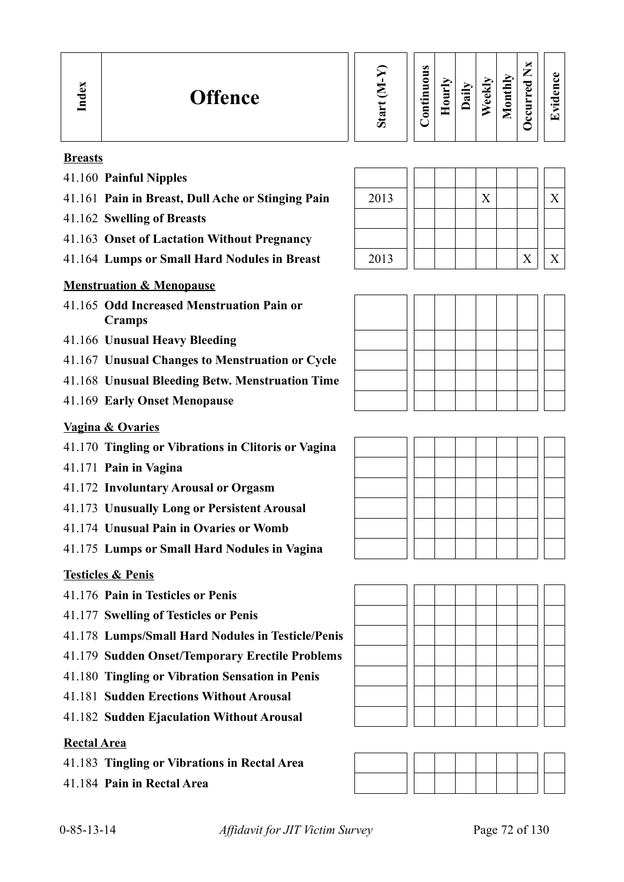# **Breasts**

**In dex**

- 41.160 **Painful Nipples**
- 41.161 Pain in Breast, Dull Ache or Stinging Pain
- 41.162 **Swelling of Breasts**
- 41.163 **Onset of Lactation Without Pregnancy**
- 41.164 Lumps or Small Hard Nodules in Breast

# **Menstruation & Menopause**

- 41.165 **Odd Increased Menstruation Pain or Cramps**
- 41.166 **Unusual Heavy Bleeding**
- 41.167 **Unusual Changes to Menstruation or Cycle**
- 41.168 **Unusual Bleeding Betw. Menstruation Time**
- 41.169 **Early Onset Menopause**

# **Vagina & Ovaries**

- 41.170 **Tingling or Vibrations in Clitoris or Vagina**
- 41.171 **Pain in Vagina**
- 41.172 **Involuntary Arousal or Orgasm**
- 41.173 **Unusually Long or Persistent Arousal**
- 41.174 **Unusual Pain in Ovaries or Womb**
- 41.175 **Lumps or Small Hard Nodules in Vagina**

# **Testicles & Penis**

- 41.176 **Pain in Testicles or Penis**
- 41.177 **Swelling of Testicles or Penis**
- 41.178 **Lumps/Small Hard Nodules in Testicle/Penis**
- 41.179 **Sudden Onset/Temporary Erectile Problems**
- 41.180 **Tingling or Vibration Sensation in Penis**
- 41.181 **Sudden Erections Without Arousal**
- 41.182 **Sudden Ejaculation Without Arousal**

# **Rectal Area**

- 41.183 **Tingling or Vibrations in Rectal Area**
- 41.184 **Pain in Rectal Area**

| 2013 |  | X |   |  |
|------|--|---|---|--|
|      |  |   |   |  |
|      |  |   |   |  |
| 2013 |  |   | X |  |

**Contin uous**







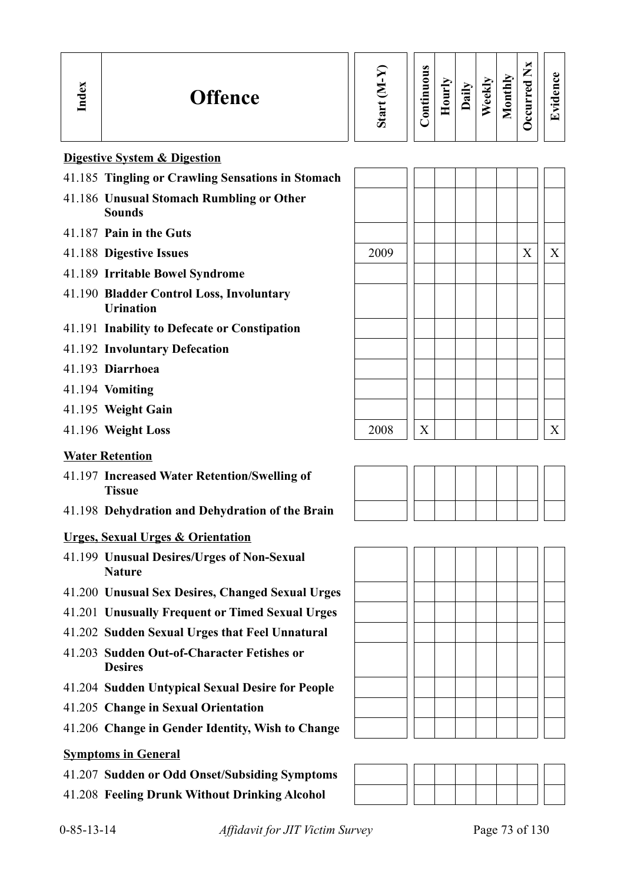|  | α.<br>◚<br>⊆ | <b>Offence</b> | ∾<br>$\omega$ | $\omega$<br>3<br>0<br>5<br>⋴<br>÷<br>Ξ | ₿<br>◓<br>ᄇ | €<br>∾ | ↘<br>E<br>Φ<br>D | thly<br>5<br>═<br>_ | ы<br>ー<br>_<br>ு<br>م<br>ت<br>ల | 61<br>$\bullet$<br>ſ <b>⊤</b> |  |
|--|--------------|----------------|---------------|----------------------------------------|-------------|--------|------------------|---------------------|---------------------------------|-------------------------------|--|
|--|--------------|----------------|---------------|----------------------------------------|-------------|--------|------------------|---------------------|---------------------------------|-------------------------------|--|

#### **Digestive System & Digestion**

- 41.185 **Tingling or Crawling Sensations in Stomach**
- 41.186 **Unusual Stomach Rumbling or Other Sounds**
- 41.187 **Pain in the Guts**
- 
- 41.189 **Irritable Bowel Syndrome**
- 41.190 **Bladder Control Loss, Involuntary Urination**
- 41.191 **Inability to Defecate or Constipation**
- 41.192 **Involuntary Defecation**
- 41.193 **Diarrhoea**
- 41.194 **Vomiting**
- 41.195 **Weight Gain**
- 

#### **Water Retention**

- 41.197 **Increased Water Retention/Swelling of Tissue**
- 41.198 **Dehydration and Dehydration of the Brain**

#### **Urges, Sexual Urges & Orientation**

- 41.199 **Unusual Desires/Urges of Non-Sexual Nature**
- 41.200 **Unusual Sex Desires, Changed Sexual Urges**
- 41.201 **Unusually Frequent or Timed Sexual Urges**
- 41.202 **Sudden Sexual Urges that Feel Unnatural**
- 41.203 **Sudden Out-of-Character Fetishes or Desires**
- 41.204 **Sudden Untypical Sexual Desire for People**
- 41.205 **Change in Sexual Orientation**
- 41.206 **Change in Gender Identity, Wish to Change**

#### **Symptoms in General**

- 41.207 **Sudden or Odd Onset/Subsiding Symptoms**
- 41.208 **Feeling Drunk Without Drinking Alcohol**







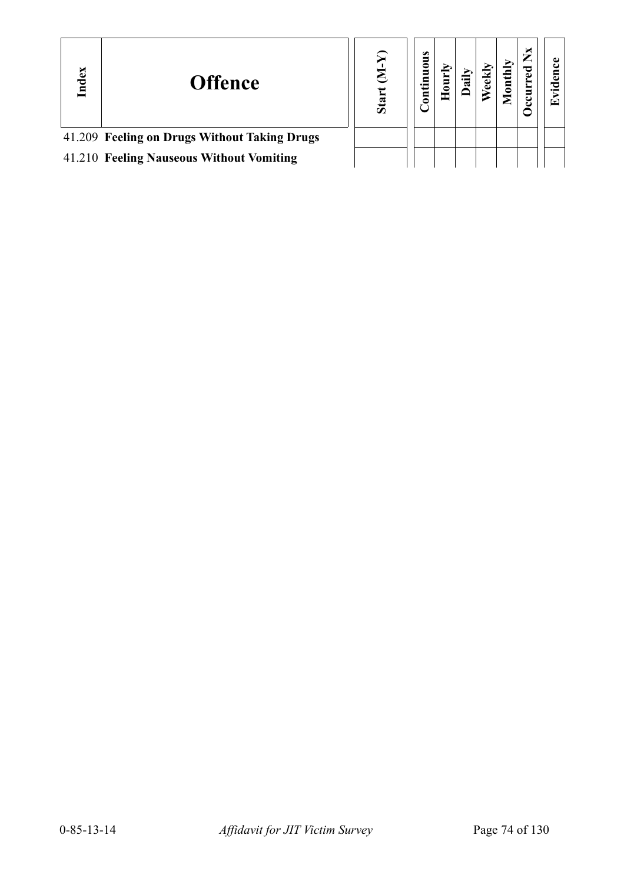| Index                                        | <b>Offence</b> | ā | S<br>inuum<br>3 |  |  | ⊡ |
|----------------------------------------------|----------------|---|-----------------|--|--|---|
| 41.209 Feeling on Drugs Without Taking Drugs |                |   |                 |  |  |   |
| 41.210 Feeling Nauseous Without Vomiting     |                |   |                 |  |  |   |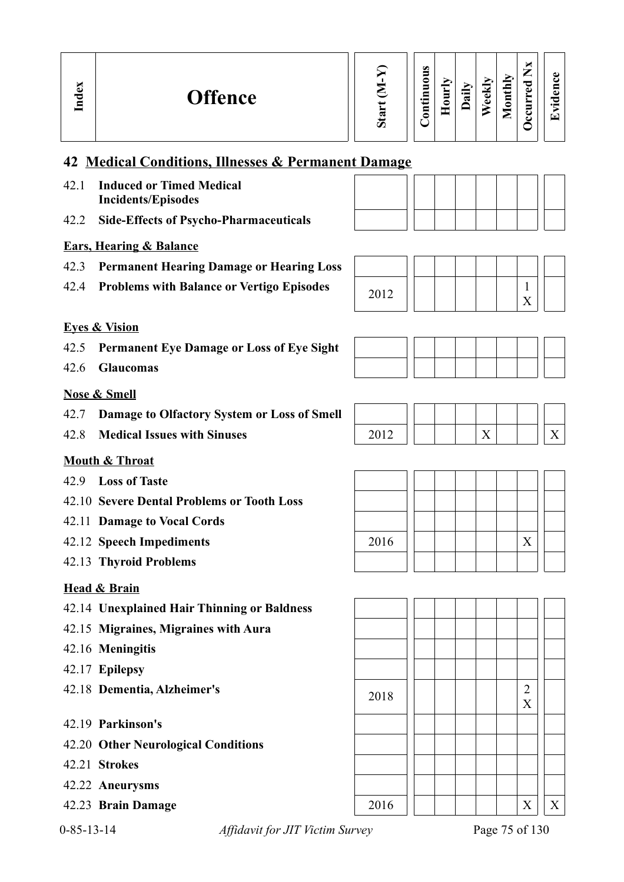# **OccurredNxEvid ence**

**Monthly**

X

# **42 Medical Conditions, Illnesses & Permanent Damage**

- 42.1 **Induced or Timed Medical Incidents/Episodes**
- 42.2 **Side-Effects of Psycho-Pharmaceuticals**

## **Ears, Hearing & Balance**

- 42.3 **Permanent Hearing Damage or Hearing Loss**
- 42.4 **Problems with Balance or Vertigo Episodes** 2012 1



### **Eyes & Vision**

**In dex**

- 42.5 **Permanent Eye Damage or Loss of Eye Sight**
- 42.6 **Glaucomas**

### **Nose & Smell**

- 42.7 **Damage to Olfactory System or Loss of Smell**
- 42.8 **Medical Issues with Sinuses** 2012 X X

### **Mouth & Throat**

- 42.9 **Loss of Taste**
- 42.10 **Severe Dental Problems or Tooth Loss**
- 42.11 **Damage to Vocal Cords**
- 42.12 **Speech Impediments**
- 42.13 **Thyroid Problems**

### **Head & Brain**

- 42.14 **Unexplained Hair Thinning or Baldness**
- 42.15 **Migraines, Migraines with Aura**
- 42.16 **Meningitis**
- 42.17 **Epilepsy**
- 
- 42.19 **Parkinson's**
- 42.20 **Other Neurological Conditions**
- 42.21 **Strokes**
- 42.22 **Aneurysms**
- 
- 

0-85-13-14 *Affidavit for JIT Victim Survey* Page 75 of 130

| 2016 |  |  |  | $\overline{X}$ |  |
|------|--|--|--|----------------|--|
|      |  |  |  |                |  |

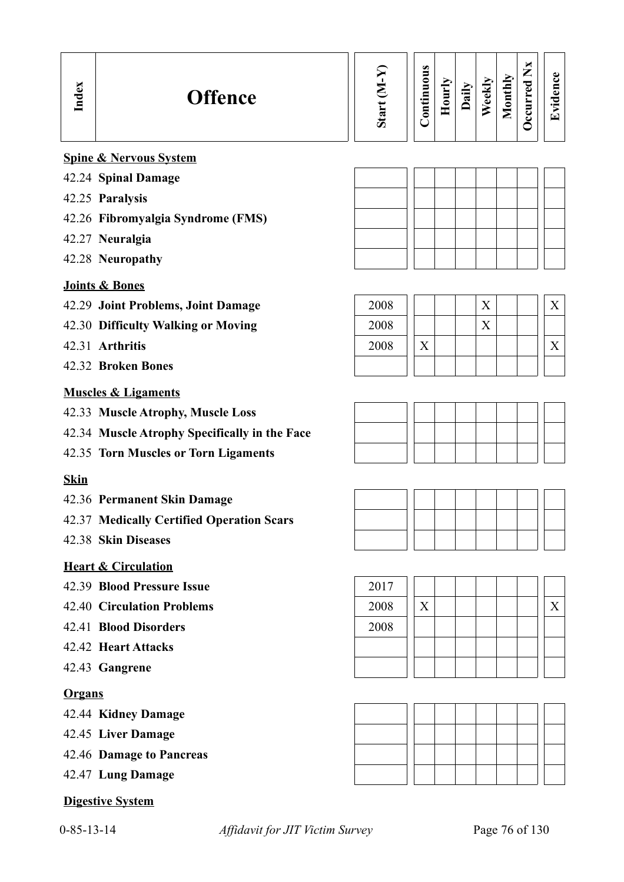### **Spine & Nervous System**

- 42.24 **Spinal Damage**
- 42.25 **Paralysis**
- 42.26 **Fibromyalgia Syndrome (FMS)**
- 42.27 **Neuralgia**
- 42.28 **Neuropathy**

### **Joints & Bones**

- 42.29 **Joint Problems, Joint Damage**
- 42.30 Difficulty Walking or Moving
- 42.31 **Arthritis**
- 42.32 **Broken Bones**

### **Muscles & Ligaments**

- 42.33 **Muscle Atrophy, Muscle Loss**
- 42.34 **Muscle Atrophy Specifically in the Face**
- 42.35 **Torn Muscles or Torn Ligaments**

### **Skin**

- 42.36 **Permanent Skin Damage**
- 42.37 **Medically Certified Operation Scars**
- 42.38 **Skin Diseases**

### **Heart & Circulation**

- 42.39 **Blood Pressure Issue** 2017
- 
- 42.41 **Blood Disorders** 2008
- 42.42 **Heart Attacks**
- 42.43 **Gangrene**

### **Organs**

- 42.44 **Kidney Damage**
- 42.45 **Liver Damage**
- 42.46 **Damage to Pancreas**
- 42.47 **Lung Damage**

### **Digestive System**

| 2008 |  |  |  |  |
|------|--|--|--|--|
| 2008 |  |  |  |  |
| 2008 |  |  |  |  |
|      |  |  |  |  |







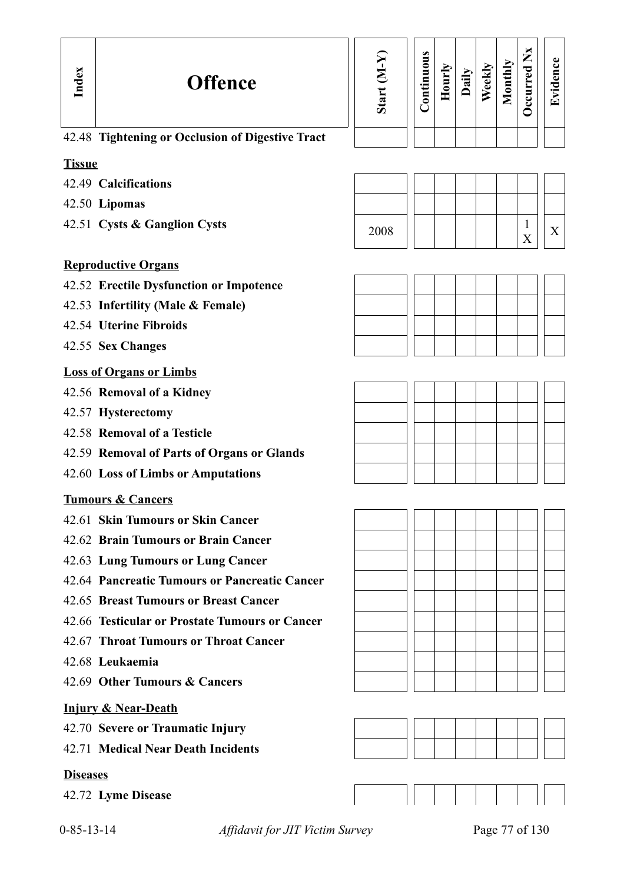| Start $(M-Y)$ | Continuous | Hourly | Daily | Weekly | Monthly | Occurred Nx | Evidence |
|---------------|------------|--------|-------|--------|---------|-------------|----------|
|               |            |        |       |        |         |             |          |

## 42.48 **Tightening or Occlusion of Digestive Tract**

### **Tissue**

- 42.49 **Calcifications**
- 42.50 **Lipomas**
- 

### **Reproductive Organs**

- 42.52 **Erectile Dysfunction or Impotence**
- 42.53 **Infertility (Male & Female)**
- 42.54 **Uterine Fibroids**
- 42.55 **Sex Changes**

### **Loss of Organs or Limbs**

- 42.56 **Removal of a Kidney**
- 42.57 **Hysterectomy**
- 42.58 **Removal of a Testicle**
- 42.59 **Removal of Parts of Organs or Glands**
- 42.60 **Loss of Limbs or Amputations**

### **Tumours & Cancers**

- 42.61 **Skin Tumours or Skin Cancer**
- 42.62 **Brain Tumours or Brain Cancer**
- 42.63 **Lung Tumours or Lung Cancer**
- 42.64 **Pancreatic Tumours or Pancreatic Cancer**
- 42.65 **Breast Tumours or Breast Cancer**
- 42.66 **Testicular or Prostate Tumours or Cancer**
- 42.67 **Throat Tumours or Throat Cancer**
- 42.68 **Leukaemia**
- 42.69 **Other Tumours & Cancers**

### **Injury & Near-Death**

- 42.70 **Severe or Traumatic Injury**
- 42.71 **Medical Near Death Incidents**

### **Diseases**

42.72 **Lyme Disease**











0-85-13-14 *Affidavit for JIT Victim Survey* Page 77 of 130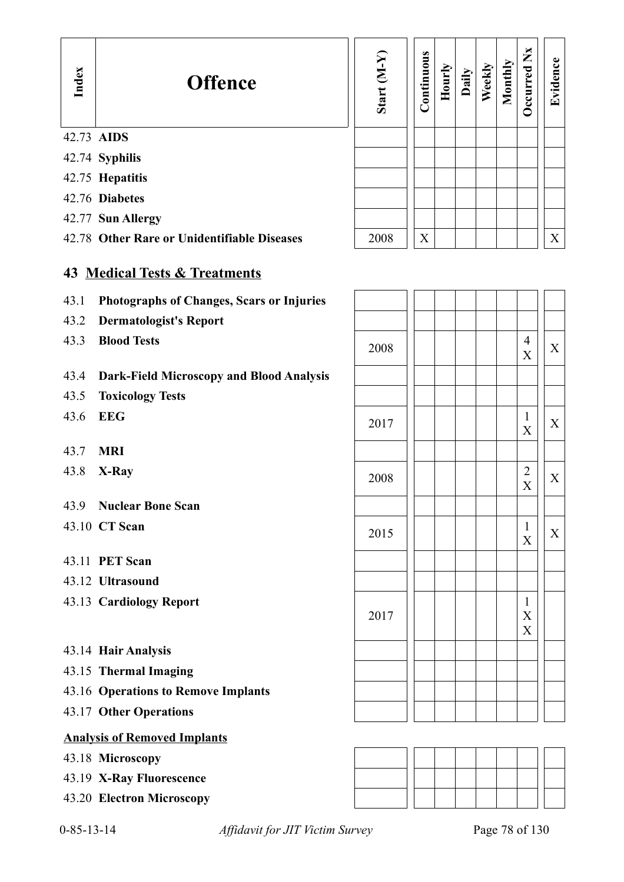| Index      | <b>Offence</b>                              | $(N-N)$<br>Start | Continuous | Hourly | Daily | Weekly | Monthly | $\mathbf{X}$<br><b>Decurred</b> | Evidence |
|------------|---------------------------------------------|------------------|------------|--------|-------|--------|---------|---------------------------------|----------|
| 42.73 AIDS |                                             |                  |            |        |       |        |         |                                 |          |
|            | 42.74 Syphilis                              |                  |            |        |       |        |         |                                 |          |
|            | 42.75 Hepatitis                             |                  |            |        |       |        |         |                                 |          |
|            | 42.76 Diabetes                              |                  |            |        |       |        |         |                                 |          |
|            | 42.77 Sun Allergy                           |                  |            |        |       |        |         |                                 |          |
|            | 42.78 Other Rare or Unidentifiable Diseases | 2008             | X          |        |       |        |         |                                 | X        |
|            |                                             |                  |            |        |       |        |         |                                 |          |

# **43 Medical Tests & Treatments**

- 43.1 **Photographs of Changes, Scars or Injuries**
- 43.2 **Dermatologist's Report**
- 

### 43.4 **Dark-Field Microscopy and Blood Analysis**

- 43.5 **Toxicology Tests**
- 
- 43.7 **MRI**
- 
- 43.9 **Nuclear Bone Scan**
- 
- 43.11 **PET Scan**
- 43.12 **Ultrasound**
- 43.13 **Cardiology Report**
- 43.14 **Hair Analysis**
- 43.15 **Thermal Imaging**
- 43.16 **Operations to Remove Implants**
- 43.17 **Other Operations**

### **Analysis of Removed Implants**

- 43.18 **Microscopy**
- 43.19 **X-Ray Fluorescence**
- 43.20 **Electron Microscopy**

| 43.1 | Photographs of Changes, Scars or Injuries |      |  |                                                                        |   |
|------|-------------------------------------------|------|--|------------------------------------------------------------------------|---|
| 43.2 | <b>Dermatologist's Report</b>             |      |  |                                                                        |   |
| 43.3 | <b>Blood Tests</b>                        | 2008 |  | $\overline{4}$<br>X                                                    | X |
| 43.4 | Dark-Field Microscopy and Blood Analysis  |      |  |                                                                        |   |
| 43.5 | <b>Toxicology Tests</b>                   |      |  |                                                                        |   |
| 43.6 | <b>EEG</b>                                | 2017 |  | 1<br>X                                                                 | X |
| 43.7 | <b>MRI</b>                                |      |  |                                                                        |   |
| 43.8 | X-Ray                                     | 2008 |  | $\overline{2}$<br>$\mathbf X$                                          | X |
| 43.9 | <b>Nuclear Bone Scan</b>                  |      |  |                                                                        |   |
|      | 43.10 CT Scan                             | 2015 |  | $\mathbf{1}$<br>X                                                      | X |
|      | 43.11 PET Scan                            |      |  |                                                                        |   |
|      | 43.12 Ultrasound                          |      |  |                                                                        |   |
|      | 43.13 Cardiology Report                   | 2017 |  | $\mathbf{1}$<br>$\boldsymbol{\mathrm{X}}$<br>$\boldsymbol{\mathrm{X}}$ |   |
|      | 43.14 Hair Analysis                       |      |  |                                                                        |   |
|      | 43.15 Thermal Imaging                     |      |  |                                                                        |   |
|      | 43.16 Operations to Remove Implants       |      |  |                                                                        |   |
|      | 43.17 Other Operations                    |      |  |                                                                        |   |



0-85-13-14 *Affidavit for JIT Victim Survey* Page 78 of 130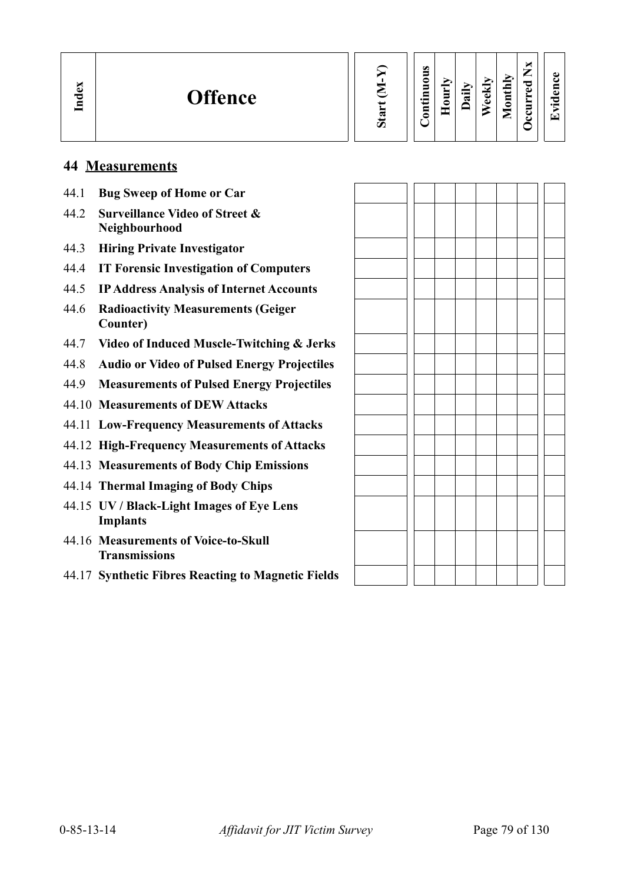| $\sim$<br>ධ<br>77 | <b>Offence</b> |  | ರಾ | S<br>◓<br>$\blacksquare$<br>드<br>◓ | È<br>◓ | aily | ≂<br>-<br>$\bullet$<br>D | ИЦ<br>$\overline{\phantom{a}}$<br>⊟<br>≏<br>▬<br>_ | ×<br>⇁<br>_<br>ு<br>م<br>−<br>ت<br>ے | O.<br>$\bullet$ m<br>⇁ |
|-------------------|----------------|--|----|------------------------------------|--------|------|--------------------------|----------------------------------------------------|--------------------------------------|------------------------|
|-------------------|----------------|--|----|------------------------------------|--------|------|--------------------------|----------------------------------------------------|--------------------------------------|------------------------|

### **44 Measurements**

- 44.1 **Bug Sweep of Home or Car** 44.2 **Surveillance Video of Street & Neighbourhood** 44.3 **Hiring Private Investigator** 44.4 **IT Forensic Investigation of Computers** 44.5 **IP Address Analysis of Internet Accounts** 44.6 **Radioactivity Measurements (Geiger Counter)** 44.7 **Video of Induced Muscle-Twitching & Jerks** 44.8 **Audio or Video of Pulsed Energy Projectiles** 44.9 **Measurements of Pulsed Energy Projectiles** 44.10 **Measurements of DEW Attacks** 44.11 **Low-Frequency Measurements of Attacks** 44.12 **High-Frequency Measurements of Attacks** 44.13 **Measurements of Body Chip Emissions** 44.14 **Thermal Imaging of Body Chips** 44.15 **UV / Black-Light Images of Eye Lens Implants** 44.16 **Measurements of Voice-to-Skull Transmissions**
	- 44.17 **Synthetic Fibres Reacting to Magnetic Fields**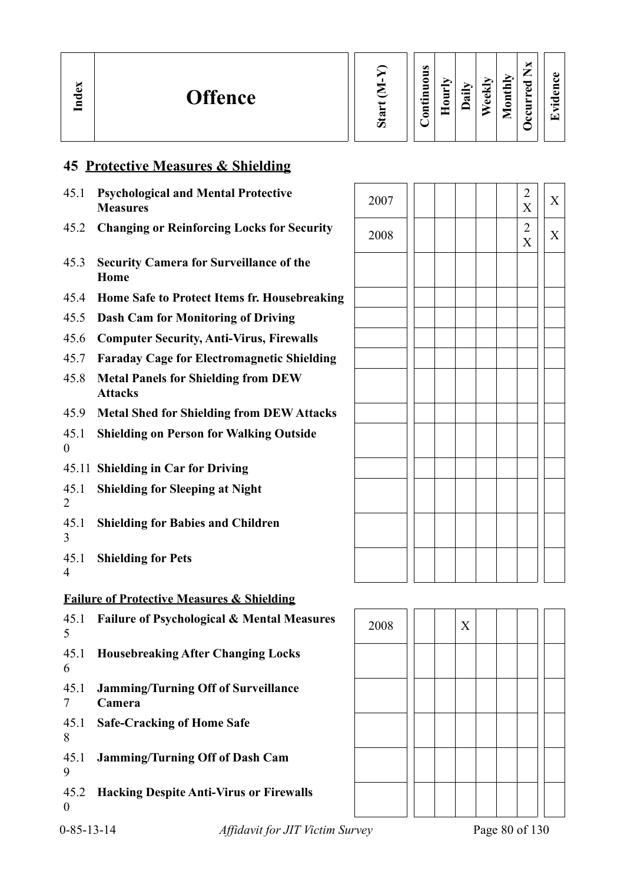

#### **Contin uous Hourly D We ekly aily Monthly OccurredNxEvid ence**

X

X

X

X

# **45 Protective Measures & Shielding**

**In dex**

| 45.1                   | <b>Psychological and Mental Protective</b><br><b>Measures</b> | 2007 |   |  | $\overline{2}$<br>$\boldsymbol{X}$ |
|------------------------|---------------------------------------------------------------|------|---|--|------------------------------------|
| 45.2                   | <b>Changing or Reinforcing Locks for Security</b>             | 2008 |   |  | $\overline{2}$<br>$\boldsymbol{X}$ |
| 45.3                   | <b>Security Camera for Surveillance of the</b><br>Home        |      |   |  |                                    |
| 45.4                   | Home Safe to Protect Items fr. Housebreaking                  |      |   |  |                                    |
| 45.5                   | <b>Dash Cam for Monitoring of Driving</b>                     |      |   |  |                                    |
| 45.6                   | <b>Computer Security, Anti-Virus, Firewalls</b>               |      |   |  |                                    |
| 45.7                   | <b>Faraday Cage for Electromagnetic Shielding</b>             |      |   |  |                                    |
| 45.8                   | <b>Metal Panels for Shielding from DEW</b><br><b>Attacks</b>  |      |   |  |                                    |
| 45.9                   | <b>Metal Shed for Shielding from DEW Attacks</b>              |      |   |  |                                    |
| 45.1<br>$\overline{0}$ | <b>Shielding on Person for Walking Outside</b>                |      |   |  |                                    |
|                        | 45.11 Shielding in Car for Driving                            |      |   |  |                                    |
| 45.1<br>$\overline{2}$ | <b>Shielding for Sleeping at Night</b>                        |      |   |  |                                    |
| 45.1<br>3              | <b>Shielding for Babies and Children</b>                      |      |   |  |                                    |
| 45.1<br>$\overline{4}$ | <b>Shielding for Pets</b>                                     |      |   |  |                                    |
|                        | <b>Failure of Protective Measures &amp; Shielding</b>         |      |   |  |                                    |
| 45.1                   | <b>Failure of Psychological &amp; Mental Measures</b>         | 2008 | X |  |                                    |



| 2008 |  | $\mathbf X$ |  |  |  |
|------|--|-------------|--|--|--|
|      |  |             |  |  |  |
|      |  |             |  |  |  |
|      |  |             |  |  |  |
|      |  |             |  |  |  |
|      |  |             |  |  |  |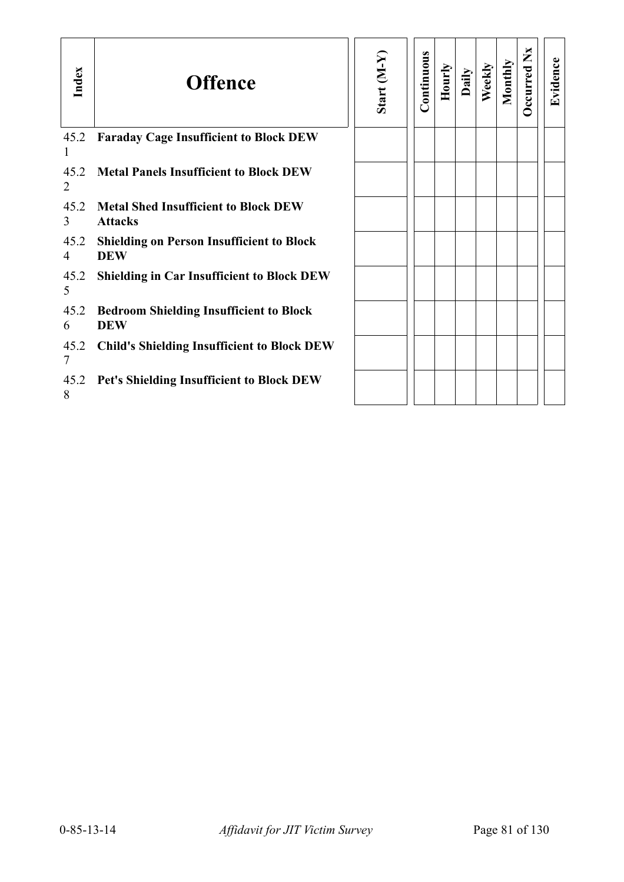| Index                  | <b>Offence</b>                                                 | Start (M-Y) | Continuous | Hourly | Daily | Weekly | Monthly | Occurred Nx | Evidence |
|------------------------|----------------------------------------------------------------|-------------|------------|--------|-------|--------|---------|-------------|----------|
| 45.2                   | <b>Faraday Cage Insufficient to Block DEW</b>                  |             |            |        |       |        |         |             |          |
| 45.2<br>2              | <b>Metal Panels Insufficient to Block DEW</b>                  |             |            |        |       |        |         |             |          |
| 45.2<br>3              | <b>Metal Shed Insufficient to Block DEW</b><br><b>Attacks</b>  |             |            |        |       |        |         |             |          |
| 45.2<br>4              | <b>Shielding on Person Insufficient to Block</b><br><b>DEW</b> |             |            |        |       |        |         |             |          |
| 45.2<br>5              | <b>Shielding in Car Insufficient to Block DEW</b>              |             |            |        |       |        |         |             |          |
| 45.2<br>6              | <b>Bedroom Shielding Insufficient to Block</b><br><b>DEW</b>   |             |            |        |       |        |         |             |          |
| 45.2<br>$\overline{7}$ | <b>Child's Shielding Insufficient to Block DEW</b>             |             |            |        |       |        |         |             |          |
| 45.2<br>8              | Pet's Shielding Insufficient to Block DEW                      |             |            |        |       |        |         |             |          |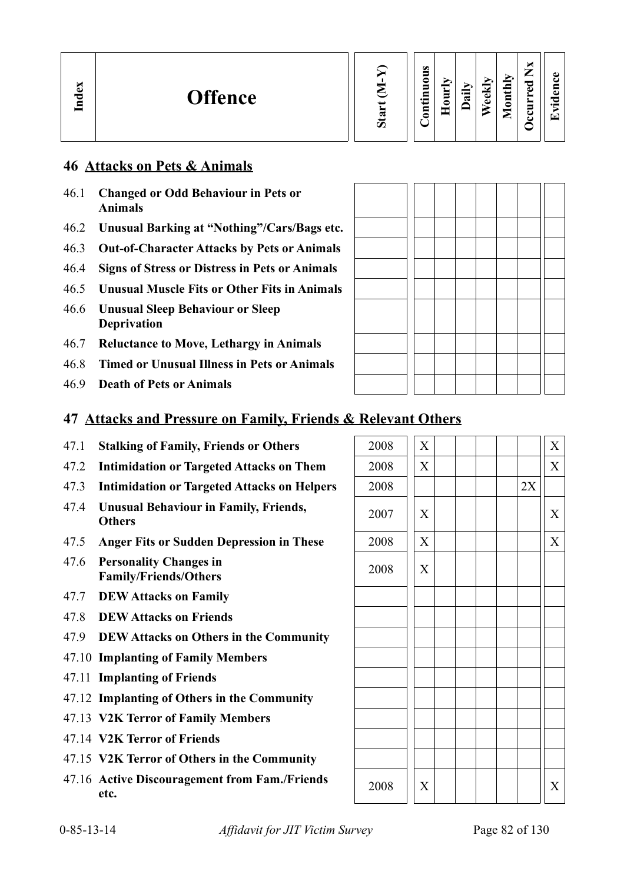### **46 Attacks on Pets & Animals**

- 46.1 **Changed or Odd Behaviour in Pets or Animals**
- 46.2 **Unusual Barking at "Nothing"/Cars/Bags etc.**
- 46.3 **Out-of-Character Attacks by Pets or Animals**
- 46.4 **Signs of Stress or Distress in Pets or Animals**
- 46.5 **Unusual Muscle Fits or Other Fits in Animals**
- 46.6 **Unusual Sleep Behaviour or Sleep Deprivation**
- 46.7 **Reluctance to Move, Lethargy in Animals**
- 46.8 **Timed or Unusual Illness in Pets or Animals**
- 46.9 **Death of Pets or Animals**

| 47 Attacks and Pressure on Family, Friends & Relevant Others |  |  |
|--------------------------------------------------------------|--|--|
|                                                              |  |  |

- 47.1 **Stalking of Family, Friends or Others**
- 47.2 **Intimidation or Targeted Attacks on Them**
- 47.3 **Intimidation or Targeted Attacks on Helpers**
- 47.4 **Unusual Behaviour in Family, Friends, Others** <sup>2007</sup> <sup>X</sup> <sup>X</sup>
- 47.5 Anger Fits or Sudden Depression in These
- 47.6 **Personality Changes in Family/Friends/Others**
- 47.7 **DEW Attacks on Family**
- 47.8 **DEW Attacks on Friends**
- 47.9 **DEW Attacks on Others in the Community**
- 47.10 **Implanting of Family Members**
- 47.11 **Implanting of Friends**
- 47.12 **Implanting of Others in the Community**
- 47.13 **V2K Terror of Family Members**
- 47.14 **V2K Terror of Friends**
- 47.15 **V2K Terror of Others in the Community**
- 47.16 Active Discouragement from Fam./Friends  $2008$   $\begin{vmatrix} x \\ x \end{vmatrix}$  |  $\begin{vmatrix} x \\ x \end{vmatrix}$  |  $\begin{vmatrix} x \\ x \end{vmatrix}$

| 2008 | $\overline{X}$            |    | $\overline{\text{X}}$ |
|------|---------------------------|----|-----------------------|
| 2008 | $\overline{X}$            |    | $\overline{X}$        |
| 2008 |                           | 2X |                       |
| 2007 | $\boldsymbol{\mathrm{X}}$ |    | X                     |
| 2008 | $\overline{\text{X}}$     |    | $\overline{X}$        |
| 2008 | X                         |    |                       |
|      |                           |    |                       |
|      |                           |    |                       |
|      |                           |    |                       |
|      |                           |    |                       |
|      |                           |    |                       |
|      |                           |    |                       |
|      |                           |    |                       |
|      |                           |    |                       |
|      |                           |    |                       |
| 2008 | X                         |    | $\mathbf X$           |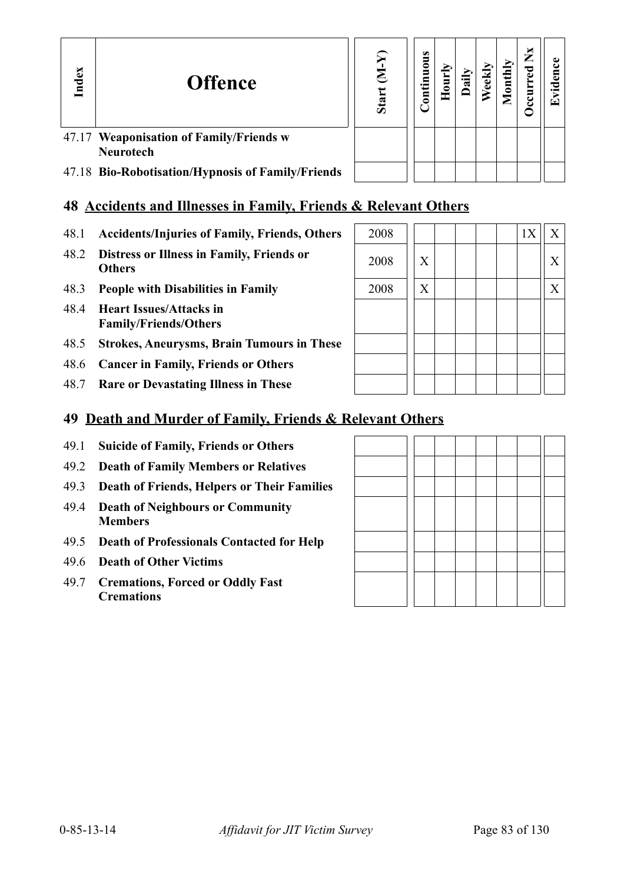| Index | <b>Offence</b>                                              | Sta | $\bullet$<br>$\ddot{\mathbf{5}}$<br>등 | 0 | eel | $_{\text{onth}}$ | ×<br>⇁ | Ō<br>⊵ |
|-------|-------------------------------------------------------------|-----|---------------------------------------|---|-----|------------------|--------|--------|
|       | 47.17 Weaponisation of Family/Friends w<br><b>Neurotech</b> |     |                                       |   |     |                  |        |        |
|       | 47.18 Bio-Robotisation/Hypnosis of Family/Friends           |     |                                       |   |     |                  |        |        |

| 47.18 Bio-Robotisation/Hypnosis of Family/Friends |  |
|---------------------------------------------------|--|
|                                                   |  |

# **48 Accidents and Illnesses in Family, Friends & Relevant Others**

- 48.1 Accidents/Injuries of Family, Friends, Others
- **48.2 Distress or Illness in Family, Friends or**  $\begin{array}{|c|c|c|c|c|c|} \hline \textbf{2008} & x & x & y & z & z \\ \hline \end{array}$
- 48.3 **People with Disabilities in Family**
- 48.4 **Heart Issues/Attacks in Family/Friends/Others**

- 48.5 **Strokes, Aneurysms, Brain Tumours in These**
- 48.6 **Cancer in Family, Friends or Others**
- 48.7 **Rare or Devastating Illness in These**

| 2008 |   | 1X<br>$\mathbf X$ |
|------|---|-------------------|
| 2008 | X | $\boldsymbol{X}$  |
| 2008 | X | $\mathbf X$       |
|      |   |                   |
|      |   |                   |
|      |   |                   |
|      |   |                   |

# **49 Death and Murder of Family, Friends & Relevant Others**

- 49.1 **Suicide of Family, Friends or Others**
- 49.2 **Death of Family Members or Relatives**
- 49.3 **Death of Friends, Helpers or Their Families**
- 49.4 **Death of Neighbours or Community Members**
- 49.5 **Death of Professionals Contacted for Help**
- 49.6 **Death of Other Victims**
- 49.7 **Cremations, Forced or Oddly Fast Cremations**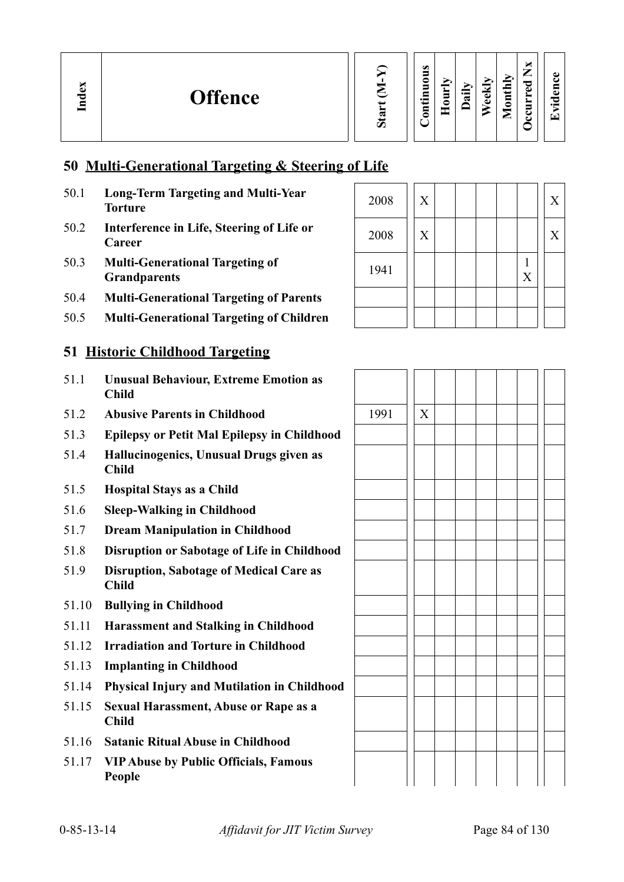### **50 Multi-Generational Targeting & Steering of Life**

- 50.1 **Long-Term Targeting and Multi-Year**
- 50.2 **Interference in Life, Steering of Life or Career** <sup>2008</sup> <sup>X</sup> <sup>X</sup>
- 50.3 **Multi-Generational Targeting of Grandparents** <sup>1941</sup> <sup>1</sup>
- 50.4 **Multi-Generational Targeting of Parents**
- 50.5 **Multi-Generational Targeting of Children**

### **51 Historic Childhood Targeting**

- 51.1 **Unusual Behaviour, Extreme Emotion as Child**
- 51.2 **Abusive Parents in Childhood**
- 51.3 **Epilepsy or Petit Mal Epilepsy in Childhood**
- 51.4 **Hallucinogenics, Unusual Drugs given as Child**
- 51.5 **Hospital Stays as a Child**
- 51.6 **Sleep-Walking in Childhood**
- 51.7 **Dream Manipulation in Childhood**
- 51.8 **Disruption or Sabotage of Life in Childhood**
- 51.9 **Disruption, Sabotage of Medical Care as Child**
- 51.10 **Bullying in Childhood**
- 51.11 **Harassment and Stalking in Childhood**
- 51.12 **Irradiation and Torture in Childhood**
- 51.13 **Implanting in Childhood**
- 51.14 **Physical Injury and Mutilation in Childhood**
- 51.15 **Sexual Harassment, Abuse or Rape as a Child**
- 51.16 **Satanic Ritual Abuse in Childhood**
- 51.17 **VIP Abuse by Public Officials, Famous People**

| <b>Long-Term Targeting and Multi-Year</b><br>Torture          | 2008 | X |  |  |   |  |
|---------------------------------------------------------------|------|---|--|--|---|--|
| Interference in Life, Steering of Life or<br>Career           | 2008 | X |  |  |   |  |
| <b>Multi-Generational Targeting of</b><br><b>Grandparents</b> | 1941 |   |  |  | X |  |
| <b>Multi-Generational Targeting of Parents</b>                |      |   |  |  |   |  |
| <b>Multi-Generational Targeting of Children</b>               |      |   |  |  |   |  |

| 1991 | $\overline{X}$ |  |  |  |  |
|------|----------------|--|--|--|--|
|      |                |  |  |  |  |
|      |                |  |  |  |  |
|      |                |  |  |  |  |
|      |                |  |  |  |  |
|      |                |  |  |  |  |
|      |                |  |  |  |  |
|      |                |  |  |  |  |
|      |                |  |  |  |  |
|      |                |  |  |  |  |
|      |                |  |  |  |  |
|      |                |  |  |  |  |
|      |                |  |  |  |  |
|      |                |  |  |  |  |
|      |                |  |  |  |  |
|      |                |  |  |  |  |
|      |                |  |  |  |  |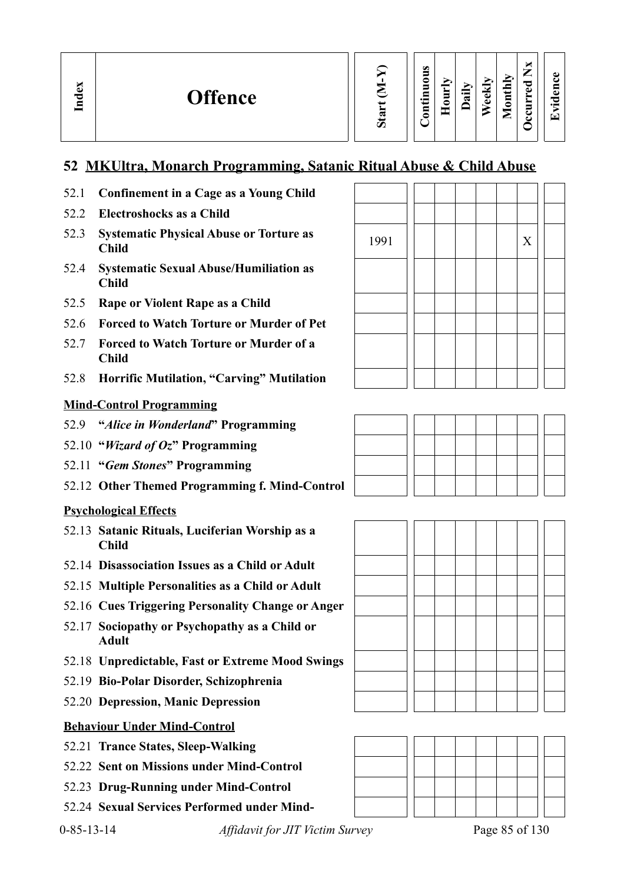| Index | <b>Offence</b> |  | ರಾ | $\bullet$<br>5<br>$\blacksquare$<br>-<br>0 | 旨<br>◓ | ゠<br>≂ | ਚਿੰ<br>$\bullet$<br>ω | Ыy<br>$\overline{\phantom{0}}$<br>⊟<br>◓<br>_ | ×<br>∽<br>⊷<br>ರ<br>$\omega$<br>ల<br>ີ | ω<br>e :<br>⊆<br>ω<br>ᇰ<br>$\cdot$ $\,$<br>⊡ |  |
|-------|----------------|--|----|--------------------------------------------|--------|--------|-----------------------|-----------------------------------------------|----------------------------------------|----------------------------------------------|--|
|-------|----------------|--|----|--------------------------------------------|--------|--------|-----------------------|-----------------------------------------------|----------------------------------------|----------------------------------------------|--|

### **52 MKUltra, Monarch Programming, Satanic Ritual Abuse & Child Abuse**

- 52.1 **Confinement in a Cage as a Young Child**
- 52.2 **Electroshocks as a Child**
- 52.3 Systematic Physical Abuse or Torture as <br>
Child X
- 52.4 **Systematic Sexual Abuse/Humiliation as Child**
- 52.5 **Rape or Violent Rape as a Child**
- 52.6 **Forced to Watch Torture or Murder of Pet**
- 52.7 **Forced to Watch Torture or Murder of a Child**
- 52.8 **Horrific Mutilation, "Carving" Mutilation**

### **Mind-Control Programming**

- 52.9 **"***Alice in Wonderland***" Programming**
- 52.10 **"***Wizard of Oz***" Programming**
- 52.11 **"***Gem Stones***" Programming**
- 52.12 **Other Themed Programming f. Mind-Control**

#### **Psychological Effects**

- 52.13 **Satanic Rituals, Luciferian Worship as a Child**
- 52.14 **Disassociation Issues as a Child or Adult**
- 52.15 **Multiple Personalities as a Child or Adult**
- 52.16 **Cues Triggering Personality Change or Anger**
- 52.17 **Sociopathy or Psychopathy as a Child or Adult**
- 52.18 **Unpredictable, Fast or Extreme Mood Swings**
- 52.19 **Bio-Polar Disorder, Schizophrenia**
- 52.20 **Depression, Manic Depression**

### **Behaviour Under Mind-Control**

- 52.21 **Trance States, Sleep-Walking**
- 52.22 **Sent on Missions under Mind-Control**
- 52.23 **Drug-Running under Mind-Control**
- 52.24 **Sexual Services Performed under Mind-**







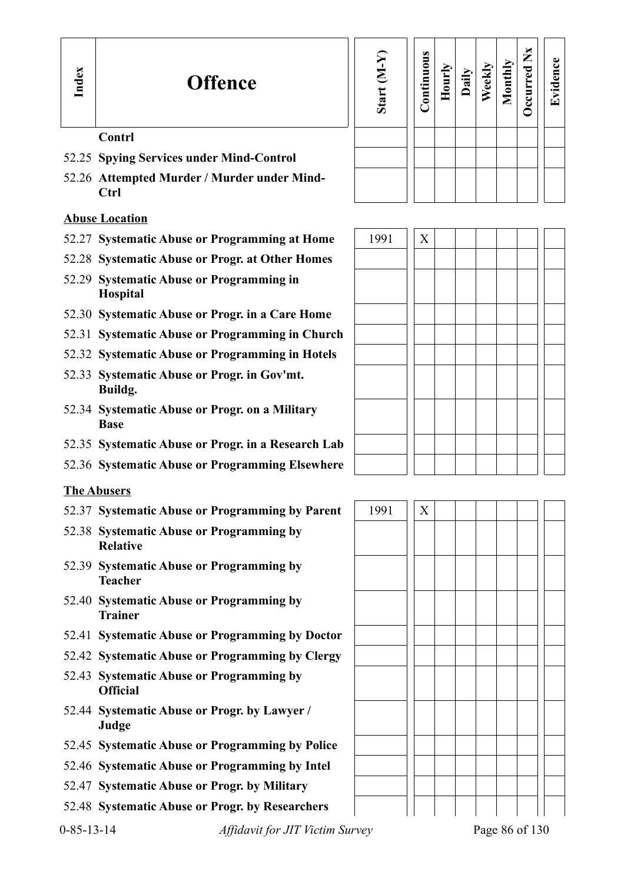### **Contrl**

- 52.25 **Spying Services under Mind-Control**
- 52.26 **Attempted Murder / Murder under Mind-Ctrl**

### **Abuse Location**

- 52.27 Systematic Abuse or Programming at Home
- 52.28 **Systematic Abuse or Progr. at Other Homes**
- 52.29 **Systematic Abuse or Programming in Hospital**
- 52.30 **Systematic Abuse or Progr. in a Care Home**
- 52.31 **Systematic Abuse or Programming in Church**
- 52.32 **Systematic Abuse or Programming in Hotels**
- 52.33 **Systematic Abuse or Progr. in Gov'mt. Buildg.**
- 52.34 **Systematic Abuse or Progr. on a Military Base**
- 52.35 **Systematic Abuse or Progr. in a Research Lab**
- 52.36 **Systematic Abuse or Programming Elsewhere**

### **The Abusers**

- 52.37 Systematic Abuse or Programming by Parent | 1991 | X
- 52.38 **Systematic Abuse or Programming by Relative**
- 52.39 **Systematic Abuse or Programming by Teacher**
- 52.40 **Systematic Abuse or Programming by Trainer**
- 52.41 **Systematic Abuse or Programming by Doctor**
- 52.42 **Systematic Abuse or Programming by Clergy**
- 52.43 **Systematic Abuse or Programming by Official**
- 52.44 **Systematic Abuse or Progr. by Lawyer / Judge**
- 52.45 **Systematic Abuse or Programming by Police**
- 52.46 **Systematic Abuse or Programming by Intel**
- 52.47 **Systematic Abuse or Progr. by Military**
- 52.48 **Systematic Abuse or Progr. by Researchers**

| Start (M-Y) | Continuous | Hourly | Daily | Weekly | Monthly | Occurred Nx | Evidence |
|-------------|------------|--------|-------|--------|---------|-------------|----------|
|             |            |        |       |        |         |             |          |
|             |            |        |       |        |         |             |          |
|             |            |        |       |        |         |             |          |
|             |            |        |       |        |         |             |          |

| 1991 | $\mathbf X$ |  |  |  |  |
|------|-------------|--|--|--|--|
|      |             |  |  |  |  |
|      |             |  |  |  |  |
|      |             |  |  |  |  |
|      |             |  |  |  |  |
|      |             |  |  |  |  |
|      |             |  |  |  |  |
|      |             |  |  |  |  |
|      |             |  |  |  |  |
|      |             |  |  |  |  |
|      |             |  |  |  |  |
|      |             |  |  |  |  |
|      |             |  |  |  |  |



0-85-13-14 *Affidavit for JIT Victim Survey* Page 86 of 130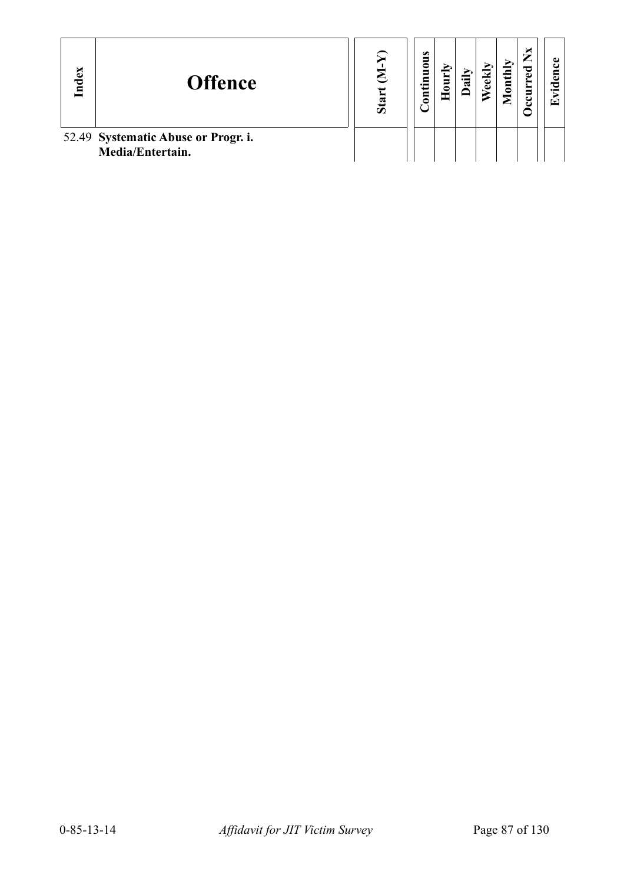| Index | <b>Offence</b>                                          | S.<br>$\bar{\bm{\omega}}$ | $\bullet$<br>tinuous<br>3 | ≣<br>$\blacksquare$ | тік | eekly | onthly | ×<br>⋍<br>P | ω<br>°⊂<br>$\cdot$ $\,$<br>$\mathbf{r}$ |  |
|-------|---------------------------------------------------------|---------------------------|---------------------------|---------------------|-----|-------|--------|-------------|-----------------------------------------|--|
|       | 52.49 Systematic Abuse or Progr. i.<br>Media/Entertain. |                           |                           |                     |     |       |        |             |                                         |  |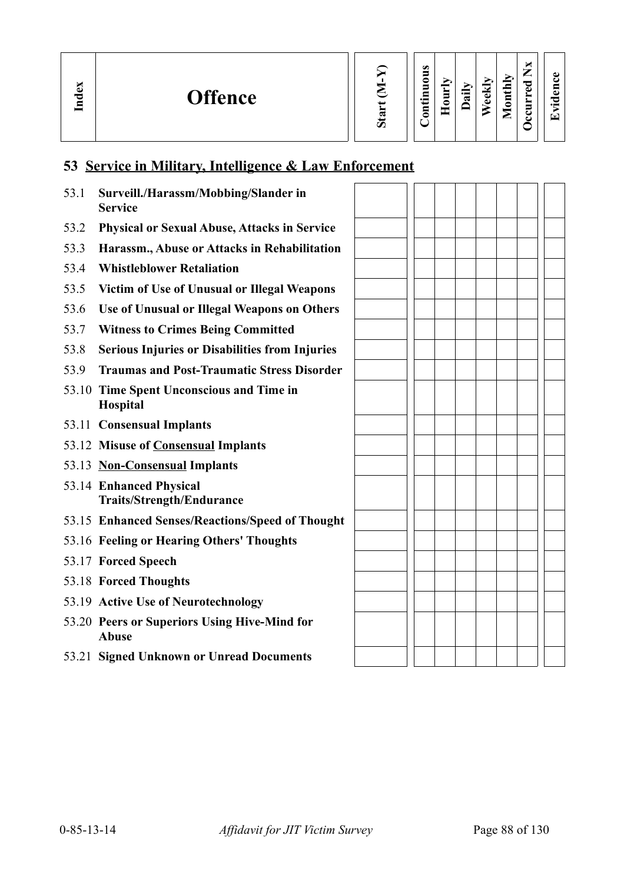# **53 Service in Military, Intelligence & Law Enforcement**

| 53.1 | Surveill./Harassm/Mobbing/Slander in<br><b>Service</b>       |  |  |  |  |
|------|--------------------------------------------------------------|--|--|--|--|
| 53.2 | <b>Physical or Sexual Abuse, Attacks in Service</b>          |  |  |  |  |
| 53.3 | Harassm., Abuse or Attacks in Rehabilitation                 |  |  |  |  |
| 53.4 | <b>Whistleblower Retaliation</b>                             |  |  |  |  |
| 53.5 | Victim of Use of Unusual or Illegal Weapons                  |  |  |  |  |
| 53.6 | Use of Unusual or Illegal Weapons on Others                  |  |  |  |  |
| 53.7 | <b>Witness to Crimes Being Committed</b>                     |  |  |  |  |
| 53.8 | <b>Serious Injuries or Disabilities from Injuries</b>        |  |  |  |  |
| 53.9 | <b>Traumas and Post-Traumatic Stress Disorder</b>            |  |  |  |  |
|      | 53.10 Time Spent Unconscious and Time in<br>Hospital         |  |  |  |  |
|      | 53.11 Consensual Implants                                    |  |  |  |  |
|      | 53.12 Misuse of Consensual Implants                          |  |  |  |  |
|      | 53.13 Non-Consensual Implants                                |  |  |  |  |
|      | 53.14 Enhanced Physical<br><b>Traits/Strength/Endurance</b>  |  |  |  |  |
|      | 53.15 Enhanced Senses/Reactions/Speed of Thought             |  |  |  |  |
|      | 53.16 Feeling or Hearing Others' Thoughts                    |  |  |  |  |
|      | 53.17 Forced Speech                                          |  |  |  |  |
|      | 53.18 Forced Thoughts                                        |  |  |  |  |
|      | 53.19 Active Use of Neurotechnology                          |  |  |  |  |
|      | 53.20 Peers or Superiors Using Hive-Mind for<br><b>Abuse</b> |  |  |  |  |
|      | 53.21 Signed Unknown or Unread Documents                     |  |  |  |  |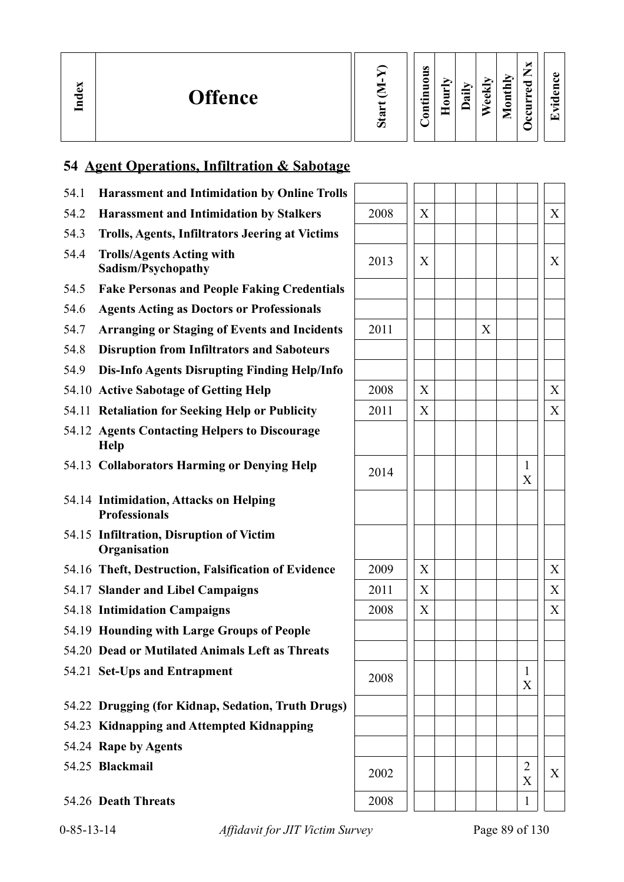| ex<br>$\mathbf{E}$ | <b>Offence</b> | w<br>Ο | ω<br>∍<br>0<br>$\blacksquare$<br>⊟<br>$\cdot$ $\,$<br>3 | È<br>c<br>Ξ | $\oplus$<br>≂ | ∼<br>ਚਿੰ<br>∸<br>$\omega$<br>D | Иų<br>نــ<br>₽<br>◓<br>▀<br>_ | ⇁<br>_<br>ెం<br>ω<br>⊂<br>౿ | 61<br>$\bullet$<br>ſ٣ |
|--------------------|----------------|--------|---------------------------------------------------------|-------------|---------------|--------------------------------|-------------------------------|-----------------------------|-----------------------|
|--------------------|----------------|--------|---------------------------------------------------------|-------------|---------------|--------------------------------|-------------------------------|-----------------------------|-----------------------|

# **54 Agent Operations, Infiltration & Sabotage**

| <b>Harassment and Intimidation by Online Trolls</b><br>54.1    |      |   |   |                     |   |
|----------------------------------------------------------------|------|---|---|---------------------|---|
| <b>Harassment and Intimidation by Stalkers</b><br>54.2         | 2008 | X |   |                     | X |
| Trolls, Agents, Infiltrators Jeering at Victims<br>54.3        |      |   |   |                     |   |
| 54.4<br><b>Trolls/Agents Acting with</b><br>Sadism/Psychopathy | 2013 | X |   |                     | X |
| 54.5<br><b>Fake Personas and People Faking Credentials</b>     |      |   |   |                     |   |
| <b>Agents Acting as Doctors or Professionals</b><br>54.6       |      |   |   |                     |   |
| 54.7<br><b>Arranging or Staging of Events and Incidents</b>    | 2011 |   | X |                     |   |
| 54.8<br><b>Disruption from Infiltrators and Saboteurs</b>      |      |   |   |                     |   |
| Dis-Info Agents Disrupting Finding Help/Info<br>54.9           |      |   |   |                     |   |
| 54.10 Active Sabotage of Getting Help                          | 2008 | X |   |                     | X |
| 54.11 Retaliation for Seeking Help or Publicity                | 2011 | X |   |                     | X |
| 54.12 Agents Contacting Helpers to Discourage<br><b>Help</b>   |      |   |   |                     |   |
| 54.13 Collaborators Harming or Denying Help                    | 2014 |   |   | 1<br>X              |   |
| 54.14 Intimidation, Attacks on Helping<br><b>Professionals</b> |      |   |   |                     |   |
| 54.15 Infiltration, Disruption of Victim<br>Organisation       |      |   |   |                     |   |
| 54.16 Theft, Destruction, Falsification of Evidence            | 2009 | X |   |                     | X |
| 54.17 Slander and Libel Campaigns                              | 2011 | X |   |                     | X |
| 54.18 Intimidation Campaigns                                   | 2008 | X |   |                     | X |
| 54.19 Hounding with Large Groups of People                     |      |   |   |                     |   |
| 54.20 Dead or Mutilated Animals Left as Threats                |      |   |   |                     |   |
| 54.21 Set-Ups and Entrapment                                   | 2008 |   |   | 1<br>X              |   |
| 54.22 Drugging (for Kidnap, Sedation, Truth Drugs)             |      |   |   |                     |   |
| 54.23 Kidnapping and Attempted Kidnapping                      |      |   |   |                     |   |
| 54.24 Rape by Agents                                           |      |   |   |                     |   |
| 54.25 Blackmail                                                | 2002 |   |   | $\overline{2}$<br>X | X |
| 54.26 Death Threats                                            | 2008 |   |   | $\mathbf{1}$        |   |

0-85-13-14 *Affidavit for JIT Victim Survey* Page 89 of 130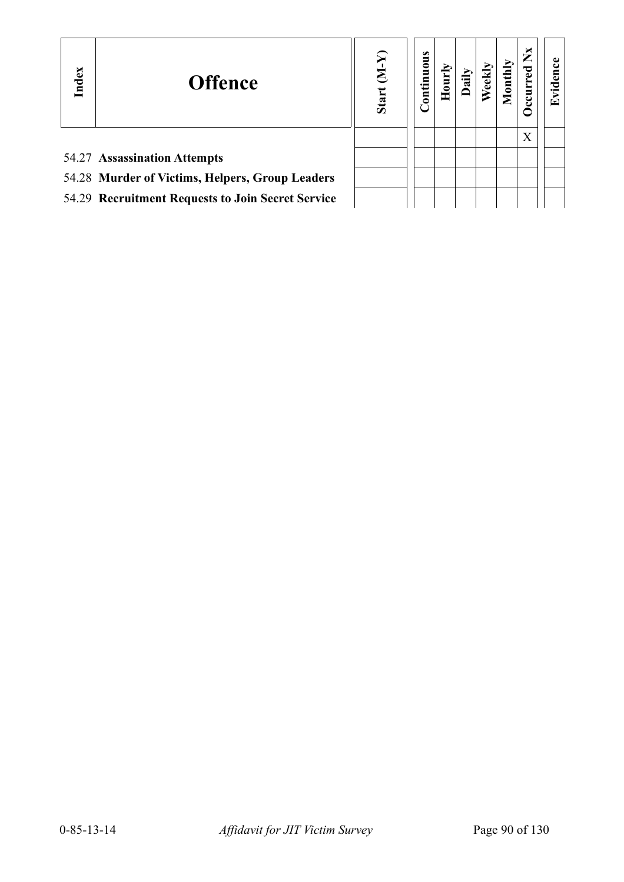| Index | <b>Offence</b>                                    | ξ.<br>Star | ontinuous | $\mathbf{H}$ |  | ×<br>► | Œ |
|-------|---------------------------------------------------|------------|-----------|--------------|--|--------|---|
|       |                                                   |            |           |              |  | X      |   |
|       | 54.27 Assassination Attempts                      |            |           |              |  |        |   |
|       | 54.28 Murder of Victims, Helpers, Group Leaders   |            |           |              |  |        |   |
|       | 54.29 Recruitment Requests to Join Secret Service |            |           |              |  |        |   |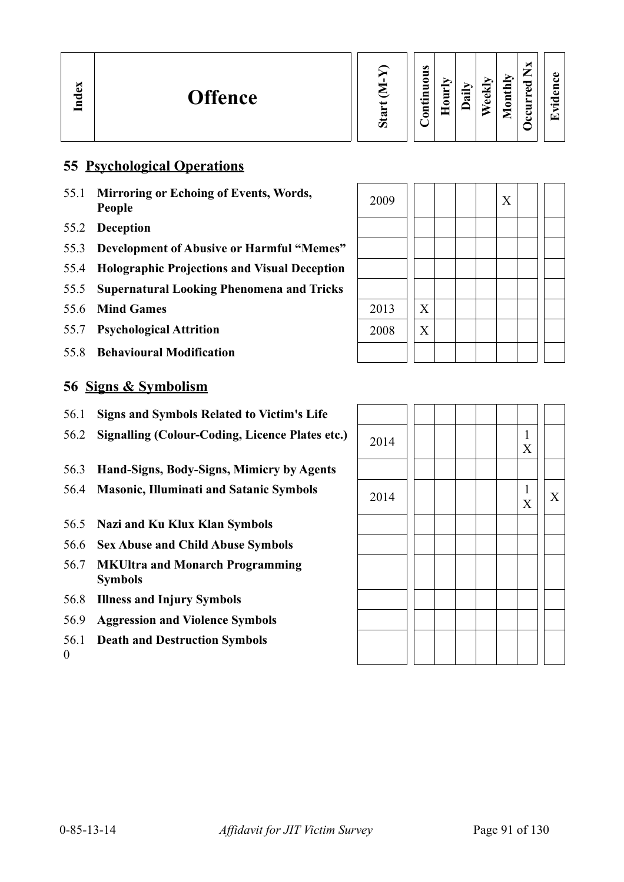### **55 Psychological Operations**

- 55.1 **Mirroring or Echoing of Events, Words, People** <sup>2009</sup> <sup>X</sup>
- 55.2 **Deception**
- 55.3 **Development of Abusive or Harmful "Memes"**
- 55.4 **Holographic Projections and Visual Deception**
- 55.5 **Supernatural Looking Phenomena and Tricks**
- 55.6 Mind Games
- 55.7 **Psychological Attrition**
- 55.8 **Behavioural Modification**

### **56 Signs & Symbolism**

- 56.1 **Signs and Symbols Related to Victim's Life**
- 56.2 **Signalling (Colour-Coding, Licence Plates etc.)**
- 56.3 **Hand-Signs, Body-Signs, Mimicry by Agents**
- 56.4 Masonic, Illuminati and Satanic Symbols
- 56.5 **Nazi and Ku Klux Klan Symbols**
- 56.6 **Sex Abuse and Child Abuse Symbols**
- 56.7 **MKUltra and Monarch Programming Symbols**
- 56.8 **Illness and Injury Symbols**
- 56.9 **Aggression and Violence Symbols**
- 56.1 **Death and Destruction Symbols**

0

| 2009 |                           |  | $\mathbf X$ |  |  |
|------|---------------------------|--|-------------|--|--|
|      |                           |  |             |  |  |
|      |                           |  |             |  |  |
|      |                           |  |             |  |  |
|      |                           |  |             |  |  |
| 2013 | $\mathbf X$               |  |             |  |  |
| 2008 | $\boldsymbol{\mathrm{X}}$ |  |             |  |  |
|      |                           |  |             |  |  |

| 2014 |  |  | $\frac{1}{\mathbf{X}}$ |             |
|------|--|--|------------------------|-------------|
|      |  |  |                        |             |
| 2014 |  |  | $\frac{1}{\mathbf{X}}$ | $\mathbf X$ |
|      |  |  |                        |             |
|      |  |  |                        |             |
|      |  |  |                        |             |
|      |  |  |                        |             |
|      |  |  |                        |             |
|      |  |  |                        |             |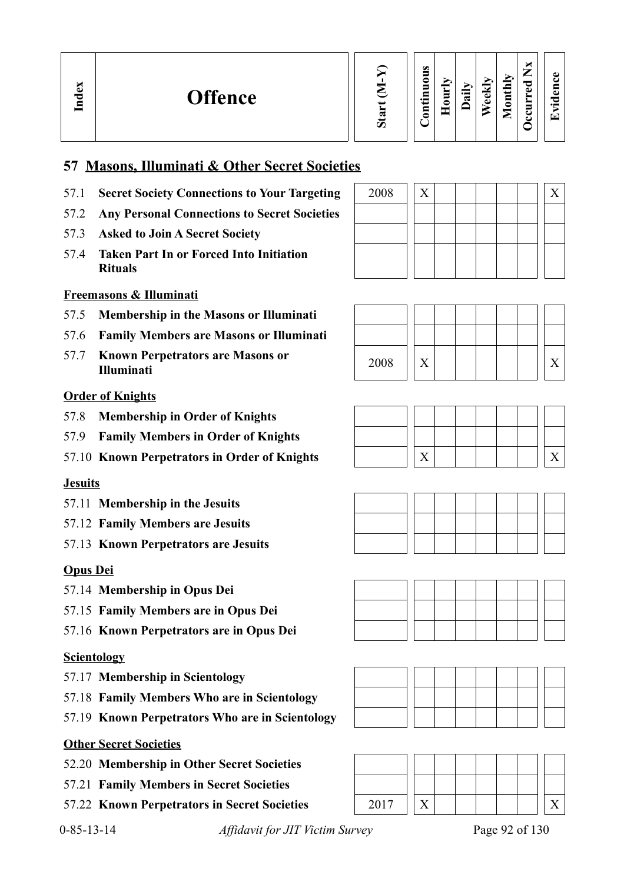

#### **Contin uous Hourly D We ekly aily Monthly OccurredNxEvid ence**

# **57 Masons, Illuminati & Other Secret Societies**

- 57.1 **Secret Society Connections to Your Targeting**
- 57.2 **Any Personal Connections to Secret Societies**
- 57.3 **Asked to Join A Secret Society**
- 57.4 **Taken Part In or Forced Into Initiation Rituals**

## **Freemasons & Illuminati**

- 57.5 **Membership in the Masons or Illuminati**
- 57.6 **Family Members are Masons or Illuminati**
- 57.7 **Known Perpetrators are Masons or**

### **Order of Knights**

- 57.8 **Membership in Order of Knights**
- 57.9 **Family Members in Order of Knights**
- 57.10 **Known Perpetrators in Order of Knights** X X

### **Jesuits**

**In dex**

- 57.11 **Membership in the Jesuits**
- 57.12 **Family Members are Jesuits**
- 57.13 **Known Perpetrators are Jesuits**

### **Opus Dei**

- 57.14 **Membership in Opus Dei**
- 57.15 **Family Members are in Opus Dei**
- 57.16 **Known Perpetrators are in Opus Dei**

### **Scientology**

- 57.17 **Membership in Scientology**
- 57.18 **Family Members Who are in Scientology**
- 57.19 **Known Perpetrators Who are in Scientology**

### **Other Secret Societies**

- 52.20 **Membership in Other Secret Societies**
- 57.21 **Family Members in Secret Societies**
- 57.22 **Known Perpetrators in Secret Societies** 2017 X X

| 2008 | v |  |  |  |  |
|------|---|--|--|--|--|
|      |   |  |  |  |  |
|      |   |  |  |  |  |
|      |   |  |  |  |  |
|      |   |  |  |  |  |













0-85-13-14 *Affidavit for JIT Victim Survey* Page 92 of 130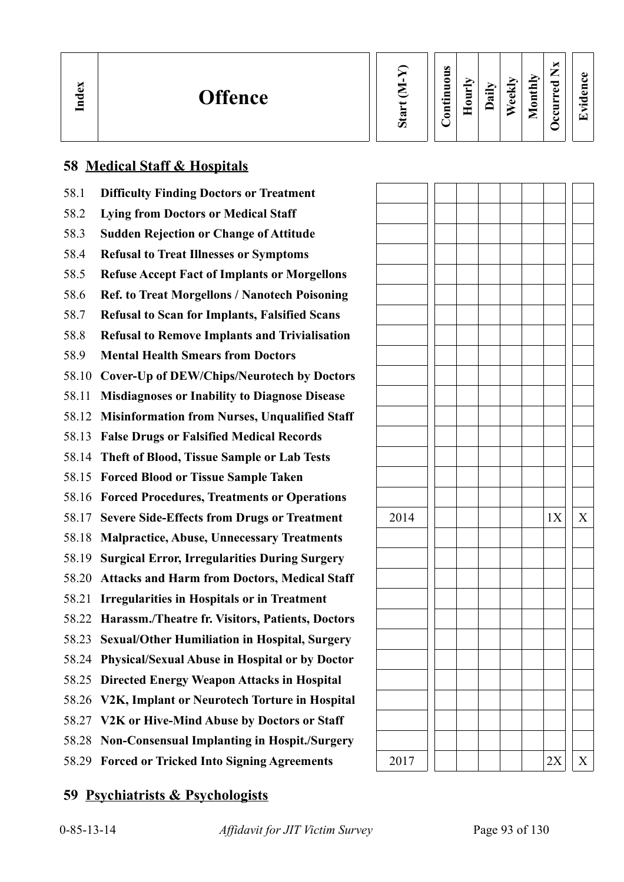| Index | <b>Offence</b> |  | œ<br>78<br>◡ |  | Ø<br>0<br>Ξ<br>Ξ<br>$\cdot$ $\,$<br>Ξ<br>⊂<br>$\sim$ | È<br>◓<br>Ξ | $\ddot{a}$ | <u>raj</u><br>ه | ∼<br>thiy<br>$\bar{\mathbf{s}}$<br>-<br>◚ | ×<br>⇁<br>⊷<br>ರ<br>Φ<br>➤<br>➤<br>5<br>ఒ<br>ပ | ٥<br>پ<br>$\blacksquare$<br>¢<br>ರ<br>- -<br>Œ |  |
|-------|----------------|--|--------------|--|------------------------------------------------------|-------------|------------|-----------------|-------------------------------------------|------------------------------------------------|------------------------------------------------|--|
|-------|----------------|--|--------------|--|------------------------------------------------------|-------------|------------|-----------------|-------------------------------------------|------------------------------------------------|------------------------------------------------|--|

# **58 Medical Staff & Hospitals**

| 58.1  | <b>Difficulty Finding Doctors or Treatment</b>         |      |  |    |   |
|-------|--------------------------------------------------------|------|--|----|---|
| 58.2  | <b>Lying from Doctors or Medical Staff</b>             |      |  |    |   |
| 58.3  | <b>Sudden Rejection or Change of Attitude</b>          |      |  |    |   |
| 58.4  | <b>Refusal to Treat Illnesses or Symptoms</b>          |      |  |    |   |
| 58.5  | <b>Refuse Accept Fact of Implants or Morgellons</b>    |      |  |    |   |
| 58.6  | <b>Ref. to Treat Morgellons / Nanotech Poisoning</b>   |      |  |    |   |
| 58.7  | <b>Refusal to Scan for Implants, Falsified Scans</b>   |      |  |    |   |
| 58.8  | <b>Refusal to Remove Implants and Trivialisation</b>   |      |  |    |   |
| 58.9  | <b>Mental Health Smears from Doctors</b>               |      |  |    |   |
| 58.10 | <b>Cover-Up of DEW/Chips/Neurotech by Doctors</b>      |      |  |    |   |
| 58.11 | <b>Misdiagnoses or Inability to Diagnose Disease</b>   |      |  |    |   |
| 58.12 | <b>Misinformation from Nurses, Unqualified Staff</b>   |      |  |    |   |
| 58.13 | <b>False Drugs or Falsified Medical Records</b>        |      |  |    |   |
| 58.14 | Theft of Blood, Tissue Sample or Lab Tests             |      |  |    |   |
|       | 58.15 Forced Blood or Tissue Sample Taken              |      |  |    |   |
|       | 58.16 Forced Procedures, Treatments or Operations      |      |  |    |   |
|       | 58.17 Severe Side-Effects from Drugs or Treatment      | 2014 |  | 1X | X |
| 58.18 | <b>Malpractice, Abuse, Unnecessary Treatments</b>      |      |  |    |   |
| 58.19 | <b>Surgical Error, Irregularities During Surgery</b>   |      |  |    |   |
| 58.20 | <b>Attacks and Harm from Doctors, Medical Staff</b>    |      |  |    |   |
| 58.21 | <b>Irregularities in Hospitals or in Treatment</b>     |      |  |    |   |
|       | 58.22 Harassm./Theatre fr. Visitors, Patients, Doctors |      |  |    |   |
|       | 58.23 Sexual/Other Humiliation in Hospital, Surgery    |      |  |    |   |
|       | 58.24 Physical/Sexual Abuse in Hospital or by Doctor   |      |  |    |   |
|       | 58.25 Directed Energy Weapon Attacks in Hospital       |      |  |    |   |
|       | 58.26 V2K, Implant or Neurotech Torture in Hospital    |      |  |    |   |
|       | 58.27 V2K or Hive-Mind Abuse by Doctors or Staff       |      |  |    |   |
|       | 58.28 Non-Consensual Implanting in Hospit./Surgery     |      |  |    |   |
|       | 58.29 Forced or Tricked Into Signing Agreements        | 2017 |  | 2X | X |

# **59 Psychiatrists & Psychologists**

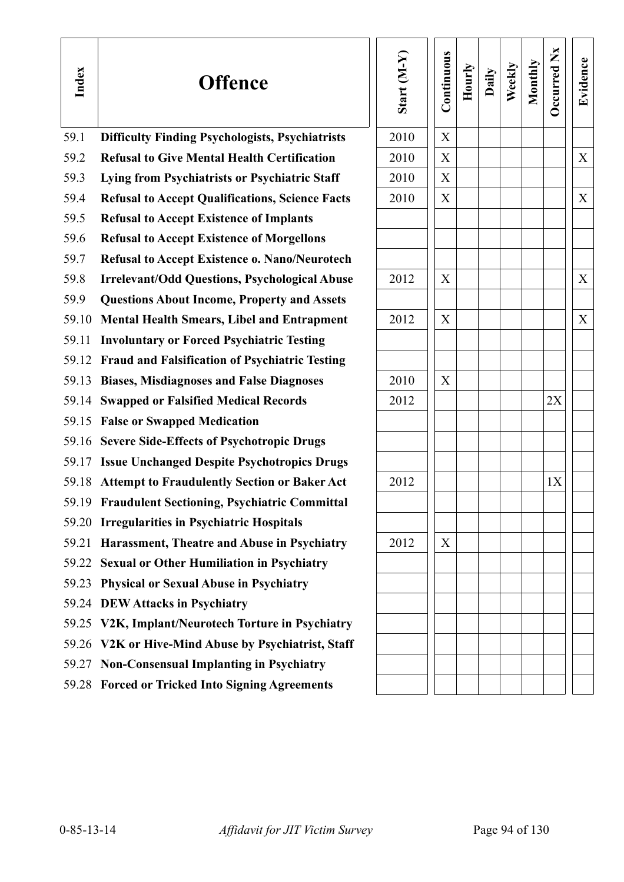| Index | <b>Offence</b>                                         | Start $(M-Y)$ | Continuous | Hourly | Daily | Weekly | Monthly | Occurred Nx | Evidence |
|-------|--------------------------------------------------------|---------------|------------|--------|-------|--------|---------|-------------|----------|
| 59.1  | <b>Difficulty Finding Psychologists, Psychiatrists</b> | 2010          | X          |        |       |        |         |             |          |
| 59.2  | <b>Refusal to Give Mental Health Certification</b>     | 2010          | X          |        |       |        |         |             | X        |
| 59.3  | Lying from Psychiatrists or Psychiatric Staff          | 2010          | X          |        |       |        |         |             |          |
| 59.4  | <b>Refusal to Accept Qualifications, Science Facts</b> | 2010          | X          |        |       |        |         |             | X        |
| 59.5  | <b>Refusal to Accept Existence of Implants</b>         |               |            |        |       |        |         |             |          |
| 59.6  | <b>Refusal to Accept Existence of Morgellons</b>       |               |            |        |       |        |         |             |          |
| 59.7  | <b>Refusal to Accept Existence o. Nano/Neurotech</b>   |               |            |        |       |        |         |             |          |
| 59.8  | <b>Irrelevant/Odd Questions, Psychological Abuse</b>   | 2012          | X          |        |       |        |         |             | X        |
| 59.9  | <b>Questions About Income, Property and Assets</b>     |               |            |        |       |        |         |             |          |
| 59.10 | <b>Mental Health Smears, Libel and Entrapment</b>      | 2012          | X          |        |       |        |         |             | X        |
| 59.11 | <b>Involuntary or Forced Psychiatric Testing</b>       |               |            |        |       |        |         |             |          |
|       | 59.12 Fraud and Falsification of Psychiatric Testing   |               |            |        |       |        |         |             |          |
|       | 59.13 Biases, Misdiagnoses and False Diagnoses         | 2010          | X          |        |       |        |         |             |          |
|       | 59.14 Swapped or Falsified Medical Records             | 2012          |            |        |       |        |         | 2X          |          |
|       | 59.15 False or Swapped Medication                      |               |            |        |       |        |         |             |          |
|       | 59.16 Severe Side-Effects of Psychotropic Drugs        |               |            |        |       |        |         |             |          |
|       | 59.17 Issue Unchanged Despite Psychotropics Drugs      |               |            |        |       |        |         |             |          |
|       | 59.18 Attempt to Fraudulently Section or Baker Act     | 2012          |            |        |       |        |         | 1X          |          |
|       | 59.19 Fraudulent Sectioning, Psychiatric Committal     |               |            |        |       |        |         |             |          |
|       | 59.20 Irregularities in Psychiatric Hospitals          |               |            |        |       |        |         |             |          |
| 59.21 | Harassment, Theatre and Abuse in Psychiatry            | 2012          | X          |        |       |        |         |             |          |
|       | 59.22 Sexual or Other Humiliation in Psychiatry        |               |            |        |       |        |         |             |          |
| 59.23 | <b>Physical or Sexual Abuse in Psychiatry</b>          |               |            |        |       |        |         |             |          |
|       | 59.24 DEW Attacks in Psychiatry                        |               |            |        |       |        |         |             |          |
|       | 59.25 V2K, Implant/Neurotech Torture in Psychiatry     |               |            |        |       |        |         |             |          |
|       | 59.26 V2K or Hive-Mind Abuse by Psychiatrist, Staff    |               |            |        |       |        |         |             |          |
|       | 59.27 Non-Consensual Implanting in Psychiatry          |               |            |        |       |        |         |             |          |
|       | 59.28 Forced or Tricked Into Signing Agreements        |               |            |        |       |        |         |             |          |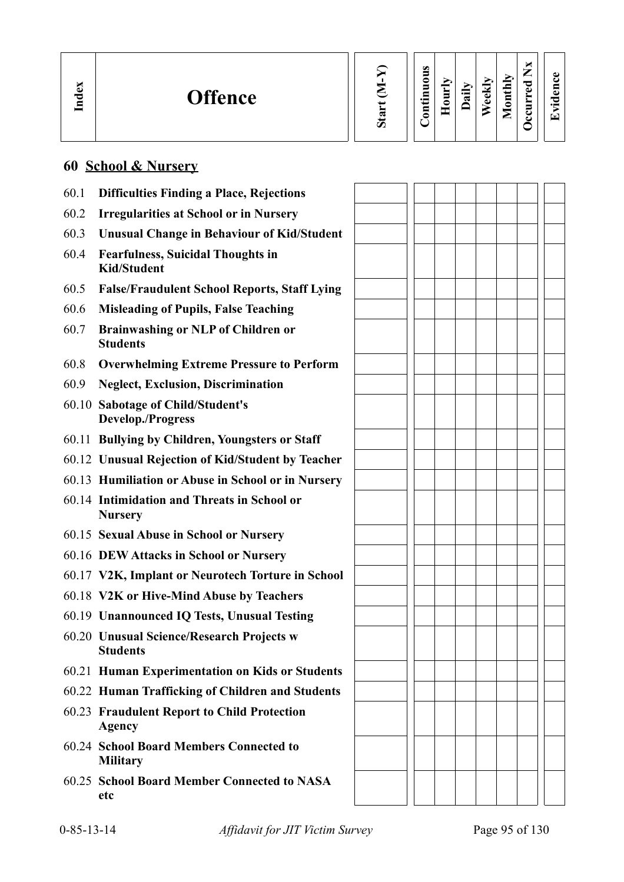| $\mathbf{g}$<br><b>Offence</b><br>ਚ<br>⊟ |  | ο<br>≏<br>5<br>5<br>⊑<br>$\cdot$ $-$<br>=<br>3 | ≔<br>≂ | ≂<br>ω<br>Φ | ∼<br>$\sim$<br>_<br>Š<br>∼<br>≘<br>ω<br>نست<br>⊟<br>0<br>ະ<br>⊂ | 61<br>$\bullet$<br>$\overline{\phantom{a}}$ |
|------------------------------------------|--|------------------------------------------------|--------|-------------|-----------------------------------------------------------------|---------------------------------------------|
|------------------------------------------|--|------------------------------------------------|--------|-------------|-----------------------------------------------------------------|---------------------------------------------|

# **60 School & Nursery**

| 60.1 | <b>Difficulties Finding a Place, Rejections</b>                |  |  |  |  |
|------|----------------------------------------------------------------|--|--|--|--|
| 60.2 | <b>Irregularities at School or in Nursery</b>                  |  |  |  |  |
| 60.3 | <b>Unusual Change in Behaviour of Kid/Student</b>              |  |  |  |  |
| 60.4 | <b>Fearfulness, Suicidal Thoughts in</b><br><b>Kid/Student</b> |  |  |  |  |
| 60.5 | <b>False/Fraudulent School Reports, Staff Lying</b>            |  |  |  |  |
| 60.6 | <b>Misleading of Pupils, False Teaching</b>                    |  |  |  |  |
| 60.7 | <b>Brainwashing or NLP of Children or</b><br><b>Students</b>   |  |  |  |  |
| 60.8 | <b>Overwhelming Extreme Pressure to Perform</b>                |  |  |  |  |
| 60.9 | <b>Neglect, Exclusion, Discrimination</b>                      |  |  |  |  |
|      | 60.10 Sabotage of Child/Student's<br><b>Develop./Progress</b>  |  |  |  |  |
|      | 60.11 Bullying by Children, Youngsters or Staff                |  |  |  |  |
|      | 60.12 Unusual Rejection of Kid/Student by Teacher              |  |  |  |  |
|      | 60.13 Humiliation or Abuse in School or in Nursery             |  |  |  |  |
|      | 60.14 Intimidation and Threats in School or<br><b>Nursery</b>  |  |  |  |  |
|      | 60.15 Sexual Abuse in School or Nursery                        |  |  |  |  |
|      | 60.16 DEW Attacks in School or Nursery                         |  |  |  |  |
|      | 60.17 V2K, Implant or Neurotech Torture in School              |  |  |  |  |
|      | 60.18 V2K or Hive-Mind Abuse by Teachers                       |  |  |  |  |
|      | 60.19 Unannounced IQ Tests, Unusual Testing                    |  |  |  |  |
|      | 60.20 Unusual Science/Research Projects w<br><b>Students</b>   |  |  |  |  |
|      | 60.21 Human Experimentation on Kids or Students                |  |  |  |  |
|      | 60.22 Human Trafficking of Children and Students               |  |  |  |  |
|      | 60.23 Fraudulent Report to Child Protection<br><b>Agency</b>   |  |  |  |  |
|      | 60.24 School Board Members Connected to<br><b>Military</b>     |  |  |  |  |
|      | 60.25 School Board Member Connected to NASA<br>etc             |  |  |  |  |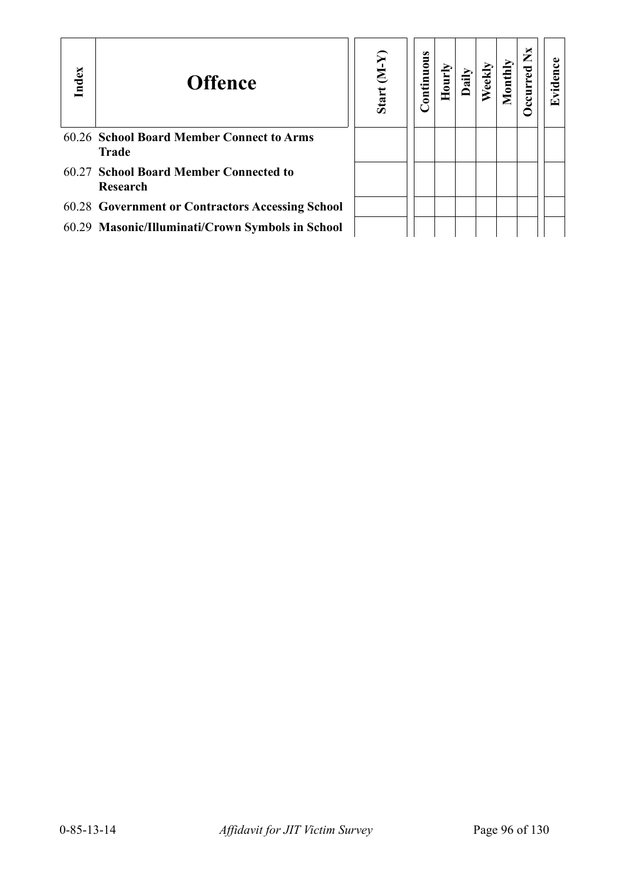| Index | <b>Offence</b>                                            | $(Y-N)$<br>Start | <b>Continuous</b> | $H_{\rm 0III}$ | Dai |  | ž | 67 |
|-------|-----------------------------------------------------------|------------------|-------------------|----------------|-----|--|---|----|
|       | 60.26 School Board Member Connect to Arms<br><b>Trade</b> |                  |                   |                |     |  |   |    |
|       | 60.27 School Board Member Connected to<br>Research        |                  |                   |                |     |  |   |    |
|       | 60.28 Government or Contractors Accessing School          |                  |                   |                |     |  |   |    |
|       | 60.29 Masonic/Illuminati/Crown Symbols in School          |                  |                   |                |     |  |   |    |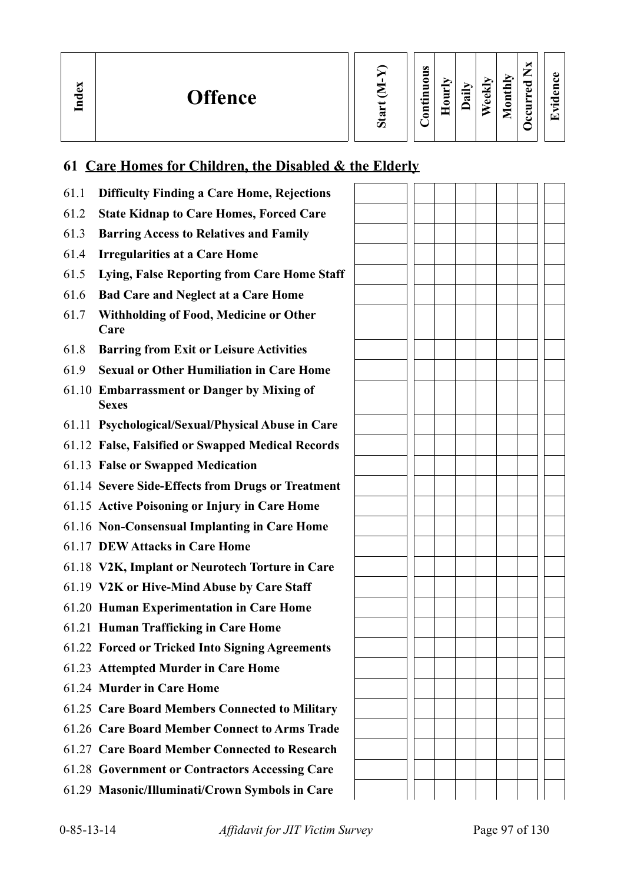**In dex**

| Start |  |
|-------|--|
|       |  |

| Continuous | Hourly | Daily | Weekly | Monthly | Occurred N <sub>x</sub> |
|------------|--------|-------|--------|---------|-------------------------|
|------------|--------|-------|--------|---------|-------------------------|

**Evid ence**

# **61 Care Homes for Children, the Disabled & the Elderly**

| 61.1 | <b>Difficulty Finding a Care Home, Rejections</b>          |  |  |  |  |
|------|------------------------------------------------------------|--|--|--|--|
| 61.2 | <b>State Kidnap to Care Homes, Forced Care</b>             |  |  |  |  |
| 61.3 | <b>Barring Access to Relatives and Family</b>              |  |  |  |  |
| 61.4 | <b>Irregularities at a Care Home</b>                       |  |  |  |  |
| 61.5 | Lying, False Reporting from Care Home Staff                |  |  |  |  |
| 61.6 | <b>Bad Care and Neglect at a Care Home</b>                 |  |  |  |  |
| 61.7 | <b>Withholding of Food, Medicine or Other</b><br>Care      |  |  |  |  |
| 61.8 | <b>Barring from Exit or Leisure Activities</b>             |  |  |  |  |
| 61.9 | <b>Sexual or Other Humiliation in Care Home</b>            |  |  |  |  |
|      | 61.10 Embarrassment or Danger by Mixing of<br><b>Sexes</b> |  |  |  |  |
|      | 61.11 Psychological/Sexual/Physical Abuse in Care          |  |  |  |  |
|      | 61.12 False, Falsified or Swapped Medical Records          |  |  |  |  |
|      | 61.13 False or Swapped Medication                          |  |  |  |  |
|      | 61.14 Severe Side-Effects from Drugs or Treatment          |  |  |  |  |
|      | 61.15 Active Poisoning or Injury in Care Home              |  |  |  |  |
|      | 61.16 Non-Consensual Implanting in Care Home               |  |  |  |  |
|      | 61.17 DEW Attacks in Care Home                             |  |  |  |  |
|      | 61.18 V2K, Implant or Neurotech Torture in Care            |  |  |  |  |
|      | 61.19 V2K or Hive-Mind Abuse by Care Staff                 |  |  |  |  |
|      | 61.20 Human Experimentation in Care Home                   |  |  |  |  |
|      | 61.21 Human Trafficking in Care Home                       |  |  |  |  |
|      | 61.22 Forced or Tricked Into Signing Agreements            |  |  |  |  |
|      | 61.23 Attempted Murder in Care Home                        |  |  |  |  |
|      | 61.24 Murder in Care Home                                  |  |  |  |  |
|      | 61.25 Care Board Members Connected to Military             |  |  |  |  |
|      | 61.26 Care Board Member Connect to Arms Trade              |  |  |  |  |
|      | 61.27 Care Board Member Connected to Research              |  |  |  |  |
|      | 61.28 Government or Contractors Accessing Care             |  |  |  |  |
|      | 61.29 Masonic/Illuminati/Crown Symbols in Care             |  |  |  |  |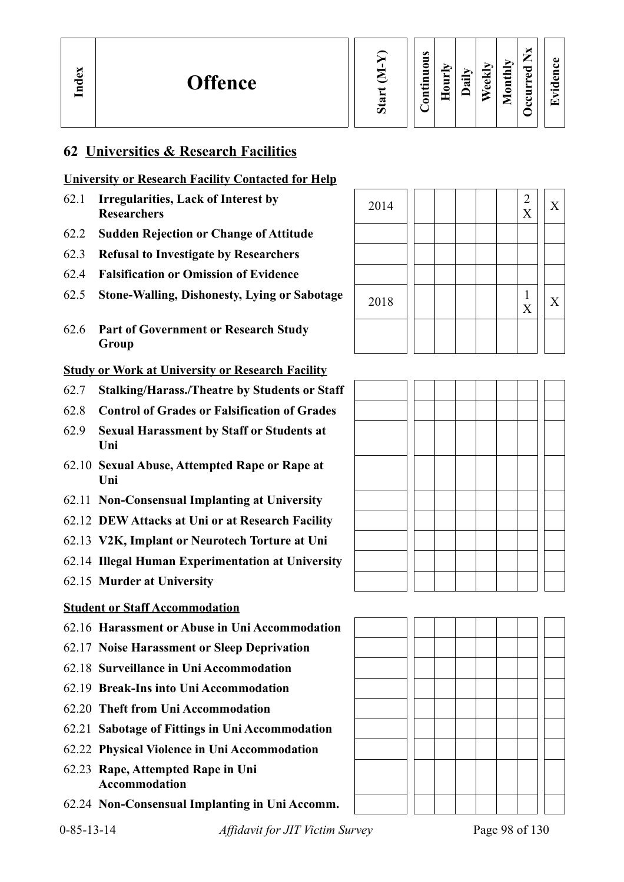**Evid ence**

## **62 Universities & Research Facilities**

### **University or Research Facility Contacted for Help**

- 62.1 **Irregularities, Lack of Interest by** 2014  $\begin{bmatrix} 2 & 2 \\ 2 & 2 \end{bmatrix}$   $\begin{bmatrix} 2 & 2 \\ 2 & 2 \end{bmatrix}$
- 62.2 **Sudden Rejection or Change of Attitude**
- 62.3 **Refusal to Investigate by Researchers**
- 62.4 **Falsification or Omission of Evidence**
- 62.5 **Stone-Walling, Dishonesty, Lying or Sabotage**
- 62.6 **Part of Government or Research Study Group**

#### **Study or Work at University or Research Facility**

- 62.7 **Stalking/Harass./Theatre by Students or Staff**
- 62.8 **Control of Grades or Falsification of Grades**
- 62.9 **Sexual Harassment by Staff or Students at Uni**
- 62.10 **Sexual Abuse, Attempted Rape or Rape at Uni**
- 62.11 **Non-Consensual Implanting at University**
- 62.12 **DEW Attacks at Uni or at Research Facility**
- 62.13 **V2K, Implant or Neurotech Torture at Uni**
- 62.14 **Illegal Human Experimentation at University**
- 62.15 **Murder at University**

#### **Student or Staff Accommodation**

- 62.16 **Harassment or Abuse in Uni Accommodation**
- 62.17 **Noise Harassment or Sleep Deprivation**
- 62.18 **Surveillance in Uni Accommodation**
- 62.19 **Break-Ins into Uni Accommodation**
- 62.20 **Theft from Uni Accommodation**
- 62.21 **Sabotage of Fittings in Uni Accommodation**
- 62.22 **Physical Violence in Uni Accommodation**
- 62.23 **Rape, Attempted Rape in Uni Accommodation**
- 62.24 **Non-Consensual Implanting in Uni Accomm.**

| 2014 |  |  | $\frac{2}{X}$                  | X |
|------|--|--|--------------------------------|---|
|      |  |  |                                |   |
|      |  |  |                                |   |
|      |  |  |                                |   |
| 2018 |  |  | $\mathbf{1}$<br>$\overline{X}$ | X |
|      |  |  |                                |   |



0-85-13-14 *Affidavit for JIT Victim Survey* Page 98 of 130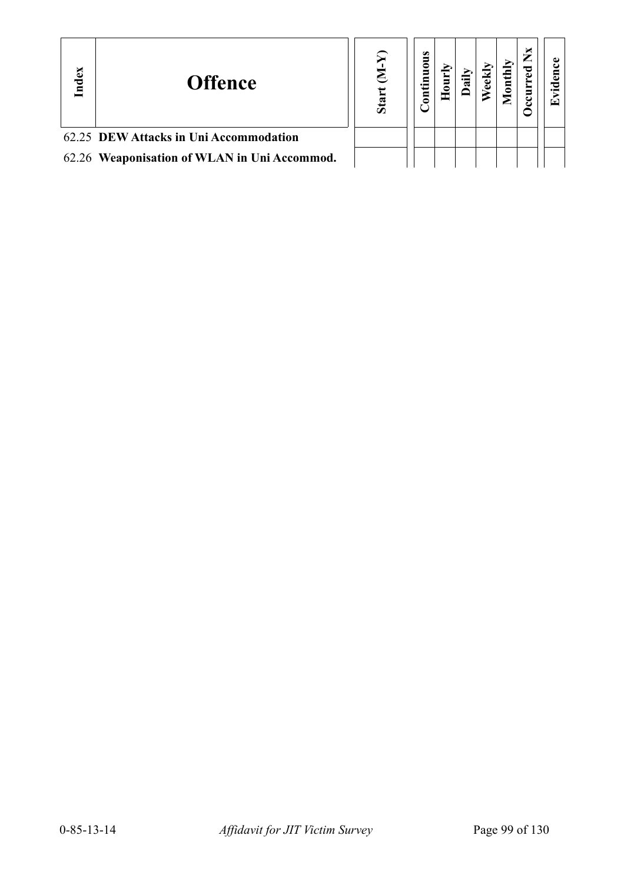| Index | <b>Offence</b>                               | ë. | s<br>uou<br>5 |  |  | × |  |
|-------|----------------------------------------------|----|---------------|--|--|---|--|
|       | 62.25 DEW Attacks in Uni Accommodation       |    |               |  |  |   |  |
|       | 62.26 Weaponisation of WLAN in Uni Accommod. |    |               |  |  |   |  |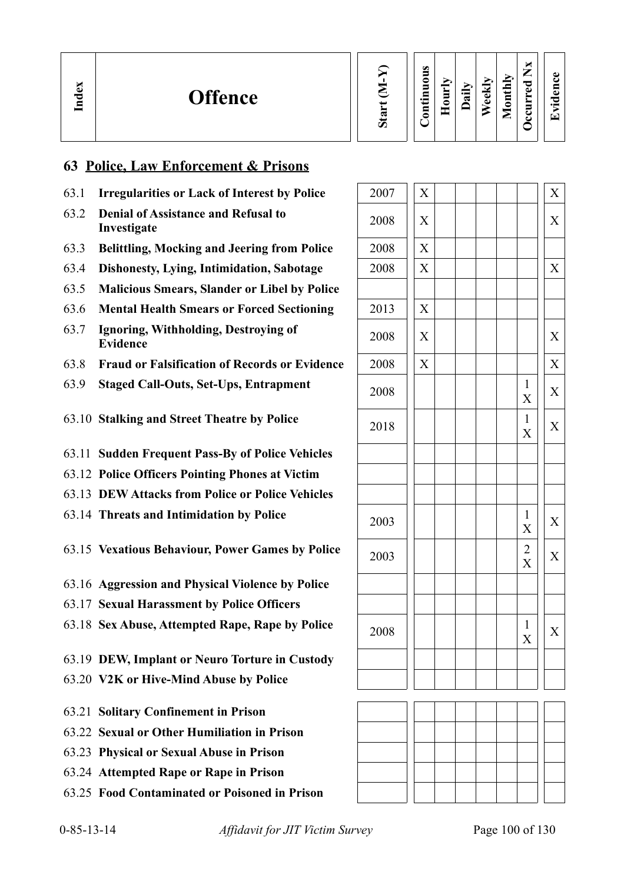### **63 Police, Law Enforcement & Prisons**

- 63.1 **Irregularities or Lack of Interest by Police**
- 63.2 **Denial of Assistance and Refusal to**
- 63.3 **Belittling, Mocking and Jeering from Police**
- 63.4 **Dishonesty, Lying, Intimidation, Sabotage**
- 63.5 **Malicious Smears, Slander or Libel by Police**
- 63.6 Mental Health Smears or Forced Sectioning
- 63.7 **Ignoring, Withholding, Destroying of** 2008  $\begin{array}{|c|c|c|c|c|c|} \hline \end{array}$   $\begin{array}{c|c|c|c|c} \hline \end{array}$   $\begin{array}{c|c|c} \hline \end{array}$   $\begin{array}{c|c|c} \hline \end{array}$   $\begin{array}{c|c} \hline \end{array}$   $\begin{array}{|c|c|c|c|c|} \hline \end{array}$
- 63.8 **Fraud or Falsification of Records or Evidence**
- 63.9 **Staged Call-Outs, Set-Ups, Entrapment**
- 63.10 **Stalking and Street Theatre by Police**
- 63.11 **Sudden Frequent Pass-By of Police Vehicles**
- 63.12 **Police Officers Pointing Phones at Victim**
- 63.13 **DEW Attacks from Police or Police Vehicles**
- 63.14 **Threats and Intimidation by Police**

63.15 Vexatious Behaviour, Power Games by Police

- 63.16 **Aggression and Physical Violence by Police**
- 63.17 **Sexual Harassment by Police Officers**
- 63.18 Sex Abuse, Attempted Rape, Rape by Police
- 63.19 **DEW, Implant or Neuro Torture in Custody**
- 63.20 **V2K or Hive-Mind Abuse by Police**
- 63.21 **Solitary Confinement in Prison**
- 63.22 **Sexual or Other Humiliation in Prison**
- 63.23 **Physical or Sexual Abuse in Prison**
- 63.24 **Attempted Rape or Rape in Prison**
- 63.25 **Food Contaminated or Poisoned in Prison**

| <b>Irregularities or Lack of Interest by Police</b>       | 2007 | X | X                        |
|-----------------------------------------------------------|------|---|--------------------------|
| <b>Denial of Assistance and Refusal to</b><br>Investigate | 2008 | X | X                        |
| <b>Belittling, Mocking and Jeering from Police</b>        | 2008 | X |                          |
| <b>Dishonesty, Lying, Intimidation, Sabotage</b>          | 2008 | X | X                        |
| <b>Malicious Smears, Slander or Libel by Police</b>       |      |   |                          |
| <b>Mental Health Smears or Forced Sectioning</b>          | 2013 | X |                          |
| Ignoring, Withholding, Destroying of<br><b>Evidence</b>   | 2008 | X | X                        |
| <b>Fraud or Falsification of Records or Evidence</b>      | 2008 | X | $\boldsymbol{X}$         |
| <b>Staged Call-Outs, Set-Ups, Entrapment</b>              | 2008 |   | 1<br>X<br>X              |
| <b>Stalking and Street Theatre by Police</b>              | 2018 |   | 1<br>X<br>X              |
| <b>Sudden Frequent Pass-By of Police Vehicles</b>         |      |   |                          |
| <b>Police Officers Pointing Phones at Victim</b>          |      |   |                          |
| <b>DEW Attacks from Police or Police Vehicles</b>         |      |   |                          |
| <b>Threats and Intimidation by Police</b>                 | 2003 |   | 1<br>X<br>X              |
| <b>Vexatious Behaviour, Power Games by Police</b>         | 2003 |   | $\overline{2}$<br>X<br>X |
| <b>Aggression and Physical Violence by Police</b>         |      |   |                          |
| <b>Sexual Harassment by Police Officers</b>               |      |   |                          |
| <b>Sex Abuse, Attempted Rape, Rape by Police</b>          | 2008 |   | 1<br>X<br>X              |
| <b>DEW, Implant or Neuro Torture in Custody</b>           |      |   |                          |
| V2K or Hive-Mind Abuse by Police                          |      |   |                          |
| <b>Solitary Confinement in Prison</b>                     |      |   |                          |
| <b>Sexual or Other Humiliation in Prison</b>              |      |   |                          |
| <b>Physical or Sexual Abuse in Prison</b>                 |      |   |                          |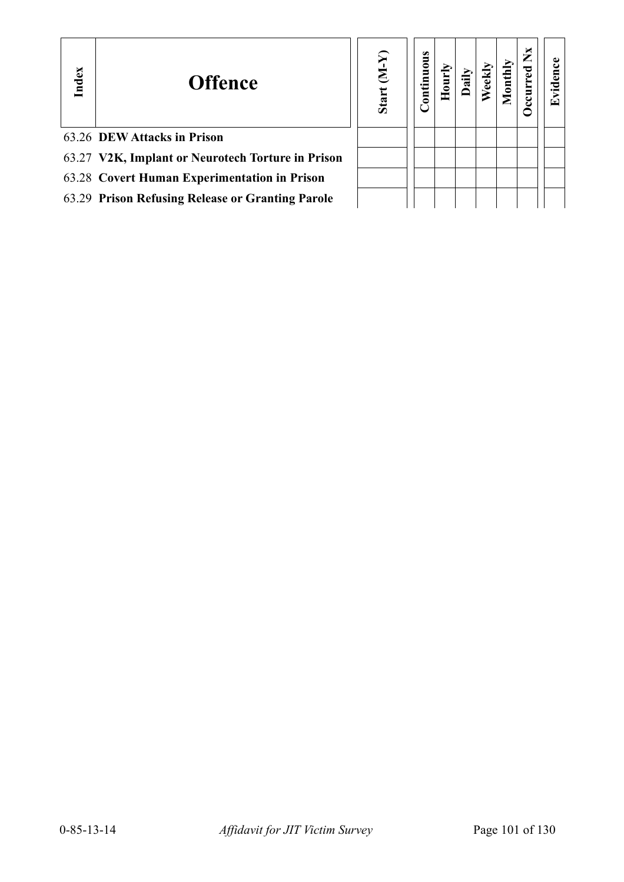| Index | <b>Offence</b>                                    | $(Y-N)$<br>Start | <b>Continuous</b> |  |  | × | ⊡ |
|-------|---------------------------------------------------|------------------|-------------------|--|--|---|---|
|       | 63.26 DEW Attacks in Prison                       |                  |                   |  |  |   |   |
|       | 63.27 V2K, Implant or Neurotech Torture in Prison |                  |                   |  |  |   |   |
|       | 63.28 Covert Human Experimentation in Prison      |                  |                   |  |  |   |   |
|       | 63.29 Prison Refusing Release or Granting Parole  |                  |                   |  |  |   |   |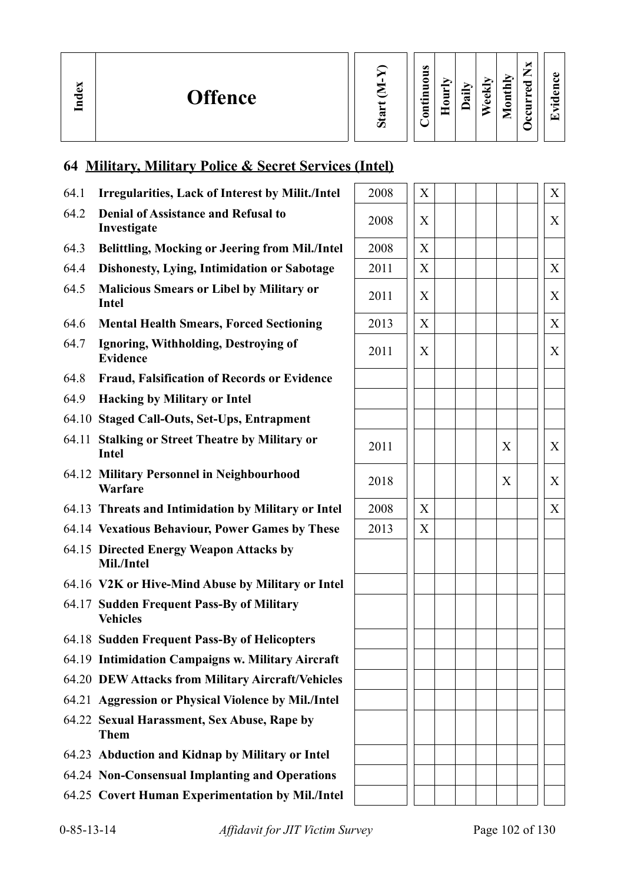| E<br>$\sin$ |
|-------------|
|             |

| $O$ ccurred $NX$<br>Continuous<br>Monthly<br>Weekly<br>Hourly<br>Daily |
|------------------------------------------------------------------------|
|------------------------------------------------------------------------|

# **64 Military, Military Police & Secret Services (Intel)**

- 64.1 **Irregularities, Lack of Interest by Milit./Intel**
- 64.2 **Denial of Assistance and Refusal to**

**In dex**

- 64.3 **Belittling, Mocking or Jeering from Mil./Intel**
- 64.4 **Dishonesty, Lying, Intimidation or Sabotage**
- 64.5 **Malicious Smears or Libel by Military or Intel** <sup>2011</sup> <sup>X</sup> <sup>X</sup>
- 64.6 Mental Health Smears, Forced Sectioning
- 64.7 **Ignoring, Withholding, Destroying of**  Evidence **Example 2011**  $\begin{pmatrix} 2011 & 2011 & 2011 & 2011 & 2011 & 2011 & 2011 & 2011 & 2011 & 2011 & 2011 & 2011 & 2011 & 2011 & 2011 & 2011 & 2011 & 2011 & 2011 & 2011 & 2011 & 2011 & 2011 & 2011 & 2011 & 2011 & 2011 & 2011 & 2011 & 2011 & 2011 & 201$
- 64.8 **Fraud, Falsification of Records or Evidence**
- 64.9 **Hacking by Military or Intel**
- 64.10 **Staged Call-Outs, Set-Ups, Entrapment**
- 64.11 **Stalking or Street Theatre by Military or Intel** <sup>2011</sup> <sup>X</sup> <sup>X</sup>
- 64.12 **Military Personnel in Neighbourhood Warfare** <sup>2018</sup> <sup>X</sup> <sup>X</sup>
- 64.13 Threats and Intimidation by Military or Intel
- 64.14 Vexatious Behaviour, Power Games by These
- 64.15 **Directed Energy Weapon Attacks by Mil./Intel**
- 64.16 **V2K or Hive-Mind Abuse by Military or Intel**
- 64.17 **Sudden Frequent Pass-By of Military Vehicles**
- 64.18 **Sudden Frequent Pass-By of Helicopters**
- 64.19 **Intimidation Campaigns w. Military Aircraft**
- 64.20 **DEW Attacks from Military Aircraft/Vehicles**
- 64.21 **Aggression or Physical Violence by Mil./Intel**
- 64.22 **Sexual Harassment, Sex Abuse, Rape by Them**
- 64.23 **Abduction and Kidnap by Military or Intel**
- 64.24 **Non-Consensual Implanting and Operations**
- 64.25 **Covert Human Experimentation by Mil./Intel**

| <b>Irregularities, Lack of Interest by Milit./Intel</b>       | 2008 | X |              | X |
|---------------------------------------------------------------|------|---|--------------|---|
| <b>Denial of Assistance and Refusal to</b><br>Investigate     | 2008 | X |              | X |
| <b>Belittling, Mocking or Jeering from Mil./Intel</b>         | 2008 | X |              |   |
| <b>Dishonesty, Lying, Intimidation or Sabotage</b>            | 2011 | X |              | X |
| <b>Malicious Smears or Libel by Military or</b><br>Intel      | 2011 | X |              | X |
| <b>Mental Health Smears, Forced Sectioning</b>                | 2013 | X |              | X |
| Ignoring, Withholding, Destroying of<br><b>Evidence</b>       | 2011 | X |              | X |
| <b>Fraud, Falsification of Records or Evidence</b>            |      |   |              |   |
| <b>Hacking by Military or Intel</b>                           |      |   |              |   |
| <b>Staged Call-Outs, Set-Ups, Entrapment</b>                  |      |   |              |   |
| <b>Stalking or Street Theatre by Military or</b><br>Intel     | 2011 |   | $\mathbf{X}$ | X |
| <b>Military Personnel in Neighbourhood</b><br><b>Warfare</b>  | 2018 |   | $\mathbf{X}$ | X |
| <b>Threats and Intimidation by Military or Intel</b>          | 2008 | X |              | X |
| <b>Vexatious Behaviour, Power Games by These</b>              | 2013 | X |              |   |
| <b>Directed Energy Weapon Attacks by</b><br>Mil./Intel        |      |   |              |   |
| V2K or Hive-Mind Abuse by Military or Intel                   |      |   |              |   |
| <b>Sudden Frequent Pass-By of Military</b><br><b>Vehicles</b> |      |   |              |   |
| <b>Sudden Frequent Pass-By of Helicopters</b>                 |      |   |              |   |
| <b>Intimidation Campaigns w. Military Aircraft</b>            |      |   |              |   |
| <b>DEW Attacks from Military Aircraft/Vehicles</b>            |      |   |              |   |
| <b>Aggression or Physical Violence by Mil./Intel</b>          |      |   |              |   |
| <b>Sexual Harassment, Sex Abuse, Rape by</b><br><b>Them</b>   |      |   |              |   |
| <b>Abduction and Kidnap by Military or Intel</b>              |      |   |              |   |
| <b>Non-Consensual Implanting and Operations</b>               |      |   |              |   |
| <b>Covert Human Experimentation by Mil./Intel</b>             |      |   |              |   |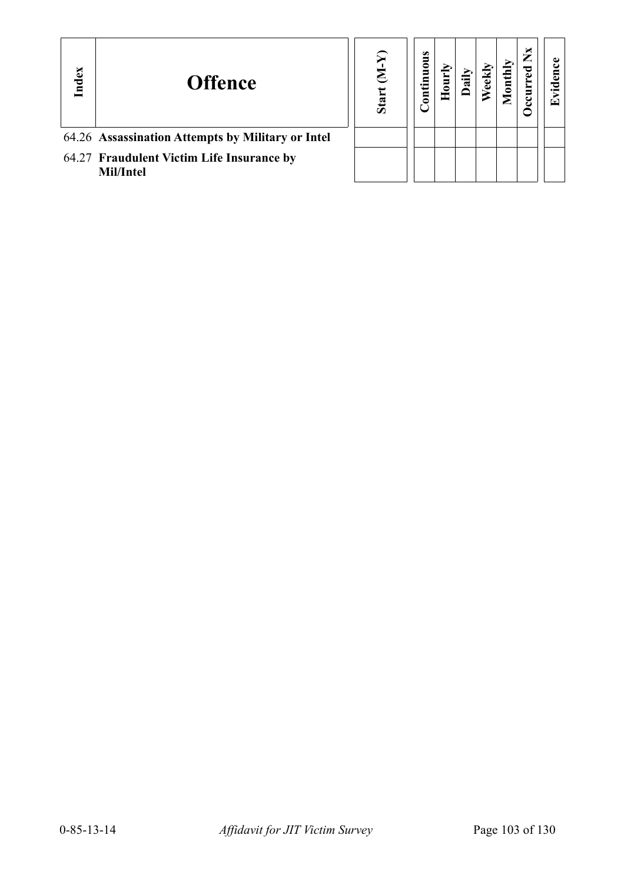| Index | <b>Offence</b>                                         | Star | tinuous<br>$\bar{\mathsf{g}}$ |  |  | ×<br>∽ | Œ |
|-------|--------------------------------------------------------|------|-------------------------------|--|--|--------|---|
|       | 64.26 Assassination Attempts by Military or Intel      |      |                               |  |  |        |   |
|       | 64.27 Fraudulent Victim Life Insurance by<br>Mil/Intel |      |                               |  |  |        |   |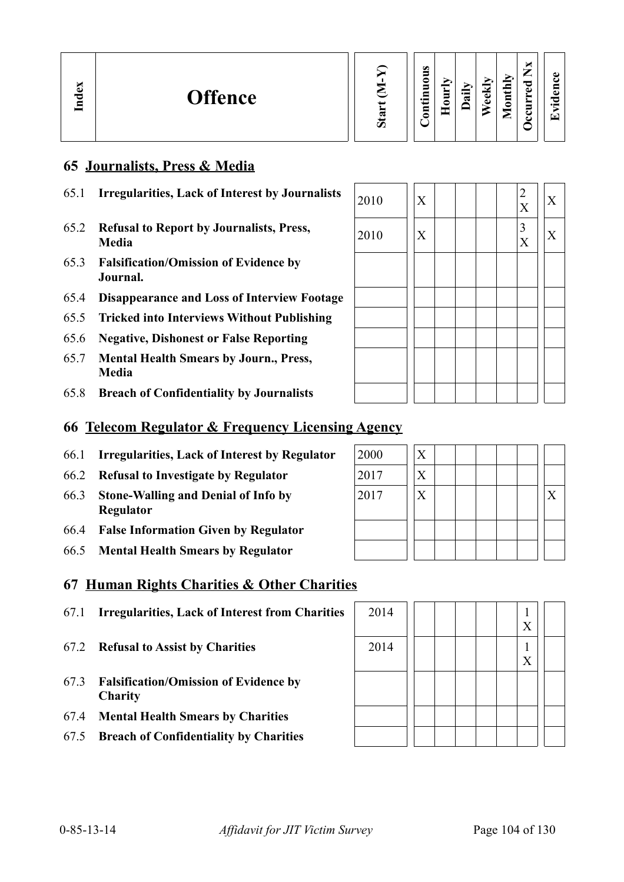| $\bullet$<br>0<br>dex<br>ರ<br>$\blacksquare$<br><b>Offence</b><br>∼<br>ں<br>$\bullet$ and<br>$\bullet$<br>∍<br>⋴<br>≂<br>. .<br>ه<br>≏<br>≏<br>ਜ਼<br>ರಾ<br>0<br>_<br>Ο | ◡<br>⇁<br>ω<br>►<br>ᇰ<br>⊑<br>م<br>ω<br>ಾ<br>−<br>$\cdot$ $\,$<br>−<br>-<br>◡<br>☞<br>◡ |
|------------------------------------------------------------------------------------------------------------------------------------------------------------------------|-----------------------------------------------------------------------------------------|
|------------------------------------------------------------------------------------------------------------------------------------------------------------------------|-----------------------------------------------------------------------------------------|

### **65 Journalists, Press & Media**

| 65.1 | <b>Irregularities, Lack of Interest by Journalists</b>   | 2010 | X |  |  | ∠<br>$\mathbf{v}$ | X |
|------|----------------------------------------------------------|------|---|--|--|-------------------|---|
| 65.2 | <b>Refusal to Report by Journalists, Press,</b><br>Media | 2010 | X |  |  | 3<br>X            | X |
| 65.3 | <b>Falsification/Omission of Evidence by</b><br>Journal. |      |   |  |  |                   |   |
| 65.4 | <b>Disappearance and Loss of Interview Footage</b>       |      |   |  |  |                   |   |
| 65.5 | <b>Tricked into Interviews Without Publishing</b>        |      |   |  |  |                   |   |
| 65.6 | <b>Negative, Dishonest or False Reporting</b>            |      |   |  |  |                   |   |
| 65.7 | <b>Mental Health Smears by Journ., Press,</b><br>Media   |      |   |  |  |                   |   |
| 65.8 | <b>Breach of Confidentiality by Journalists</b>          |      |   |  |  |                   |   |
|      |                                                          |      |   |  |  |                   |   |

# **66 Telecom Regulator & Frequency Licensing Agency**

- 66.1 **Irregularities, Lack of Interest by Regulator**
- 66.2 **Refusal to Investigate by Regulator**
- 66.3 **Stone-Walling and Denial of Info by Regulator**
- 66.4 **False Information Given by Regulator**
- 66.5 **Mental Health Smears by Regulator**

### **67 Human Rights Charities & Other Charities**

- 67.1 **Irregularities, Lack of Interest from Charities** 2014 1
- 67.2 **Refusal to Assist by Charities**
- 67.3 **Falsification/Omission of Evidence by Charity**
- 67.4 **Mental Health Smears by Charities**
- 67.5 **Breach of Confidentiality by Charities**

| 2014 |  | $\overline{X}$ |  |
|------|--|----------------|--|
| 2014 |  | $\overline{X}$ |  |
|      |  |                |  |
|      |  |                |  |
|      |  |                |  |

| 2000 | $\overline{\mathrm{X}}$ |  |  |  |                   |
|------|-------------------------|--|--|--|-------------------|
| 2017 | $\rm\overline{X}$       |  |  |  |                   |
| 2017 | $\rm\overline{X}$       |  |  |  | $\rm\overline{X}$ |
|      |                         |  |  |  |                   |
|      |                         |  |  |  |                   |
|      |                         |  |  |  |                   |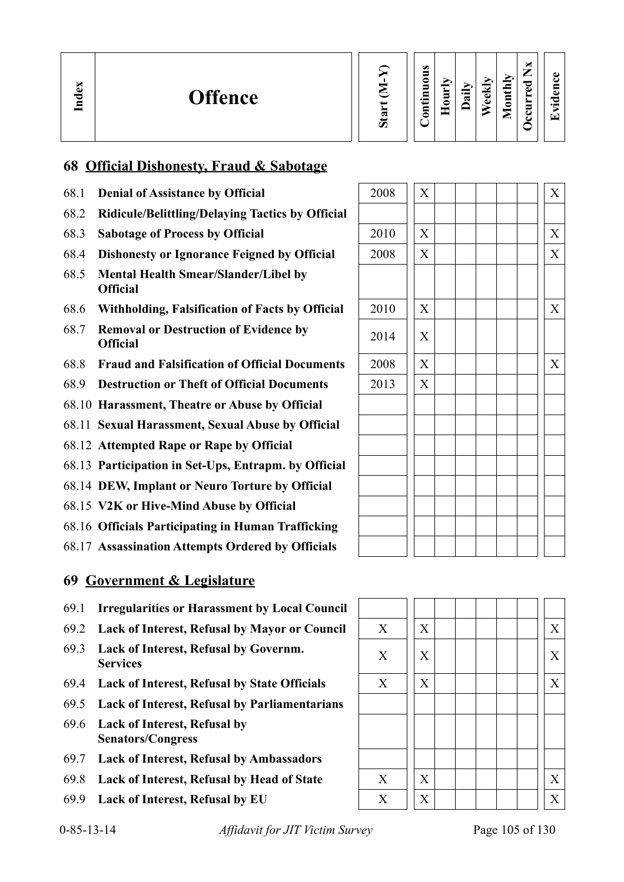| ∼<br>U.<br>—<br>痴<br>$\bf{z}$<br>=<br>$\mathbf{e}$ x<br>ాం<br>⋍<br>॒<br>◡<br>ڡ<br><b>Offence</b><br>Ĕ<br>پ<br>$\cdot$ $\,$<br>U<br>$\omega$<br>≂<br>3<br>ದ<br>$\cdot$ $-$<br>$\bullet$<br>c<br>르<br>$\overline{\phantom{0}}$<br>U<br>Ξ<br>−<br>ت<br>U<br>⊏<br>ఒ | $\bullet$<br>$\overline{\phantom{0}}$ |
|-----------------------------------------------------------------------------------------------------------------------------------------------------------------------------------------------------------------------------------------------------------------|---------------------------------------|
|-----------------------------------------------------------------------------------------------------------------------------------------------------------------------------------------------------------------------------------------------------------------|---------------------------------------|

### **68 Official Dishonesty, Fraud & Sabotage**

- 68.1 **Denial of Assistance by Official**
- 68.2 **Ridicule/Belittling/Delaying Tactics by Official**
- 68.3 **Sabotage of Process by Official**
- 68.4 **Dishonesty or Ignorance Feigned by Official**
- 68.5 **Mental Health Smear/Slander/Libel by Official**
- 68.6 **Withholding, Falsification of Facts by Official**
- **68.7 Removal or Destruction of Evidence by** 2014  $\begin{bmatrix} \begin{bmatrix} \begin{bmatrix} \end{bmatrix} \end{bmatrix} X \end{bmatrix}$
- 68.8 **Fraud and Falsification of Official Documents** 2008 X X
- 68.9 **Destruction or Theft of Official Documents**
- 68.10 **Harassment, Theatre or Abuse by Official**
- 68.11 **Sexual Harassment, Sexual Abuse by Official**
- 68.12 **Attempted Rape or Rape by Official**
- 68.13 **Participation in Set-Ups, Entrapm. by Official**
- 68.14 **DEW, Implant or Neuro Torture by Official**
- 68.15 **V2K or Hive-Mind Abuse by Official**
- 68.16 **Officials Participating in Human Trafficking**
- 68.17 **Assassination Attempts Ordered by Officials**

### **69 Government & Legislature**

- 69.1 **Irregularities or Harassment by Local Council**
- 69.2 **Lack of Interest, Refusal by Mayor or Council** X X X
- 69.3 **Lack of Interest, Refusal by Governm.**  Each of interest, Kerusar by Governme.<br>Services
- 69.4 **Lack of Interest, Refusal by State Officials** X  $\mid X \mid X \mid \mid$  X  $\mid \mid X \mid$
- 69.5 **Lack of Interest, Refusal by Parliamentarians**
- 69.6 **Lack of Interest, Refusal by Senators/Congress**
- 69.7 **Lack of Interest, Refusal by Ambassadors**
- 69.8 **Lack of Interest, Refusal by Head of State** X X X
- 

| 2008 | $\overline{X}$            |  |  |  | $\mathbf X$    |
|------|---------------------------|--|--|--|----------------|
|      |                           |  |  |  |                |
| 2010 | $\overline{X}$            |  |  |  | $\overline{X}$ |
| 2008 | $\overline{X}$            |  |  |  | $\overline{X}$ |
|      |                           |  |  |  |                |
| 2010 | $\boldsymbol{\mathrm{X}}$ |  |  |  | X              |
| 2014 | X                         |  |  |  |                |
| 2008 | $\overline{X}$            |  |  |  | X              |
| 2013 | $\overline{X}$            |  |  |  |                |
|      |                           |  |  |  |                |
|      |                           |  |  |  |                |
|      |                           |  |  |  |                |
|      |                           |  |  |  |                |
|      |                           |  |  |  |                |
|      |                           |  |  |  |                |
|      |                           |  |  |  |                |
|      |                           |  |  |  |                |

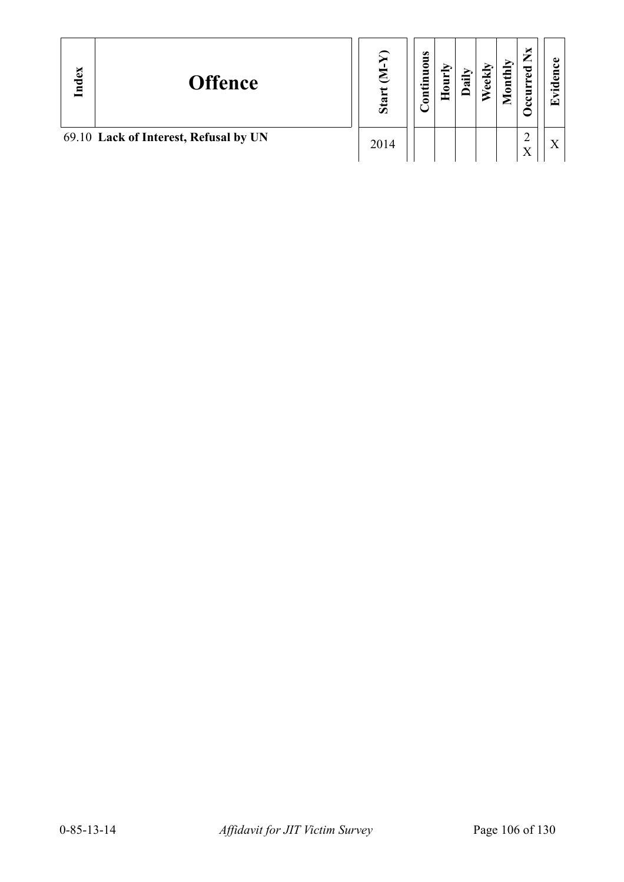| Index | <b>Offence</b>                        | Star | $\bullet$<br>inuous<br>i i<br>$\bar{\mathbf{g}}$ | Š.<br>$\bar{5}$<br>$\blacksquare$ | <b>Ally</b> | /eekly | <b>Tonthly</b><br>▱ | ×<br>∸<br>P    | ω<br>5<br>ಾ<br>$\cdot$ $\,$<br>$\mathbf{E}$ |
|-------|---------------------------------------|------|--------------------------------------------------|-----------------------------------|-------------|--------|---------------------|----------------|---------------------------------------------|
|       | 69.10 Lack of Interest, Refusal by UN | 2014 |                                                  |                                   |             |        |                     | $\overline{f}$ | $\Lambda$                                   |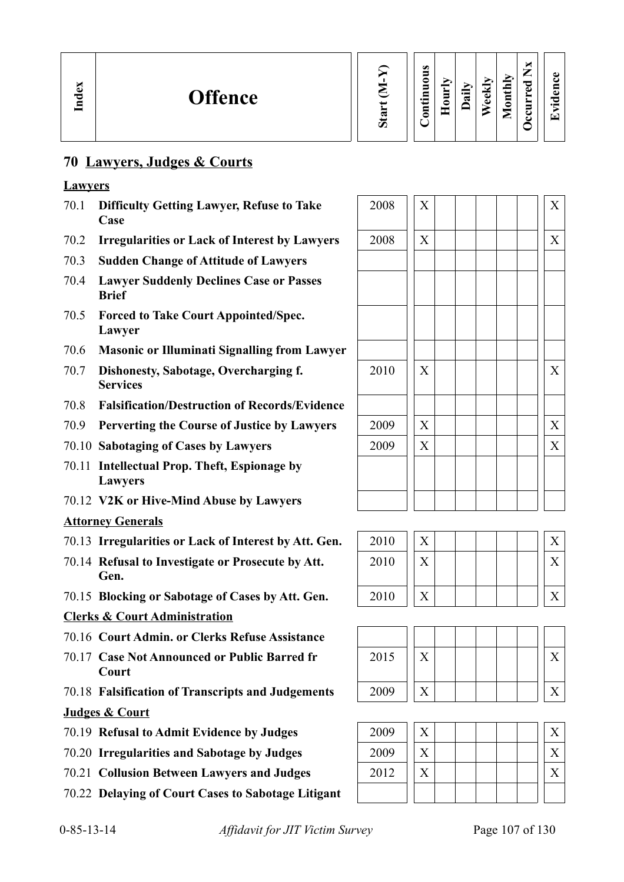### **70 Lawyers, Judges & Courts**

### **Lawyers**

- 70.1 **Difficulty Getting Lawyer, Refuse to Take Case**
- 70.2 **Irregularities or Lack of Interest by Lawyers**
- 70.3 **Sudden Change of Attitude of Lawyers**
- 70.4 **Lawyer Suddenly Declines Case or Passes Brief**
- 70.5 **Forced to Take Court Appointed/Spec. Lawyer**
- 70.6 **Masonic or Illuminati Signalling from Lawyer**
- 70.7 **Dishonesty, Sabotage, Overcharging f. Services**
- 70.8 **Falsification/Destruction of Records/Evidence**
- 70.9 **Perverting the Course of Justice by Lawyers**
- 70.10 Sabotaging of Cases by Lawyers
- 70.11 **Intellectual Prop. Theft, Espionage by Lawyers**
- 70.12 **V2K or Hive-Mind Abuse by Lawyers**

### **Attorney Generals**

- 70.13 **Irregularities or Lack of Interest by Att. Gen.**
- 70.14 **Refusal to Investigate or Prosecute by Att. Gen.**
- 70.15 **Blocking or Sabotage of Cases by Att. Gen.**

### **Clerks & Court Administration**

- 70.16 **Court Admin. or Clerks Refuse Assistance**
- 70.17 **Case Not Announced or Public Barred fr Court**
- 70.18 **Falsification of Transcripts and Judgements** 2009 X X **Judges & Court**
- 70.19 **Refusal to Admit Evidence by Judges**
- 70.20 **Irregularities and Sabotage by Judges**
- **70.21 Collusion Between Lawyers and Judges**
- 70.22 **Delaying of Court Cases to Sabotage Litigant**

| 2008 | $\overline{X}$            |  |  |  | $\mathbf X$               |
|------|---------------------------|--|--|--|---------------------------|
| 2008 | $\mathbf X$               |  |  |  | $\mathbf X$               |
|      |                           |  |  |  |                           |
|      |                           |  |  |  |                           |
|      |                           |  |  |  |                           |
|      |                           |  |  |  |                           |
| 2010 | $\boldsymbol{\mathrm{X}}$ |  |  |  | $\boldsymbol{\mathrm{X}}$ |
|      |                           |  |  |  |                           |
| 2009 | $\mathbf X$               |  |  |  | X                         |
| 2009 | $\mathbf X$               |  |  |  | $\mathbf X$               |
|      |                           |  |  |  |                           |
|      |                           |  |  |  |                           |

| 2010 | X |  |
|------|---|--|
| 2010 |   |  |
|      |   |  |
| 2010 |   |  |



| 2009 |  |  |  |  |
|------|--|--|--|--|
| 2009 |  |  |  |  |
| 2012 |  |  |  |  |
|      |  |  |  |  |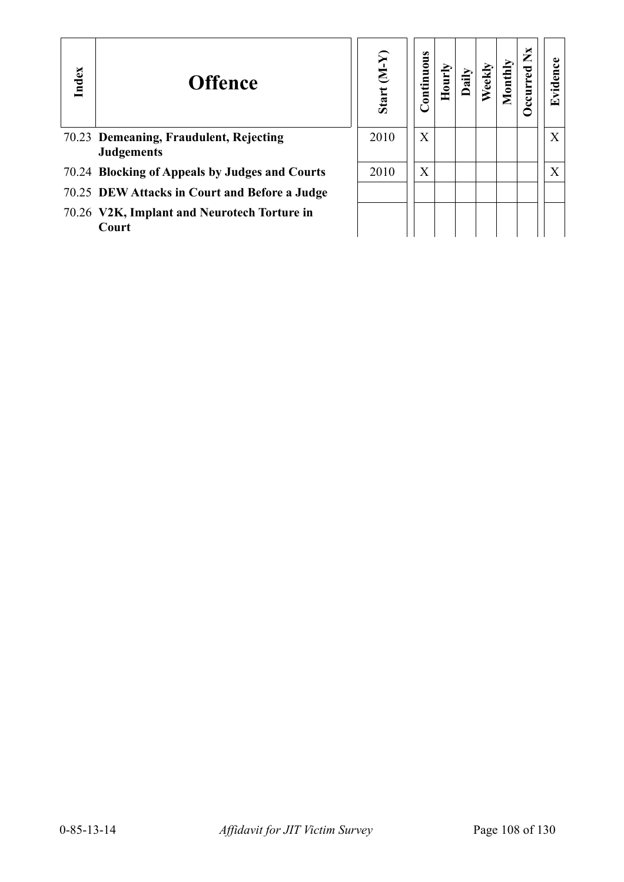| Index | <b>Offence</b>                                              | Start $(M-Y)$ | $\mathop{\mathtt{Continuous}}$ | Hour | Dail | Weekl | Aonth | ×<br>$\overline{\phantom{a}}$ | vidence<br>نغا |
|-------|-------------------------------------------------------------|---------------|--------------------------------|------|------|-------|-------|-------------------------------|----------------|
|       | 70.23 Demeaning, Fraudulent, Rejecting<br><b>Judgements</b> | 2010          | X                              |      |      |       |       |                               | X              |
|       | 70.24 Blocking of Appeals by Judges and Courts              | 2010          | X                              |      |      |       |       |                               | X              |
|       | 70.25 DEW Attacks in Court and Before a Judge               |               |                                |      |      |       |       |                               |                |
|       | 70.26 V2K, Implant and Neurotech Torture in<br>Court        |               |                                |      |      |       |       |                               |                |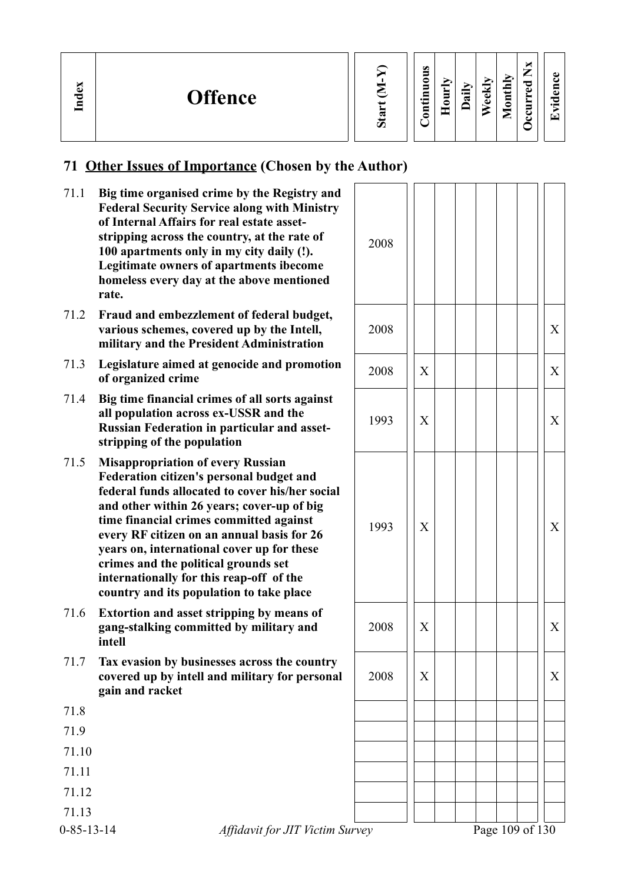| Index<br><b>Offence</b> | ರಾ | ×<br>U.<br>⇁<br>ല<br>$\overline{\phantom{a}}$<br>▭<br>∼<br>A)<br>ω<br>$\cdot$ .<br>ല<br>−<br>⊂<br>ಷ<br>$\Phi$<br>◠<br>-<br>$\bullet$ and $\bullet$<br>┍<br>-<br>-<br>Ξ<br>_<br>↽ |
|-------------------------|----|----------------------------------------------------------------------------------------------------------------------------------------------------------------------------------|
|-------------------------|----|----------------------------------------------------------------------------------------------------------------------------------------------------------------------------------|

### **71 Other Issues of Importance (Chosen by the Author)**

- 71.1 **Big time organised crime by the Registry and Federal Security Service along with Ministry of Internal Affairs for real estate assetstripping across the country, at the rate of 100 apartments only in my city daily (!). Legitimate owners of apartments ibecome homeless every day at the above mentioned rate.**
- 71.2 **Fraud and embezzlement of federal budget, various schemes, covered up by the Intell, military and the President Administration**
- 71.3 **Legislature aimed at genocide and promotion of organized crime**<br>**of organized crime** 2008 ||X| | | | | | | X
- 71.4 **Big time financial crimes of all sorts against all population across ex-USSR and the Russian Federation in particular and assetstripping of the population**
- 71.5 **Misappropriation of every Russian Federation citizen's personal budget and federal funds allocated to cover his/her social and other within 26 years; cover-up of big time financial crimes committed against every RF citizen on an annual basis for 26 years on, international cover up for these crimes and the political grounds set internationally for this reap-off of the country and its population to take place**
- 71.6 **Extortion and asset stripping by means of gang-stalking committed by military and intell**
- 71.7 **Tax evasion by businesses across the country covered up by intell and military for personal gain and racket**

71.8 71.9 71.10 71.11 71.12 71.13

| $0 - 85 - 13 - 14$ |  |  |  |
|--------------------|--|--|--|
|                    |  |  |  |

2008 2008 X 1993  $||x|| + ||x|| + ||x||$ 1993 X X  $2008$   $\vert x \vert$   $\vert x \vert$   $\vert x \vert$   $\vert x \vert$  $2008$   $\vert x \vert$   $\vert x \vert$   $\vert x \vert$   $\vert x \vert$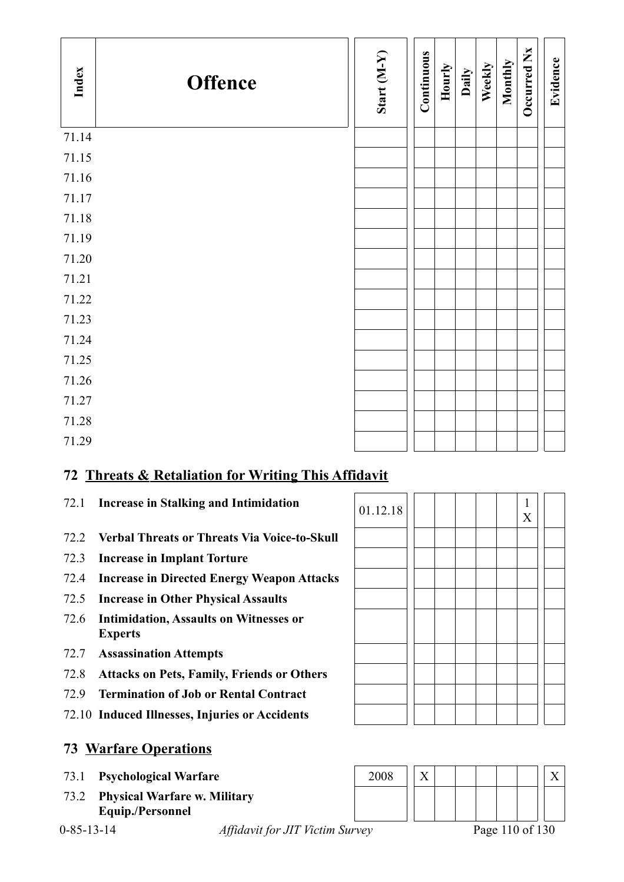| Index | <b>Offence</b> | Start (M-Y) | Continuous | Hourly | Daily | Weekly | Monthly | Occurred Nx | Evidence |
|-------|----------------|-------------|------------|--------|-------|--------|---------|-------------|----------|
| 71.14 |                |             |            |        |       |        |         |             |          |
| 71.15 |                |             |            |        |       |        |         |             |          |
| 71.16 |                |             |            |        |       |        |         |             |          |
| 71.17 |                |             |            |        |       |        |         |             |          |
| 71.18 |                |             |            |        |       |        |         |             |          |
| 71.19 |                |             |            |        |       |        |         |             |          |
| 71.20 |                |             |            |        |       |        |         |             |          |
| 71.21 |                |             |            |        |       |        |         |             |          |
| 71.22 |                |             |            |        |       |        |         |             |          |
| 71.23 |                |             |            |        |       |        |         |             |          |
| 71.24 |                |             |            |        |       |        |         |             |          |
| 71.25 |                |             |            |        |       |        |         |             |          |
| 71.26 |                |             |            |        |       |        |         |             |          |
| 71.27 |                |             |            |        |       |        |         |             |          |
| 71.28 |                |             |            |        |       |        |         |             |          |
| 71.29 |                |             |            |        |       |        |         |             |          |

# **72 Threats & Retaliation for Writing This Affidavit**

- 
- 72.2 **Verbal Threats or Threats Via Voice-to-Skull**
- 72.3 **Increase in Implant Torture**
- 72.4 **Increase in Directed Energy Weapon Attacks**
- 72.5 **Increase in Other Physical Assaults**
- 72.6 **Intimidation, Assaults on Witnesses or Experts**
- 72.7 **Assassination Attempts**
- 72.8 **Attacks on Pets, Family, Friends or Others**
- 72.9 **Termination of Job or Rental Contract**
- 72.10 **Induced Illnesses, Injuries or Accidents**

### **73 Warfare Operations**

- 
- 73.2 **Physical Warfare w. Military Equip./Personnel**



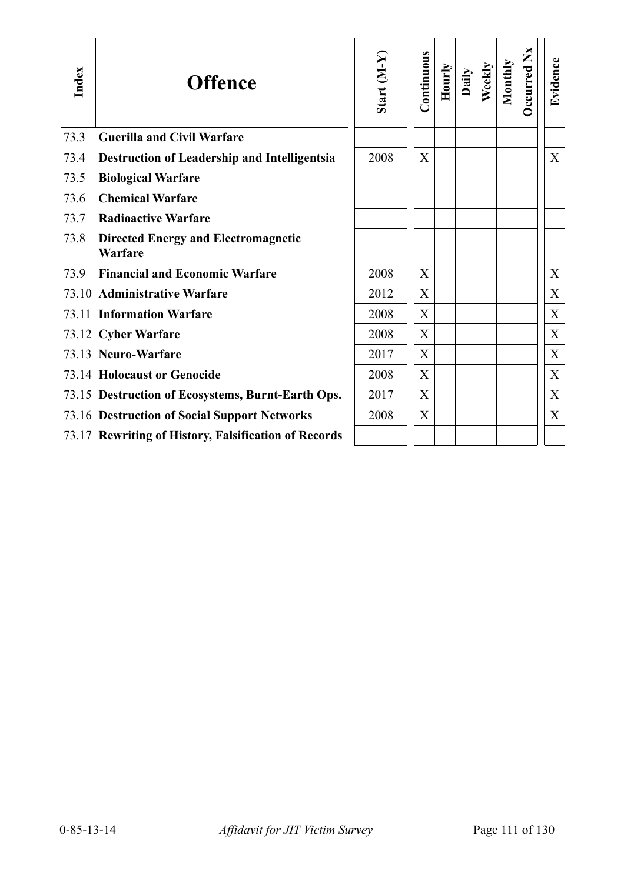| Index | <b>Offence</b>                                        | Start $(M-Y)$ | Continuous | Hourly | Daily | Weekly | Monthly | Ž<br><b>Occurred</b> | Evidence    |
|-------|-------------------------------------------------------|---------------|------------|--------|-------|--------|---------|----------------------|-------------|
| 73.3  | <b>Guerilla and Civil Warfare</b>                     |               |            |        |       |        |         |                      |             |
| 73.4  | <b>Destruction of Leadership and Intelligentsia</b>   | 2008          | X          |        |       |        |         |                      | X           |
| 73.5  | <b>Biological Warfare</b>                             |               |            |        |       |        |         |                      |             |
| 73.6  | <b>Chemical Warfare</b>                               |               |            |        |       |        |         |                      |             |
| 73.7  | <b>Radioactive Warfare</b>                            |               |            |        |       |        |         |                      |             |
| 73.8  | <b>Directed Energy and Electromagnetic</b><br>Warfare |               |            |        |       |        |         |                      |             |
| 73.9  | <b>Financial and Economic Warfare</b>                 | 2008          | X          |        |       |        |         |                      | X           |
|       | 73.10 Administrative Warfare                          | 2012          | X          |        |       |        |         |                      | X           |
|       | 73.11 Information Warfare                             | 2008          | X          |        |       |        |         |                      | X           |
|       | 73.12 Cyber Warfare                                   | 2008          | X          |        |       |        |         |                      | X           |
|       | 73.13 Neuro-Warfare                                   | 2017          | X          |        |       |        |         |                      | $\mathbf X$ |
|       | <b>73.14 Holocaust or Genocide</b>                    | 2008          | X          |        |       |        |         |                      | $\mathbf X$ |
|       | 73.15 Destruction of Ecosystems, Burnt-Earth Ops.     | 2017          | X          |        |       |        |         |                      | X           |
|       | 73.16 Destruction of Social Support Networks          | 2008          | X          |        |       |        |         |                      | X           |
|       | 73.17 Rewriting of History, Falsification of Records  |               |            |        |       |        |         |                      |             |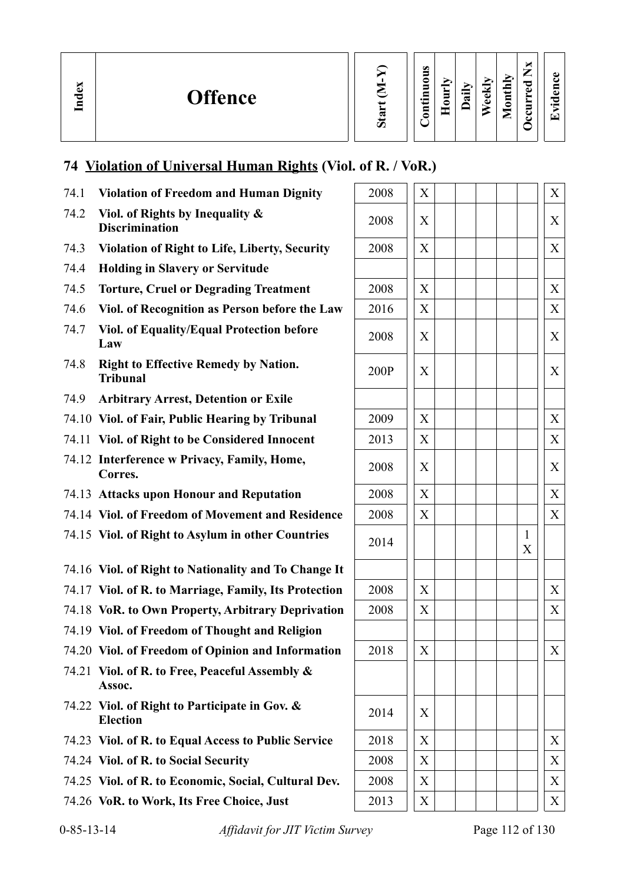s.

# **74 Violation of Universal Human Rights (Viol. of R. / VoR.)**

| 74.1               | <b>Violation of Freedom and Human Dignity</b>                    | 2008 | X |                 | X                 |
|--------------------|------------------------------------------------------------------|------|---|-----------------|-------------------|
| 74.2               | Viol. of Rights by Inequality &<br><b>Discrimination</b>         | 2008 | X |                 | X                 |
| 74.3               | <b>Violation of Right to Life, Liberty, Security</b>             | 2008 | X |                 | $\boldsymbol{X}$  |
| 74.4               | <b>Holding in Slavery or Servitude</b>                           |      |   |                 |                   |
| 74.5               | <b>Torture, Cruel or Degrading Treatment</b>                     | 2008 | X |                 | X                 |
| 74.6               | Viol. of Recognition as Person before the Law                    | 2016 | X |                 | $X_{\mathcal{I}}$ |
| 74.7               | Viol. of Equality/Equal Protection before<br>Law                 | 2008 | X |                 | $\boldsymbol{X}$  |
| 74.8               | <b>Right to Effective Remedy by Nation.</b><br><b>Tribunal</b>   | 200P | X |                 | $\boldsymbol{X}$  |
| 74.9               | <b>Arbitrary Arrest, Detention or Exile</b>                      |      |   |                 |                   |
|                    | 74.10 Viol. of Fair, Public Hearing by Tribunal                  | 2009 | X |                 | X                 |
|                    | 74.11 Viol. of Right to be Considered Innocent                   | 2013 | X |                 | X                 |
|                    | 74.12 Interference w Privacy, Family, Home,<br>Corres.           | 2008 | X |                 | X                 |
|                    | 74.13 Attacks upon Honour and Reputation                         | 2008 | X |                 | X                 |
|                    | 74.14 Viol. of Freedom of Movement and Residence                 | 2008 | X |                 | X                 |
|                    | 74.15 Viol. of Right to Asylum in other Countries                | 2014 |   |                 | 1<br>X            |
|                    | 74.16 Viol. of Right to Nationality and To Change It             |      |   |                 |                   |
|                    | 74.17 Viol. of R. to Marriage, Family, Its Protection            | 2008 | X |                 | X                 |
|                    | 74.18 VoR. to Own Property, Arbitrary Deprivation                | 2008 | X |                 | X                 |
|                    | 74.19 Viol. of Freedom of Thought and Religion                   |      |   |                 |                   |
|                    | 74.20 Viol. of Freedom of Opinion and Information                | 2018 | X |                 | $\mathbf X$       |
|                    | 74.21 Viol. of R. to Free, Peaceful Assembly &<br>Assoc.         |      |   |                 |                   |
|                    | 74.22 Viol. of Right to Participate in Gov. &<br><b>Election</b> | 2014 | X |                 |                   |
|                    | 74.23 Viol. of R. to Equal Access to Public Service              | 2018 | X |                 | X                 |
|                    | 74.24 Viol. of R. to Social Security                             | 2008 | X |                 | X                 |
|                    | 74.25 Viol. of R. to Economic, Social, Cultural Dev.             | 2008 | X |                 | X                 |
|                    | 74.26 VoR. to Work, Its Free Choice, Just                        | 2013 | X |                 | X                 |
| $0 - 85 - 13 - 14$ | Affidavit for JIT Victim Survey                                  |      |   | Page 112 of 130 |                   |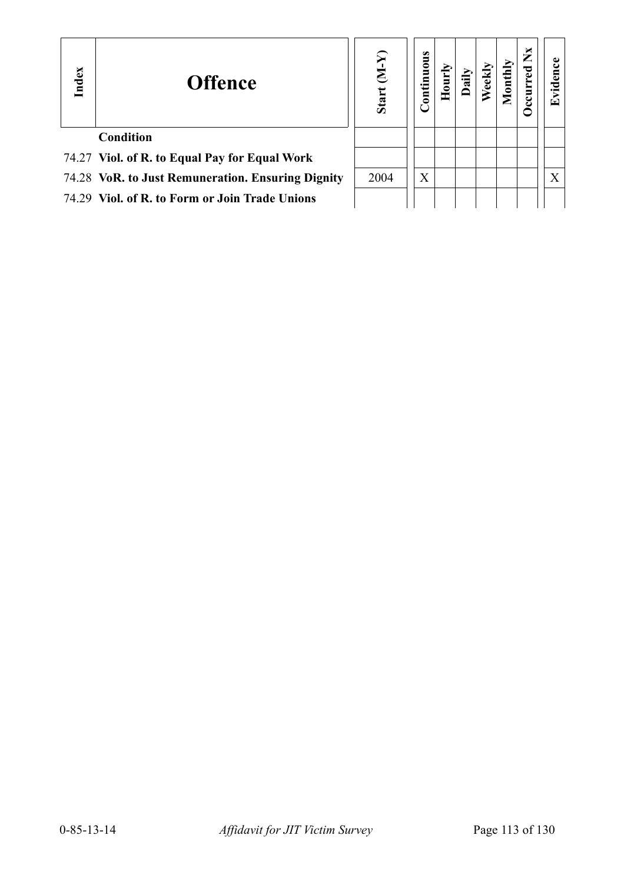| Index | <b>Offence</b>                                    | E<br>Start | <b>Continuous</b> | $\bar{\mathbf{H}}$ |  | $\boldsymbol{\breve{\mathsf{z}}}$ | ⊡ |
|-------|---------------------------------------------------|------------|-------------------|--------------------|--|-----------------------------------|---|
|       | <b>Condition</b>                                  |            |                   |                    |  |                                   |   |
|       | 74.27 Viol. of R. to Equal Pay for Equal Work     |            |                   |                    |  |                                   |   |
|       | 74.28 VoR. to Just Remuneration. Ensuring Dignity | 2004       | X                 |                    |  |                                   | X |
|       | 74.29 Viol. of R. to Form or Join Trade Unions    |            |                   |                    |  |                                   |   |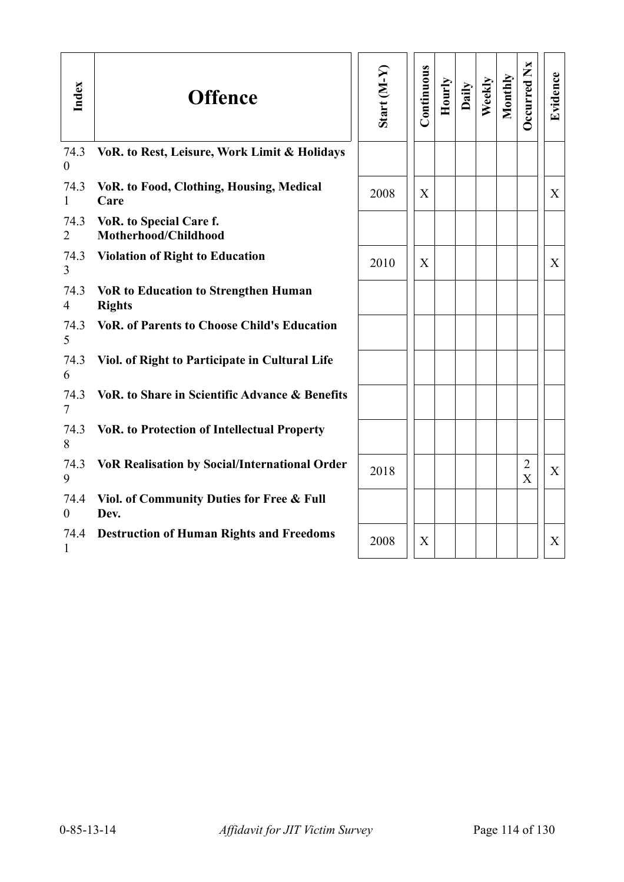| Index                  | <b>Offence</b>                                               | Start $(M-Y)$ | Continuous | Hourly | Daily | Weekly | Monthly | Occurred Nx                      | Evidence     |
|------------------------|--------------------------------------------------------------|---------------|------------|--------|-------|--------|---------|----------------------------------|--------------|
| 74.3<br>$\theta$       | VoR. to Rest, Leisure, Work Limit & Holidays                 |               |            |        |       |        |         |                                  |              |
| 74.3<br>$\mathbf{1}$   | VoR. to Food, Clothing, Housing, Medical<br>Care             | 2008          | X          |        |       |        |         |                                  | X            |
| 74.3<br>$\overline{2}$ | VoR. to Special Care f.<br>Motherhood/Childhood              |               |            |        |       |        |         |                                  |              |
| 74.3<br>$\overline{3}$ | <b>Violation of Right to Education</b>                       | 2010          | X          |        |       |        |         |                                  | X            |
| 74.3<br>$\overline{4}$ | <b>VoR to Education to Strengthen Human</b><br><b>Rights</b> |               |            |        |       |        |         |                                  |              |
| 74.3<br>5              | <b>VoR. of Parents to Choose Child's Education</b>           |               |            |        |       |        |         |                                  |              |
| 74.3<br>6              | Viol. of Right to Participate in Cultural Life               |               |            |        |       |        |         |                                  |              |
| 74.3<br>$\tau$         | VoR. to Share in Scientific Advance & Benefits               |               |            |        |       |        |         |                                  |              |
| 74.3<br>8              | <b>VoR. to Protection of Intellectual Property</b>           |               |            |        |       |        |         |                                  |              |
| 74.3<br>9              | <b>VoR Realisation by Social/International Order</b>         | 2018          |            |        |       |        |         | $\overline{2}$<br>$\overline{X}$ | $\mathbf{X}$ |
| 74.4<br>$\theta$       | Viol. of Community Duties for Free & Full<br>Dev.            |               |            |        |       |        |         |                                  |              |
| 74.4<br>1              | <b>Destruction of Human Rights and Freedoms</b>              | 2008          | X          |        |       |        |         |                                  | X            |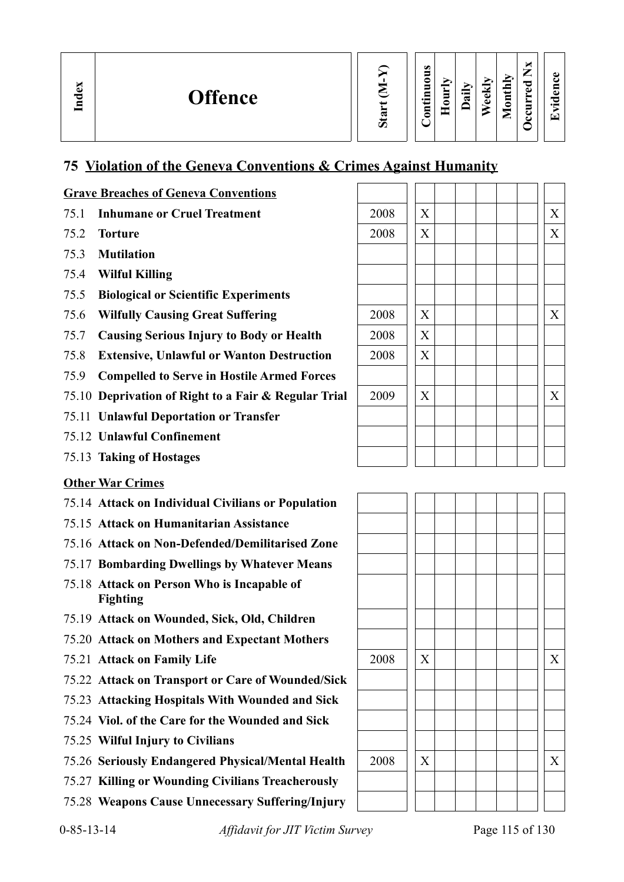| ×<br><b>Inde</b> | <b>Offence</b> | অ<br>$\omega$ | Ø<br>5<br>0<br>5<br>▭<br>$\bullet$ and<br>⊟<br>⊝ | ➤<br>Ξ<br>-<br>⌒ | $\bullet$ and $\bullet$<br>≂ | ≂<br>$\omega$<br>$\bullet$ | $\bf \Sigma$<br>c<br>ند<br>⋚<br>◓<br>_ | ×<br>–<br>−<br>P<br>ω<br>►<br>5<br>ັ<br>ఆ | ڡ<br>⊟<br>ω<br>P<br>$\cdot$ $\,$<br>$\lceil - \rceil$ |  |
|------------------|----------------|---------------|--------------------------------------------------|------------------|------------------------------|----------------------------|----------------------------------------|-------------------------------------------|-------------------------------------------------------|--|
|------------------|----------------|---------------|--------------------------------------------------|------------------|------------------------------|----------------------------|----------------------------------------|-------------------------------------------|-------------------------------------------------------|--|

#### **75 Violation of the Geneva Conventions & Crimes Against Humanity**

#### **Grave Breaches of Geneva Conventions**

- 75.1 **Inhumane or Cruel Treatment**
- 75.2 **Torture**
- 75.3 **Mutilation**
- 75.4 **Wilful Killing**
- 75.5 **Biological or Scientific Experiments**
- 75.6 Wilfully Causing Great Suffering
- 75.7 Causing Serious Injury to Body or Health
- 75.8 **Extensive, Unlawful or Wanton Destruction**
- 75.9 **Compelled to Serve in Hostile Armed Forces**
- 75.10 **Deprivation of Right to a Fair & Regular Trial**
- 75.11 **Unlawful Deportation or Transfer**
- 75.12 **Unlawful Confinement**
- 75.13 **Taking of Hostages**

#### **Other War Crimes**

- 75.14 **Attack on Individual Civilians or Population**
- 75.15 **Attack on Humanitarian Assistance**
- 75.16 **Attack on Non-Defended/Demilitarised Zone**
- 75.17 **Bombarding Dwellings by Whatever Means**
- 75.18 **Attack on Person Who is Incapable of Fighting**
- 75.19 **Attack on Wounded, Sick, Old, Children**
- 75.20 **Attack on Mothers and Expectant Mothers**
- 
- 75.22 **Attack on Transport or Care of Wounded/Sick**
- 75.23 **Attacking Hospitals With Wounded and Sick**
- 75.24 **Viol. of the Care for the Wounded and Sick**
- 75.25 **Wilful Injury to Civilians**
- 75.26 **Seriously Endangered Physical/Mental Health** 2008 X X
- 75.27 **Killing or Wounding Civilians Treacherously**
- 75.28 **Weapons Cause Unnecessary Suffering/Injury**

| 2008 | X                         |  |  |  | $\mathbf X$               |
|------|---------------------------|--|--|--|---------------------------|
| 2008 | $\boldsymbol{\mathrm{X}}$ |  |  |  | $\mathbf X$               |
|      |                           |  |  |  |                           |
|      |                           |  |  |  |                           |
|      |                           |  |  |  |                           |
| 2008 | $\mathbf X$               |  |  |  | $\mathbf X$               |
| 2008 | $\mathbf X$               |  |  |  |                           |
| 2008 | $\boldsymbol{\mathrm{X}}$ |  |  |  |                           |
|      |                           |  |  |  |                           |
| 2009 | $\boldsymbol{\mathrm{X}}$ |  |  |  | $\boldsymbol{\mathrm{X}}$ |
|      |                           |  |  |  |                           |
|      |                           |  |  |  |                           |
|      |                           |  |  |  |                           |

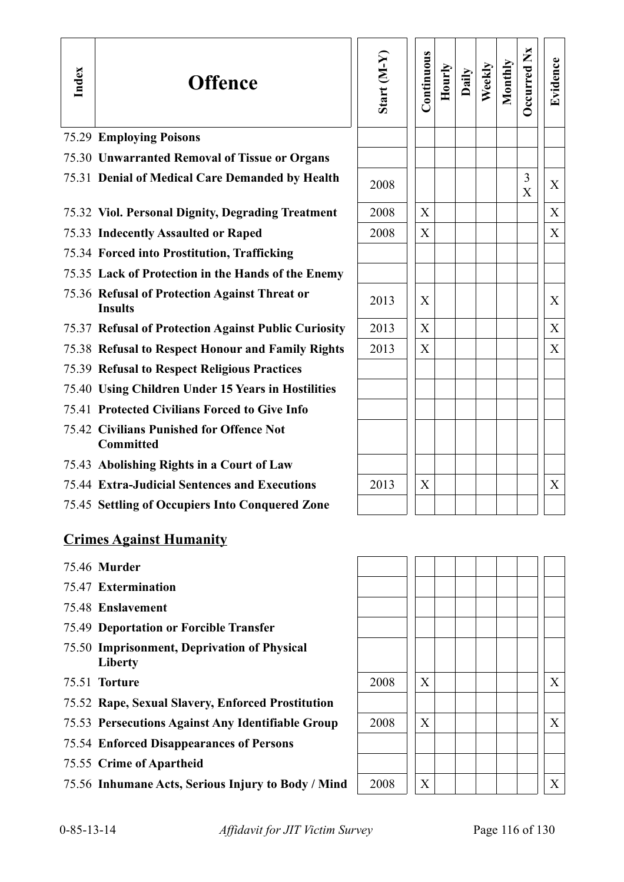| Index | <b>Offence</b>                                                  | Start (M-Y) | Continuous       | Hourly | Daily | Weekly | Monthly | <b>Decurred Nx</b> | Evidence |
|-------|-----------------------------------------------------------------|-------------|------------------|--------|-------|--------|---------|--------------------|----------|
|       | <b>75.29 Employing Poisons</b>                                  |             |                  |        |       |        |         |                    |          |
|       | 75.30 Unwarranted Removal of Tissue or Organs                   |             |                  |        |       |        |         |                    |          |
|       | 75.31 Denial of Medical Care Demanded by Health                 | 2008        |                  |        |       |        |         | 3<br>X             | X        |
|       | 75.32 Viol. Personal Dignity, Degrading Treatment               | 2008        | X                |        |       |        |         |                    | X        |
|       | 75.33 Indecently Assaulted or Raped                             | 2008        | X                |        |       |        |         |                    | X        |
|       | 75.34 Forced into Prostitution, Trafficking                     |             |                  |        |       |        |         |                    |          |
|       | 75.35 Lack of Protection in the Hands of the Enemy              |             |                  |        |       |        |         |                    |          |
|       | 75.36 Refusal of Protection Against Threat or<br><b>Insults</b> | 2013        | X                |        |       |        |         |                    | X        |
|       | 75.37 Refusal of Protection Against Public Curiosity            | 2013        | $\boldsymbol{X}$ |        |       |        |         |                    | X        |
|       | 75.38 Refusal to Respect Honour and Family Rights               | 2013        | X                |        |       |        |         |                    | X        |
|       | <b>75.39 Refusal to Respect Religious Practices</b>             |             |                  |        |       |        |         |                    |          |
|       | 75.40 Using Children Under 15 Years in Hostilities              |             |                  |        |       |        |         |                    |          |
|       | 75.41 Protected Civilians Forced to Give Info                   |             |                  |        |       |        |         |                    |          |
|       | 75.42 Civilians Punished for Offence Not<br><b>Committed</b>    |             |                  |        |       |        |         |                    |          |
|       | 75.43 Abolishing Rights in a Court of Law                       |             |                  |        |       |        |         |                    |          |
|       | 75.44 Extra-Judicial Sentences and Executions                   | 2013        | X                |        |       |        |         |                    | X        |
|       | 75.45 Settling of Occupiers Into Conquered Zone                 |             |                  |        |       |        |         |                    |          |
|       | <b>Crimes Against Humanity</b>                                  |             |                  |        |       |        |         |                    |          |

- 75.46 **Murder**
- 75.47 **Extermination**
- 75.48 **Enslavement**
- 75.49 **Deportation or Forcible Transfer**
- 75.50 **Imprisonment, Deprivation of Physical Liberty**
- **75.51 Torture**
- 75.52 **Rape, Sexual Slavery, Enforced Prostitution**
- 75.53 Persecutions Against Any Identifiable Group
- 75.54 **Enforced Disappearances of Persons**
- 75.55 **Crime of Apartheid**
- 75.56 Inhumane Acts, Serious Injury to Body / Mind

| 2008 | $\mathbf X$    |  |  |  | $\mathbf X$ |
|------|----------------|--|--|--|-------------|
|      |                |  |  |  |             |
| 2008 | $\mathbf X$    |  |  |  | $\mathbf X$ |
|      |                |  |  |  |             |
|      |                |  |  |  |             |
| 2008 | $\overline{X}$ |  |  |  | $\mathbf X$ |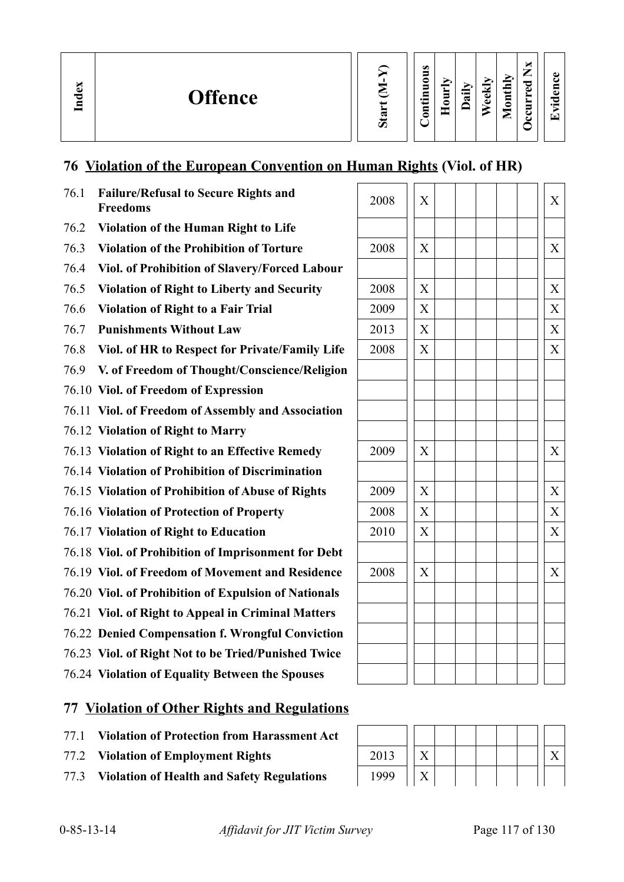# **76 Violation of the European Convention on Human Rights (Viol. of HR)**

| 76.1 | <b>Failure/Refusal to Secure Rights and</b><br><b>Freedoms</b> | 2008 | X                         | X |
|------|----------------------------------------------------------------|------|---------------------------|---|
| 76.2 | <b>Violation of the Human Right to Life</b>                    |      |                           |   |
| 76.3 | <b>Violation of the Prohibition of Torture</b>                 | 2008 | X                         | X |
| 76.4 | Viol. of Prohibition of Slavery/Forced Labour                  |      |                           |   |
| 76.5 | <b>Violation of Right to Liberty and Security</b>              | 2008 | $\boldsymbol{\mathrm{X}}$ | X |
| 76.6 | <b>Violation of Right to a Fair Trial</b>                      | 2009 | X                         | X |
| 76.7 | <b>Punishments Without Law</b>                                 | 2013 | X                         | X |
| 76.8 | Viol. of HR to Respect for Private/Family Life                 | 2008 | X                         | X |
| 76.9 | V. of Freedom of Thought/Conscience/Religion                   |      |                           |   |
|      | 76.10 Viol. of Freedom of Expression                           |      |                           |   |
|      | 76.11 Viol. of Freedom of Assembly and Association             |      |                           |   |
|      | 76.12 Violation of Right to Marry                              |      |                           |   |
|      | 76.13 Violation of Right to an Effective Remedy                | 2009 | $\boldsymbol{X}$          | X |
|      | 76.14 Violation of Prohibition of Discrimination               |      |                           |   |
|      | 76.15 Violation of Prohibition of Abuse of Rights              | 2009 | $\boldsymbol{X}$          | X |
|      | 76.16 Violation of Protection of Property                      | 2008 | X                         | X |
|      | 76.17 Violation of Right to Education                          | 2010 | $\boldsymbol{\mathrm{X}}$ | X |
|      | 76.18 Viol. of Prohibition of Imprisonment for Debt            |      |                           |   |
|      | 76.19 Viol. of Freedom of Movement and Residence               | 2008 | X                         | X |
|      | 76.20 Viol. of Prohibition of Expulsion of Nationals           |      |                           |   |
|      | 76.21 Viol. of Right to Appeal in Criminal Matters             |      |                           |   |
|      | 76.22 Denied Compensation f. Wrongful Conviction               |      |                           |   |
|      | 76.23 Viol. of Right Not to be Tried/Punished Twice            |      |                           |   |
|      | 76.24 Violation of Equality Between the Spouses                |      |                           |   |

# **77 Violation of Other Rights and Regulations**

- 77.1 **Violation of Protection from Harassment Act**
- 77.2 Violation of Employment Rights
- 77.3 Violation of Health and Safety Regulations

| X<br>X<br>2008<br>$\mathbf X$<br>2008<br>X |  |
|--------------------------------------------|--|
|                                            |  |
|                                            |  |
|                                            |  |
|                                            |  |
| $\overline{X}$<br>X<br>2009                |  |
| $\overline{X}$<br>X<br>2013                |  |
| $\overline{X}$<br>$\overline{X}$<br>2008   |  |
|                                            |  |
|                                            |  |
|                                            |  |
|                                            |  |
| X<br>2009<br>X                             |  |
|                                            |  |
| $\overline{X}$<br>2009<br>X                |  |
|                                            |  |
| $\overline{X}$<br>X<br>2008                |  |
| $\overline{X}$<br>X<br>2010                |  |
|                                            |  |
| X<br>X<br>2008                             |  |
|                                            |  |
|                                            |  |
|                                            |  |
|                                            |  |
|                                            |  |

| 2013 |  |  |  |  |
|------|--|--|--|--|
| 1999 |  |  |  |  |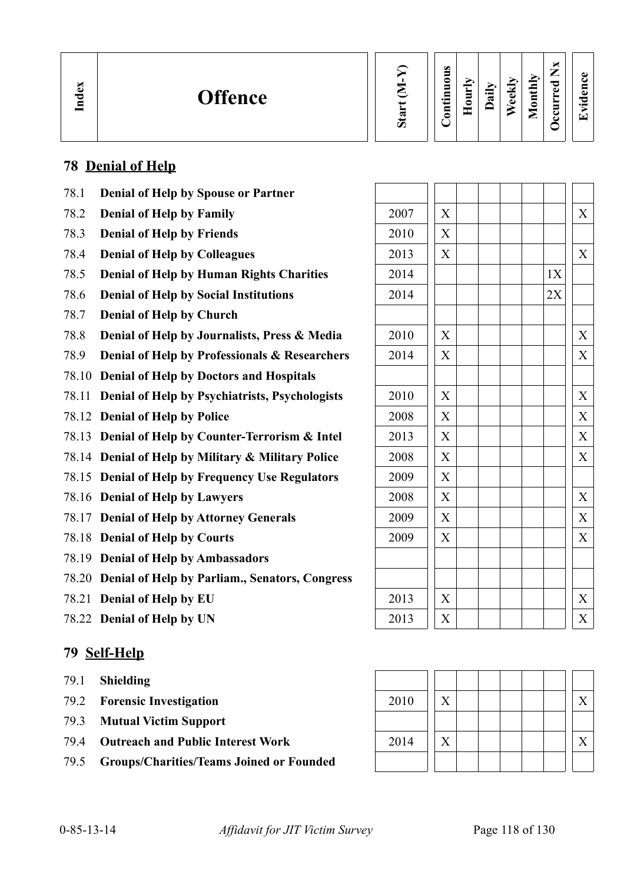**We ekly**

**Monthly Occurred**

**Nx**

| د<br>င့ |
|---------|
| ▭       |
|         |
|         |
|         |

## **78 Denial of Help**

- 78.1 **Denial of Help by Spouse or Partner**
- 78.2 **Denial of Help by Family**
- 78.3 **Denial of Help by Friends**
- 78.4 **Denial of Help by Colleagues**
- 78.5 **Denial of Help by Human Rights Charities**
- 78.6 **Denial of Help by Social Institutions**
- 78.7 **Denial of Help by Church**
- 78.8 **Denial of Help by Journalists, Press & Media**
- 78.9 **Denial of Help by Professionals & Researchers**
- 78.10 **Denial of Help by Doctors and Hospitals**
- 78.11 **Denial of Help by Psychiatrists, Psychologists**
- 78.12 **Denial of Help by Police**
- 78.13 **Denial of Help by Counter-Terrorism & Intel**
- 78.14 **Denial of Help by Military & Military Police**
- 78.15 **Denial of Help by Frequency Use Regulators**
- 78.16 **Denial of Help by Lawyers**
- 78.17 **Denial of Help by Attorney Generals**
- 78.18 **Denial of Help by Courts**
- 78.19 **Denial of Help by Ambassadors**
- 78.20 **Denial of Help by Parliam., Senators, Congress**
- 78.21 **Denial of Help by EU**
- 78.22 **Denial of Help by UN** 2013 X X

### **79 Self-Help**

- 79.1 **Shielding**
- 79.2 **Forensic Investigation**
- 79.3 **Mutual Victim Support**
- 79.4 Outreach and Public Interest Work
- 79.5 **Groups/Charities/Teams Joined or Founded**

| 2007 | $\boldsymbol{\mathrm{X}}$ |    | $\boldsymbol{\mathrm{X}}$ |
|------|---------------------------|----|---------------------------|
| 2010 | $\boldsymbol{\mathrm{X}}$ |    |                           |
| 2013 | $\overline{X}$            |    | X                         |
| 2014 |                           | 1X |                           |
| 2014 |                           | 2X |                           |
|      |                           |    |                           |
| 2010 | $\boldsymbol{\mathrm{X}}$ |    | $\mathbf X$               |
| 2014 | X                         |    | X                         |
|      |                           |    |                           |
| 2010 | $\boldsymbol{\mathrm{X}}$ |    | X                         |
| 2008 | $\overline{X}$            |    | $\overline{X}$            |
| 2013 | $\boldsymbol{\mathrm{X}}$ |    | $\boldsymbol{\mathrm{X}}$ |
| 2008 | $\overline{X}$            |    | X                         |
| 2009 | $\boldsymbol{\mathrm{X}}$ |    |                           |
| 2008 | X                         |    | $\boldsymbol{\mathrm{X}}$ |
| 2009 | $\boldsymbol{\mathrm{X}}$ |    | X                         |
| 2009 | $\overline{X}$            |    | $\overline{X}$            |
|      |                           |    |                           |
|      |                           |    |                           |
| 2013 | $\boldsymbol{\mathrm{X}}$ |    | X                         |
| 2013 | $\bar{\mathbf{Y}}$        |    | $\overline{\mathbf{Y}}$   |

| 2010 | X                 |  |  |  |  |
|------|-------------------|--|--|--|--|
|      |                   |  |  |  |  |
| 2014 | $\rm\overline{X}$ |  |  |  |  |
|      |                   |  |  |  |  |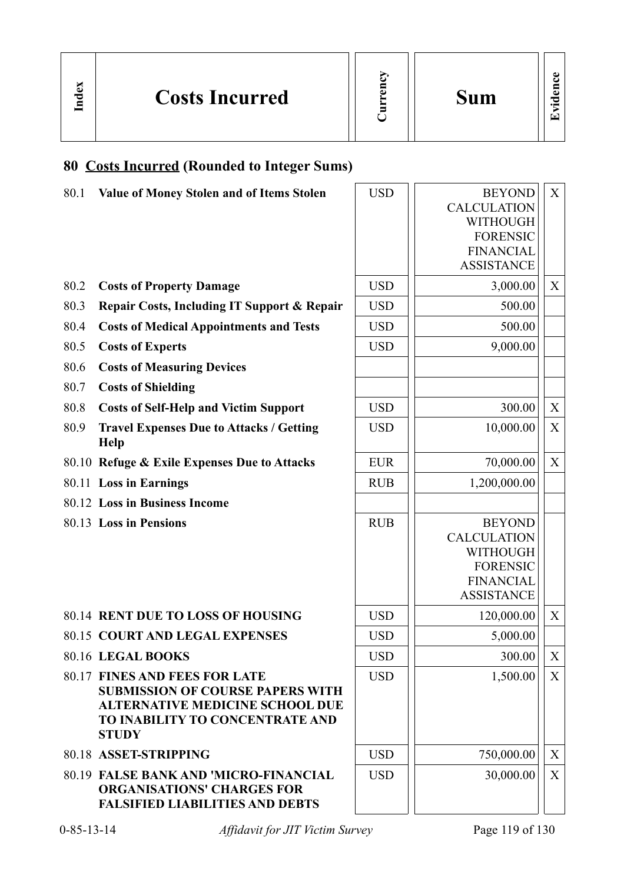

**Sum**

# **80 Costs Incurred (Rounded to Integer Sums)**

**In dex**

| 80.1 | Value of Money Stolen and of Items Stolen                                                                                                                                    | <b>USD</b> | <b>BEYOND</b><br><b>CALCULATION</b><br><b>WITHOUGH</b><br><b>FORENSIC</b><br><b>FINANCIAL</b><br><b>ASSISTANCE</b> | X                 |
|------|------------------------------------------------------------------------------------------------------------------------------------------------------------------------------|------------|--------------------------------------------------------------------------------------------------------------------|-------------------|
| 80.2 | <b>Costs of Property Damage</b>                                                                                                                                              | <b>USD</b> | 3,000.00                                                                                                           | X                 |
| 80.3 | Repair Costs, Including IT Support & Repair                                                                                                                                  | <b>USD</b> | 500.00                                                                                                             |                   |
| 80.4 | <b>Costs of Medical Appointments and Tests</b>                                                                                                                               | <b>USD</b> | 500.00                                                                                                             |                   |
| 80.5 | <b>Costs of Experts</b>                                                                                                                                                      | <b>USD</b> | 9,000.00                                                                                                           |                   |
| 80.6 | <b>Costs of Measuring Devices</b>                                                                                                                                            |            |                                                                                                                    |                   |
| 80.7 | <b>Costs of Shielding</b>                                                                                                                                                    |            |                                                                                                                    |                   |
| 80.8 | <b>Costs of Self-Help and Victim Support</b>                                                                                                                                 | <b>USD</b> | 300.00                                                                                                             | X                 |
| 80.9 | <b>Travel Expenses Due to Attacks / Getting</b><br><b>Help</b>                                                                                                               | <b>USD</b> | 10,000.00                                                                                                          | X                 |
|      | 80.10 Refuge & Exile Expenses Due to Attacks                                                                                                                                 | <b>EUR</b> | 70,000.00                                                                                                          | X                 |
|      | 80.11 Loss in Earnings                                                                                                                                                       | <b>RUB</b> | 1,200,000.00                                                                                                       |                   |
|      | 80.12 Loss in Business Income                                                                                                                                                |            |                                                                                                                    |                   |
|      | 80.13 Loss in Pensions                                                                                                                                                       | <b>RUB</b> | <b>BEYOND</b><br><b>CALCULATION</b><br><b>WITHOUGH</b><br><b>FORENSIC</b><br><b>FINANCIAL</b><br><b>ASSISTANCE</b> |                   |
|      | 80.14 RENT DUE TO LOSS OF HOUSING                                                                                                                                            | <b>USD</b> | 120,000.00                                                                                                         | X                 |
|      | <b>80.15 COURT AND LEGAL EXPENSES</b>                                                                                                                                        | <b>USD</b> | 5,000.00                                                                                                           |                   |
|      | 80.16 LEGAL BOOKS                                                                                                                                                            | <b>USD</b> | 300.00                                                                                                             | $X_{\mathcal{I}}$ |
|      | <b>80.17 FINES AND FEES FOR LATE</b><br><b>SUBMISSION OF COURSE PAPERS WITH</b><br><b>ALTERNATIVE MEDICINE SCHOOL DUE</b><br>TO INABILITY TO CONCENTRATE AND<br><b>STUDY</b> | <b>USD</b> | 1,500.00                                                                                                           | X                 |
|      | 80.18 ASSET-STRIPPING                                                                                                                                                        | <b>USD</b> | 750,000.00                                                                                                         | X                 |
|      | <b>80.19 FALSE BANK AND 'MICRO-FINANCIAL</b><br><b>ORGANISATIONS' CHARGES FOR</b><br><b>FALSIFIED LIABILITIES AND DEBTS</b>                                                  | <b>USD</b> | 30,000.00                                                                                                          | $X_{\mathcal{I}}$ |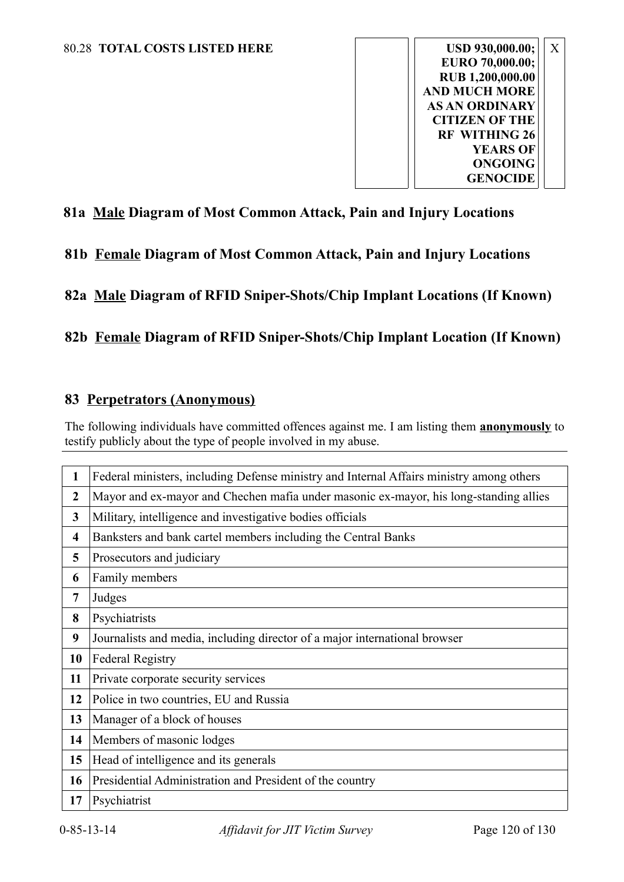

### **81a Male Diagram of Most Common Attack, Pain and Injury Locations**

**81b Female Diagram of Most Common Attack, Pain and Injury Locations**

**82a Male Diagram of RFID Sniper-Shots/Chip Implant Locations (If Known)**

### **82b Female Diagram of RFID Sniper-Shots/Chip Implant Location (If Known)**

#### **83 Perpetrators (Anonymous)**

The following individuals have committed offences against me. I am listing them **anonymously** to testify publicly about the type of people involved in my abuse.

| 1                       | Federal ministers, including Defense ministry and Internal Affairs ministry among others |
|-------------------------|------------------------------------------------------------------------------------------|
| $\overline{2}$          | Mayor and ex-mayor and Chechen mafia under masonic ex-mayor, his long-standing allies    |
| 3                       | Military, intelligence and investigative bodies officials                                |
| $\overline{\mathbf{4}}$ | Banksters and bank cartel members including the Central Banks                            |
| 5                       | Prosecutors and judiciary                                                                |
| 6                       | Family members                                                                           |
| 7                       | Judges                                                                                   |
| 8                       | Psychiatrists                                                                            |
| 9                       | Journalists and media, including director of a major international browser               |
| 10                      | <b>Federal Registry</b>                                                                  |
| 11                      | Private corporate security services                                                      |
| 12                      | Police in two countries, EU and Russia                                                   |
| 13                      | Manager of a block of houses                                                             |
| 14                      | Members of masonic lodges                                                                |
| 15                      | Head of intelligence and its generals                                                    |
| 16                      | Presidential Administration and President of the country                                 |
| 17                      | Psychiatrist                                                                             |